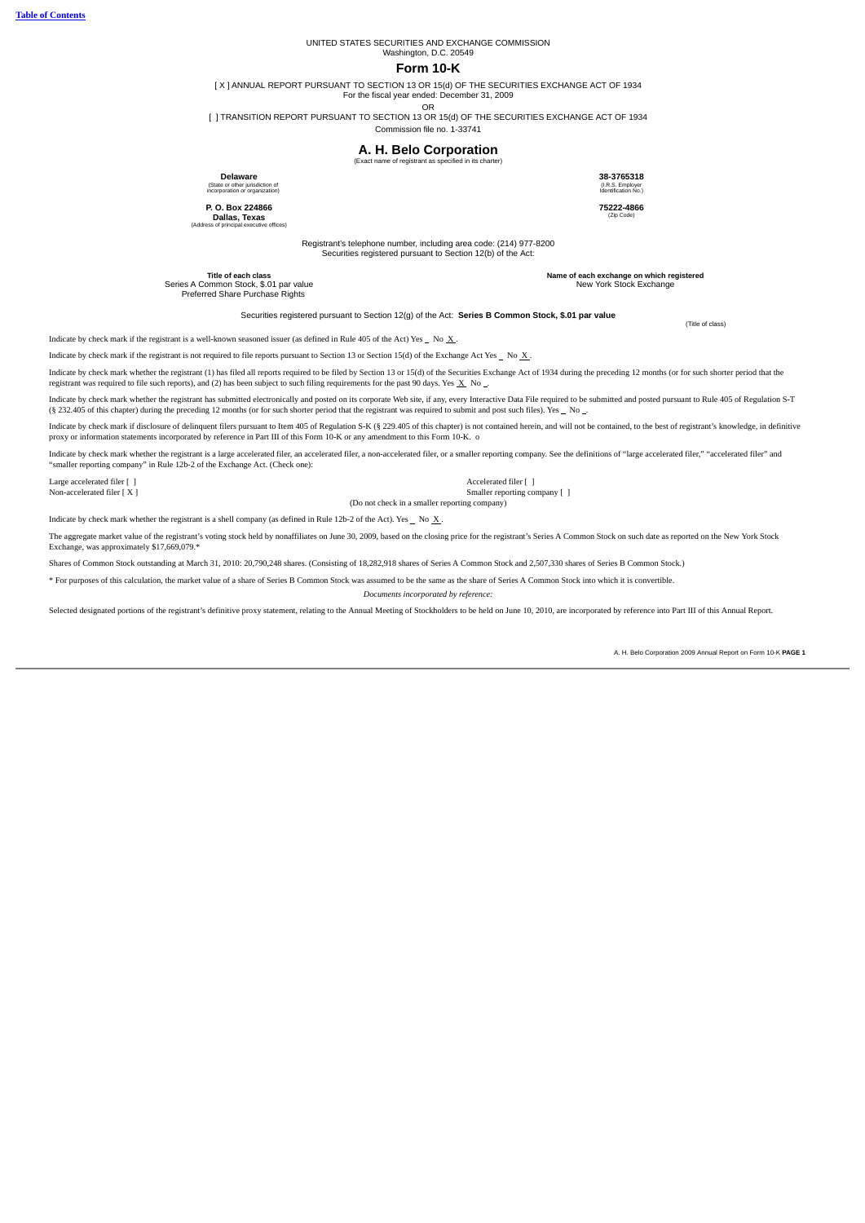UNITED STATES SECURITIES AND EXCHANGE COMMISSION Washington, D.C. 20549

## **Form 10-K**

[ X ] ANNUAL REPORT PURSUANT TO SECTION 13 OR 15(d) OF THE SECURITIES EXCHANGE ACT OF 1934 For the fiscal year ended: December 31, 2009

OR

[ ] TRANSITION REPORT PURSUANT TO SECTION 13 OR 15(d) OF THE SECURITIES EXCHANGE ACT OF 1934 Commission file no. 1-33741

### **A. H. Belo Corporation** (Exact name of registrant as specified in its charter)

**Delaware** (State or other jurisdiction of incorporation or organization)

**P. O. Box 224866 Dallas, Texas** (Address of principal executive offices) **38-3765318** (I.R.S. Employer Identification No.)

**75222-4866** (Zip Code)

Registrant's telephone number, including area code: (214) 977-8200 Securities registered pursuant to Section 12(b) of the Act:

Series A Common Stock, \$.01 par value Preferred Share Purchase Rights

**Title of each class Name of each exchange on which registered** New York Stock Exchange

Securities registered pursuant to Section 12(g) of the Act: **Series B Common Stock, \$.01 par value**

Indicate by check mark if the registrant is a well-known seasoned issuer (as defined in Rule 405 of the Act) Yes No  $X$ .

Indicate by check mark if the registrant is not required to file reports pursuant to Section 13 or Section 15(d) of the Exchange Act Yes No  $\overline{X}$ .

Indicate by check mark whether the registrant (1) has filed all reports required to be filed by Section 13 or 15(d) of the Securities Exchange Act of 1934 during the preceding 12 months (or for such shorter period that the registrant was required to file such reports), and (2) has been subject to such filing requirements for the past 90 days. Yes  $\overline{X}$  No .

Indicate by check mark whether the registrant has submitted electronically and posted on its corporate Web site, if any, every Interactive Data File required to be submitted and posted pursuant to Rule 405 of Regulation S-T (§ 232.405 of this chapter) during the preceding 12 months (or for such shorter period that the registrant was required to submit and post such files). Yes No \_

Indicate by check mark if disclosure of delinquent filers pursuant to Item 405 of Regulation S-K (§ 229.405 of this chapter) is not contained herein, and will not be contained, to the best of registrant's knowledge, in def

Indicate by check mark whether the registrant is a large accelerated filer, an accelerated filer, anon-accelerated filer, or a smaller reporting company. See the definitions of "large accelerated filer," "accelerated filer

Large accelerated filer [ ] Accelerated filer [ ] Smaller reporting company [ ] (Do not check in a smaller reporting company)

Indicate by check mark whether the registrant is a shell company (as defined in Rule 12b-2 of the Act). Yes  $\Box$  No  $\angle X$ .

The aggregate market value of the registrant's voting stock held by nonaffiliates on June 30, 2009, based on the closing price for the registrant's Series A Common Stock on such date as reported on the New York Stock Exchange, was approximately \$17,669,079.\*

*Documents incorporated by reference:*

Shares of Common Stock outstanding at March 31, 2010: 20,790,248 shares. (Consisting of 18,282,918 shares of Series A Common Stock and 2,507,330 shares of Series B Common Stock.)

\* For purposes of this calculation, the market value of a share of Series B Common Stock was assumed to be the same as the share of Series A Common Stock into which it is convertible.

Selected designated portions of the registrant's definitive proxy statement, relating to the Annual Meeting of Stockholders to be held on June 10, 2010, are incorporated by reference into Part III of this Annual Report.

A. H. Belo Corporation 2009 Annual Report on Form 10-K **PAGE 1**

(Title of class)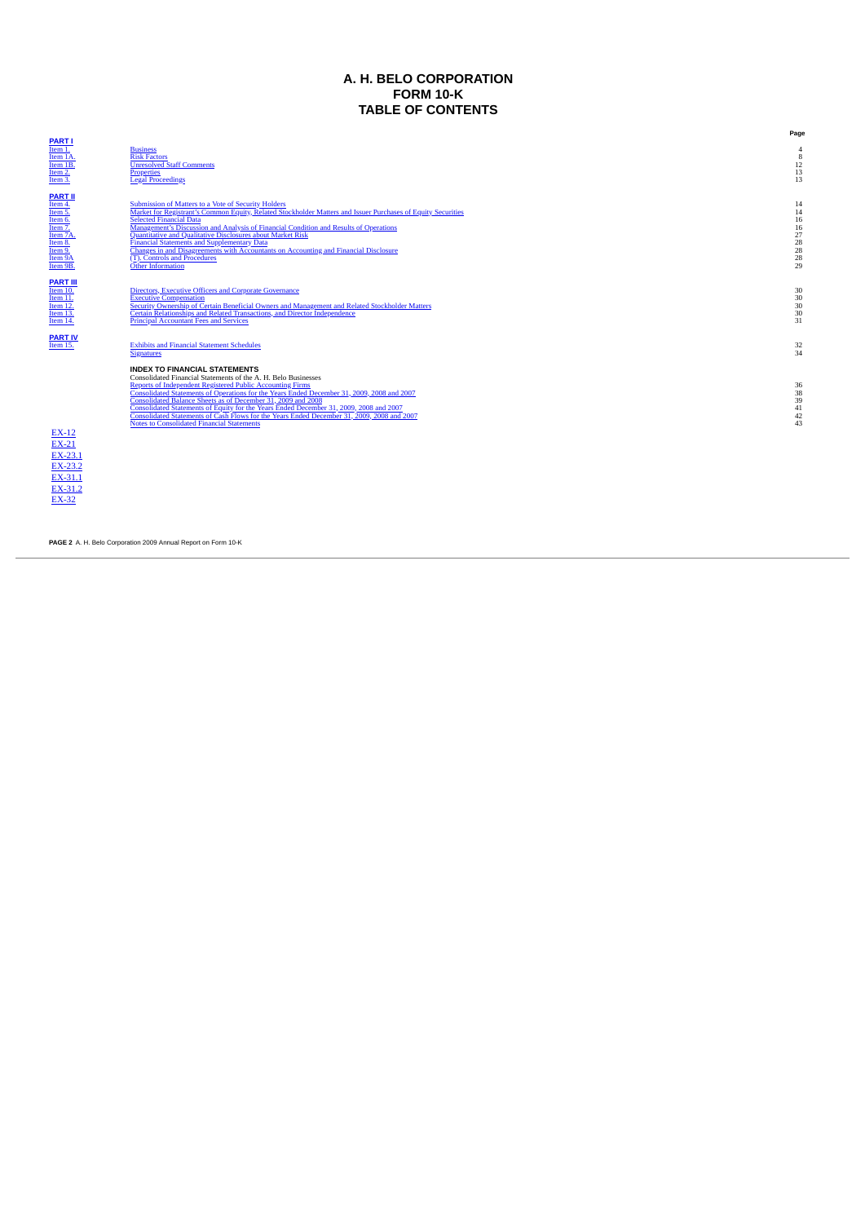## **A. H. BELO CORPORATION FORM 10-K TABLE OF CONTENTS**

<span id="page-2-0"></span>

|                                                                                                                         |                                                                                                                                                                                                                                                                                                                                                                                                                                                                                                                                                                                | Page                                               |
|-------------------------------------------------------------------------------------------------------------------------|--------------------------------------------------------------------------------------------------------------------------------------------------------------------------------------------------------------------------------------------------------------------------------------------------------------------------------------------------------------------------------------------------------------------------------------------------------------------------------------------------------------------------------------------------------------------------------|----------------------------------------------------|
| <b>PART I</b><br>Item 1.<br>Item 1A.<br>$\frac{2.1}{1 \text{ term } 3.1}$                                               | <b>Business</b><br><b>Risk Factors</b><br><b>Unresolved Staff Comments</b><br><b>Properties</b><br><b>Legal Proceedings</b>                                                                                                                                                                                                                                                                                                                                                                                                                                                    | $\overline{4}$<br>8<br>12<br>13<br>13              |
| PART II<br>Item 4.<br>Item 5.<br>Item 6.<br>Item 7.<br>Item <sub>7</sub> A<br>Item 8.<br>Item 9.<br>Item 9A<br>Item 9B. | Submission of Matters to a Vote of Security Holders<br>Market for Registrant's Common Equity, Related Stockholder Matters and Issuer Purchases of Equity Securities<br><b>Selected Financial Data</b><br>Management's Discussion and Analysis of Financial Condition and Results of Operations<br><b>Ouantitative and Oualitative Disclosures about Market Risk</b><br><b>Financial Statements and Supplementary Data</b><br>Changes in and Disagreements with Accountants on Accounting and Financial Disclosure<br>(T). Controls and Procedures<br>Other Information         | 14<br>14<br>16<br>16<br>27<br>28<br>28<br>28<br>29 |
| <b>PART III</b><br>Item 10.<br><u>Item 11.</u><br>Item 12.<br>Item 13.<br>Item 14.                                      | Directors, Executive Officers and Corporate Governance<br><b>Executive Compensation</b><br>Security Ownership of Certain Beneficial Owners and Management and Related Stockholder Matters<br>Certain Relationships and Related Transactions, and Director Independence<br><b>Principal Accountant Fees and Services</b>                                                                                                                                                                                                                                                        | 30<br>30<br>30<br>30<br>31                         |
| <b>PART IV</b><br>Item 15.                                                                                              | <b>Exhibits and Financial Statement Schedules</b><br><b>Signatures</b>                                                                                                                                                                                                                                                                                                                                                                                                                                                                                                         | $\frac{32}{34}$                                    |
| <b>EX-12</b><br><b>EX-21</b><br>EX-23.1<br>EX-23.2<br>EX-31.1<br>EX-31.2<br><b>EX-32</b>                                | <b>INDEX TO FINANCIAL STATEMENTS</b><br>Consolidated Financial Statements of the A. H. Belo Businesses<br>Reports of Independent Registered Public Accounting Firms<br>Consolidated Statements of Operations for the Years Ended December 31, 2009, 2008 and 2007<br>Consolidated Balance Sheets as of December 31, 2009 and 2008<br>Consolidated Statements of Equity for the Years Ended December 31, 2009, 2008 and 2007<br>Consolidated Statements of Cash Flows for the Years Ended December 31, 2009, 2008 and 2007<br><b>Notes to Consolidated Financial Statements</b> | 36<br>38<br>39<br>41<br>42<br>43                   |
|                                                                                                                         |                                                                                                                                                                                                                                                                                                                                                                                                                                                                                                                                                                                |                                                    |

**PAGE 2** A. H. Belo Corporation 2009 Annual Report on Form 10-K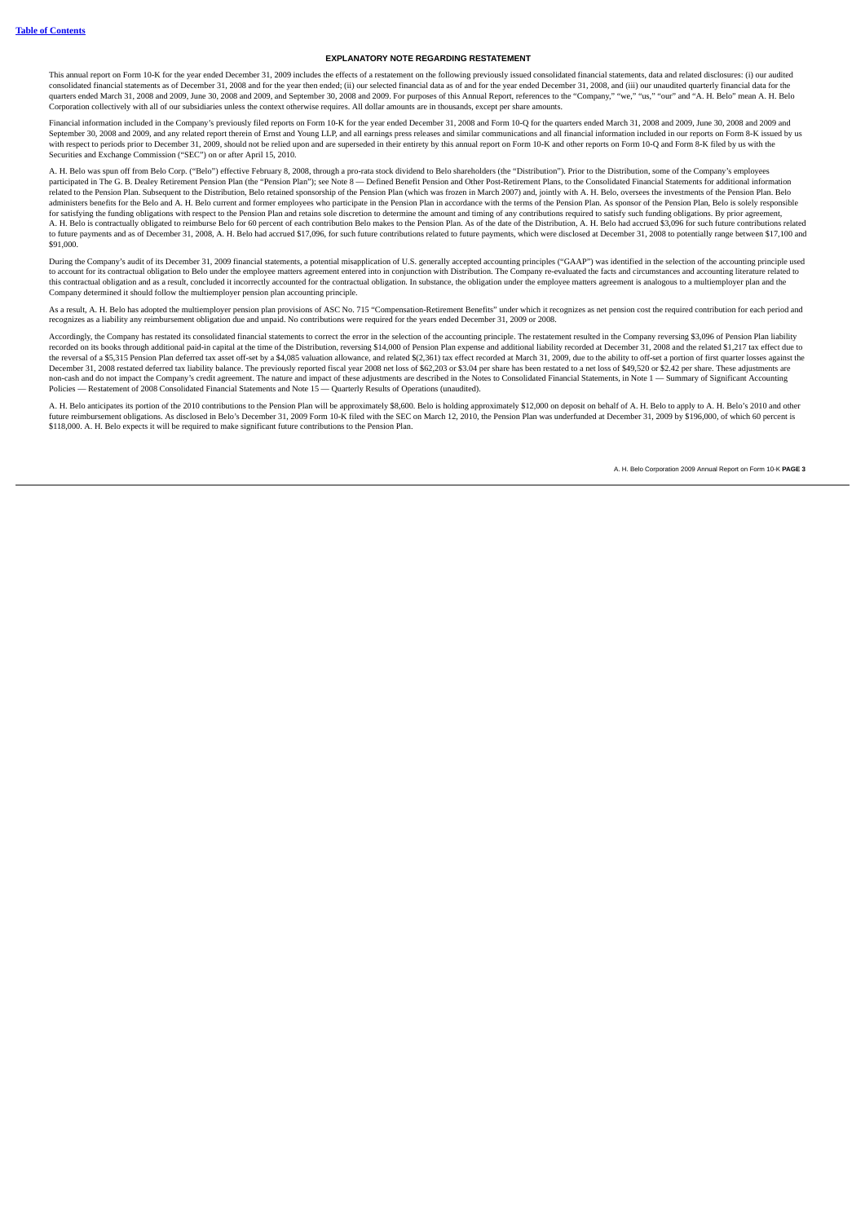### **EXPLANATORY NOTE REGARDING RESTATEMENT**

This annual report on Form 10-K for the year ended December 31, 2009 includes the effects of a restatement on the following previously issued consolidated financial statements, data and related disclosures: (i) our audited quarters ended March 31, 2008 and 2009, June 30, 2008 and 2009, and September 30, 2008 and 2009. For purposes of this Annual Report, references to the "Company," "we," "us," "our" and "A. H. Belo" mean A. H. Belo<br>Corporati

Financial information included in the Company's previously filed reports on Form 10-K for the year ended December 31, 2008 and Form 10-Q for the quarters ended March 31, 2008 and 2009, June 30, 2008 and 2009 and 2009 and September 30, 2008 and 2009, and any related report therein of Ernst and Young LLP, and all earnings press releases and similar communications and all financial information included in our reports on Form 8-K issued by us with respect to periods prior to December 31, 2009, should not be relied upon and are superseded in their entirety by this annual report on Form 10-K and other reports on Form 10-Q and Form 8-K filed by us with the Securities and Exchange Commission ("SEC") on or after April 15, 2010.

A. H. Belo was spun off from Belo Corp. ("Belo") effective February 8, 2008, through a pro-rata stock dividend to Belo shareholders (the "Distribution"). Prior to the Distribution, some of the Company's employees participated in The G. B. Dealey Retirement Pension Plan (the "Pension Plan"); see Note 8 — Defined Benefit Pension and Other Post-Retirement Plans, to the Consolidated Financial Statements for additional information<br>relat administers benefits for the Belo and A. H. Belo current and former employees who participate in the Pension Plan accordance with the terms of the Pension Plan. As sponsor of the Pension Plan, Belo is solely responsible<br>fo A. H. Belo is contractually obligated to reimburse Belo for 60 percent of each contribution Belo makes to the Pension Plan. As of the date of the Distribution, A. H. Belo had accrued \$3,096 for such future contributions re to future payments and as of December 31, 2008, A. H. Belo had accrued \$17,096, for such future contributions related to future payments, which were disclosed at December 31, 2008 to potentially range between \$17,100 and \$91,000.

During the Company's audit of its December 31, 2009 financial statements, a potential misapplication of U.S. generally accepted accounting principles ("GAAP") was identified in the selection of the accounting principle used to account for its contractual obligation to Belo under the employee matters agreement entered into in conjunction with Distribution. The Company re-evaluated the facts and circumstances and accounting literature related t Company determined it should follow the multiemployer pension plan accounting principle.

As a result, A. H. Belo has adopted the multiemployer pension plan provisions of ASC No. 715 "Compensation-Retirement Benefits" under which it recognizes as net pension cost the required contribution for each period and recognizes as a liability any reimbursement obligation due and unpaid. No contributions were required for the years ended December 31, 2009 or 2008.

Accordingly, the Company has restated its consolidated financial statements to correct the error in the selection of the accounting principle. The restatement resulted in the Company reversing \$3,096 of Pension Plan liabil the reversal of a \$5,315 Pension Plan deferred tax asset off-set by a \$4,085 valuation allowance, and related \$(2,361) tax effect recorded at March 31, 2009, due to the ability to off-set a portion of first quarter losses December 31, 2008 restated deferred tax liability balance. The previously reported fiscal year 2008 net loss of \$62,203 or \$3.04 per share has been restated to a net loss of \$49,520 or \$2.42 per share. These adjustments ar Policies — Restatement of 2008 Consolidated Financial Statements and Note 15 — Quarterly Results of Operations (unaudited).

A. H. Belo anticipates its portion of the 2010 contributions to the Pension Plan will be approximately \$0,600. Belo is holding approximately \$12,000 on deposit on behalf of A. H. Belo to apply to A. H. Belo's 2010 and othe \$118,000. A. H. Belo expects it will be required to make significant future contributions to the Pension Plan.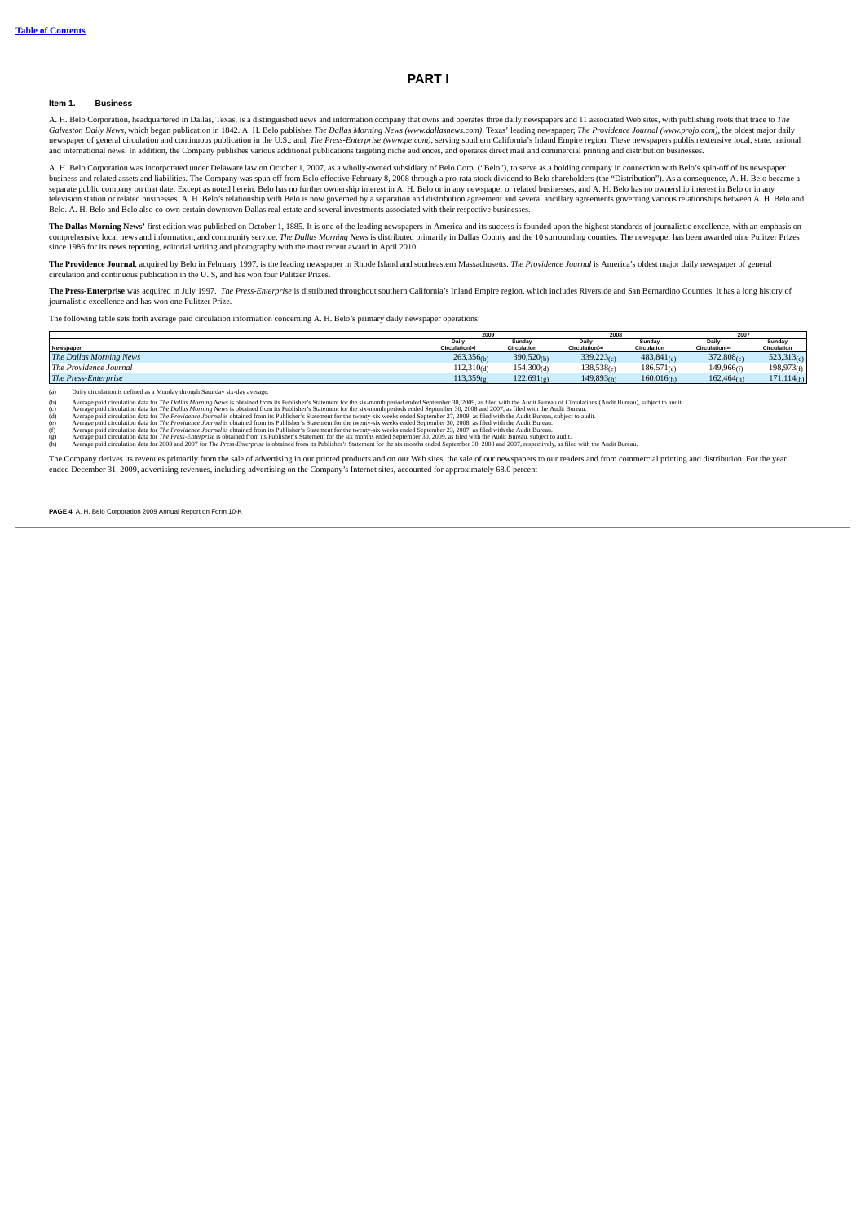## **PART I**

#### <span id="page-4-1"></span><span id="page-4-0"></span>**Item 1. Business**

A. H. Belo Corporation, headquartered in Dallas, Texas, is a distinguished news and information company that owns and operates three daily newspapers and 11 associated Web sites, with publishing roots that trace to *The*<br>G newspaper of general circulation and continuous publication in the U.S.; and, *The Press-Enterprise (www.pe.com)*, serving southern California's Inland Empire region. These newspapers publish extensive local, state, nation

A. H. Belo Corporation was incorporated under Delaware law on October 1, 2007, as a wholly-owned subsidiary of Belo Corp. ("Belo"), to serve as a holding company in connection with Belo's spin-off of its newspaper business and related assets and liabilities. The Company was spun off from Belo effective February 8, 2008 through a pro-rata stock dividend to Belo shareholders (the "Distribution"). As a consequence, A. H. Belo became a<br> television station or related businesses. A. H. Belo's relationship with Belo is now governed by a separation and distribution agreement and several ancillary agreements governing various relationships between A. H. Belo and Belo. A. H. Belo and Belo also co-own certain downtown Dallas real estate and several investments associated with their respective businesses.

**The Dallas Morning News'** first edition was published on October 1, 1885. It is one of the leading newspapers in America and its success is founded upon the highest standards of journalistic excellence, with an emphasis o since 1986 for its news reporting, editorial writing and photography with the most recent award in April 2010.

**The Providence Journal**, acquired by Belo in February 1997, is the leading newspaper in Rhode Island and southeastern Massachusetts. *The Providence Journal* is America's oldest major daily newspaper of general circulation and continuous publication in the U. S, and has won four Pulitzer Prizes.

The Press-Enterprise was acquired in July 1997. The Press-Enterprise is distributed throughout southern California's Inland Empire region, which includes Riverside and San Bernardino Counties. It has a long history of journalistic excellence and has won one Pulitzer Prize.

The following table sets forth average paid circulation information concerning A. H. Belo's primary daily newspaper operations:

|                             | 2009                    |                          | 2008                     |                          | 2007                    |                       |
|-----------------------------|-------------------------|--------------------------|--------------------------|--------------------------|-------------------------|-----------------------|
| Newspaper                   | Daily<br>Circulation(a) | Sundav<br>Circulation    | Daily<br>Circulation(a)  | Sundav<br>Circulation    | Daily<br>Circulation(a) | Sunday<br>Circulation |
| The Dallas Morning News     | 263,356(b)              | 390,520 <sub>(b)</sub>   | 339,223(c)               | 483,841(c)               | 372,808(c)              | 523,313(c)            |
| The Providence Journal      | $112,310_{(d)}$         | $154,300$ <sub>(d)</sub> | 138,5386                 | $186,571_{(e)}$          | 149,966 <sub>ff</sub>   | $198,973_{(f)}$       |
| <b>The Press-Enterprise</b> | $113,359_{(g)}$         | $122,691$ <sub>(a)</sub> | $149,893$ <sub>(h)</sub> | $160,016$ <sub>(h)</sub> | 162,464(h)              | 171, 114(h)           |

(a) Daily circulation is defined as a Monday through Saturday six-day average.<br>
(b) Average paid circulation data for *The Dallas Mornina News* is obtained from

Average paid circulation data for *The Dallas Morning News* is obtained from its Publisher's Statement for the six-month periods ended September 30, 2008 and 2007, as filed with the Audit Bureau, Subject to audit.<br>(c) Aver

The Company derives its revenues primarily from the sale of advertising in our printed products and on our Web sites, the sale of our newspapers to our readers and from commercial printing and distribution. For the year ended December 31, 2009, advertising revenues, including advertising on the Company's Internet sites, accounted for approximately 68.0 percent

**PAGE 4** A. H. Belo Corporation 2009 Annual Report on Form 10-K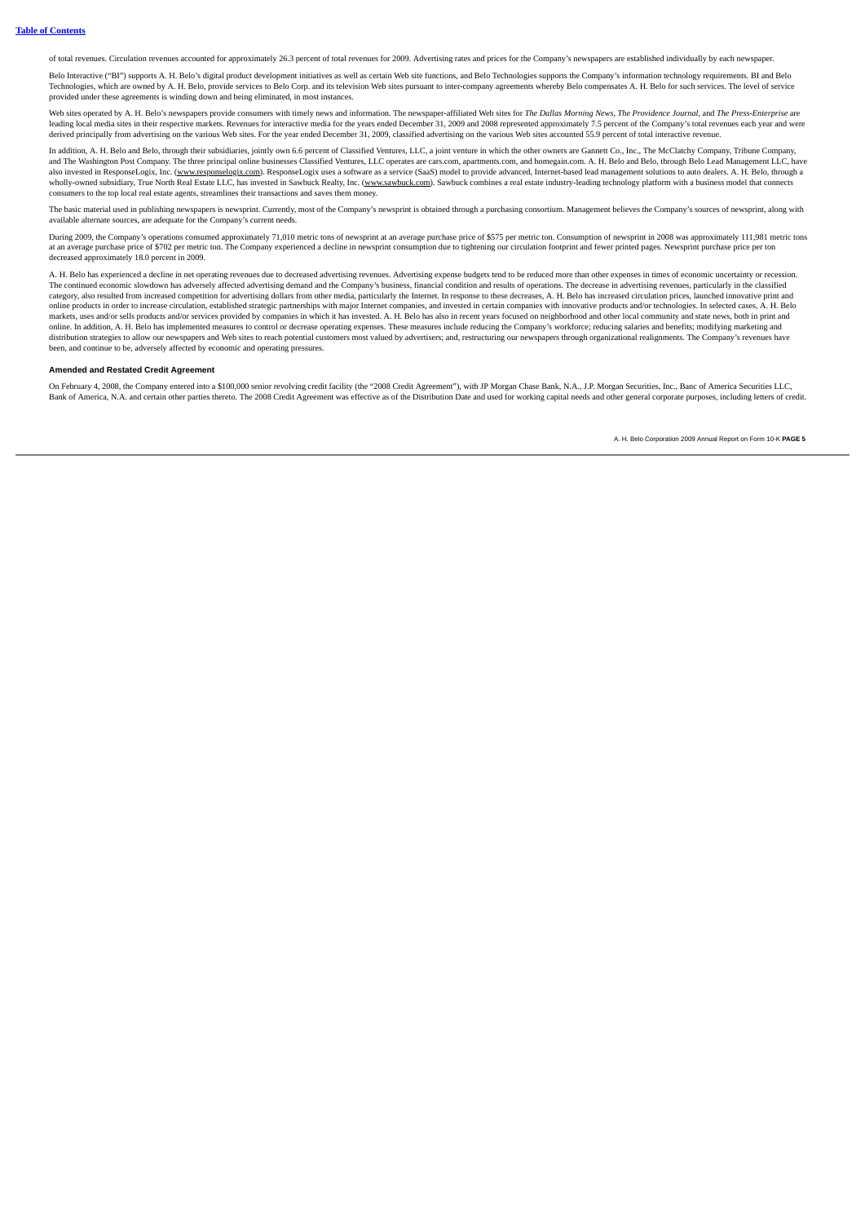of total revenues. Circulation revenues accounted for approximately 26.3 percent of total revenues for 2009. Advertising rates and prices for the Company's newspapers are established individually by each newspaper.

Belo Interactive ("BI") supports A. H. Belo's digital product development initiatives as well as certain Web site functions, and Belo Technologies supports the Company's information technology requirements. BI and Belo Technologies, which are owned by A. H. Belo, provide services to Belo Corp. and its television Web sites pursuant to inter-company agreements whereby Belo compensates A. H. Belo for such services. The level of service provided under these agreements is winding down and being eliminated, in most instances.

Web sites operated by A. H. Belo's newspapers provide consumers with timely news and information. The newspaper-affiliated Web sites for The Dallas Morning News, The Providence Journal, and The Press-Enterprise are  $\frac{1}{2}$  leading local media sites in their respective markets. Revenues for interactive media for the years ended December 31, 2009 and 2008 represented approximately 7.5 percent of the Company's total revenues each yea derived principally from advertising on the various Web sites. For the year ended December 31, 2009, classified advertising on the various Web sites accounted 55.9 percent of total interactive revenue.

In addition, A. H. Belo and Belo, through their subsidiaries, jointly own 6.6 percent of Classified Ventures, LLC, a joint venture in which the other owners are Gannett Co., Inc., The McClatchy Company, Tribune Company, and The Washington Post Company. The three principal online businesses Classified Ventures, LLC operates are cars.com, apartments.com, and homegain.com. A. H. Belo and Belo, through Belo Lead Management LLC, have also invested in ResponseLogix, Inc. (www.responselogix.com). ResponseLogix uses a software as a service (SaaS) model to provide advanced, Internet-based lead management solutions to auto dealers. A. H. Belo, through a als wholly-owned subsidiary, True North Real Estate LLC, has invested in Sawbuck Realty, Inc. (www.sawbuck.com). Sawbuck combines a real estate industry-leading technology platform with a business model that connects consumers to the top local real estate agents, streamlines their transactions and saves them money.

The basic material used in publishing newspapers is newsprint. Currently, most of the Company's newsprint is obtained through a purchasing consortium. Management believes the Company's sources of newsprint, along with available alternate sources, are adequate for the Company's current needs.

During 2009, the Company's operations consumed approximately 71,010 metric tons of newsprint at an average purchase price of \$575 per metric ton. Consumption of newsprint in 2008 was approximately 111,981 metric tons at an average purchase price of \$702 per metric ton. The Company experienced a decline in newsprint consumption due to tightening our circulation footprint and fewer printed pages. Newsprint purchase price per ton<br>decrease

A. H. Belo has experienced a decline in net operating revenues due to decreased advertising revenues. Advertising expense budgets tend to be reduced more than other expenses in times of economic uncertainty or recession. The continued economic slowdown has adversely affected advertising demand and the Company's business, financial condition and results of operations. The decrease in advertising revenues, particularly in the classified category, also resulted from increased competition for advertising dollars from other media, particularly the Internet. In response to these decreases, A. H. Belo has increased circulation prices, launched innovative print online products in order to increase circulation, established strategic partnerships with major Internet companies, and invested in certain companies with innovative products and/or technologies. In selected cases, A. H. B markets, uses and/or sells products and/or services provided by companies in which it has invested. A. H. Belo has also in recent years focused on neighborhood and other local community and state news, both in print and online. In addition, A. H. Belo has implemented measures to control or decrease operating expenses. These measures include reducing the Company's workforce; reducing salaries and benefits; modifying marketing and distribution strategies to allow our newspapers and Web sites to reach potential customers most valued by advertisers; and, restructuring our newspapers through organizational realignments. The Company's revenues have been, and continue to be, adversely affected by economic and operating pressures.

## **Amended and Restated Credit Agreement**

On February 4, 2008, the Company entered into a \$100,000 senior revolving credit facility (the "2008 Credit Agreement"), with JP Morgan Chase Bank, N.A., J.P. Morgan Securities, Inc., Banc of America Securities LLC, Bank of America, N.A. and certain other parties thereto. The 2008 Credit Agreement was effective as of the Distribution Date and used for working capital needs and other general corporate purposes, including letters of cre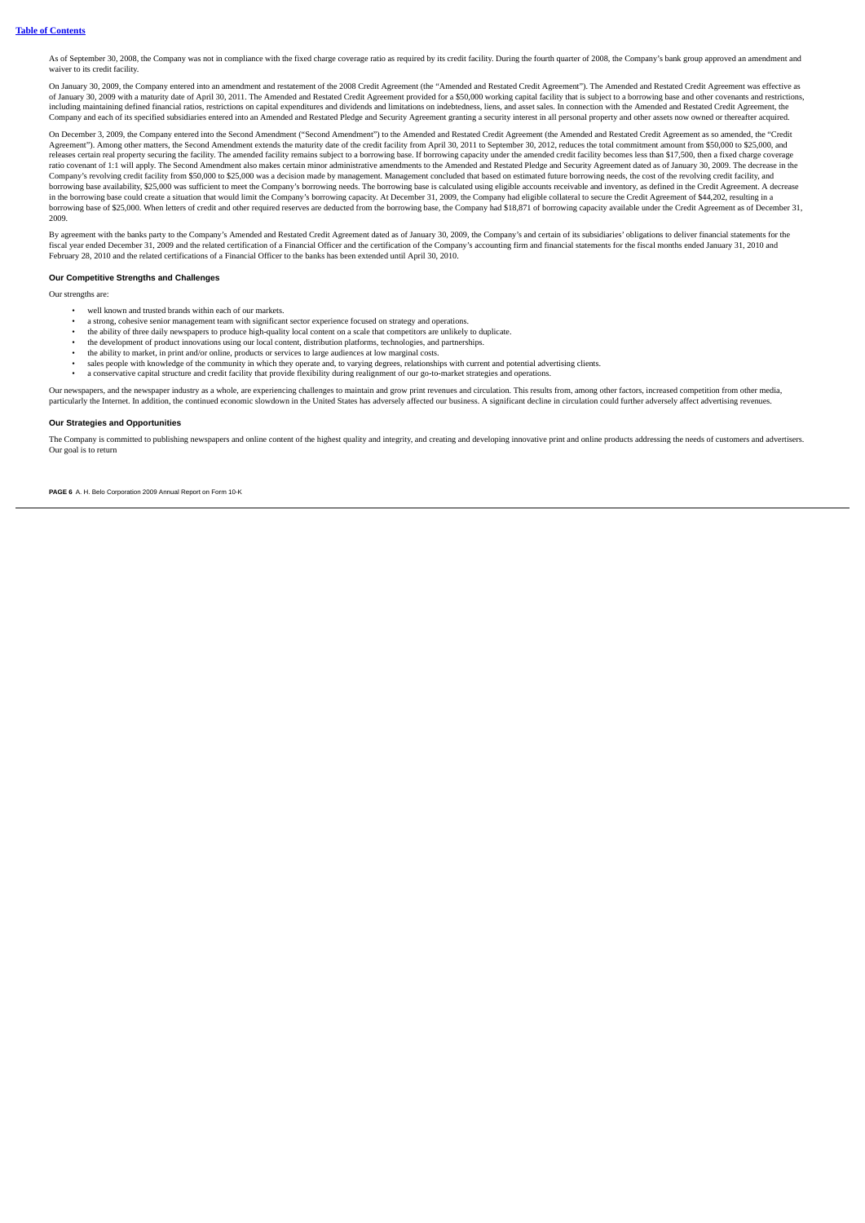As of September 30, 2008, the Company was not in compliance with the fixed charge coverage ratio as required by its credit facility. During the fourth quarter of 2008, the Company's bank group approved an amendment and waiver to its credit facility.

On January 30, 2009, the Company entered into an amendment and restatement of the 2008 Credit Agreement (the "Amended and Restated Credit Agreement"). The Amended and Restated Credit Agreement was effective as of January 30, 2009 with a maturity date of April 30, 2011. The Amended and Restated Credit Agreement provided for a \$50,000 working capital facility that is subject to a borrowing base and other covenants and restrictions Company and each of its specified subsidiaries entered into an Amended and Restated Pledge and Security Agreement granting a security interest in all personal property and other assets now owned or thereafter acquired.

On December 3, 2009, the Company entered into the Second Amendment ("Second Amendment") to the Amended and Restated Credit Agreement (the Amended and Restated Credit Agreement as so amended, the "Credit Agreement"). Among other matters, the Second Amendment extends the maturity date of the credit facility from April 30, 2011 to September 30, 2012, reduces the total commitment amount from \$50,000 to \$25,000, and<br>releases c ratio covenant of 1:1 will apply. The Second Amendment also makes certain minor administrative amendments to the Amended and Restated Pledge and Security Agreement dated as of January 30, 2009. The decrease in the<br>Company' borrowing base availability, \$25,000 was sufficient to meet the Company's borrowing needs. The borrowing base is calculated using eligible accounts receivable and inventory, as defined in the Credit Agreement. A decrease in the borrowing base could create a situation that would limit the Company's borrowing capacity. At December 31, 2009, the Company had eligible collateral to secure the Credit Agreement of \$44,202, resulting in a<br>borrowin 2009.

By agreement with the banks party to the Company's Amended and Restated Credit Agreement dated as of January 30, 2009, the Company's and certain of its subsidiaries' obligations to deliver financial statements for the the February 28, 2010 and the related certifications of a Financial Officer to the banks has been extended until April 30, 2010.

## **Our Competitive Strengths and Challenges**

Our strengths are:

- well known and trusted brands within each of our markets.
- a strong, cohesive senior management team with significant sector experience focused on strategy and operations
- the ability of three daily newspapers to produce high-quality local content on a scale that competitors are unlikely to duplicate.
- the development of product innovations using our local content, distribution platforms, technologies, and partnerships.
- the ability to market, in print and/or online, products or services to large audiences at low marginal costs.<br>• sales people with knowledge of the community in which they operate and, to varying degrees, relationships wi
- a conservative capital structure and credit facility that provide flexibility during realignment of our go-to-market strategies and operations.

Our newspapers, and the newspaper industry as a whole, are experiencing challenges to maintain and grow print revenues and circulation. This results from, among other factors, increased competition from other media, particularly the Internet. In addition, the continued economic slowdown in the United States has adversely affected our business. A significant decline in circulation could further adversely affect advertising revenues.

## **Our Strategies and Opportunities**

The Company is committed to publishing newspapers and online content of the highest quality and integrity, and creating and developing innovative print and online products addressing the needs of customers and advertisers. Our goal is to return

**PAGE 6** A. H. Belo Corporation 2009 Annual Report on Form 10-K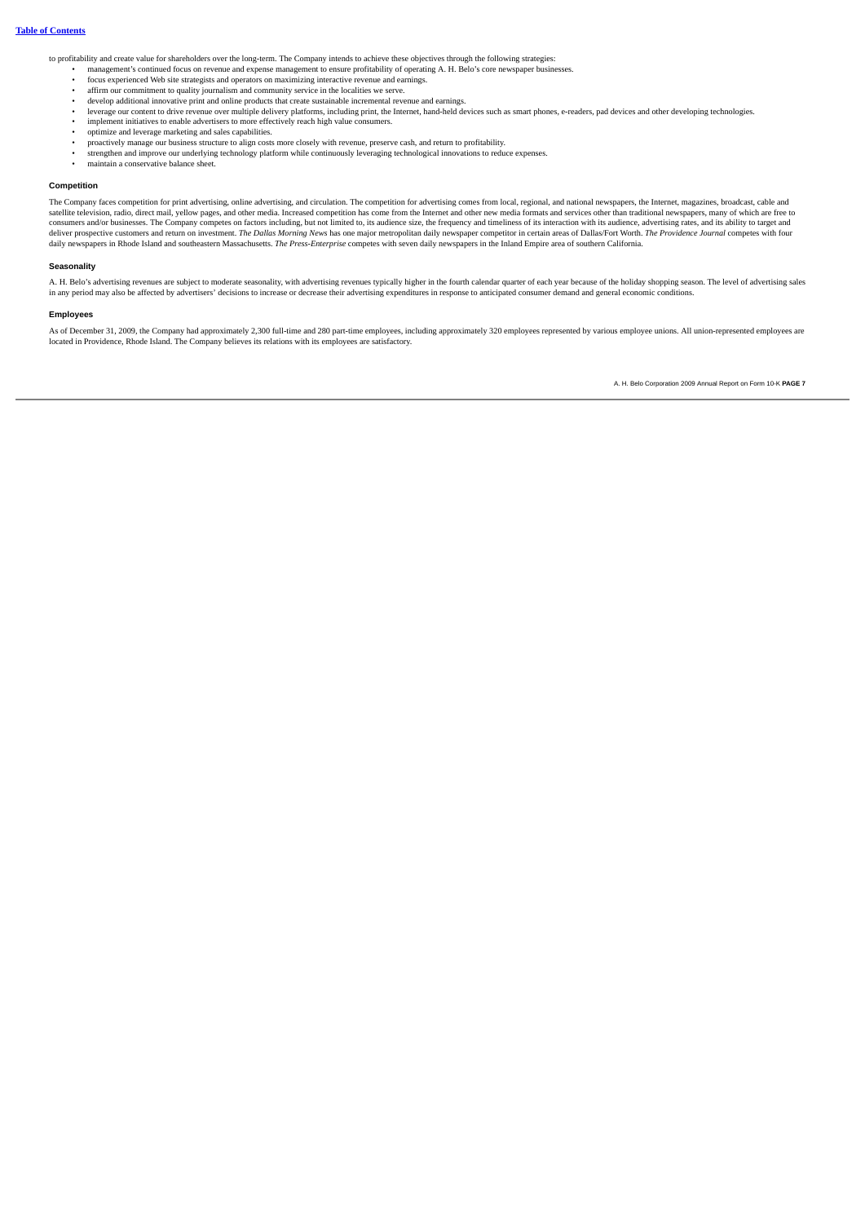to profitability and create value for shareholders over the long-term. The Company intends to achieve these objectives through the following strategies: • management's continued focus on revenue and expense management to ensure profitability of operating A. H. Belo's core newspaper businesses.

- - focus experienced Web site strategists and operators on maximizing interactive revenue and earnings. • affirm our commitment to quality journalism and community service in the localities we serve.
	- develop additional innovative print and online products that create sustainable incremental revenue and earnings.
- leverage our content to drive revenue over multiple delivery platforms, including print, the Internet, hand-held devices such as smart phones, e-readers, pad devices and other developing technologies.
- implement initiatives to enable advertisers to more effectively reach high value consumers.
- optimize and leverage marketing and sales capabilities.
- proactively manage our business structure to align costs more closely with revenue, preserve cash, and return to profitability.
- strengthen and improve our underlying technology platform while continuously leveraging technological innovations to reduce expenses.
- maintain a conservative balance sheet.

#### **Competition**

The Company faces competition for print advertising, online advertising, and circulation. The competition for advertising comes from local, regional, and national newspapers, the Internet, magazines, broadcast, cable and satellite television, radio, direct mail, yellow pages, and other media. Increased competition has come from the Internet and other new media formats and services other than traditional newspapers, many of which are free t consumers and/or businesses. The Company competes on factors including, but not limited to, its audience isse, the frequency and timeliness of its interaction with its audience, advertising rates, and its ability to target daily newspapers in Rhode Island and southeastern Massachusetts. *The Press-Enterprise* competes with seven daily newspapers in the Inland Empire area of southern California.

### **Seasonality**

A. H. Belo's advertising revenues are subject to moderate seasonality, with advertising revenues typically higher in the fourth calendar quarter of each year because of the holiday shopping season. The level of advertising in any period may also be affected by advertisers' decisions to increase or decrease their advertising expenditures in response to anticipated consumer demand and general economic conditions.

### **Employees**

As of December 31, 2009, the Company had approximately 2,300 full-time and 280 part-time employees, including approximately 320 employees represented by various employee unions. All union-represented employees are located in Providence, Rhode Island. The Company believes its relations with its employees are satisfactory.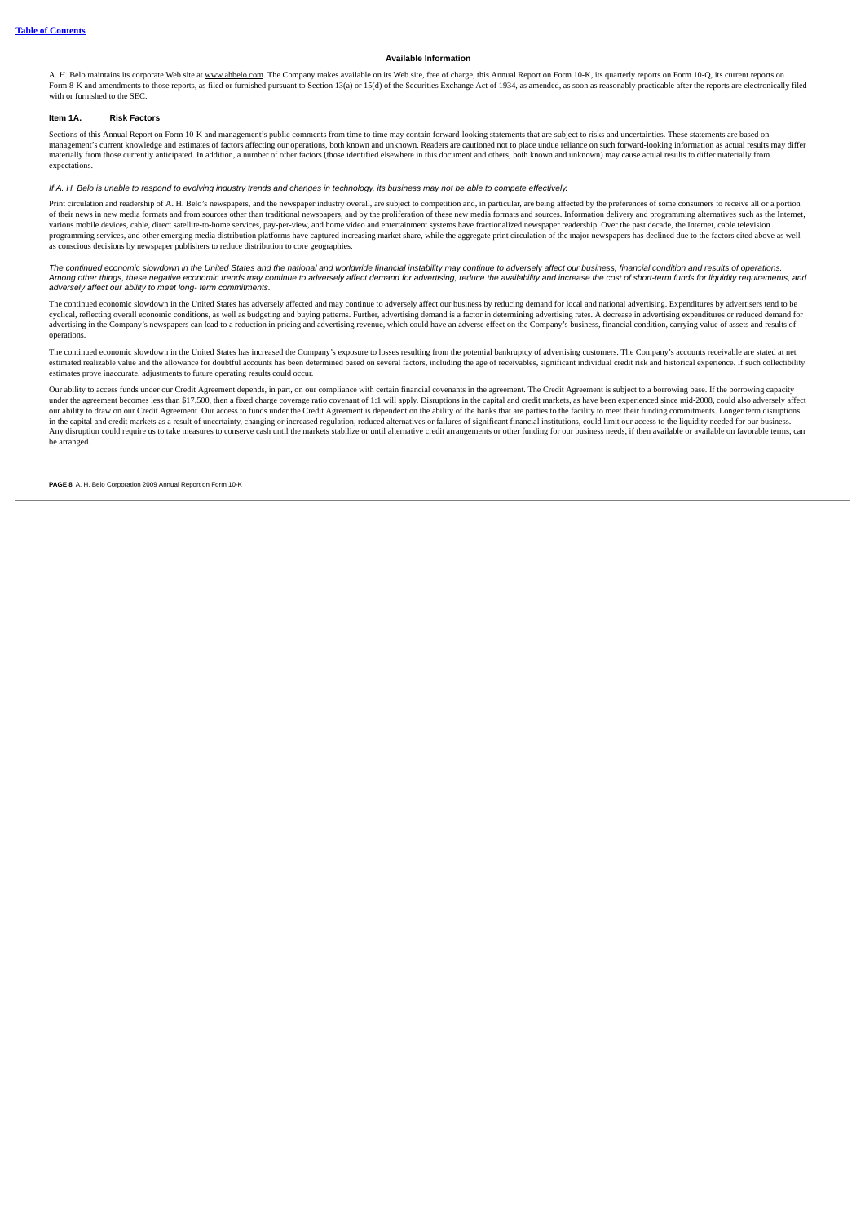#### **Available Information**

A. H. Belo maintains its corporate Web site at <u>www.ahbelo.com</u>. The Company makes available on its Web site, free of charge, this Annual Report on Form 10-K, its quarterly reports on Form 10-Q, its current reports on<br>Form with or furnished to the SEC.

### <span id="page-8-0"></span>**Item 1A. Risk Factors**

Sections of this Annual Report on Form 10-K and management's public comments from time to time may contain forward-looking statements that are subject to risks and uncertainties. These statements are based on management's current knowledge and estimates of factors affecting our operations, both known and unknown. Readers are cautioned not to place undue reliance on such forward-looking information as actual results may differ<br>m expectations.

*If A. H. Belo is unable to respond to evolving industry trends and changes in technology, its business may not be able to compete effectively.*

Print circulation and readership of A. H. Belo's newspapers, and the newspaper industry overall, are subject to competition and, in particular, are being affected by the preferences of some consumers to receive all or a po of their news in new media formats and from sources other than traditional newspapers, and by the proliferation of these new media formats and sources. Information delivery and programming alternatives such as the Internet programming services, and other emerging media distribution platforms have captured increasing market share, while the aggregate print circulation of the major newspapers has declined due to the factors cited above as well as conscious decisions by newspaper publishers to reduce distribution to core geographies.

The continued economic slowdown in the United States and the national and worldwide financial instability may continue to adversely affect our business, financial condition and results of operations.<br>Among other things, th *adversely affect our ability to meet long- term commitments.*

The continued economic slowdown in the United States has adversely affected and may continue to adversely affect our business by reducing demand for local and national advertising. Expenditures by advertisers tend to be<br>cy advertising in the Company's newspapers can lead to a reduction in pricing and advertising revenue, which could have an adverse effect on the Company's business, financial condition, carrying value of assets and results of operations.

The continued economic slowdown in the United States has increased the Company's exposure to losses resulting from the potential bankruptcy of advertising customers. The Company's accounts receivable are stated at net estimated realizable value and the allowance for doubtful accounts has been determined based on several factors, including the age of receivables, significant individual credit risk and historical experience. If such colle estimates prove inaccurate, adjustments to future operating results could occur.

Our ability to access funds under our Credit Agreement depends, in part, on our compliance with certain financial covenants in the agreement. The Credit Agreement is subject to a borrowing base. If the borrowing capacity under the agreement becomes less than \$17,500, then a fixed charge coverage ratio covenant of 1:1 will apply. Disruptions in the capital and credit markets, as have been experienced since mid-2008, could also adversely aff our ability to draw on our Credit Agreement. Our access to funds under the Credit Agreement is dependent on the ability of the banks that are parties to the facility to meet their funding commitments. Longer term disruptio Any disruption could require us to take measures to conserve cash until the markets stabilize or until alternative credit arrangements or other funding for our business needs, if then available or available or favorable te be arranged.

**PAGE 8** A. H. Belo Corporation 2009 Annual Report on Form 10-K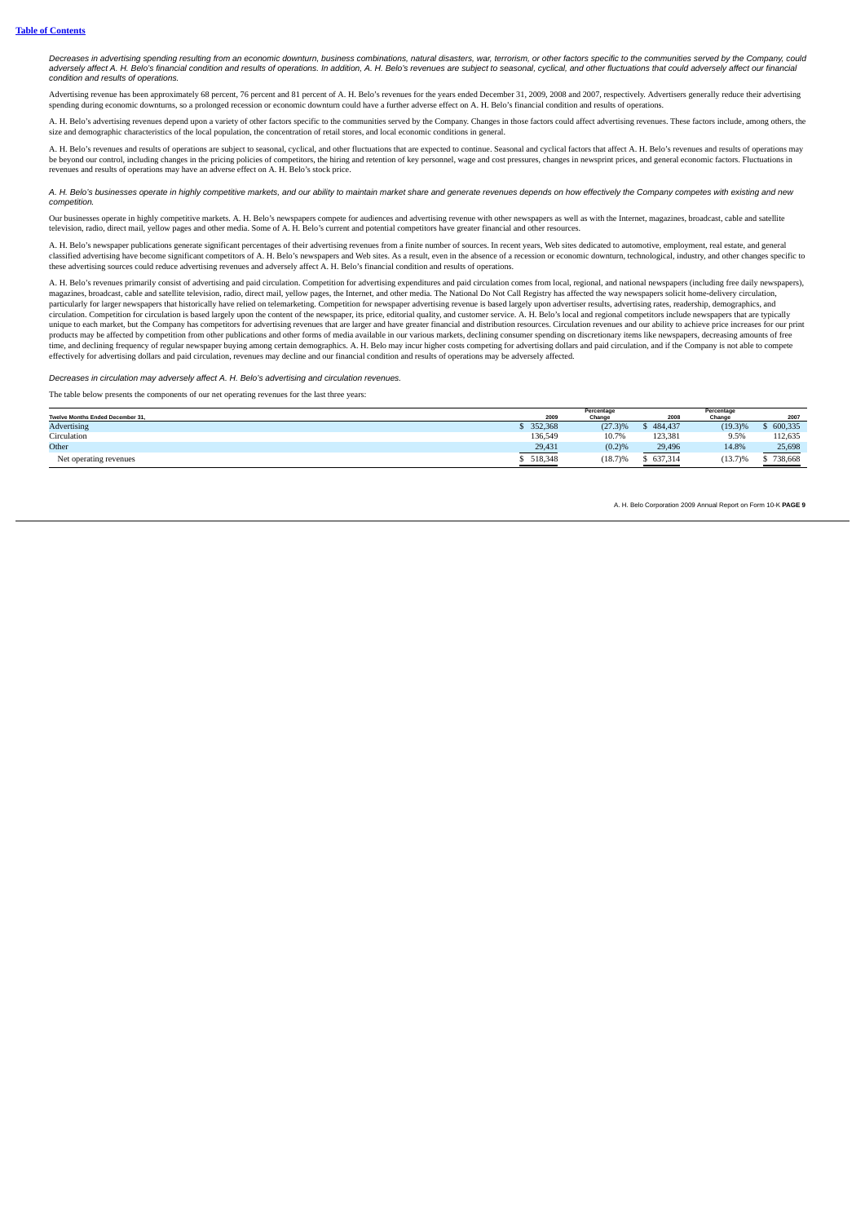*Decreases in advertising spending resulting from an economic downturn, business combinations, natural disasters, war, terrorism, or other factors specific to the communities served by the Company, could adversely affect A. H. Belo's financial condition and results of operations. In addition, A. H. Belo's revenues are subject to seasonal, cyclical, and other fluctuations that could adversely affect our financial condition and results of operations.*

Advertising revenue has been approximately 68 percent, 76 percent and 81 percent of A. H. Belo's revenues for the years ended December 31, 2009, 2008 and 2007, respectively. Advertisers generally reduce their advertising spending during economic downturns, so a prolonged recession or economic downturn could have a further adverse effect on A. H. Belo's financial condition and results of operations

A. H. Belo's advertising revenues depend upon a variety of other factors specific to the communities served by the Company. Changes in those factors could affect advertising revenues. These factors include, among others, the size and demographic characteristics of the local population, the concentration of retail stores, and local economic conditions in general.

A. H. Belo's revenues and results of operations are subject to seasonal, cyclical, and other fluctuations that are expected to continue. Seasonal and cyclical factors that affect A. H. Belo's revenues and results of operat be beyond our control, including changes in the pricing policies of competitors, the hiring and retention of key personnel, wage and cost pressures, changes in newsprint prices, and general economic factors. Fluctuations i revenues and results of operations may have an adverse effect on A. H. Belo's stock price.

*A. H. Belo's businesses operate in highly competitive markets, and our ability to maintain market share and generate revenues depends on how effectively the Company competes with existing and new competition.*

Our businesses operate in highly competitive markets. A. H. Belo's newspapers compete for audiences and advertising revenue with other newspapers as well as with the Internet, magazines, broadcast, cable and satellite television, radio, direct mail, yellow pages and other media. Some of A. H. Belo's current and potential competitors have greater financial and other resources.

A. H. Belo's newspaper publications generate significant percentages of their advertising revenues from a finite number of sources. In recent years, Web sites dedicated to automotive, employment, real estate, and general classified advertising have become significant competitors of A. H. Belo's newspapers and Web sites. As a result, even in the absence of a recession or economic downturn, technological, industry, and other changes specific

A. H. Belo's revenues primarily consist of advertising and paid circulation. Competition for advertising expenditures and paid circulation comes from local, regional, and pational newspapers (including free daily newspaper magazines, broadcast, cable and satellite television, radio, direct mail, yellow pages, the Internet, and other media. The National Do Not Call Registry has affected the way newspapers solicit home-delivery circulation, particularly for larger newspapers that historically have relied on telemarketing. Competition for newspaper advertising revenue is based largely upon advertiser results, advertising rates, readership, demographics, and<br>ci unique to each market, but the Company has competitors for advertising revenues that are larger and have greater financial and distribution resources. Circulation revenues and our ability to achieve price increases for our products may be affected by competition from other publications and other forms of media available in our various markets, declining consumer spending on discretionary items like newspapers, decreasing amounts of free<br>time effectively for advertising dollars and paid circulation, revenues may decline and our financial condition and results of operations may be adversely affected.

*Decreases in circulation may adversely affect A. H. Belo's advertising and circulation revenues.*

The table below presents the components of our net operating revenues for the last three years:

|                                  |         | Percentage |         | Percentage |         |
|----------------------------------|---------|------------|---------|------------|---------|
| Twelve Months Ended December 31. | 2009    | Change     | 2008    | Change     | 2007    |
| Advertising                      | 352,368 | $(27.3)\%$ | 484,437 | $(19.3)\%$ | 600,335 |
| Circulation                      | 136,549 | 10.7%      | 123,381 | 9.5%       | 112.635 |
| Other                            | 29,431  | (0.2)%     | 29,496  | 14.8%      | 25.698  |
| Net operating revenues           | 518,348 | (18.7)%    | 637,314 | $(13.7)\%$ | 738,668 |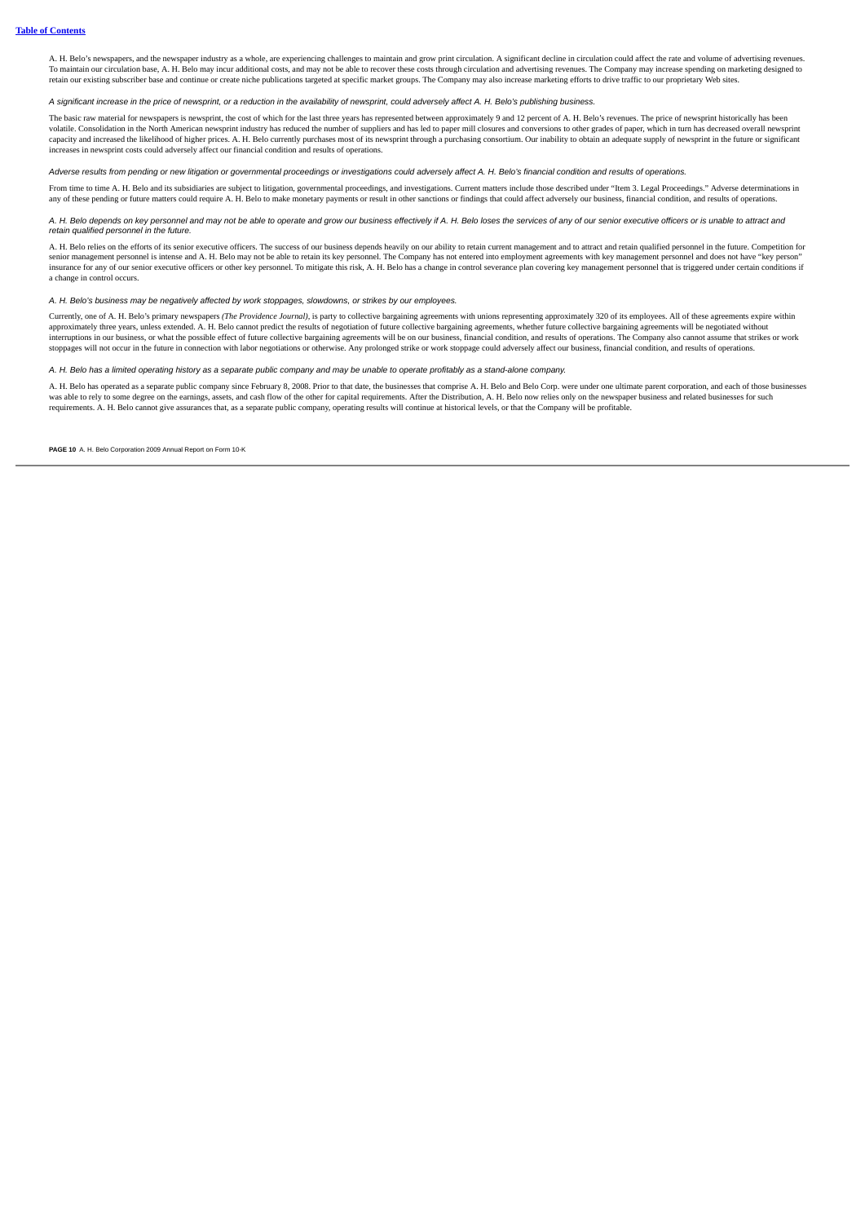A. H. Belo's newspapers, and the newspaper industry as a whole, are experiencing challenges to maintain and grow print circulation. A significant decline in circulation could affect the rate and volume of advertising reven To maintain our circulation base, A. H. Belo may incur additional costs, and may not be able to recover these costs through circulation and advertising revenues. The Company may increase spending on marketing designed to retain our existing subscriber base and continue or create niche publications targeted at specific market groups. The Company may also increase marketing efforts to drive traffic to our proprietary Web sites.

*A significant increase in the price of newsprint, or a reduction in the availability of newsprint, could adversely affect A. H. Belo's publishing business.*

The basic raw material for newspapers is newsprint, the cost of which for the last three years has represented between approximately 9 and 12 percent of A. H. Belo's revenues. The price of newsprint historically has been volatile. Consolidation in the North American newsprint industry has reduced the number of suppliers and has led to paper mill closures and conversions to other grades of paper, which in turn has decreased overall newsprin increases in newsprint costs could adversely affect our financial condition and results of operations.

*Adverse results from pending or new litigation or governmental proceedings or investigations could adversely affect A. H. Belo's financial condition and results of operations.*

From time to time A. H. Belo and its subsidiaries are subject to litigation, governmental proceedings, and investigations. Current matters include those described under "Item 3. Legal Proceedings." Adverse determinations i any of these pending or future matters could require A. H. Belo to make monetary payments or result in other sanctions or findings that could affect adversely our business, financial condition, and results of operations.

*A. H. Belo depends on key personnel and may not be able to operate and grow our business effectively if A. H. Belo loses the services of any of our senior executive officers or is unable to attract and retain qualified personnel in the future.*

A. H. Belo relies on the efforts of its senior executive officers. The success of our business depends heavily on our ability to retain current management and to attract and retain qualified personnel in the future. Compet senior management personnel is intense and A. H. Belo may not be able to retain its key personnel. The Company has not entered into employment agreements with key management personnel and does not have "key person" insurance for any of our senior executive officers or other key personnel. To mitigate this risk, A. H. Belo has a change in control severance plan covering key management personnel that is triggered under certain conditio a change in control occurs.

## *A. H. Belo's business may be negatively affected by work stoppages, slowdowns, or strikes by our employees.*

Currently, one of A. H. Belo's primary newspapers (The Providence Journal), is party to collective bargaining agreements with unions representing approximately 320 of its employees. All of these agreements expire within approximately three years, unless extended. A. H. Belo cannot predict the results of negotiation of future collective bargaining agreements, whether future collective bargaining agreements will be negotiated without interruptions in our business, or what the possible effect of future collective bargaining agreements will be on our business, financial condition, and results of operations. The Company also cannot assume that strikes or stoppages will not occur in the future in connection with labor negotiations or otherwise. Any prolonged strike or work stoppage could adversely affect our business, financial condition, and results of operations.

*A. H. Belo has a limited operating history as a separate public company and may be unable to operate profitably as a stand-alone company.*

A. H. Belo has operated as a separate public company since February 8, 2008. Prior to that date, the businesses that comprise A. H. Belo and Belo Corp. were under one ultimate parent corporation, and each of those businesses was able to rely to some degree on the earnings, assets, and cash flow of the other for capital requirements. After the Distribution, A. H. Belo now relies only on the newspaper business and related businesses for such requirements. A. H. Belo cannot give assurances that, as a separate public company, operating results will continue at historical levels, or that the Company will be profitable.

**PAGE 10** A. H. Belo Corporation 2009 Annual Report on Form 10-K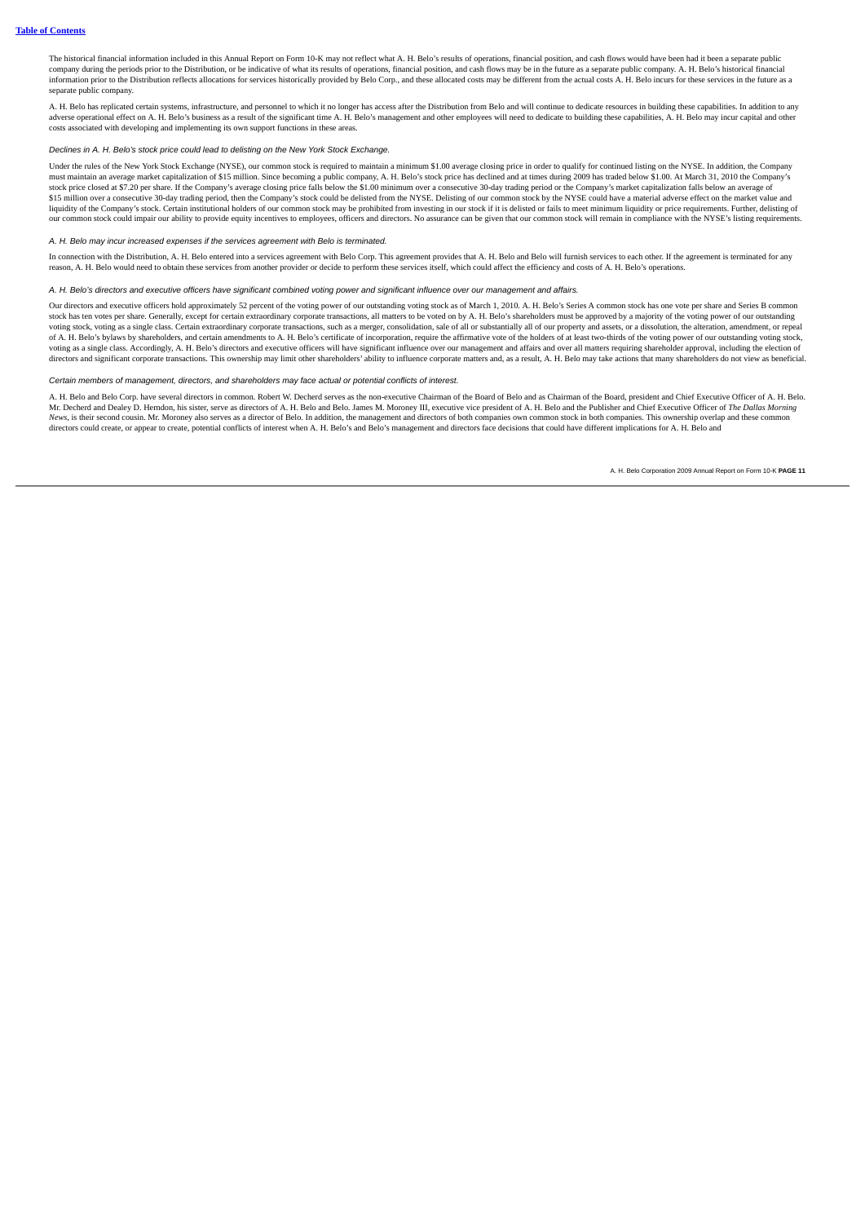The historical financial information included in this Annual Report on Form 10-K may not reflect what A. H. Belo's results of operations, financial position, and cash flows would have been had it been a separate public company during the periods prior to the Distribution, or be indicative of what its results of operations, financial position, and cash flows may be in the future as a separate public company. A. H. Belo's historical financ information prior to the Distribution reflects allocations for services historically provided by Belo Corp., and these allocated costs may be different from the actual costs A. H. Belo incurs for these services in the futu separate public company.

A. H. Belo has replicated certain systems, infrastructure, and personnel to which it no longer has access after the Distribution from Belo and will continue to dedicate resources in building these capabilities. In addition adverse operational effect on A. H. Belo's business as a result of the significant time A. H. Belo's management and other employees will need to dedicate to building these capabilities, A. H. Belo may incur capital and other costs associated with developing and implementing its own support functions in these areas.

## *Declines in A. H. Belo's stock price could lead to delisting on the New York Stock Exchange.*

Under the rules of the New York Stock Exchange (NYSE), our common stock is required to maintain a minimum \$1.00 average closing price in order to qualify for continued listing on the NYSE. In addition, the Company must maintain an average market capitalization of \$15 million. Since becoming a public company, A. H. Belo's stock price has declined and at times during 2009 has traded below \$1.00. At March 31, 2010 the Company's must ma stock price closed at \$7.20 per share. If the Company's average closing price falls below the \$1.00 minimum over a consecutive 30-day trading period or the Company's market capitalization falls below an average of stock pr \$15 million over a consecutive 30-day trading period, then the Company's stock could be delisted from the NYSE. Delisting of our common stock by the NYSE could have a material adverse effect on the market value and<br>liquidi our common stock could impair our ability to provide equity incentives to employees, officers and directors. No assurance can be given that our common stock will remain in compliance with the NYSE's listing requirements.

## *A. H. Belo may incur increased expenses if the services agreement with Belo is terminated.*

In connection with the Distribution, A. H. Belo entered into a services agreement with Belo Corp. This agreement provides that A. H. Belo and Belo will furnish services to each other. If the agreement is terminated for any reason, A. H. Belo would need to obtain these services from another provider or decide to perform these services itself, which could affect the efficiency and costs of A. H. Belo's operations.

## *A. H. Belo's directors and executive officers have significant combined voting power and significant influence over our management and affairs.*

Our directors and executive officers hold approximately 52 percent of the voting power of our outstanding voting stock as of March 1, 2010. A. H. Belo's Series A common stock has one vote per share and Series B common stock has ten votes per share. Generally, except for certain extraordinary corporate transactions, all matters to be voted on by A. H. Belo's shareholders must be approved by a majority of the voting power of our outstandi social and contained the comparison of the comparison of the comparison of the comparison of the comparison of the comparison of the comparison of the comparison of the comparison of the comparison of the comparison of the of A. H. Belo's bylaws by shareholders, and certain amendments to A. H. Belo's certificate of incorporation, require the affirmative vote of the holders of at least two-thirds of the voting power of our outstanding voting voting as a single class. Accordingly, A. H. Belo's directors and executive officers will have significant influence over our management and affairs and over all matters requiring shareholder approval, including the electi directors and significant corporate transactions. This ownership may limit other shareholders' ability to influence corporate matters and, as a result, A. H. Belo may take actions that many shareholders do not view as bene

### *Certain members of management, directors, and shareholders may face actual or potential conflicts of interest.*

A. H. Belo and Belo Corp. have several directors in common. Robert W. Decherd serves as the non-executive Chairman of the Board of Belo and as Chairman of the Board, president and Chief Executive Officer of A. H. Belo. Mr. Decherd and Dealey D. Herndon, his sister, serve as directors of A. H. Belo and Belo. James M. Moroney III, executive vice president of A. H. Belo and the Publisher and Chief Executive Officer of The Dallas Morning *News*, is their second cousin. Mr. Moroney also serves as a director of Belo. In addition, the management and directors of both companies own common stock in both companies. This ownership overlap and these common directors could create, or appear to create, potential conflicts of interest when A. H. Belo's and Belo's management and directors face decisions that could have different implications for A. H. Belo and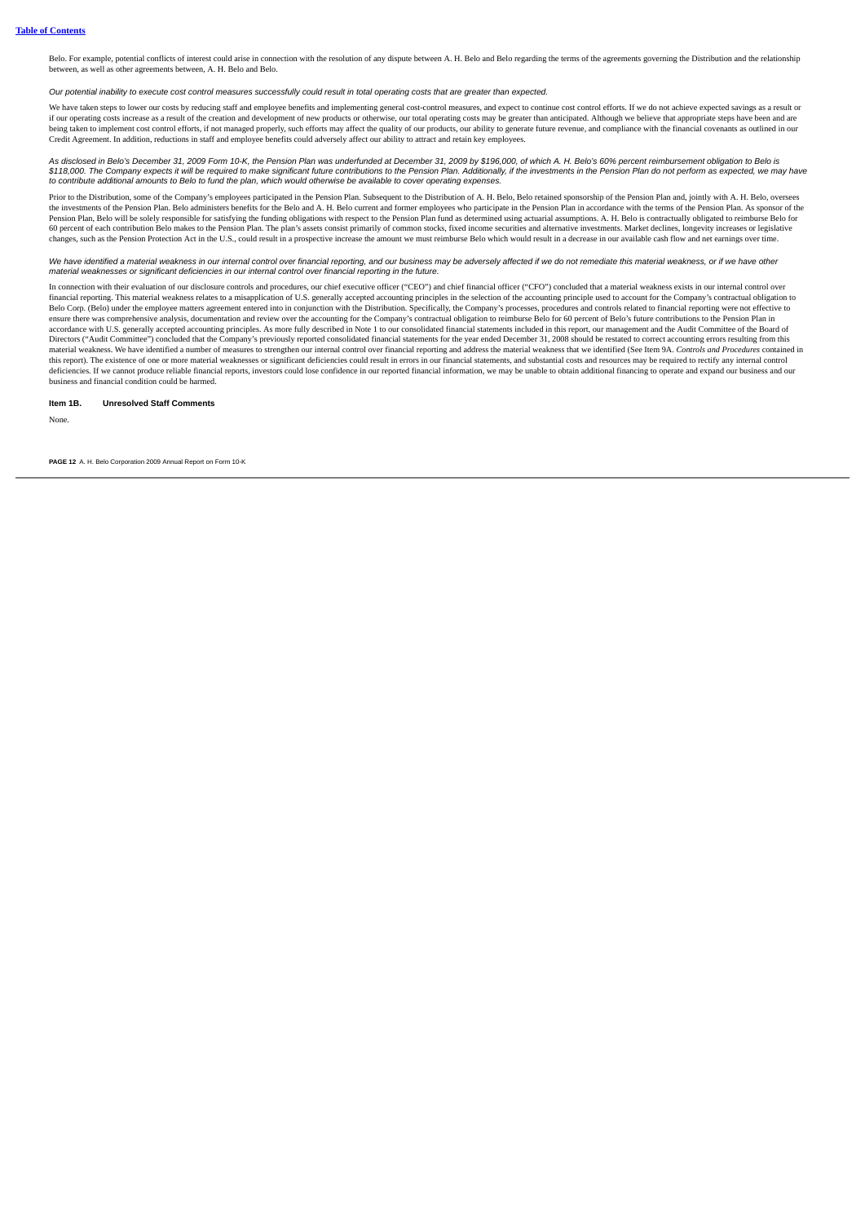Belo. For example, potential conflicts of interest could arise in connection with the resolution of any dispute between A. H. Belo and Belo regarding the terms of the agreements governing the Distribution and the relations between, as well as other agreements between, A. H. Belo and Belo.

*Our potential inability to execute cost control measures successfully could result in total operating costs that are greater than expected.*

We have taken steps to lower our costs by reducing staff and employee benefits and implementing general cost-control measures, and expect to continue cost control efforts. If we do not achieve expected savings as a result being taken to implement cost control efforts, if not managed properly, such efforts may affect the quality of our products, our ability to generate future revenue, and compliance with the financial covenants as outlined i

As disclosed in Belo's December 31, 2009 Form 10-K, the Pension Plan was underfunded at December 31, 2009 by \$196,000, of which A. H. Belo's 60% percent reimbursement obligation to Belo is<br>\$118,000. The Company expects it *to contribute additional amounts to Belo to fund the plan, which would otherwise be available to cover operating expenses.*

Prior to the Distribution, some of the Company's employees participated in the Pension Plan. Subsequent to the Distribution of A. H. Belo, Belo retained sponsorship of the Pension Plan and, jointly with A. H. Belo, oversee the investments of the Pension Plan. Belo administers benefits for the Belo and A. H. Belo current and former employees who participate in the Pension Plan in accordance with the terms of the Pension Plan. As sponsor of th Pension Plan, Belo will be solely responsible for satisfying the funding obligations with respect to the Pension Plan fund as determined using actuarial assumptions. A. H. Belo is contractually obligated to reimburse Belo 60 percent of each contribution Belo makes to the Pension Plan. The plan's assets consist primarily of common stocks, fixed income securities and alternative investments. Market declines, longevity increases or legislative changes, such as the Pension Protection Act in the U.S., could result in a prospective increase the amount we must reimburse Belo which would result in a decrease in our available cash flow and net earnings over time.

We have identified a material weakness in our internal control over financial reporting, and our business may be adversely affected if we do not remediate this material weakness, or if we have other *material weaknesses or significant deficiencies in our internal control over financial reporting in the future.*

In connection with their evaluation of our disclosure controls and procedures, our chief executive officer ("CEO") and chief financial officer ("CFO") concluded that a material weakness exists in our internal control over financial reporting. This material weakness relates to a misapplication of U.S. generally accepted accounting principles in the selection of the accounting principle used to account for the Company's contractual obligation Belo Corp. (Belo) under the employee matters agreement entered into in conjunction with the Distribution. Specifically, the Company's processes, procedures and controls related to financial reporting were not effective to<br> accordance with U.S. generally accepted accounting principles. As more fully described in Note 1 to our consolidated financial statements included in this report, our management and the Audit Committee of the Board of<br>Dire material weakness. We have identified a number of measures to strengthen our internal control over financial reporting and address the material weakness that we identified (See Item 9A. Controls and Procedures contained in this report). The existence of one or more material weaknesses or significant deficiencies could result in errors in our financial statements, and substantial costs and resources may be required to rectify any internal con business and financial condition could be harmed.

## <span id="page-12-0"></span>**Item 1B. Unresolved Staff Comments**

None.

**PAGE 12** A. H. Belo Corporation 2009 Annual Report on Form 10-K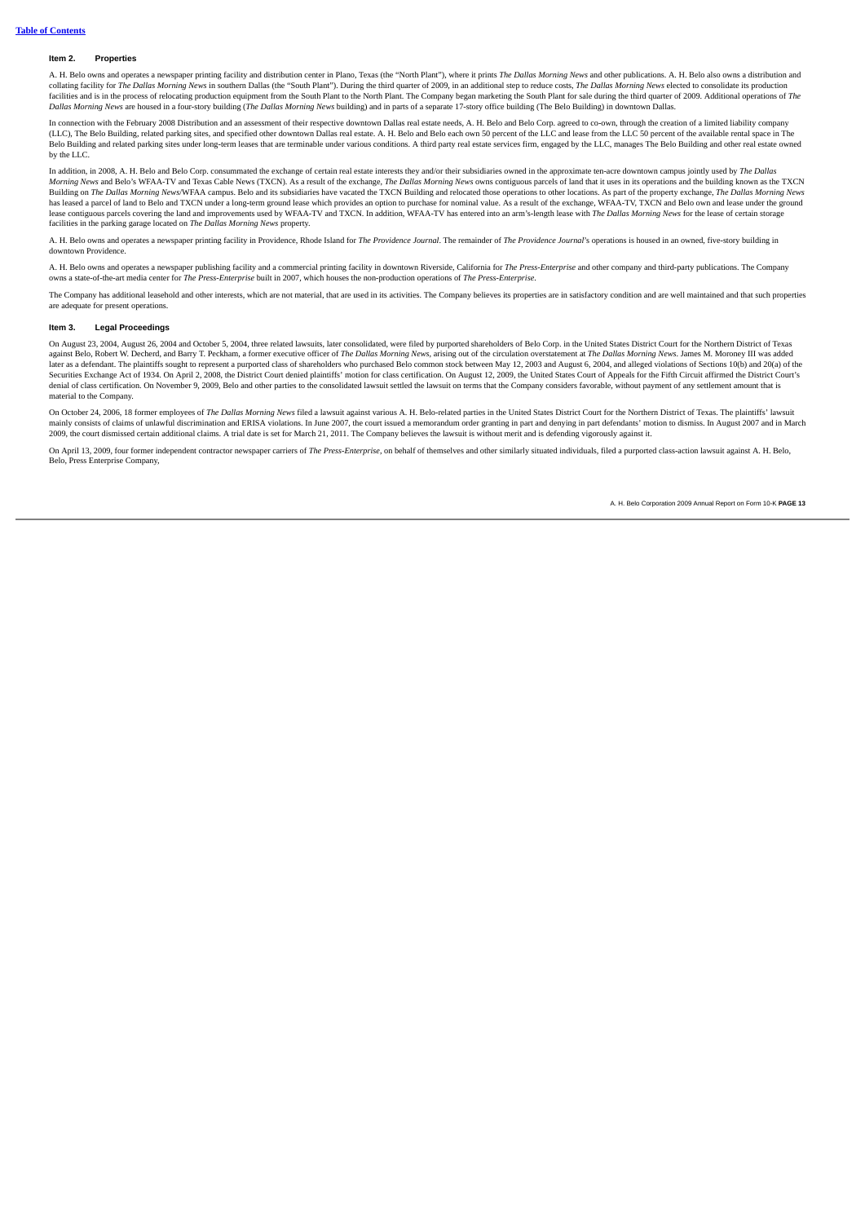### <span id="page-13-0"></span>**Item 2. Properties**

A. H. Belo owns and operates a newspaper printing facility and distribution center in Plano, Texas (the "North Plant"), where it prints The Dallas Morning News and other publications. A. H. Belo also owns a distribution an collating facility for The Dallas Morning News in southern Dallas (the "South Plant"). During the third quarter of 2009, in an additional step to reduce costs, The Dallas Morning News elected to consolidate its production facilities and is in the process of relocating production equipment from the South Plant to the North Plant. The Company began marketing the South Plant for sale during the third quarter of 2009. Additional operations of

In connection with the February 2008 Distribution and an assessment of their respective downtown Dallas real estate needs, A. H. Belo and Belo Corp. agreed to co-own, through the creation of a limited liability company<br>(LL Belo Building and related parking sites under long-term leases that are terminable under various conditions. A third party real estate services firm, engaged by the LLC, manages The Belo Building and other real estate owned by the LLC.

In addition, in 2008, A. H. Belo and Belo Corp. consummated the exchange of certain real estate interests they and/or their subsidiaries owned in the approximate ten-acre downtown campus jointly used by *The Dallas* Morning News and Belo's WFAA-TV and Texas Cable News (TXCN). As a result of the exchange, *The Dallas Morning News* owns contiguous parcels of land that it uses in its operations and the building known as the TXCN Building has leased a parcel of land to Belo and TXCN under a long-term ground lease which provides an option to purchase for nominal value. As a result of the exchange, WFAA-TV, TXCN and Belo own and lease under the ground<br>lease c facilities in the parking garage located on *The Dallas Morning News* property.

A. H. Belo owns and operates a newspaper printing facility in Providence, Rhode Island for The Providence Journal. The remainder of The Providence Journal's operations is housed in an owned, five-story building in downtown Providence.

A. H. Belo owns and operates a newspaper publishing facility and a commercial printing facility in downtown Riverside, California for *The Press-Enterprise* and other company and third-party publications. The Company owns a state-of-the-art media center for *The Press-Enterprise* built in 2007, which houses the non-production operations of *The Press-Enterprise*.

The Company has additional leasehold and other interests, which are not material, that are used in its activities. The Company believes its properties are in satisfactory condition and are well maintained and that such pro are adequate for present operations.

#### <span id="page-13-1"></span>**Item 3. Legal Proceedings**

On August 23, 2004, August 26, 2004 and October 5, 2004, three related lawsuits, later consolidated, were filed by purported shareholders of Belo Corp. in the United States District Court for the Northern District of Texas against Belo, Robert W. Decherd, and Barry T. Peckham, a former executive officer of *The Dallas Morning News*, arising out of the circulation overstatement at *The Dallas Morning News. James M. Moroney III was added*<br>late Securities Exchange Act of 1934. On April 2, 2008, the District Court denied plaintiffs' motion for class certification. On August 12, 2009, the United States Court of Appeals for the Fifth Circuit affirmed the District Co denial of class certification. On November 9, 2009, Belo and other parties to the consolidated lawsuit settled the lawsuit on terms that the Company considers favorable, without payment of any settlement amount that is material to the Company.

On October 24, 2006, 18 former employees of *The Dallas Morning News* filed a lawsuit against various A. H. Belo-related parties in the United States District Court for the Northern District of Texas. The plaintiffs' lawsu 2009, the court dismissed certain additional claims. A trial date is set for March 21, 2011. The Company believes the lawsuit is without merit and is defending vigorously against it.

On April 13, 2009, four former independent contractor newspaper carriers of *The Press-Enterprise* on behalf of themselves and other similarly situated individuals, filed a purported class-action lawsuit against A. H. Belo Belo, Press Enterprise Company,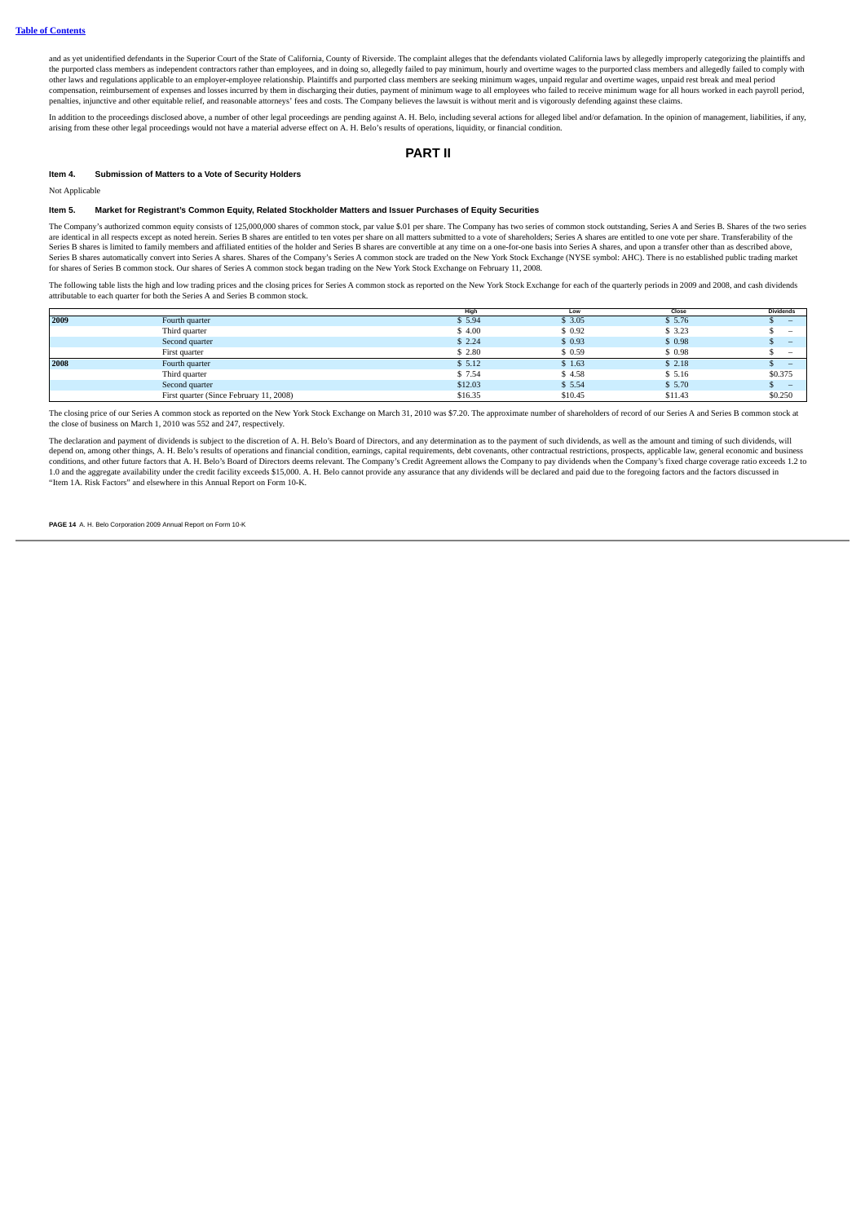and as vet unidentified defendants in the Superior Court of the State of California, County of Riverside. The complaint alleges that the defendants violated California laws by allegedly improperly categorizing the plaintif the purported class members as independent contractors rather than employees, and in doing so, allegedly failed to pay minimum, hourly and overtime wages to the purported class members and allegedly failed to comply with other laws and regulations applicable to an employer-employee relationship. Plaintiffs and purported class members are seeking minimum wages, unpaid regular and overtime wages, unpaid rest break and meal period,<br>compensati penalties, injunctive and other equitable relief, and reasonable attorneys' fees and costs. The Company believes the lawsuit is without merit and is vigorously defending against these claims.

In addition to the proceedings disclosed above, a number of other legal proceedings are pending against A. H. Belo, including several actions for alleged libel and/or defamation. In the opinion of management, liabilities,

## **PART II**

## <span id="page-14-1"></span><span id="page-14-0"></span>**Item 4. Submission of Matters to a Vote of Security Holders**

Not Applicable

## <span id="page-14-2"></span>**Item 5. Market for Registrant's Common Equity, Related Stockholder Matters and Issuer Purchases of Equity Securities**

The Company's authorized common equity consists of 125,000,000 shares of common stock, par value \$.01 per share. The Company has two series of common stock outstanding, Series A and Series B. Shares of the two series<br>are i Series B shares is limited to family members and affiliated entities of the holder and Series B shares are convertible at any time on a one-for-one basis into Series A shares, and upon a transfer other than as described ab for shares of Series B common stock. Our shares of Series A common stock began trading on the New York Stock Exchange on February 11, 2008.

The following table lists the high and low trading prices and the closing prices for Series A common stock as reported on the New York Stock Exchange for each of the quarterly periods in 2009 and 2008, and cash dividends attributable to each quarter for both the Series A and Series B common stock.

|      |                                         | High    | Low     | Close   | <b>Dividends</b>         |
|------|-----------------------------------------|---------|---------|---------|--------------------------|
| 2009 | Fourth quarter                          | \$5.94  | \$3.05  | \$5.76  | -                        |
|      | Third quarter                           | \$4.00  | \$0.92  | \$3.23  | $\overline{\phantom{a}}$ |
|      | Second quarter                          | \$2.24  | \$0.93  | \$0.98  | $\overline{\phantom{a}}$ |
|      | First quarter                           | \$2.80  | \$0.59  | \$0.98  | $\overline{\phantom{a}}$ |
| 2008 | Fourth quarter                          | \$5.12  | \$1.63  | \$2.18  | -                        |
|      | Third quarter                           | \$ 7.54 | \$4.58  | \$5.16  | \$0.375                  |
|      | Second quarter                          | \$12.03 | \$5.54  | \$5.70  | $\qquad \qquad -$        |
|      | First quarter (Since February 11, 2008) | \$16.35 | \$10.45 | \$11.43 | \$0.250                  |

The closing price of our Series A common stock as reported on the New York Stock Exchange on March 31, 2010 was \$7.20. The approximate number of shareholders of record of our Series A and Series B common stock at the close of business on March 1, 2010 was 552 and 247, respectively.

The declaration and payment of dividends is subject to the discretion of A. H. Belo's Board of Directors, and any determination as to the payment of such dividends, as well as the amount and timing of such dividends, will depend on, among other things, A. H. Belo's results of operations and financial condition, earnings, capital requirements, debt covenants, other contractual restrictions, prospects, applicable law, general economic and bus conditions, and other future factors that A. H. Belo's Board of Directors deems relevant. The Company's Credit Agreement allows the Company to pay dividends when the Company's fixed charge coverage ratio exceeds 1.2 to 1.0 and the aggregate availability under the credit facility exceeds \$15,000. A. H. Belo cannot provide any assurance that any dividends will be declared and paid due to the foregoing factors and the factors discussed in "Item 1A. Risk Factors" and elsewhere in this Annual Report on Form 10-K.

**PAGE 14** A. H. Belo Corporation 2009 Annual Report on Form 10-K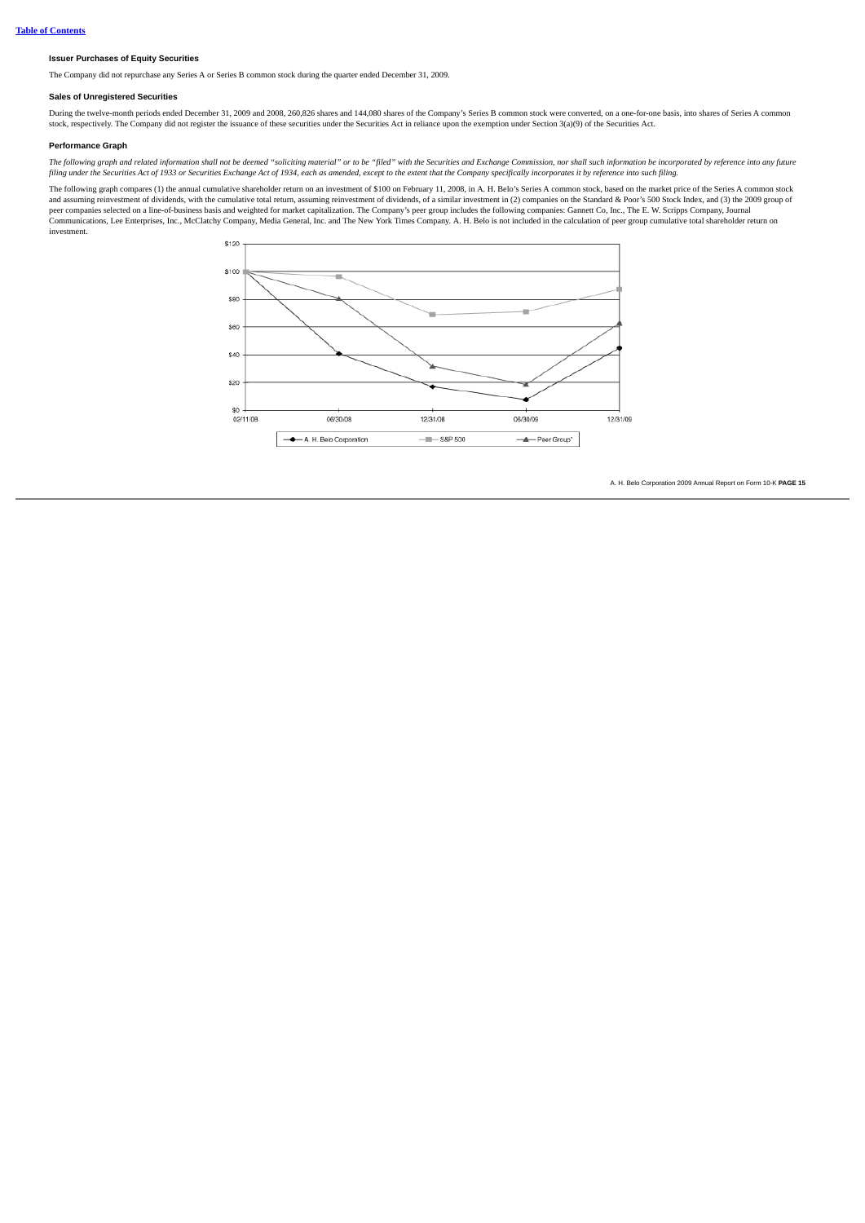## **Issuer Purchases of Equity Securities**

The Company did not repurchase any Series A or Series B common stock during the quarter ended December 31, 2009.

## **Sales of Unregistered Securities**

During the twelve-month periods ended December 31, 2009 and 2008, 260,826 shares and 144,080 shares of the Company's Series B common stock were converted, on a one-for-one basis, into shares of Series A common<br>stock, respe

## **Performance Graph**

The following graph and related information shall not be deemed "soliciting material" or to be "filed" with the Securities and Exchange Commission, nor shall such information be incorporated by reference into any future<br>fi

The following graph compares (1) the annual cumulative shareholder return on an investment of \$100 on February 11, 2008, in A. H. Belo's Series A common stock, based on the market price of the Series A common stock<br>and ass peer companies selected on a line-of-business basis and weighted for market capitalization. The Company's peer group includes the following companies: Gannett Co, Inc., The E. W. Scripps Company, Journal<br>Communications, Le investment.

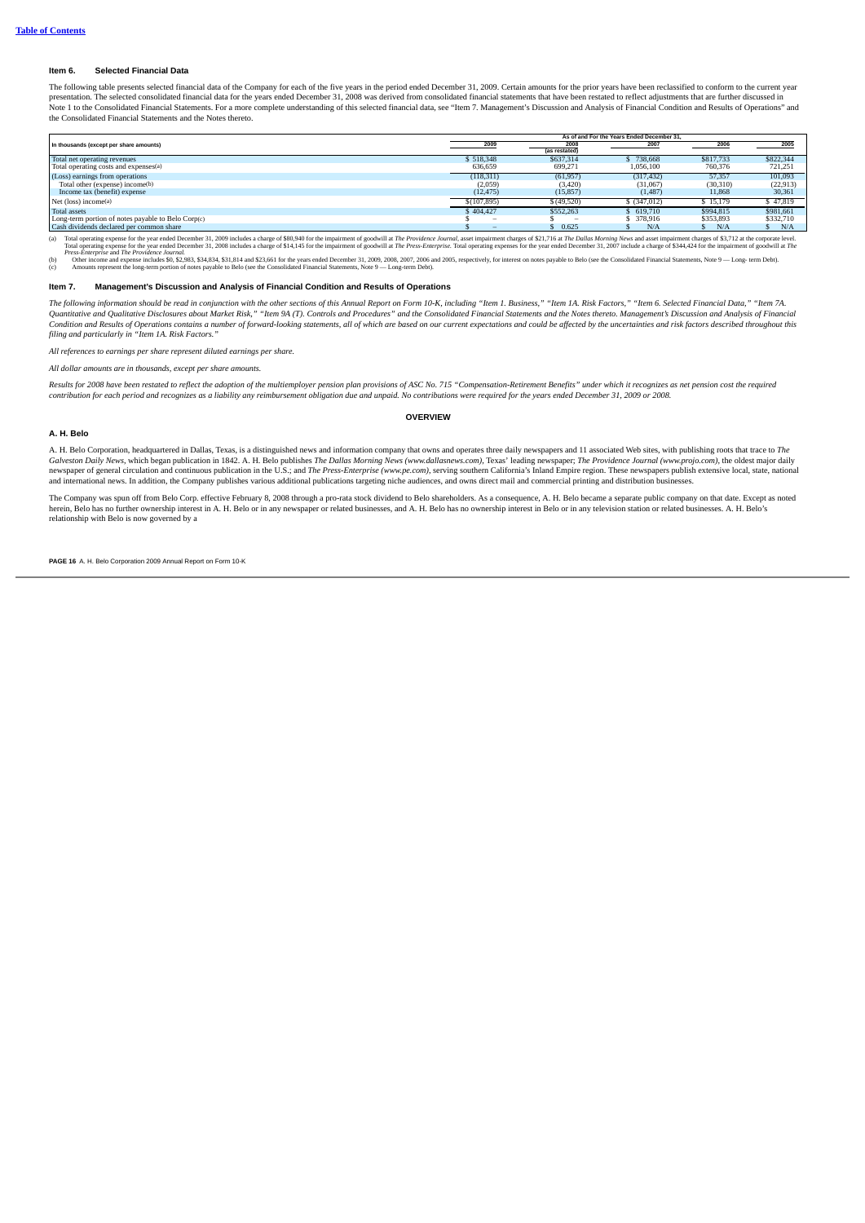### <span id="page-16-0"></span>**Item 6. Selected Financial Data**

The following table presents selected financial data of the Company for each of the five years in the period ended December 31, 2009. Certain amounts for the prior years have been reclassified to conform to the current yea presentation. The selected consolidated financial data for the years ended December 31, 2008 was derived from consolidated financial statements that have been restated to reflect adjustments that are further discussed in Note 1 to the Consolidated Financial Statements. For a more complete understanding of this selected financial data, see "Item 7. Management's Discussion and Analysis of Financial Condition and Results of Operations" and the Consolidated Financial Statements and the Notes thereto.

|                                                    |              |                          | As of and For the Years Ended December 31. |           |           |
|----------------------------------------------------|--------------|--------------------------|--------------------------------------------|-----------|-----------|
| In thousands (except per share amounts)            | 2009         | 2008                     | 2007                                       | 2006      | 2005      |
|                                                    |              | (as restated)            |                                            |           |           |
| Total net operating revenues                       | \$518.348    | \$637,314                | 738,668                                    | \$817,733 | \$822,344 |
| Total operating costs and expenses(a)              | 636,659      | 699.271                  | 1.056.100                                  | 760,376   | 721,251   |
| (Loss) earnings from operations                    | (118, 311)   | (61, 957)                | (317, 432)                                 | 57,357    | 101.093   |
| Total other (expense) income(b)                    | (2,059)      | (3,420)                  | (31,067)                                   | (30, 310) | (22, 913) |
| Income tax (benefit) expense                       | (12, 475)    | (15, 857)                | (1, 487)                                   | 11,868    | 30,361    |
| Net (loss) income(a)                               | \$(107, 895) | \$ (49,520)              | \$ (347,012)                               | 15.179    | \$47,819  |
| Total assets                                       | \$404.427    | \$552,263                | 619,710                                    | \$994.815 | \$981,661 |
| Long-term portion of notes payable to Belo Corp(c) | -            | $\overline{\phantom{a}}$ | \$ 378,916                                 | \$353,893 | \$332,710 |
| Cash dividends declared per common share           | -            | 0.625                    | N/A                                        | N/A       |           |

(a) Total operating expense for the year ended December 31, 2009 includes a charge of \$80,940 for the impairment of goodwill at *The Providence Journal*, asset impairment charges of \$21,716 at *The Dallas Morning News* and

#### <span id="page-16-1"></span>**Item 7. Management's Discussion and Analysis of Financial Condition and Results of Operations**

The following information should be read in conjunction with the other sections of this Annual Report on Form 10-K, including "Item 1. Business," "Item 1A. Risk Factors," "Item 6. Selected Financial Data," "Item 7A. *Quantitative and Qualitative Disclosures about Market Risk," "Item 9A (T). Controls and Procedures" and the Consolidated Financial Statements and the Notes thereto. Management's Discussion and Analysis of Financial* Condition and Results of Operations contains a number of forward-looking statements, all of which are based on our current expectations and could be affected by the uncertainties and risk factors described throughout this *filing and particularly in "Item 1A. Risk Factors."*

*All references to earnings per share represent diluted earnings per share.*

*All dollar amounts are in thousands, except per share amounts.*

*Results for 2008 have been restated to reflect the adoption of the multiemployer pension plan provisions of ASC No. 715 "Compensation-Retirement Benefits" under which it recognizes as net pension cost the required contribution for each period and recognizes as a liability any reimbursement obligation due and unpaid. No contributions were required for the years ended December 31, 2009 or 2008.*

#### **OVERVIEW**

### **A. H. Belo**

A. H. Belo Corporation, headquartered in Dallas, Texas, is a distinguished news and information company that owns and operates three daily newspapers and 11 associated Web sites, with publishing roots that trace to The Galveston Daily News, which began publication in 1842. A. H. Belo publishes The Dallas Morning News (www.dallasnews.com), Texas' leading newspaper; The Providence Journal (www.projo.com), the oldest major daily newspaper of general circulation and continuous publication in the U.S.; and The Press-Enterprise (www.pe.com), serving southern California's Inland Empire region. These newspapers publish extensive local, state, national and international news. In addition, the Company publishes various additional publications targeting niche audiences, and owns direct mail and commercial printing and distribution businesses.

The Company was spun off from Belo Corp. effective February 8, 2008 through a pro-rata stock dividend to Belo shareholders. As a consequence, A. H. Belo became a separate public company on that date. Except as noted herein, Belo has no further ownership interest in A. H. Belo or in any newspaper or related businesses, and A. H. Belo has no ownership interest in Belo or in any television station or related businesses. A. H. Belo's<br>rela

**PAGE 16** A. H. Belo Corporation 2009 Annual Report on Form 10-K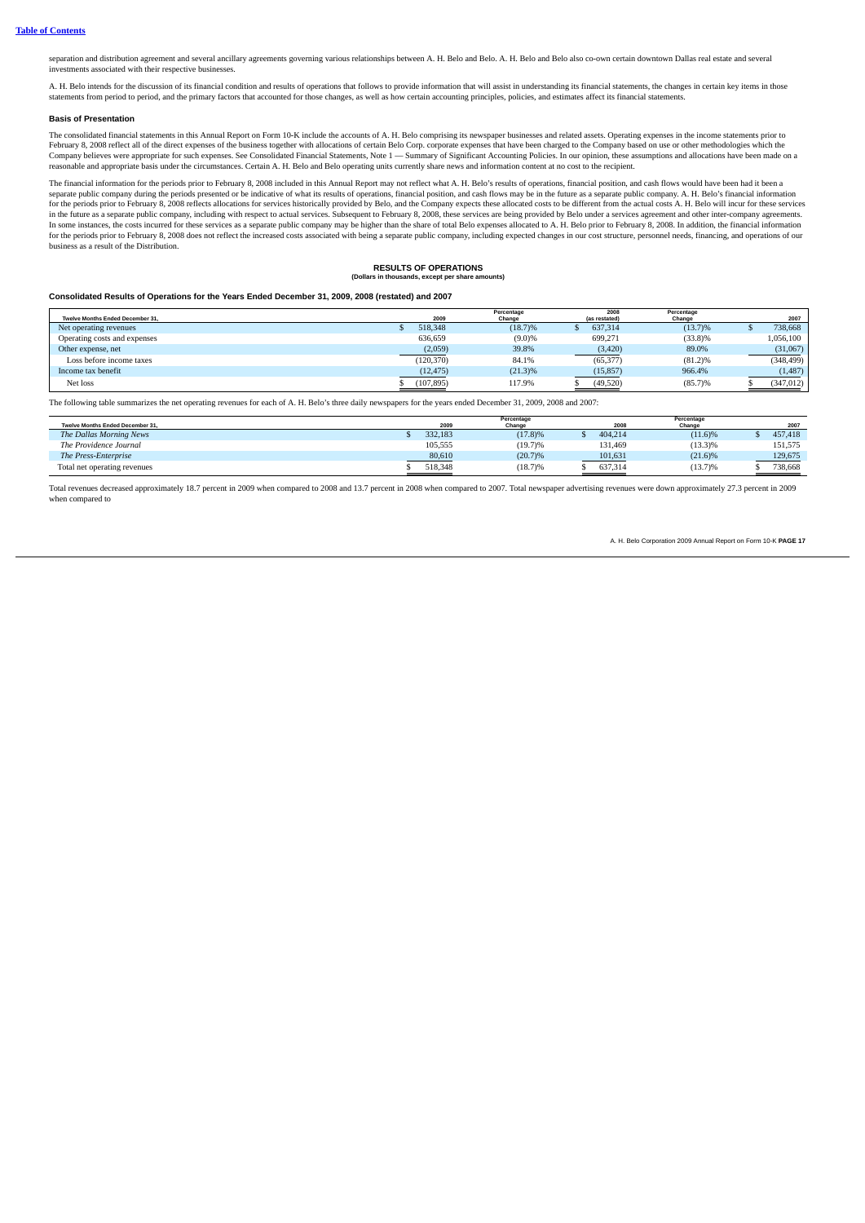separation and distribution agreement and several ancillary agreements governing various relationships between A. H. Belo and Belo. A. H. Belo and Belo also co-own certain downtown Dallas real estate and several investments associated with their respective businesses.

A. H. Belo intends for the discussion of its financial condition and results of operations that follows to provide information that will assist in understanding its financial statements, the changes in certain key items in statements from period to period, and the primary factors that accounted for those changes, as well as how certain accounting principles, policies, and estin

## **Basis of Presentation**

The consolidated financial statements in this Annual Report on Form 10-K include the accounts of A. H. Belo comprising its newspaper businesses and related assets. Operating expenses in the income statements prior to February 8, 2008 reflect all of the direct expenses of the business together with allocations of certain Belo Corp. corporate expenses that have been charged to the Company based on use or other methodologies which the<br>Com reasonable and appropriate basis under the circumstances. Certain A. H. Belo and Belo operating units currently share news and information content at no cost to the recipient.

The financial information for the periods prior to February 8, 2008 included in this Annual Report may not reflect what A. H. Belo's results of operations, financial position, and cash flows would have been had it been a separate public company during the periods presented or be indicative of what its results of operations, financial position, and cash flows may be in the future as a separate public company. A, H, Belo's financial informat separate periods prior to February 8, 2008 reflects allocations for services historically provided by Belo, and the Company expects these allocated costs to be different from the actual costs A. H. Belo will incur for thes in the future as a separate public company, including with respect to actual services. Subsequent to February 8, 2008, these services are being provided by Belo under a services agreement and other inter-company agreements for the periods prior to February 8, 2008 does not reflect the increased costs associated with being a separate public company, including expected changes in our cost structure, personnel needs, financing, and operations o business as a result of the Distribution.

#### **RESULTS OF OPERATIONS (Dollars in thousands, except per share amounts)**

## **Consolidated Results of Operations for the Years Ended December 31, 2009, 2008 (restated) and 2007**

| Twelve Months Ended December 31. | 2009       | Percentage<br>Change | 2008<br>(as restated) | Percentage<br>Change | 2007       |
|----------------------------------|------------|----------------------|-----------------------|----------------------|------------|
| Net operating revenues           | 518.348    | $(18.7)\%$           | 637,314               | $(13.7)\%$           | 738,668    |
| Operating costs and expenses     | 636,659    | (9.0)%               | 699.271               | $(33.8)\%$           | 1,056,100  |
| Other expense, net               | (2,059)    | 39.8%                | (3,420)               | 89.0%                | (31,067)   |
| Loss before income taxes         | (120, 370) | 84.1%                | (65, 377)             | $(81.2)\%$           | (348, 499) |
| Income tax benefit               | (12, 475)  | $(21.3)\%$           | (15, 857)             | 966.4%               | (1, 487)   |
| Net loss                         | (107, 895) | 117.9%               | (49, 520)             | $(85.7)\%$           | (347, 012) |

The following table summarizes the net operating revenues for each of A. H. Belo's three daily newspapers for the years ended December 31, 2009, 2008 and 2007:

| Twelve Months Ended December 31. | 2009    | Percentage<br>Change | 2008    | Percentage<br>Change | 2007    |
|----------------------------------|---------|----------------------|---------|----------------------|---------|
| The Dallas Morning News          | 332,183 | (17.8)%              | 404.214 | $(11.6)\%$           | 457,418 |
| The Providence Journal           | 105,555 | $(19.7)\%$           | 131,469 | $(13.3)\%$           | 151,575 |
| The Press-Enterprise             | 80,610  | (20.7)%              | 101.631 | $(21.6)\%$           | 129,675 |
| Total net operating revenues     | 518,348 | $(18.7)\%$           | 637.314 | $(13.7)\%$           | 738,668 |

Total revenues decreased approximately 18.7 percent in 2009 when compared to 2008 and 13.7 percent in 2008 when compared to 2007. Total newspaper advertising revenues were down approximately 27.3 percent in 2009 when compared to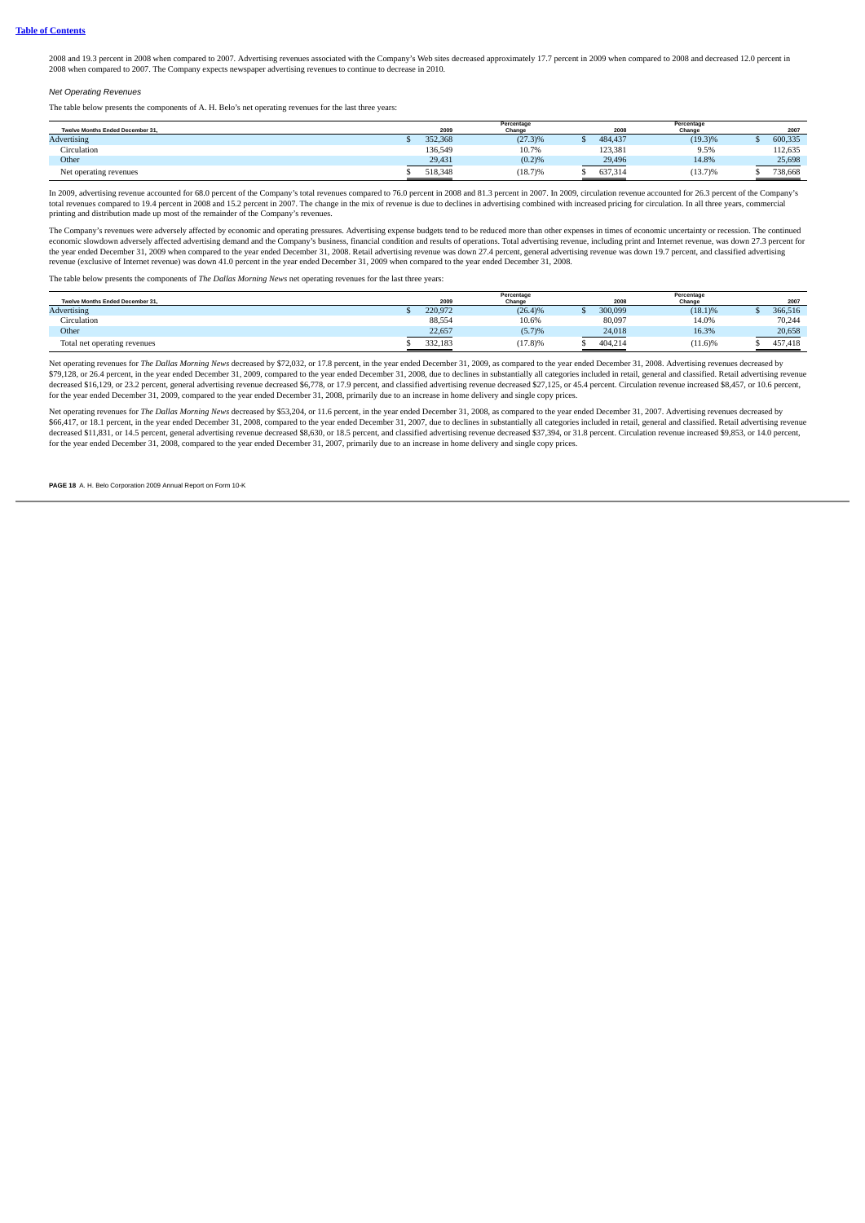2008 and 19.3 percent in 2008 when compared to 2007. Advertising revenues associated with the Company's Web sites decreased approximately 17.7 percent in 2009 when compared to 2008 and decreased 12.0 percent in<br>2008 when c

*Net Operating Revenues*

The table below presents the components of A. H. Belo's net operating revenues for the last three years:

| Twelve Months Ended December 31. | 2009    | Percentage<br>Change | 2008    | Percentage<br>Change | 2007               |
|----------------------------------|---------|----------------------|---------|----------------------|--------------------|
| Advertising                      | 352.368 | $(27.3)\%$           | 484.437 | $(19.3)\%$           | 600,335            |
| Circulation                      | 136,549 | 10.7%                | 123,381 | 9.5%                 | 112.635            |
| Other                            | 29,431  | (0.2)%               | 29,496  | 14.8%                | 25,698             |
| Net operating revenues           | 518,348 | $(18.7)\%$           | 637,314 | $(13.7)\%$           | 738,668<br>_______ |

In 2009, advertising revenue accounted for 68.0 percent of the Company's total revenues compared to 76.0 percent in 2008 and 81.3 percent in 2007. In 2009, circulation revenue accounted for 26.3 percent of the Company's<br>to printing and distribution made up most of the remainder of the Company's revenues.

The Company's revenues were adversely affected by economic and operating pressures. Advertising expense budgets tend to be reduced more than other expenses in times of economic uncertainty or recession. The continued economic slowdown adversely affected advertising demand and the Company's business, financial condition and results of operations. Total advertising revenue, including print and Internet revenue, was down 27.3 percent for the year ended December 31, 2009 when compared to the year ended December 31, 2008. Retail advertising revenue was down 27.4 percent, general advertising revenue was down 19.7 percent, and classified advertising<br>revenue (e

The table below presents the components of *The Dallas Morning News* net operating revenues for the last three years:

| Twelve Months Ended December 31. | 2009    | Percentage<br>Change | 2008    | Percentage<br>Change | 2007    |
|----------------------------------|---------|----------------------|---------|----------------------|---------|
| <b>Advertising</b>               | 220,972 | $(26.4)\%$           | 300,099 | $(18.1)\%$           | 366,516 |
| Circulation                      | 88,554  | 10.6%                | 80,097  | 14.0%                | 70,244  |
| Other                            | 22,657  | (5.7)%               | 24,018  | 16.3%                | 20,658  |
| Total net operating revenues     | 332,183 | (17.8)%              | 404,214 | $(11.6)\%$           | 457,418 |

Net operating revenues for *The Dallas Morning News* decreased by \$72,032, or 17.8 percent, in the year ended December 31, 2009, as compared to the year ended December 31, 2008. Advertising revenues decreased by \$79,128, or 26.4 percent, in the year ended December 31, 2009, compared to the year ended December 31, 2008, due to declines in substantially all categories included in retail, general and classified. Retail advertising re decreased \$16,129, or 23.2 percent, general advertising revenue decreased \$6,778, or 17.9 percent, and classified advertising revenue decreased \$27,125, or 45.4 percent. Circulation revenue increased \$8,457, or 10.6 percen for the year ended December 31, 2009, compared to the year ended December 31, 2008, primarily due to an increase in home delivery and single copy prices.

Net operating revenues for *The Dallas Morning News* decreased by \$53,204, or 11.6 percent, in the year ended December 31, 2008, as compared to the year ended December 31, 2007. Advertising revenues decreased by \$66,417, or 18.1 percent, in the year ended December 31, 2008, compared to the year ended December 31, 2007, due to declines in substantially all categories included in retail, general and classified. Retail advertising re for the year ended December 31, 2008, compared to the year ended December 31, 2007, primarily due to an increase in home delivery and single copy prices.

**PAGE 18** A. H. Belo Corporation 2009 Annual Report on Form 10-K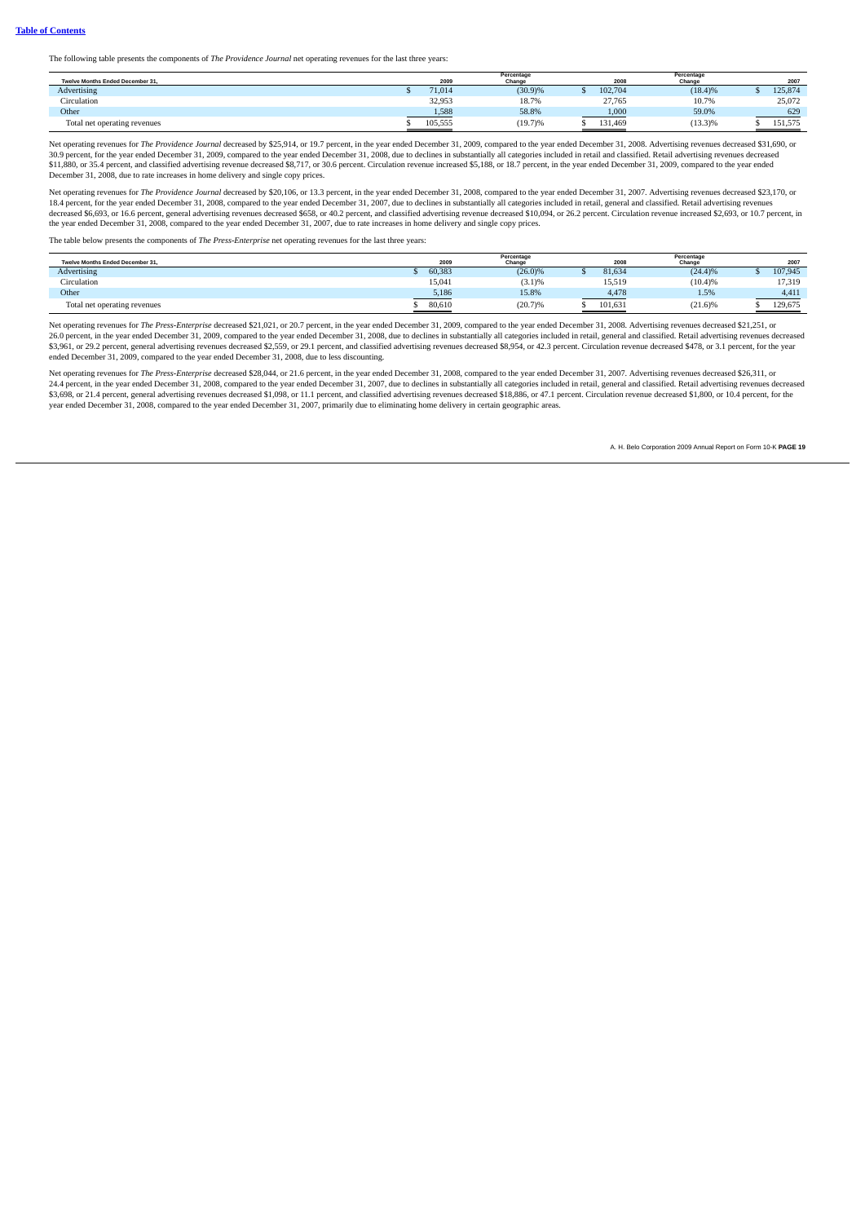The following table presents the components of *The Providence Journal* net operating revenues for the last three years:

| Twelve Months Ended December 31. | 2009    | Percentage<br>Change | 2008    | Percentage<br>Change | 2007    |
|----------------------------------|---------|----------------------|---------|----------------------|---------|
| Advertising                      | 71,014  | (30.9)%              | 102,704 | $(18.4)\%$           | 125.874 |
| Circulation                      | 32,953  | 18.7%                | 27,765  | 10.7%                | 25,072  |
| Other                            | 1,588   | 58.8%                | 1,000   | 59.0%                | 629     |
| Total net operating revenues     | 105.555 | (19.7)%              | 131,469 | $(13.3)\%$           | 151,575 |

Net operating revenues for *The Providence Journal decreased* by \$25,914, or 19.7 percent, in the year ended December 31, 2009, compared to the year ended December 31, 2008. Advertising revenues decreased \$31,690, or 30.9 percent, for the year ended December 31, 2009, compared to the year ended December 31, 2008, due to declines in substantially all categories included in retail and classified. Retail advertising revenues decreased<br>\$11 December 31, 2008, due to rate increases in home delivery and single copy prices.

Net operating revenues for *The Providence Journal decreased by* \$20,106, or 13.3 percent, in the year ended December 31, 2008, compared to the year ended December 31, 2007. Advertising revenues decreased \$23,170, or 18.4 percent, for the year ended December 31, 2008, compared to the year ended December 31, 2007, due to declines in substantially all categories included in retail, general and classified. Retail advertising revenues<br>decr the year ended December 31, 2008, compared to the year ended December 31, 2007, due to rate increases in home delivery and single copy prices.

The table below presents the components of *The Press-Enterprise* net operating revenues for the last three years:

| Twelve Months Ended December 31. | 2009             | Percentage<br>Change | 2008    | Percentage<br>Change | 2007    |
|----------------------------------|------------------|----------------------|---------|----------------------|---------|
| Advertising                      | 60,383           | $(26.0)\%$           | 81.634  | (24.4)%              | 107.945 |
| Circulation                      | 15,041           | $(3.1)\%$            | 15,519  | $(10.4)\%$           | 17,319  |
| Other                            | 5,186            | 15.8%                | 4,478   | 1.5%                 | 4.411   |
| Total net operating revenues     | 80,610<br>______ | (20.7)%              | 101,631 | $(21.6)\%$           | 129,675 |

Net operating revenues for *The Press-Enterprise* decreased \$21,021, or 20.7 percent, in the year ended December 31, 2009, compared to the year ended December 31, 2008. Advertising revenues decreased \$21,251, or 26.0 percent, in the year ended December 31, 2009, compared to the year ended December 31, 2008, due to declines in substantially all categories included in retail, general and classified. Retail advertising revenues decre \$3,961, or 29.2 percent, general advertising revenues decreased \$2,559, or 29.1 percent, and classified advertising revenues decreased \$8,954, or 42.3 percent. Circulation revenue decreased \$478, or 3.1 percent, for the ye ended December 31, 2009, compared to the year ended December 31, 2008, due to less discounting.

Net operating revenues for *The Press-Enterprise* decreased \$28,044, or 21.6 percent, in the year ended December 31, 2008, compared to the year ended December 31, 2007. Advertising revenues decreased \$26,311, or<br>24.4 perce \$3,698, or 21.4 percent, general advertising revenues decreased \$1,098, or 11.1 percent, and classified advertising revenues decreased \$18,886, or 47.1 percent. Circulation revenue decreased \$1,800, or 10.4 percent, for the year ended December 31, 2008, compared to the year ended December 31, 2007, primarily due to eliminating home delivery in certain geographic areas.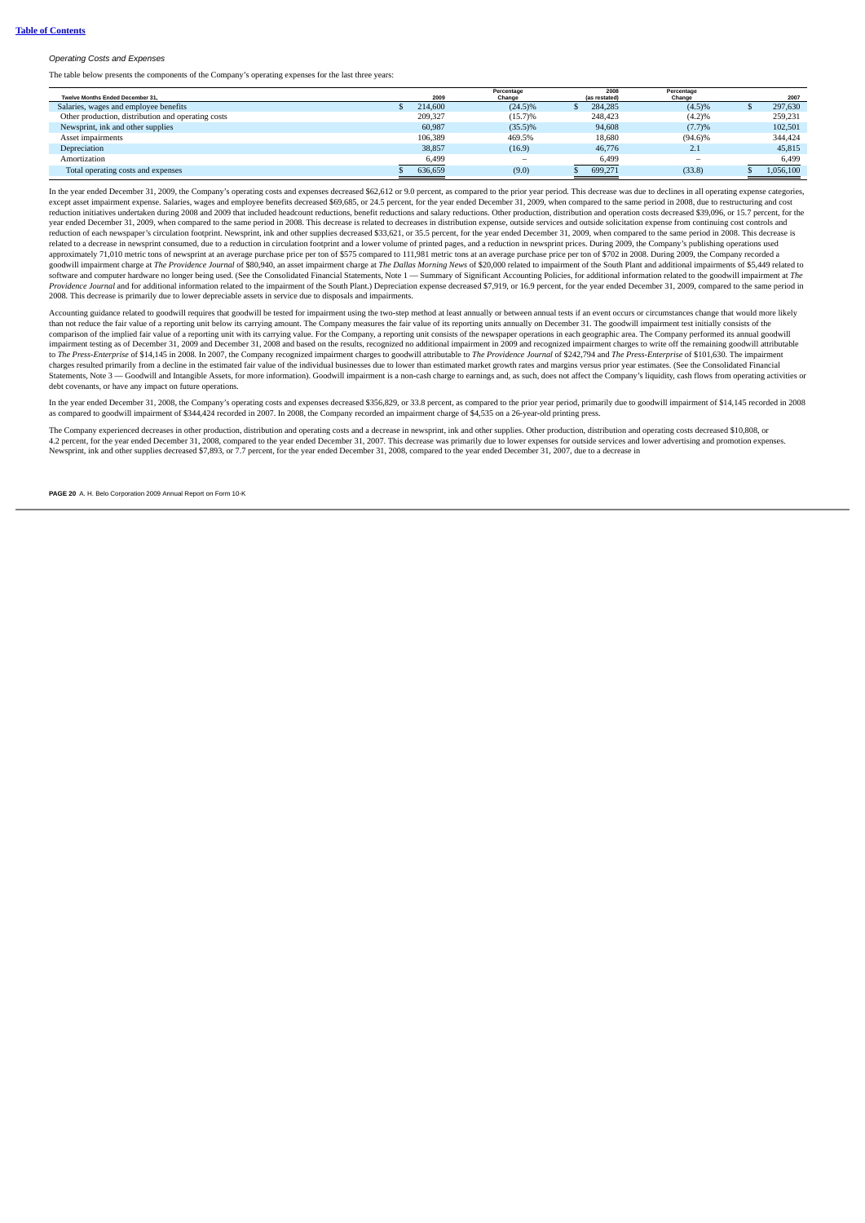### **Table of [Contents](#page-2-0)**

#### *Operating Costs and Expenses*

The table below presents the components of the Company's operating expenses for the last three years:

| Twelve Months Ended December 31.                   |         | Percentage<br>2009<br>Change | 2008<br>(as restated) | Percentage<br>Change | 2007      |
|----------------------------------------------------|---------|------------------------------|-----------------------|----------------------|-----------|
| Salaries, wages and employee benefits              | 214,600 | $(24.5)\%$                   | 284.285               | $(4.5)\%$            | 297.630   |
| Other production, distribution and operating costs | 209,327 | (15.7)%                      | 248.423               | $(4.2)\%$            | 259.231   |
| Newsprint, ink and other supplies                  | 60,987  | $(35.5)\%$                   | 94,608                | (7.7)%               | 102,501   |
| Asset impairments                                  | 106.389 | 469.5%                       | 18,680                | $(94.6)\%$           | 344,424   |
| Depreciation                                       | 38,857  | (16.9)                       | 46,776                | 2.1                  | 45,815    |
| Amortization                                       |         | 6,499<br>-                   | 6,499                 | -                    | 6.499     |
| Total operating costs and expenses                 | 636,659 | (9.0)                        | 699.271               | (33.8)               | 1,056,100 |

In the year ended December 31, 2009, the Company's operating costs and expenses decreased \$62,612 or 9.0 percent, as compared to the prior year period. This decrease was due to declines in all operating expense categories, except asset impairment expense. Salaries, wages and employee benefits decreased \$69,685, or 24.5 percent, for the year ended December 31, 2009, when compared to the same period in 2008, due to restructuring and cost reduction initiatives undertaken during 2008 and 2009 that included headcount reductions, benefit reductions and salary reductions. Other production, distribution and operation costs decreased \$39,096, or 15.7 percent, for year ended December 31, 2009, when compared to the same period in 2008. This decrease is related to decreases in distribution expense, outside services and outside solicitation expense from continuing cost controls and<br>red related to a decrease in newsprint consumed, due to a reduction in circulation footprint and a lower volume of printed pages, and a reduction in newsprint prices. During 2009, the Company's publishing operations used approximately 71,010 metric tons of newsprint at an average purchase price per ton of \$575 compared to 111,981 metric tons at an average purchase price per ton of \$702 in 2008. During 2009, the Company recorded a<br>goodwill software and computer hardware no longer being used. (See the Consolidated Financial Statements, Note 1 — Summary of Significant Accounting Policies, for additional information related to the goodwill impairment at The Providence Journal and for additional information related to the impairment of the South Plant.) Depreciation expense decreased \$7,919, or 16.9 percent, for the year ended December 31, 2009, compared to the same period in 2008. This decrease is primarily due to lower depreciable assets in service due to disposals and impairments.

Accounting guidance related to goodwill requires that goodwill be tested for impairment using the two-step method at least annually or between annual tests if an event occurs or circumstances change that would more likely than not reduce the fair value of a reporting unit below its carrying amount. The Company measures the fair value of its reporting units annually on December 31. The goodwill impairment test initially consists of the<br>compa impairment testing as of December 31, 2009 and December 31, 2008 and based on the results, recognized on additional impairment in 2009 and recognized impairment charges to write off the remaining goodwill attributable<br>to T charges resulted primarily from a decline in the estimated fair value of the individual businesses due to lower than estimated market growth rates and margins versus prior year estimates. (See the Consolidated Financial Statements, Note 3 — Goodwill and Intangible Assets, for more information). Goodwill impairment is a non-cash charge to earnings and, as such, does not affect the Company's liquidity, cash flows from operating activities or debt covenants, or have any impact on future operations.

In the year ended December 31, 2008, the Company's operating costs and expenses decreased \$356,829, or 33.8 percent, as compared to the prior year period, primarily due to goodwill impairment of \$14,145 recorded in 2008<br>as

The Company experienced decreases in other production, distribution and operating costs and a decrease in newsprint, ink and other supplies. Other production, distribution and operating costs decreased \$10,808, or<br>4.2 perc Newsprint, ink and other supplies decreased \$7,893, or 7.7 percent, for the year ended December 31, 2008, compared to the year ended December 31, 2007, due to a decrease in

**PAGE 20** A. H. Belo Corporation 2009 Annual Report on Form 10-K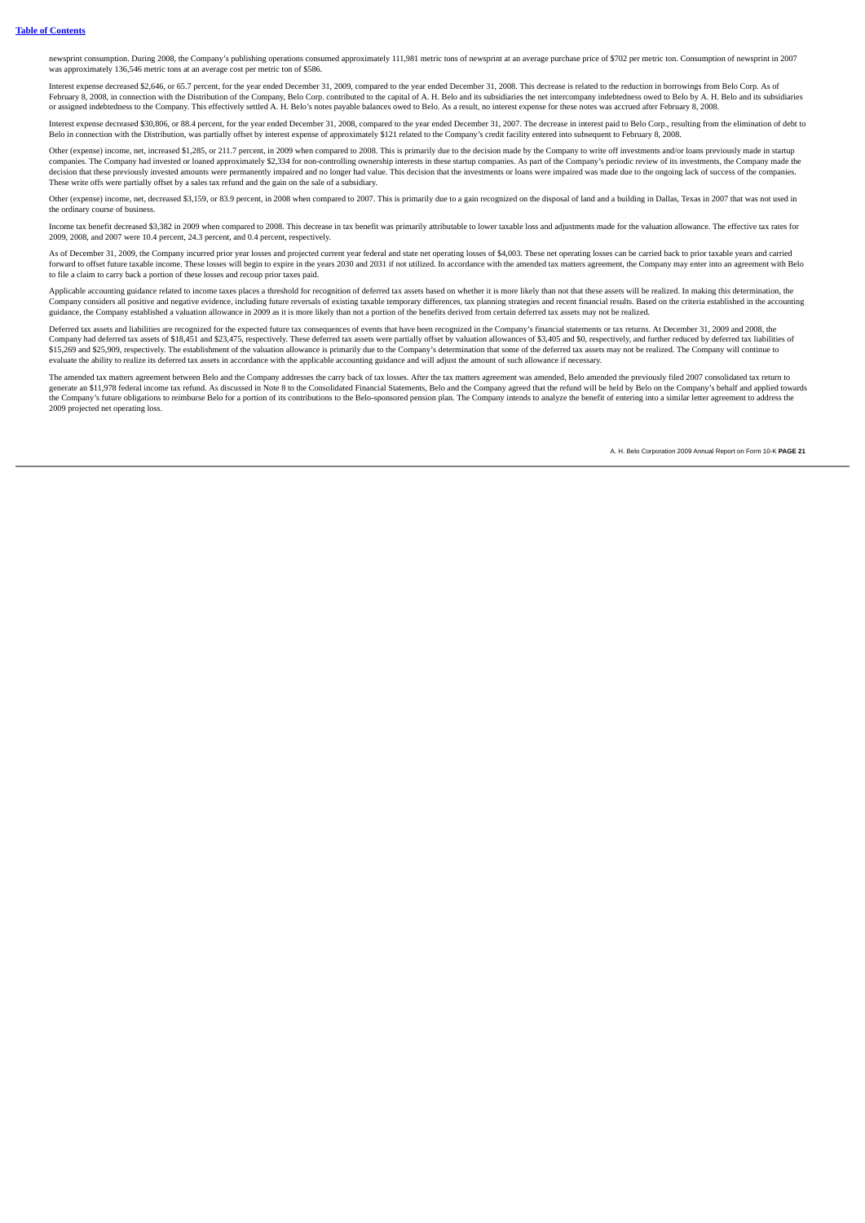newsprint consumption. During 2008, the Company's publishing operations consumed approximately 111,981 metric tons of newsprint at an average purchase price of \$702 per metric ton. Consumption of newsprint in 2007<br>was appr

Interest expense decreased \$2,646, or 65.7 percent, for the year ended December 31, 2009, compared to the year ended December 31, 2008. This decrease is related to the reduction in borrowings from Belo Corp. As of February 8, 2008, in connection with the Distribution of the Company, Belo Corp. contributed to the capital of A. H. Belo and its subsidiaries the net intercompany indebtedness owed to Belo by A. H. Belo and its subsidiari or assigned indebtedness to the Company. This effectively settled A. H. Belo's notes payable balances owed to Belo. As a result, no interest expense for these notes was accrued after February 8, 2008.

Interest expense decreased \$30,806, or 88.4 percent, for the year ended December 31, 2008, compared to the year ended December 31, 2007. The decrease in interest paid to Belo Corp., resulting from the elimination of debt t Belo in connection with the Distribution, was partially offset by interest expense of approximately \$121 related to the Company's credit facility entered into subsequent to February 8, 2008.

Other (expense) income, net, increased \$1,285, or 211.7 percent, in 2009 when compared to 2008. This is primarily due to the decision made by the Company to write off investments and/or loans previously made in startup companies. The Company had invested or loaned approximately \$2,334 for non-controlling ownership interests in these startup companies. As part of the Company's periodic review of its investments, the Company made the decision that these previously invested amounts were permanently impaired and no longer had value. This decision that the investments or loans were impaired was made due to the ongoing lack of success of the companies. These write offs were partially offset by a sales tax refund and the gain on the sale of a subsidiary.

Other (expense) income, net, decreased \$3,159, or 83.9 percent, in 2008 when compared to 2007. This is primarily due to a gain recognized on the disposal of land and a building in Dallas, Texas in 2007 that was not used in the ordinary course of busines

Income tax benefit decreased \$3,382 in 2009 when compared to 2008. This decrease in tax benefit was primarily attributable to lower taxable loss and adjustments made for the valuation allowance. The effective tax rates for 2009, 2008, and 2007 were 10.4 percent, 24.3 percent, and 0.4 percent, respectively.

As of December 31, 2009, the Company incurred prior year losses and projected current year federal and state net operating losses of \$4,003. These net operating losses can be carried back to prior taxable years and carried to file a claim to carry back a portion of these losses and recoup prior taxes paid.

Applicable accounting guidance related to income taxes places a threshold for recognition of deferred tax assets based on whether it is more likely than not that these assets will be realized. In making this determination, pany considers all positive and negative evidence, including future reversals of existing taxable temporary differences, tax planning strategies and recent financial results. Based on the criteria established in the accoun guidance, the Company established a valuation allowance in 2009 as it is more likely than not a portion of the benefits derived from certain deferred tax assets may not be realized.

Deferred tax assets and liabilities are recognized for the expected future tax consequences of events that have been recognized in the Company's financial statements or tax returns. At December 31, 2009 and 2008, the<br>Compa \$15,269 and \$25,909, respectively. The establishment of the valuation allowance is primarily due to the Company's determination that some of the deferred tax assets may not be realized. The Company will continue to evaluate the ability to realize its deferred tax assets in accordance with the applicable accounting guidance and will adjust the amount of such allowance if necessary.

The amended tax matters agreement between Belo and the Company addresses the carry back of tax losses. After the tax matters agreement was amended, Belo amended the previously filed 2007 consolidated tax return to generate an \$11,978 federal income tax refund. As discussed in Note 8 to the Consolidated Financial Statements, Belo and the Company agreed that the refund will be held by Belo on the Company's behalf and applied towards the Company's future obligations to reimburse Belo for a portion of its contributions to the Belo-sponsored pension plan. The Company intends to analyze the benefit of entering into a similar letter agreement to address the 2009 projected net operating loss.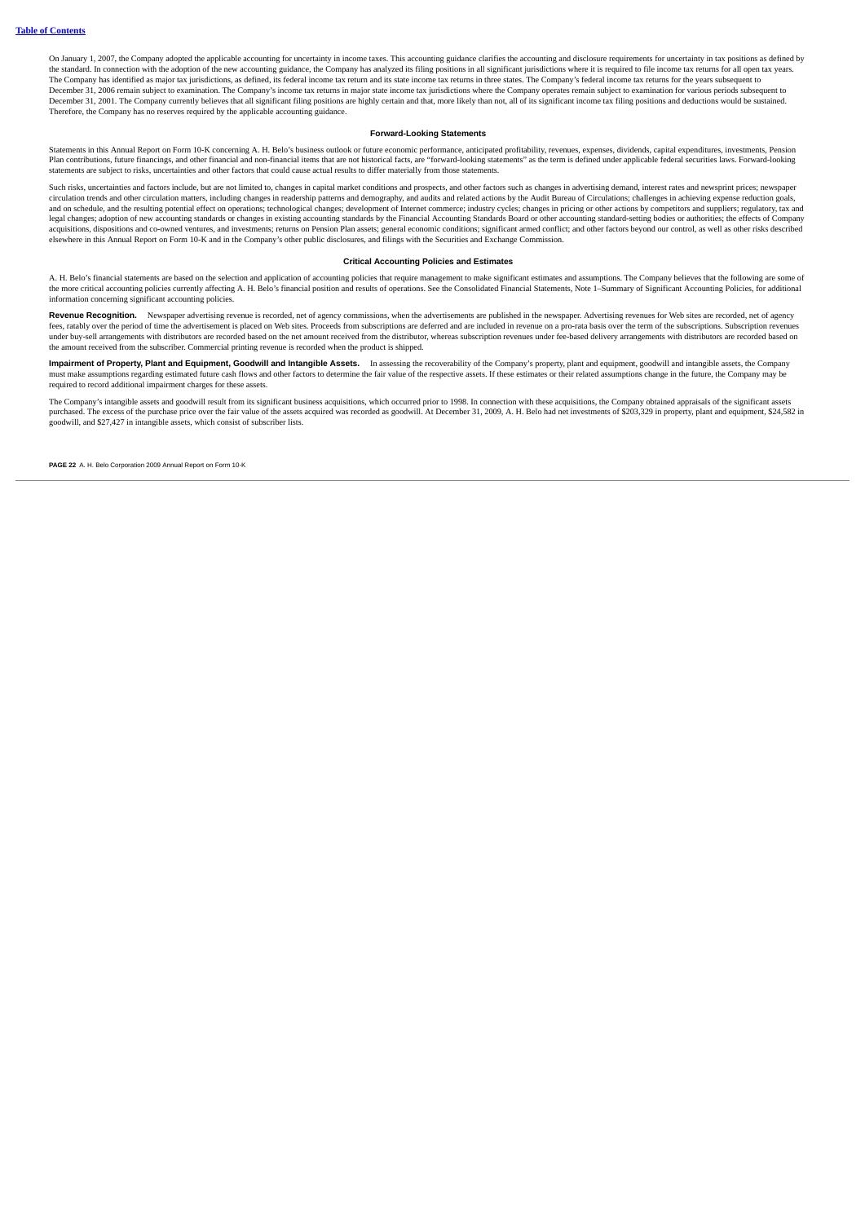On January 1, 2007, the Company adopted the applicable accounting for uncertainty in income taxes. This accounting guidance clarifies the accounting and disclosure requirements for uncertainty in tax positions as defined b The Company has identified as major tax jurisdictions, as defined, its federal income tax return and its state income tax returns in three states. The Company's federal income tax returns for the years subsequent to<br>Decemb December 31, 2001. The Company currently believes that all significant filing positions are highly certain and that, more likely than not, all of its significant income tax filing positions and deductions would be sustained. Therefore, the Company has no reserves required by the applicable accounting guidance.

### **Forward-Looking Statements**

Statements in this Annual Report on Form 10-K concerning A. H. Belo's business outlook or future economic performance, anticipated profitability, revenues, expenses, dividends, capital expenditures, investments, Pension Plan contributions, future financings, and other financial and non-financial items that are not historical facts, are "forward-looking statements" as the term is defined under applicable federal securities laws. Forward-lo ents are subject to risks, uncertainties and other factors that could cause actual results to differ materially from those statements.

Such risks, uncertainties and factors include, but are not limited to, changes in capital market conditions and prospects, and other factors such as changes in advertising demand, interest rates and newsprint prices; newsp circulation trends and other circulation matters, including changes in readership patterns and demography, and audits and related actions by the Audit Bureau of Circulations; challenges in achieving expense reduction goals, and on schedule, and the resulting potential effect on operations; technological changes; development of internet commerce; industry cycles; changes in pricing or other actions by competitors and suppliers; regulatory, tax legal changes; adoption of new accounting standards or changes in existing accounting standards by the Financial Accounting Standards Board or other accounting standard-setting bodies or authorities; the effects of Company elsewhere in this Annual Report on Form 10-K and in the Company's other public disclosures, and filings with the Securities and Exchange Commission.

### **Critical Accounting Policies and Estimates**

A. H. Belo's financial statements are based on the selection and application of accounting policies that require management to make significant estimates and assumptions. The Company believes that the following are some of the more critical accounting policies currently affecting A. H. Belo's financial position and results of operations. See the Consolidated Financial Statements, Note 1-Summary of Significant Accounting Policies, for additio information concerning significant accounting policies.

**Revenue Recognition.** Newspaper advertising revenue is recorded, net of agency commissions, when the advertisements are published in the newspaper. Advertising revenues for Web sites are recorded, net of agency<br>fees, rata under buy-sell arrangements with distributors are recorded based on the net amount received from the distributor, whereas subscription revenues under fee-based delivery arrangements with distributors are recorded based on the amount received from the subscriber. Commercial printing revenue is recorded when the product is shipped.

**Impairment of Property, Plant and Equipment, Goodwill and Intangible Assets.** In assessing the recoverability of the Company's property, plant and equipment, goodwill and intangible assets, the Company any be expective as required to record additional impairment charges for these assets.

The Company's intangible assets and goodwill result from its significant business acquisitions, which occurred prior to 1998. In connection with these acquisitions, the Company obtained appraisals of the significant assets purchased. The excess of the purchase price over the fair value of the assets acquired was recorded as goodwill. At December 31, 2009, A. H. Belo had net investments of \$203,329 in property, plant and equipment, \$24,582 in goodwill, and \$27,427 in intangible assets, which consist of subscriber lists.

**PAGE 22** A. H. Belo Corporation 2009 Annual Report on Form 10-K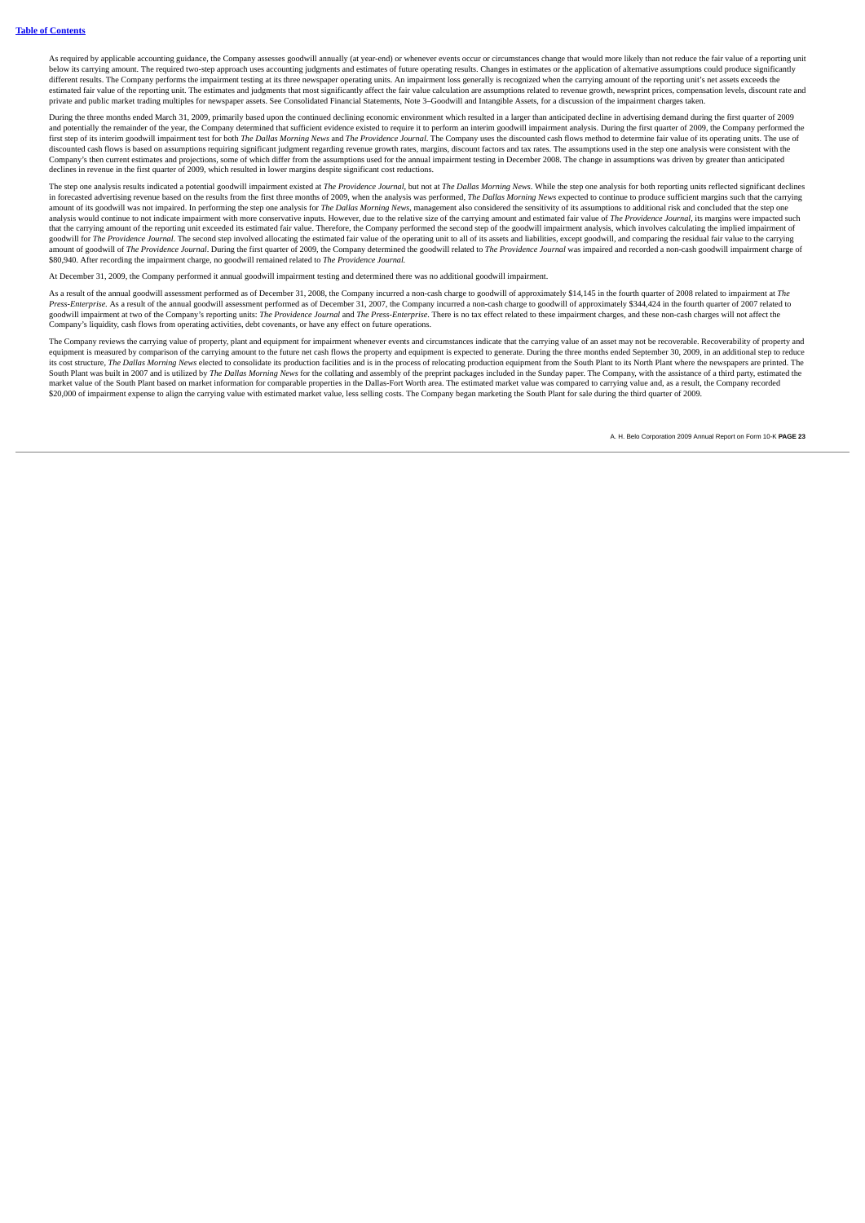As required by applicable accounting guidance, the Company assesses goodwill annually (at year-end) or whenever events occur or circumstances change that would more likely than not reduce the fair value of a reporting unit below its carrying amount. The required two-step approach uses accounting judgments and estimates of future operating results. Changes in estimates or the application of alternative assumptions could produce significantly different results. The Company performs the impairment testing at its three newspaper operating units. An impairment loss generally is recognized when the carrying amount of the reporting unit's net assets exceeds the<br>esti private and public market trading multiples for newspaper assets. See Consolidated Financial Statements, Note 3–Goodwill and Intangible Assets, for a discussion of the impairment charges taken.

During the three months ended March 31, 2009, primarily based upon the continued declining economic environment which resulted in a larger than anticipated decline in advertising demand during the first quarter of 2009 and potentially the remainder of the year, the Company determined that sufficient evidence existed to require it to perform an interim goodwill impairment analysis. During the first quarter of 2009, the Company performed t first step of its interim goodwill impairment test for both The Dallas Morning News and The Providence Journal. The Company uses the discounted cash flows method to determine fair value of its operating units. The use of discounted cash flows is based on assumptions requiring significant judgment regarding revenue growth rates, margins, discount factors and tax rates. The assumptions used in the step one analysis were consistent with the Company's then current estimates and projections, some of which differ from the assumptions used for the annual impairment testing in December 2008. The change in assumptions was driven by greater than anticipated company' declines in revenue in the first quarter of 2009, which resulted in lower margins despite significant cost reductions.

The step one analysis results indicated a potential goodwill impairment existed at The Providence Journal, but not at The Dallas Morning News. While the step one analysis for both reporting units reflected significant decl in forecasted advertising revenue based on the results from the first three months of 2009, when the analysis was performed, The Dallas Morning News expected to continue to produce sufficient margins such that the carrying amount of its goodwill was not impaired. In performing the step one analysis for The Dallas Morning News, management also considered the sensitivity of its assumptions to additional risk and concluded that the step one analysis would continue to not indicate impairment with more conservative inputs. However, due to the relative size of the carrying amount and estimated fair value of The Providence Journal, its margins were impacted such that the carrying amount of the reporting unit exceeded its estimated fair value. Therefore, the Company performed the second step of the goodwill impairment analysis, which involves calculating the implied impairment of goodwill for The Providence Journal. The second step involved allocating the estimated fair value of the operating unit to all of its assets and liabilities, except goodwill, and comparing the residual fair value to the ca amount of goodwill of The Providence Journal. During the first quarter of 2009, the Company determined the goodwill related to The Providence Journal was impaired and recorded a non-cash goodwill impairment charge of \$80,940. After recording the impairment charge, no goodwill remained related to *The Providence Journal.*

)<br>At December 31, 2009, the Company performed it annual goodwill impairment testing and determined there was no additional goodwill impairment

As a result of the annual goodwill assessment performed as of December 31, 2008, the Company incurred a non-cash charge to goodwill of approximately \$14,145 in the fourth quarter of 2008 related to impairment at *The* Press-Enterprise. As a result of the annual goodwill assessment performed as of December 31, 2007, the Company incurred a non-cash charge to goodwill of approximately \$344,424 in the fourth quarter of 2007 related to<br>goodw Company's liquidity, cash flows from operating activities, debt covenants, or have any effect on future operations.

The Company reviews the carrying value of property, plant and equipment for impairment whenever events and circumstances indicate that the carrying value of an asset may not be recoverable. Recoverability of property and equipment is measured by comparison of the carrying amount to the future net cash flows the property and equipment is expected to generate. During the three months ended September 30, 2009, in an additional step to reduce its cost structure, The Dallas Morning News elected to consolidate its production facilities and is in the process of relocating production equipment from the South Plant to its North Plant where the newspapers are printed South Plant was built in 2007 and is utilized by The Dallas Morning News for the collating and assembly of the preprint packages included in the Sunday paper. The Company, with the assistance of a third party, estimated th market value of the South Plant based on market information for comparable properties in the Dallas-Fort Worth area. The estimated market value was compared to carrying value and, as a result, the Company recorded<br>\$20,000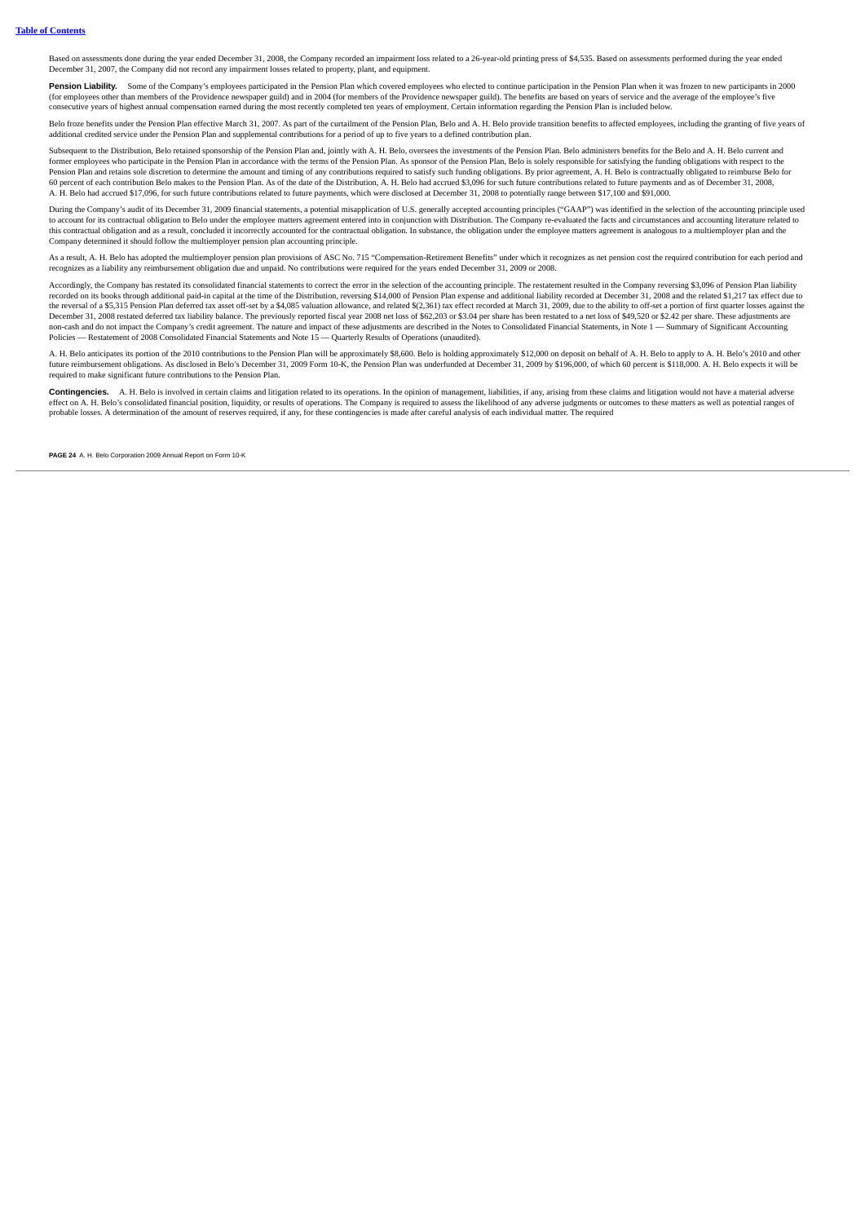Based on assessments done during the year ended December 31, 2008, the Company recorded an impairment loss related to a 26-year-old printing press of \$4,535. Based on assessments performed during the year ended<br>December 31

Pension Liability. Some of the Company's employees participated in the Pension Plan which covered employees who elected to continue participation in the Pension Plan when it was frozen to new participants in 2000 (for employees other than members of the Providence newspaper guild) and in 2004 (for members of the Providence newspaper guild). The benefits are based on years of service and the average of the employee's five consecutive years of highest annual compensation earned during the most recently completed ten years of employment. Certain information regarding the Pension Plan is included below.

Belo froze benefits under the Pension Plan effective March 31, 2007. As part of the curtailment of the Pension Plan, Belo and A. H. Belo provide transition benefits to affected employees, including the granting of five yea additional credited service under the Pension Plan and supplemental contributions for a period of up to five years to a defined contribution plan.

Subsequent to the Distribution, Belo retained sponsorship of the Pension Plan and, jointly with A. H. Belo, oversees the investments of the Pension Plan. Belo administers benefits for the Belo and A. H. Belo current and former employees who participate in the Pension Plan in accordance with the terms of the Pension Plan. As sponsor of the Pension Plan, Belo is solely responsible for satisfying the funding obligations with respect to the Pension Plan and retains sole discretion to determine the amount and timing of any contributions required to satisfy such funding obligations. By prior agreement, A. H. Belo is contractually obligated to reimburse Belo for 60 percent of each contribution Belo makes to the Pension Plan. As of the date of the Distribution, A. H. Belo had accrued \$3,096 for such future contributions related to future payments and as of December 31, 2008, A. H. Belo had accrued \$17,096, for such future contributions related to future payments, which were disclosed at December 31, 2008 to potentially range between \$17,100 and \$91,000.

During the Company's audit of its December 31, 2009 financial statements, a potential misapplication of U.S. generally accepted accounting principles ("GAAP") was identified in the selection of the accounting principle use to account for its contractual obligation to Belo under the employee matters agreement entered into in conjunction with Distribution. The Company re-evaluated the facts and circumstances and accounting literature related t this contractual obligation and as a result, concluded it incorrectly accounted for the contractual obligation. In substance, the obligation under the employee matters agreement is analogous to a multiemployer plan and the Company determined it should follow the multiemployer pension plan accounting principle.

As a result, A. H. Belo has adopted the multiemployer pension plan provisions of ASC No. 715 "Compensation-Retirement Benefits" under which it recognizes as net pension cost the required contribution for each period and recognizes as a liability any reimbursement obligation due and unpaid. No contributions were required for the years ended December 31, 2009 or 2008.

Accordingly, the Company has restated its consolidated financial statements to correct the error in the selection of the accounting principle. The restatement resulted in the Company reversing \$3,096 of Pension Plan liabil recorded on its books through additional paid-in capital at the time of the Distribution, reversing \$14,000 of Pension Plan expense and additional liability recorded at December 31, 2008 and the related \$1,217 tax effect d the reversal of a \$5,315 Pension Plan deferred tax asset off-set by a \$4,085 valuation allowance, and related \$(2,361) tax effect recorded at March 31, 2009, due to the ability to off-set a portion of first quarter losses December 31, 2008 restated deferred tax liability balance. The previously reported fiscal year 2008 net loss of \$62,203 or \$3.04 per share has been restated to a net loss of \$49,520 or \$2.42 per share. These adjustments ar non-cash and do not impact the Company's credit agreement. The nature and impact of these adjustments are described in the Notes to Consolidated Financial Statements, in Note 1 — Summary of Significant Accounting non-cash Policies — Restatement of 2008 Consolidated Financial Statements and Note 15 — Quarterly Results of Operations (unaudited).

A. H. Belo anticipates its portion of the 2010 contributions to the Pension Plan will be approximately \$0,600. Belo is holding approximately \$12,000 on deposit on behalf of A. H. Belo to apply to A. H. Belo's 2010 and othe required to make significant future contributions to the Pension Plan.

Contingencies. A. H. Belo is involved in certain claims and litigation related to its operations. In the opinion of management, liabilities, if any, arising from these claims and litigation would not have a material advers effect on A. H. Belo's consolidated financial position, liquidity, or results of operations. The Company is required to assess the likelihood of any adverse judgments or outcomes to these matters as well as potential range

**PAGE 24** A. H. Belo Corporation 2009 Annual Report on Form 10-K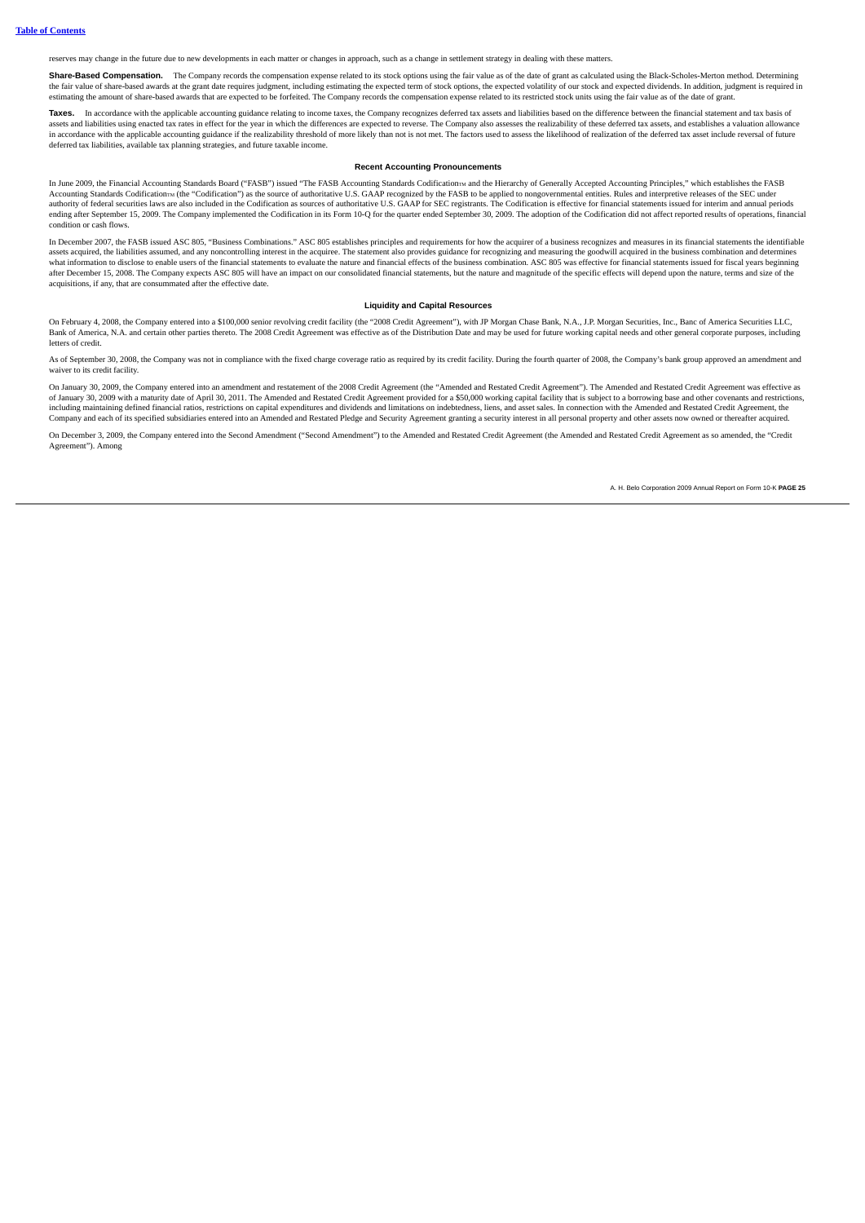reserves may change in the future due to new developments in each matter or changes in approach, such as a change in settlement strategy in dealing with these matters.

**Share-Based Compensation.** The Company records the compensation expense related to its stock options using the fair value as of the date of grant as calculated using the Black-Scholes-Merton method. Determining the fair value of share-based awards at the grant date requires judgment, including estimating the expected term of stock options, the expected volatility of our stock and expected dividends. In addition, judgment is requi estimating the amount of share-based awards that are expected to be forfeited. The Company records the compensation expense related to its restricted stock units using the fair value as of the date of grant.

Taxes. In accordance with the applicable accounting guidance relating to income taxes, the Company recognizes deferred tax assets and liabilities based on the difference between the financial statement and tax basis of accepts and liabilities using enarged to grates in effect for the vear in which the differences are expected to reverse. The Company also assesses the realizability of these deferred tax assets and establishes a valuation accounting guidance of the realizability threshold of more likely than not is not met. The factors used to assess the likelihood of realization of the deferred tax asset include reversal of other deferred tax liabilities, available tax planning strategies, and future taxable income.

## **Recent Accounting Pronouncements**

In June 2009, the Financial Accounting Standards Board ("FASB") issued "The FASB Accounting Standards Codification™ and the Hierarchy of Generally Accepted Accounting Principles," which establishes the FASB Accounting Standards Codification-m (the "Codification") as the source of authoritative U.S. GAAP recognized by the FASB to be applied to nongovernmental entities. Rules and interpretive releases of the SEC under<br>authority ending after September 15, 2009. The Company implemented the Codification in its Form 10-Q for the quarter ended September 30, 2009. The adoption of the Codification did not affect reported results of operations, financial condition or cash flows.

In December 2007, the FASB issued ASC 805, "Business Combinations." ASC 805 establishes principles and requirements for how the acquirer of a business recognizes and measures in its financial statements the identifiable assets acquired, the liabilities assumed, and any noncontrolling interest in the acquiree. The statement also provides guidance for recognizing and measuring the goodwill acquired in the business combination and determines after December 15, 2008. The Company expects ASC 805 will have an impact on our consolidated financial statements, but the nature and magnitude of the specific effects will depend upon the nature, terms and size of the acquisitions, if any, that are consummated after the effective date.

## **Liquidity and Capital Resources**

On February 4, 2008, the Company entered into a \$100,000 senior revolving credit facility (the "2008 Credit Agreement"), with JP Morgan Chase Bank, N.A., J.P. Morgan Securities, Inc., Banc of America Securities LLC, Bank of America, N.A. and certain other parties thereto. The 2008 Credit Agreement was effective as of the Distribution Date and may be used for future working capital needs and other general corporate purposes, including letters of credit.

As of September 30, 2008, the Company was not in compliance with the fixed charge coverage ratio as required by its credit facility. During the fourth quarter of 2008, the Company's bank group approved an amendment and waiver to its credit facility.

On January 30, 2009, the Company entered into an amendment and restatement of the 2008 Credit Agreement (the "Amended and Restated Credit Agreement"). The Amended and Restated Credit Agreement was effective as of January 30, 2009 with a maturity date of April 30, 2011. The Amended and Restated Credit Agreement provided for a \$50,000 working capital facility that is subject to a borrowing base and other covenants and restrictions Company and each of its specified subsidiaries entered into an Amended and Restated Pledge and Security Agreement granting a security interest in all personal property and other assets now owned or thereafter acquired.

On December 3, 2009, the Company entered into the Second Amendment ("Second Amendment") to the Amended and Restated Credit Agreement (the Amended and Restated Credit Agreement as so amended, the "Credit Agreement"). Among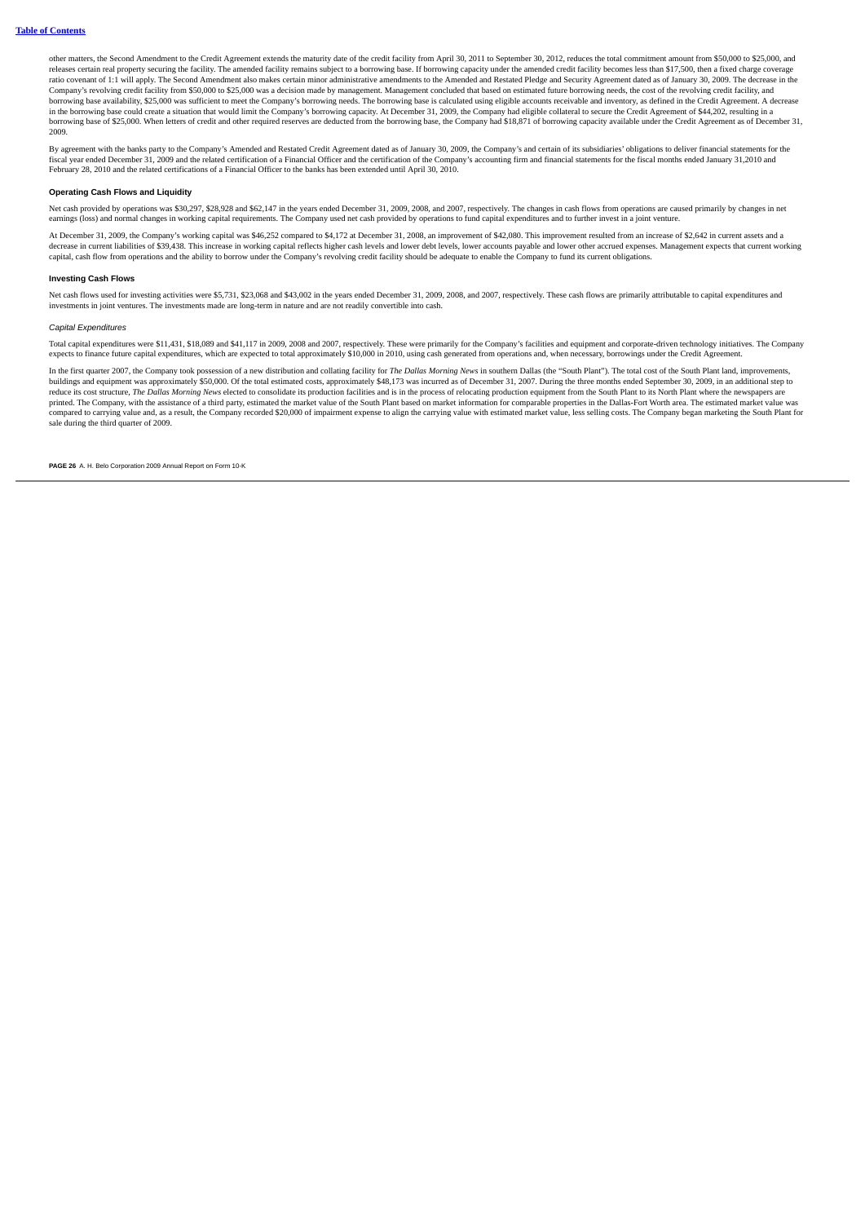other matters, the Second Amendment to the Credit Agreement extends the maturity date of the credit facility from April 30, 2011 to September 30, 2012, reduces the total commitment amount from \$50,000 to \$25,000, and releases certain real property securing the facility. The amended facility remains subject to a borrowing base. If borrowing capacity under the amended credit facility becomes less than \$17,500, then a fixed charge coverage ratio covenant of 1:1 will apply. The Second Amendment also makes certain minor administrative amendments to the Amended and Restated Pledge and Security Agreement dated as of January 30, 2009. The decrease in the ECOMPANY'S REVOLVING CREATION CONDUCTED TO A CONSULTED THE VALUATION OF THE CONSULTED TO A CONSULTED TO A CONSULTED TO A CONSULTED TO A CONSULTED TO A CONSULTED TO A CONSULTED TO A CONSULTED TO A CONSULTED TO A CONSULTED T borrowing base availability, \$25,000 was sufficient to meet the Company's borrowing needs. The borrowing base is calculated using eligible accounts receivable and inventory, as defined in the Credit Agreement. A decrease in the borrowing base could create a situation that would limit the Company's borrowing capacity. At December 31, 2009, the Company had eligible collateral to secure the Credit Agreement of \$44,202, resulting in a borrowing base of \$25,000. When letters of credit and other required reserves are deducted from the borrowing base, the Company had \$18,871 of borrowing capacity available under the Credit Agreement as of December 31, 2009.

By agreement with the banks party to the Company's Amended and Restated Credit Agreement dated as of January 30, 2009, the Company's and certain of its subsidiaries' obligations to deliver financial statements for the fiscal year ended December 31, 2009 and the related certification of a Financial Officer and the certification of the Company's accounting firm and financial statements for the fiscal months ended January 31,2010 and February 28, 2010 and the related certifications of a Financial Officer to the banks has been extended until April 30, 2010.

#### **Operating Cash Flows and Liquidity**

Net cash provided by operations was \$30,297, \$28,928 and \$62,147 in the years ended December 31, 2009, 2008, and 2007, respectively. The changes in cash flows from operations are caused primarily by changes in net earnings (loss) and normal changes in working capital requirements. The Company used net cash provided by operations to fund capital expenditures and to further invest in a joint venture.

At December 31, 2009, the Company's working capital was \$46,252 compared to \$4,172 at December 31, 2008, an improvement of \$42,080. This improvement resulted from an increase of \$2,642 in current assets and a decrease in current liabilities of \$39,438. This increase in working capital reflects higher cash levels and lower debt levels, lower accounts payable and lower other accrued expenses. Management expects that current worki

### **Investing Cash Flows**

Net cash flows used for investing activities were \$5,731, \$23,068 and \$43,002 in the years ended December 31, 2009, 2008, and 2007, respectively. These cash flows are primarily attributable to capital expenditures and investments in joint ventures. The investments made are long-term in nature and are not readily convertible into cash.

#### *Capital Expenditures*

Total capital expenditures were \$11,431, \$18,089 and \$41,117 in 2009, 2008 and 2007, respectively. These were primarily for the Company's facilities and equipment and corporate-driven technology initiatives. The Company expects to finance future capital expenditures, which are expected to total approximately \$10,000 in 2010, using cash generated from operations and, when necessary, borrowings under the Credit Agreement.

In the first quarter 2007, the Company took possession of a new distribution and collating facility for The Dallas Morning News in southern Dallas (the "South Plant"). The total cost of the South Plant land, improvement buildings and equipment was approximately \$50,000. Of the total estimated costs, approximately \$48,173 was incurred as of December 31, 2007. During the three months ended September 30, 2009, in an additional step to<br>reduce printed. The Company, with the assistance of a third party, estimated the market value of the South Plant based on market information for comparable properties in the Dallas-Fort Worth area. The estimated market value was compared to carrying value and, as a result, the Company recorded \$20,000 of impairment expense to align the carrying value with estimated market value, less selling costs. The Company began marketing the South Plant for sale during the third quarter of 2009.

**PAGE 26** A. H. Belo Corporation 2009 Annual Report on Form 10-K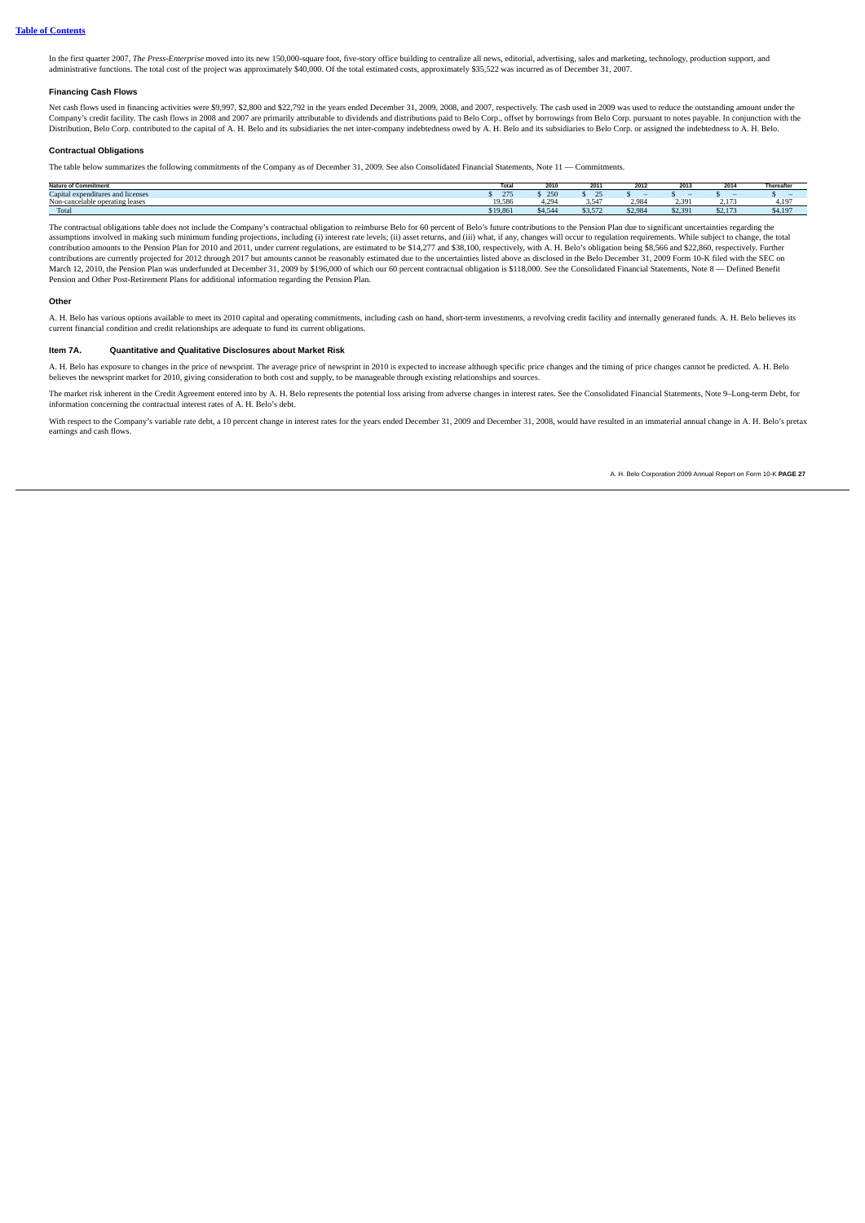In the first quarter 2007, *The Press-Enterprise* moved into its new 150,000-square foot, five-story office building to centralize all news, editorial, advertising, sales and marketing, technology, production support, and<br>

#### **Financing Cash Flows**

Net cash flows used in financing activities were \$9,997, \$2,800 and \$22,792 in the years ended December 31, 2009, 2008, and 2007, respectively. The cash used in 2009 was used to reduce the outstanding amount under the<br>Comp Distribution, Belo Corp. contributed to the capital of A. H. Belo and its subsidiaries the net inter-company indebtedness owed by A. H. Belo and its subsidiaries to Belo Corp. or assigned the indebtedness to A. H. Belo.

## **Contractual Obligations**

The table below summarizes the following commitments of the Company as of December 31, 2009. See also Consolidated Financial Statements, Note 11 — Commitments.

| <b>Nature of Commitment</b>                   | Tota                        | 2010                  | 2011           | 2012                   | 2013    | 2014                     | <b>Thereafter</b> |
|-----------------------------------------------|-----------------------------|-----------------------|----------------|------------------------|---------|--------------------------|-------------------|
| $\cdots$<br>Capital expenditures and licenses | $\sim$ $\sim$ $\sim$<br>21J | $250 -$               |                |                        |         | $\overline{\phantom{0}}$ |                   |
| Non-cancelable operating leases               | 19.586                      | $\mathbf{a}$<br>$+22$ | 2.547<br>3.54  | $\neg$ QRA<br>$\sim\,$ | 2.391   | 5.45<br>$-1$             | $4.19^{-}$        |
| Total                                         | \$19,861                    | <b>MA FA</b><br>34.J- | ----<br>0.3.37 | \$2,984                | \$2,391 | $-$<br>2.1/7             | \$4.197           |
|                                               |                             |                       |                |                        |         |                          |                   |

The contractual obligations table does not include the Company's contractual obligation to reimburse Belo for 60 percent of Belo's future contributions to the Pension Plan due to significant uncertainties regarding the assumptions involved in making such minimum funding projections, including (i) interest rate levels; (ii) asset returns, and (iii) what, if any, changes will occur to regulation requirements. While subject to change, the t contribution amounts to the Pension Plan for 2010 and 2011, under current regulations, are estimated to be \$14,277 and \$38,100, respectively, with A. H. Belo's obligation being \$8,566 and \$22,860, respectively. Further contributions are currently projected for 2012 through 2017 but amounts cannot be reasonably estimated due to the uncertainties listed above as disclosed in the Belo December 31, 2009 Form 10-K filed with the SEC on March 12, 2010, the Pension Plan was underfunded at December 31, 2009 by \$196,000 of which our 60 percent contractual obligation is \$118,000. See the Consolidated Financial Statements, Note 8 — Defined Benefit Pension and Other Post-Retirement Plans for additional information regarding the Pension Plan.

#### **Other**

A. H. Belo has various options available to meet its 2010 capital and operating commitments, including cash on hand, short-term investments, a revolving credit facility and internally generated funds. A. H. Belo believes its current financial condition and credit relationships are adequate to fund its current obligations.

## <span id="page-27-0"></span>**Item 7A. Quantitative and Qualitative Disclosures about Market Risk**

A. H. Belo has exposure to changes in the price of newsprint. The average price of newsprint in 2010 is expected to increase although specific price changes and the timing of price changes cannot be predicted. A. H. Belo believes the newsprint market for 2010, giving consideration to both cost and supply, to be manageable through existing relationships and sources.

The market risk inherent in the Credit Agreement entered into by A. H. Belo represents the potential loss arising from adverse changes in interest rates. See the Consolidated Financial Statements, Note 9–Long-term Debt, fo information concerning the contractual interest rates of A. H. Belo's debt.

With respect to the Company's variable rate debt, a 10 percent change in interest rates for the years ended December 31, 2009 and December 31, 2008, would have resulted in an immaterial annual change in A. H. Belo's pretax earnings and cash flows.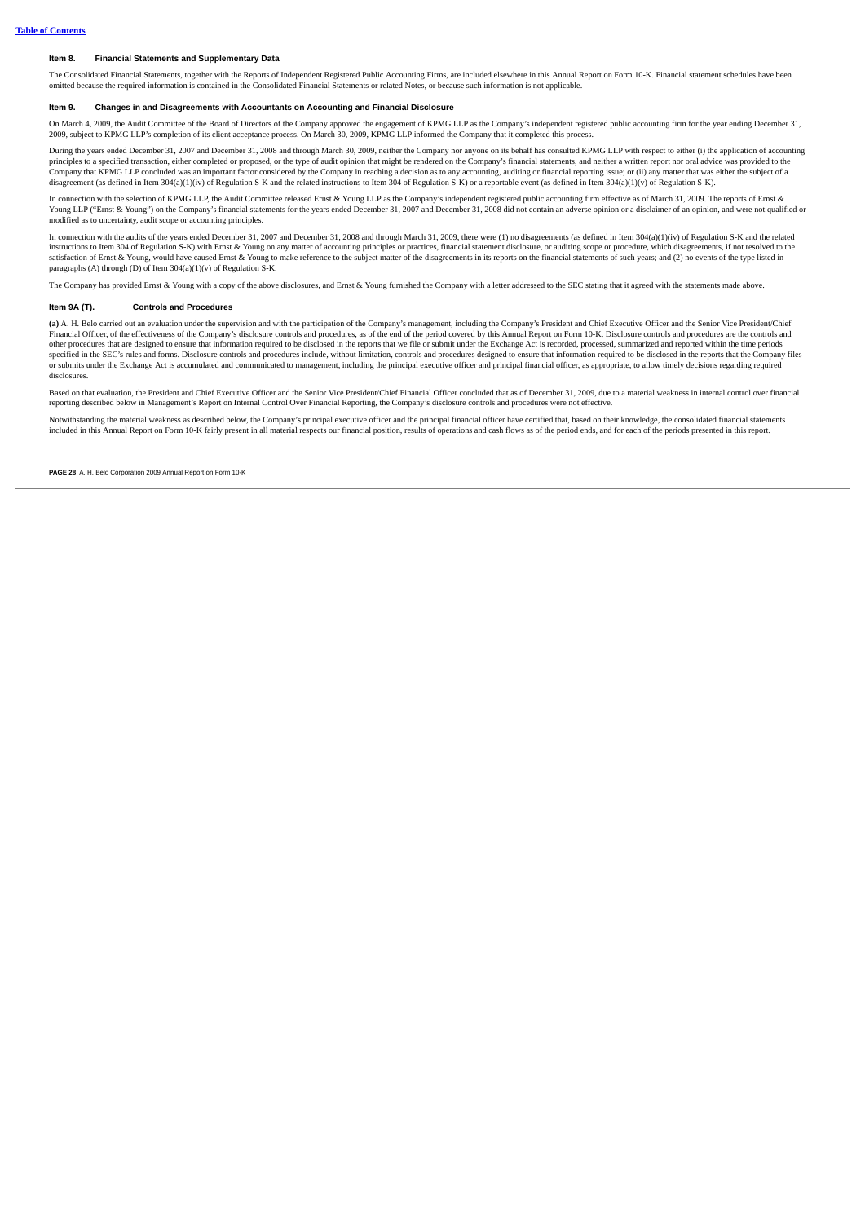### <span id="page-28-0"></span>**Item 8. Financial Statements and Supplementary Data**

The Consolidated Financial Statements, together with the Reports of Independent Registered Public Accounting Firms, are included elsewhere in this Annual Report on Form 10-K. Financial statement schedules have been<br>omitted

## <span id="page-28-1"></span>**Item 9. Changes in and Disagreements with Accountants on Accounting and Financial Disclosure**

On March 4, 2009, the Audit Committee of the Board of Directors of the Company approved the engagement of KPMG LLP as the Company's independent registered public accounting firm for the year ending December 31, 2009, subject to KPMG LLP's completion of its client acceptance process. On March 30, 2009, KPMG LLP informed the Company that it completed this process.

During the years ended December 31, 2007 and December 31, 2008 and through March 30, 2009, neither the Company nor anyone on its behalf has consulted KPMG LLP with respect to either (i) the application of accounting principles to a specified transaction, either completed or proposed, or the type of audit opinion that might be rendered on the Company's financial statements, and neither a written report nor oral advice was provided to t Company that KPMG LLP concluded was an important factor considered by the Company in reaching a decision as to any accounting, auditing or financial reporting issue; or (ii) any matter that was either the subject of a disagreement (as defined in Item 304(a)(1)(iv) of Regulation S-K and the related instructions to Item 304 of Regulation S-K) or a reportable event (as defined in Item 304(a)(1)(v) of Regulation S-K).

In connection with the selection of KPMG LLP, the Audit Committee released Emst & Young LLP as the Company's independent registered public accounting firm effective as of March 31, 2009. The reports of Ernst &<br>Young LLP (" modified as to uncertainty, audit scope or accounting principles.

In connection with the audits of the years ended December 31, 2007 and December 31, 2008 and through March 31, 2009, there were (1) no disagreements (as defined in Item 304(a)(1)(iv) of Regulation S-K and the related instructions to Item 304 of Regulation S-K) with Ernst & Young on any matter of accounting principles or practices, financial statement disclosure, or auditing scope or procedure, which disagreements, if not resolved to th paragraphs (A) through (D) of Item  $304(a)(1)(v)$  of Regulation S-K.

The Company has provided Ernst & Young with a copy of the above disclosures, and Ernst & Young furnished the Company with a letter addressed to the SEC stating that it agreed with the statements made above.

#### <span id="page-28-2"></span>**Item 9A (T). Controls and Procedures**

**(a)** A. H. Belo carried out an evaluation under the supervision and with the participation of the Company's management, including the Company's President and Chief Executive Officer and the Senior Vice President/Chief Financial Officer, of the effectiveness of the Company's disclosure controls and procedures, as of the end of the period covered by this Annual Report on Form 10-K. Disclosure controls and procedures are the controls and other procedures that are designed to ensure that information required to be disclosed in the reports that we file or submit under the Exchange Act is recorded, processed, summarized and reported within the time periods specified in the SEC's rules and forms. Disclosure controls and procedures include, without limitation, controls and procedures designed to ensure that information required to be disclosed in the reports that the Company f or submits under the Exchange Act is accumulated and communicated to management, including the principal executive officer and principal financial officer, as appropriate, to allow timely decisions regarding required disclosures.

Based on that evaluation, the President and Chief Executive Officer and the Senior Vice President/Chief Financial Officer concluded that as of December 31, 2009, due to a material weakness in internal control over financia reporting described below in Management's Report on Internal Control Over Financial Reporting, the Company's disclosure controls and procedures were not effective.

Notwithstanding the material weakness as described below, the Company's principal executive officer and the principal financial officer have certified that, based on their knowledge, the consolidated financial statements included in this Annual Report on Form 10-K fairly present in all material respects our financial position, results of operations and cash flows as of the period ends, and for each of the periods presented in this report.

**PAGE 28** A. H. Belo Corporation 2009 Annual Report on Form 10-K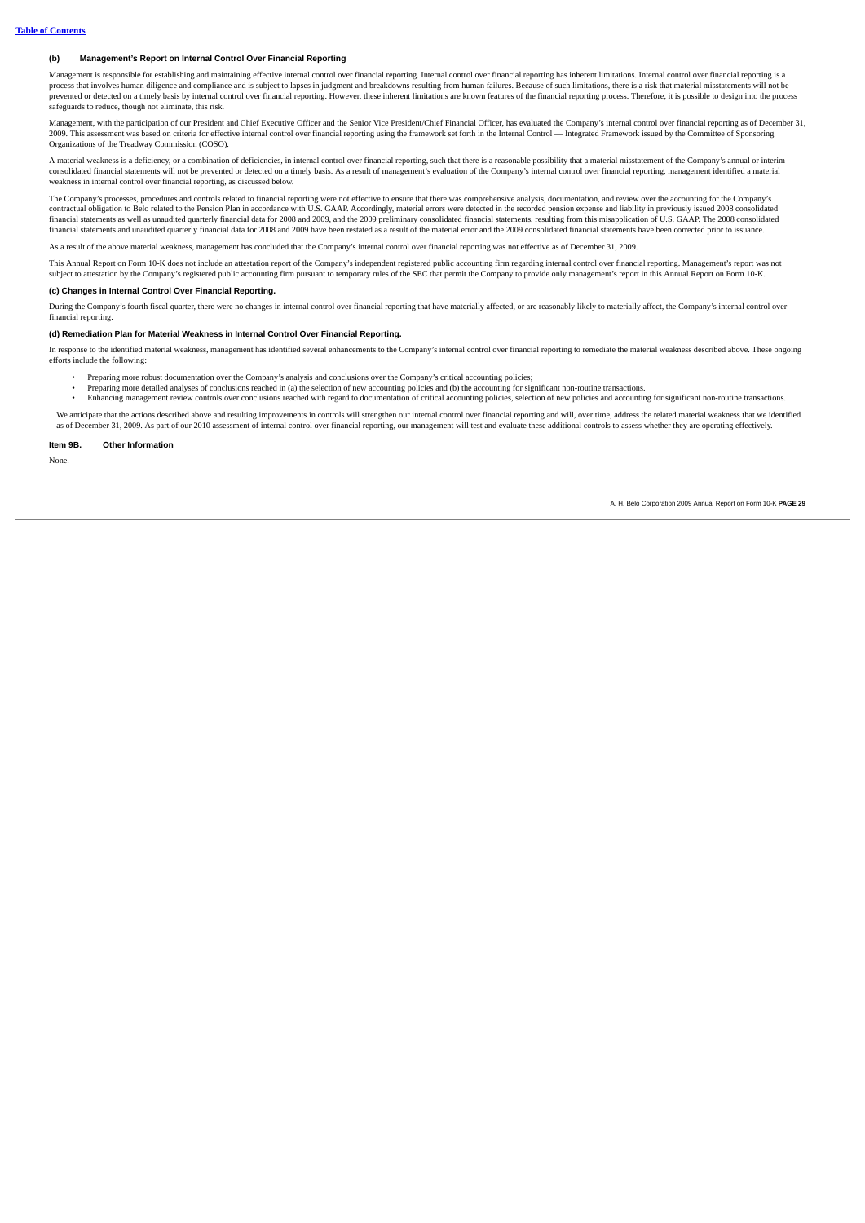### **(b) Management's Report on Internal Control Over Financial Reporting**

Management is responsible for establishing and maintaining effective intemal control over financial reporting control over financial reporting has inherent limitations. Internal control over financial reporting is a<br>proces prevented or detected on a timely basis by internal control over financial reporting. However, these inherent limitations are known features of the financial reporting process. Therefore, it is possible to design into the safeguards to reduce, though not eliminate, this risk.

Management, with the participation of our President and Chief Executive Officer and the Senior Vice President/Chief Financial Officer, has evaluated the Company's internal control over financial reporting as of December 31, 2009. This assessment was based on criteria for effective internal control over financial reporting using the framework set forth in the Internal Control — Integrated Framework issued by the Committee of Sponsoring Organizations of the Treadway Commission (COSO).

A material weakness is a deficiency, or a combination of deficiencies, in internal control over financial reporting, such that there is a reasonable possibility that a material misstatement of the Company's annual or inter consolidated financial statements will not be prevented or detected on a timely basis. As a result of management's evaluation of the Company's internal control over financial reporting, management identified a material weakness in internal control over financial reporting, as discussed below.

The Company's processes, procedures and controls related to financial reporting were not effective to ensure that there was comprehensive analysis, documentation, and review over the accounting for the Company's<br>contractua financial statements as well as unaudited quarterly financial data for 2008 and 2009, and the 2009 preliminary consolidated financial statements, resulting from this misapplication of U.S. GAAP. The 2008 consolidated financial statements and unaudited quarterly financial data for 2008 and 2009 have been restated as a result of the material error and the 2009 consolidated financial statements have been corrected prior to issuance.

As a result of the above material weakness, management has concluded that the Company's internal control over financial reporting was not effective as of December 31, 2009.

This Annual Report on Form 10-K does not include an attestation report of the Company's independent registered public accounting firm regarding internal control over financial reporting. Management's report was not<br>subject

### **(c) Changes in Internal Control Over Financial Reporting.**

During the Company's fourth fiscal quarter, there were no changes in internal control over financial reporting that have materially affected, or are reasonably likely to materially affect, the Company's internal control over financial reporting.

## **(d) Remediation Plan for Material Weakness in Internal Control Over Financial Reporting.**

In response to the identified material weakness, management has identified several enhancements to the Company's internal control over financial reporting to remediate the material weakness described above. These ongoing efforts include the following:

- Preparing more robust documentation over the Company's analysis and conclusions over the Company's critical accounting policies;
- Preparing more detailed analyses of conclusions reached in (a) the selection of new accounting policies and (b) the accounting for significant non-routine transactions.
- Enhancing management review controls over conclusions reached with regard to documentation of critical accounting policies, selection of new policies and accounting for significant non-routine transactions.

We anticipate that the actions described above and resulting improvements in controls will strengthen our internal control over financial reporting and will, over time, address the related material weakness that we identif As of December 31, 2009. As part of our 2010 assessment of internal control over financial reporting, our management will test and evaluate these additional controls to assess whether they are operating effectively.

#### <span id="page-29-0"></span>**Item 9B. Other Information**

None.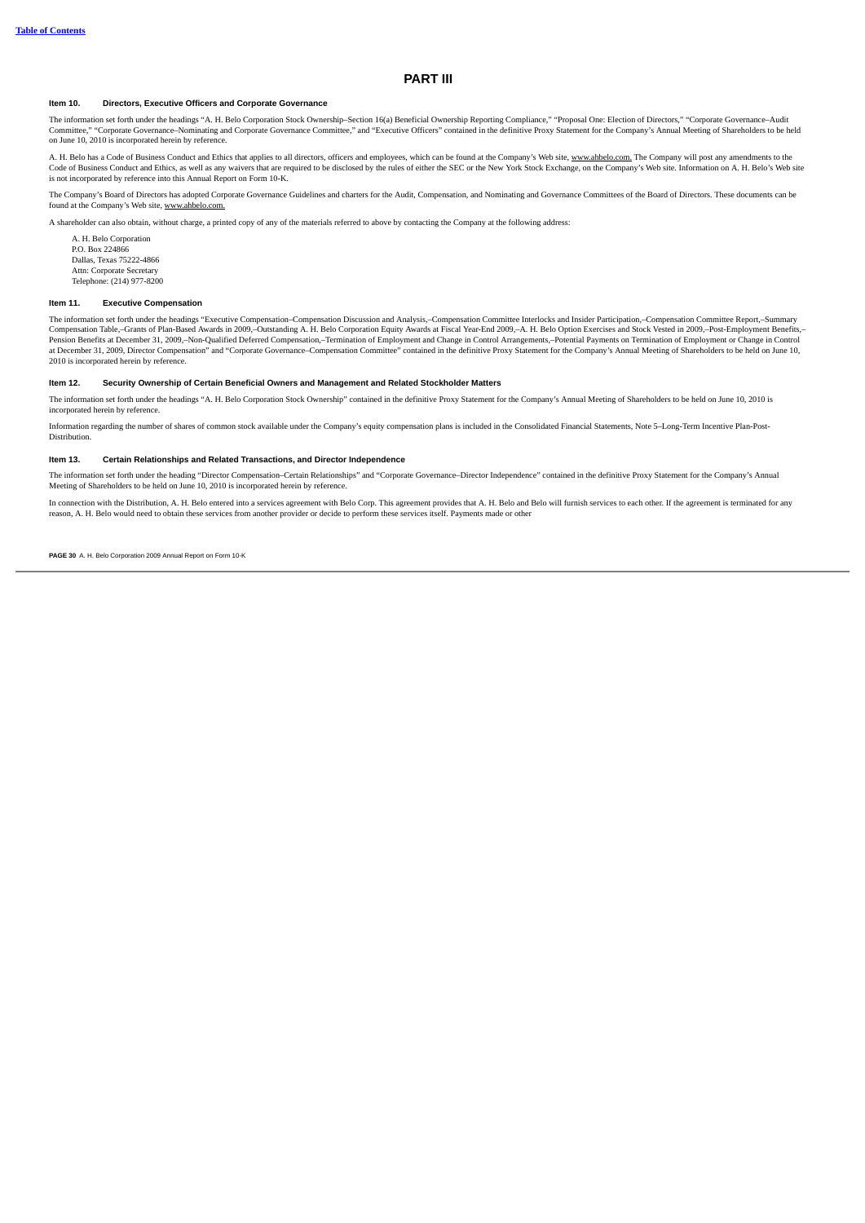## **PART III**

#### <span id="page-30-1"></span><span id="page-30-0"></span>**Item 10. Directors, Executive Officers and Corporate Governance**

The information set forth under the headings "A. H. Belo Corporation Stock Ownership-Section 16(a) Beneficial Ownership Reporting Compliance," "Proposal One: Election of Directors," "Corporate Governance–Audit<br>Committee," on June 10, 2010 is incorporated herein by reference.

A. H. Belo has a Code of Business Conduct and Ethics that applies to all directors, officers and employees, which can be found at the Company's Web site, <u>www.ahbelo.com.</u> The Company will post any amendments to the<br>Code o is not incorporated by reference into this Annual Report on Form 10-K.

The Company's Board of Directors has adopted Corporate Governance Guidelines and charters for the Audit, Compensation, and Nominating and Governance Committees of the Board of Directors. These documents can be found at the Company's Web site, www.ahbelo.com.

A shareholder can also obtain, without charge, a printed copy of any of the materials referred to above by contacting the Company at the following address:

A. H. Belo Corporation P.O. Box 224866 Dallas, Texas 75222-4866 Attn: Corporate Secretary Telephone: (214) 977-8200

#### <span id="page-30-2"></span>**Item 11. Executive Compensation**

The information set forth under the headings "Executive Compensation–Compensation Discussion and Analysis,–Compensation Committee Interlocks and Insider Participation,–Compensation Committee Report,–Summary Compensation Table,–Grants of Plan-Based Awards in 2009,–Outstanding A. H. Belo Corporation Equity Awards at Fiscal Year-End 2009,–A. H. Belo Option Exercises and Stock Vested in 2009,–Post-Employment Benefits,– Pension Benefits at December 31, 2009,–Non-Qualified Deferred Compensation,–Termination of Employment and Change in Control Arrangements,–Potential Payments on Termination of Employment or Change in Control at December 31, 2009, Director Compensation" and "Corporate Governance–Compensation Committee" contained in the definitive Proxy Statement for the Company's Annual Meeting of Shareholders to be held on June 10, 2010 is incorporated herein by reference.

## <span id="page-30-3"></span>**Item 12. Security Ownership of Certain Beneficial Owners and Management and Related Stockholder Matters**

The information set forth under the headings "A. H. Belo Corporation Stock Ownership" contained in the definitive Proxy Statement for the Company's Annual Meeting of Shareholders to be held on June 10, 2010 is incorporated herein by reference.

Information regarding the number of shares of common stock available under the Company's equity compensation plans is included in the Consolidated Financial Statements, Note 5–Long-Term Incentive Plan-Post-Distribution.

## <span id="page-30-4"></span>**Item 13. Certain Relationships and Related Transactions, and Director Independence**

The information set forth under the heading "Director Compensation–Certain Relationships" and "Corporate Governance–Director Independence" contained in the definitive Proxy Statement for the Company's Annual Meeting of Shareholders to be held on June 10, 2010 is incorporated herein by reference.

In connection with the Distribution, A. H. Belo entered into a services agreement with Belo Corp. This agreement provides that A. H. Belo and Belo will furnish services to each other. If the agreement is terminated for any reason, A. H. Belo would need to obtain these services from another provider or decide to perform these services itself. Payments made or other

**PAGE 30** A. H. Belo Corporation 2009 Annual Report on Form 10-K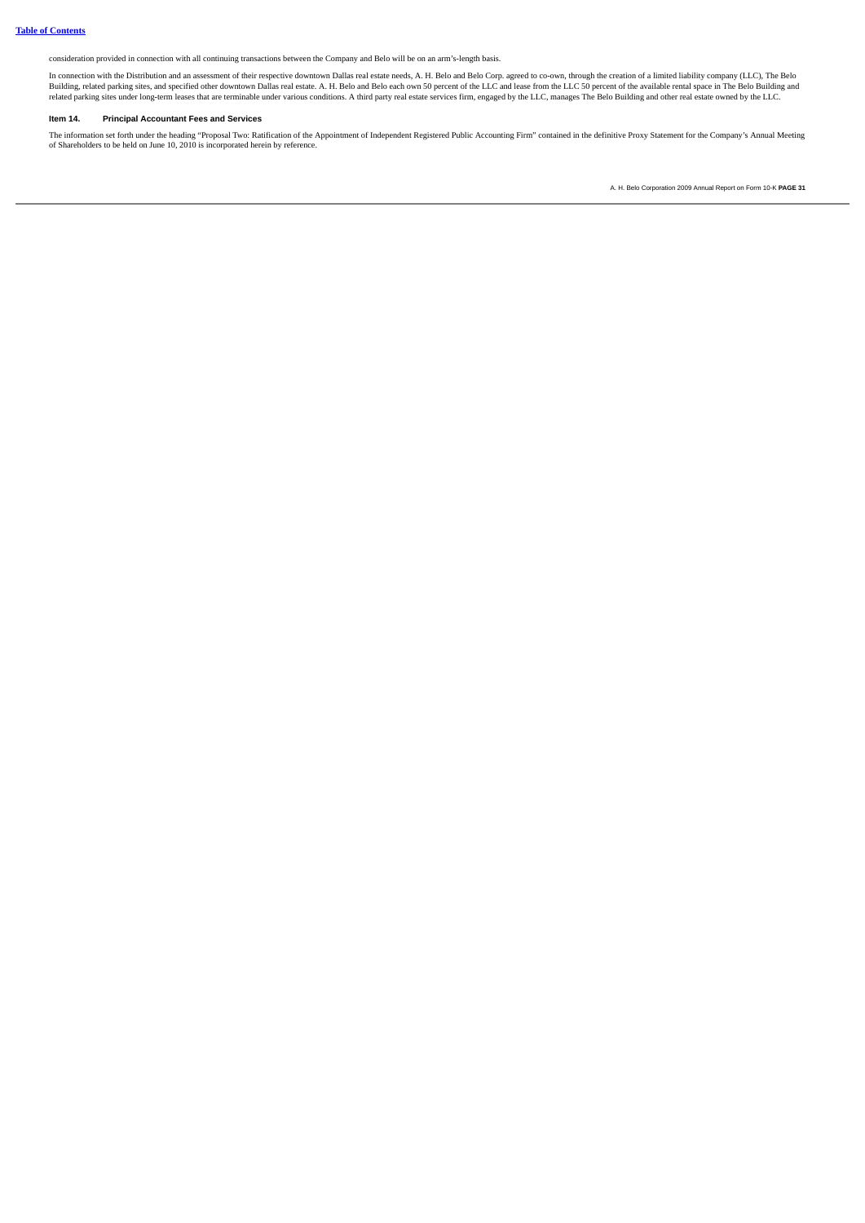consideration provided in connection with all continuing transactions between the Company and Belo will be on an arm's-length basis.

In connection with the Distribution and an assessment of their respective downtown Dallas real estate needs, A. H. Belo and Belo Corp. agreed to co-own, through the creation of a limited liability company (LLC), The Belo<br>B

## <span id="page-31-0"></span>**Item 14. Principal Accountant Fees and Services**

The information set forth under the heading "Proposal Two: Ratification of the Appointment of Independent Registered Public Accounting Firm" contained in the definitive Proxy Statement for the Company's Annual Meeting<br>of S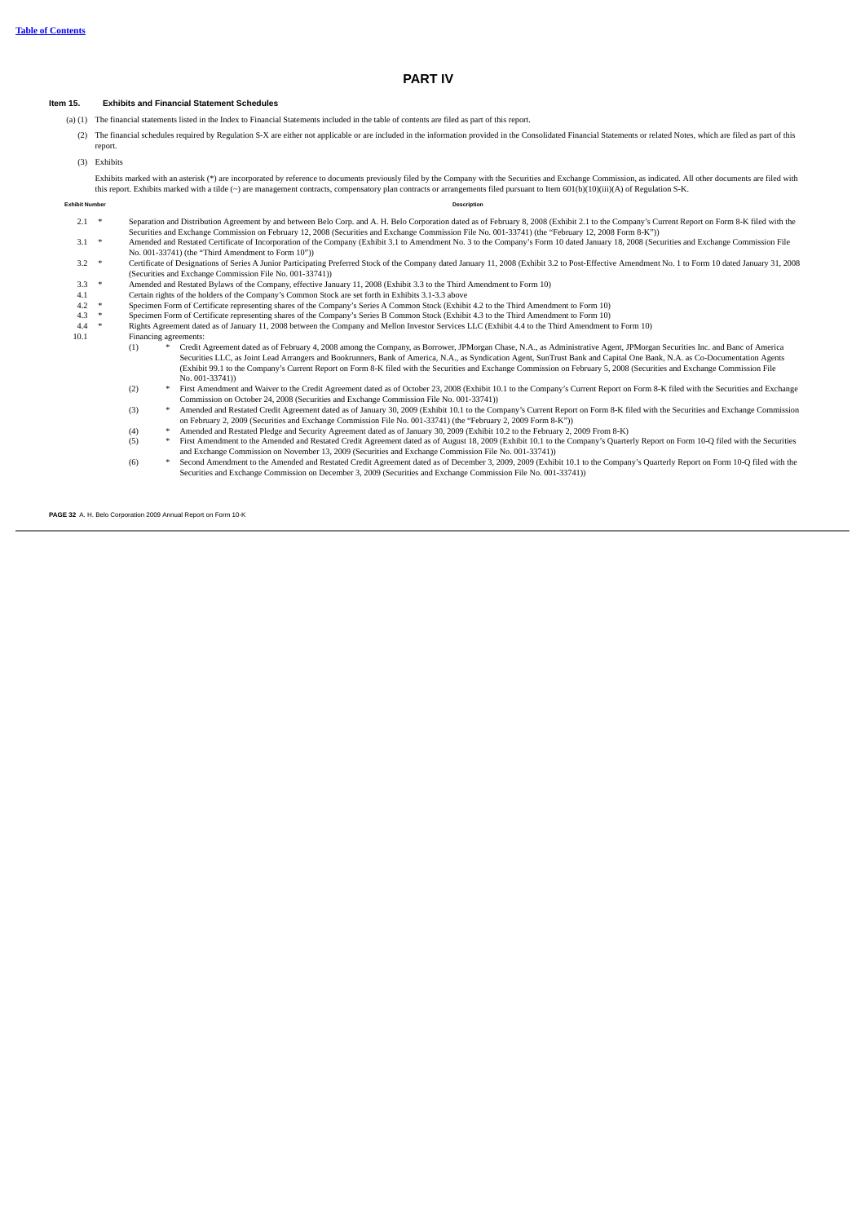## **PART IV**

## <span id="page-32-0"></span>**Item 15. Exhibits and Financial Statement Schedules**

- <span id="page-32-1"></span>(a) (1) The financial statements listed in the Index to Financial Statements included in the table of contents are filed as part of this report.
- (2) The financial schedules required by Regulation S-X are either not applicable or are included in the information provided in the Consolidated Financial Statements or related Notes, which are filed as part of this report.

(3) Exhibits

Exhibits marked with an asterisk (\*) are incorporated by reference to documents previously filed by the Company with the Securities and Exchange Commission, as indicated. All other documents are filed with<br>this report. Exh

|         | <b>Exhibit Number</b> |                                                                                                                                                                                                                                                                                                                                                        | <b>Description</b>                                                                                                                                                                                                                                                                                                                                                                                                                                                                                                                                         |  |  |  |  |  |  |
|---------|-----------------------|--------------------------------------------------------------------------------------------------------------------------------------------------------------------------------------------------------------------------------------------------------------------------------------------------------------------------------------------------------|------------------------------------------------------------------------------------------------------------------------------------------------------------------------------------------------------------------------------------------------------------------------------------------------------------------------------------------------------------------------------------------------------------------------------------------------------------------------------------------------------------------------------------------------------------|--|--|--|--|--|--|
| $2.1$ * |                       | Separation and Distribution Agreement by and between Belo Corp. and A. H. Belo Corporation dated as of February 8, 2008 (Exhibit 2.1 to the Company's Current Report on Form 8-K filed with the<br>Securities and Exchange Commission on February 12, 2008 (Securities and Exchange Commission File No. 001-33741) (the "February 12, 2008 Form 8-K")) |                                                                                                                                                                                                                                                                                                                                                                                                                                                                                                                                                            |  |  |  |  |  |  |
| $3.1$ * |                       | Amended and Restated Certificate of Incorporation of the Company (Exhibit 3.1 to Amendment No. 3 to the Company's Form 10 dated January 18, 2008 (Securities and Exchange Commission File<br>No. 001-33741) (the "Third Amendment to Form 10"))                                                                                                        |                                                                                                                                                                                                                                                                                                                                                                                                                                                                                                                                                            |  |  |  |  |  |  |
| $3.2$ * |                       | Certificate of Designations of Series A Junior Participating Preferred Stock of the Company dated January 11, 2008 (Exhibit 3.2 to Post-Effective Amendment No. 1 to Form 10 dated January 31, 2008<br>(Securities and Exchange Commission File No. 001-33741))                                                                                        |                                                                                                                                                                                                                                                                                                                                                                                                                                                                                                                                                            |  |  |  |  |  |  |
| 3.3     | $\ast$                | Amended and Restated Bylaws of the Company, effective January 11, 2008 (Exhibit 3.3 to the Third Amendment to Form 10)                                                                                                                                                                                                                                 |                                                                                                                                                                                                                                                                                                                                                                                                                                                                                                                                                            |  |  |  |  |  |  |
| 4.1     |                       | Certain rights of the holders of the Company's Common Stock are set forth in Exhibits 3.1-3.3 above                                                                                                                                                                                                                                                    |                                                                                                                                                                                                                                                                                                                                                                                                                                                                                                                                                            |  |  |  |  |  |  |
| 4.2     | $\ast$                | Specimen Form of Certificate representing shares of the Company's Series A Common Stock (Exhibit 4.2 to the Third Amendment to Form 10)                                                                                                                                                                                                                |                                                                                                                                                                                                                                                                                                                                                                                                                                                                                                                                                            |  |  |  |  |  |  |
| 4.3     | $\ast$                | Specimen Form of Certificate representing shares of the Company's Series B Common Stock (Exhibit 4.3 to the Third Amendment to Form 10)                                                                                                                                                                                                                |                                                                                                                                                                                                                                                                                                                                                                                                                                                                                                                                                            |  |  |  |  |  |  |
| 4.4     | $\ast$                | Rights Agreement dated as of January 11, 2008 between the Company and Mellon Investor Services LLC (Exhibit 4.4 to the Third Amendment to Form 10)                                                                                                                                                                                                     |                                                                                                                                                                                                                                                                                                                                                                                                                                                                                                                                                            |  |  |  |  |  |  |
| 10.1    |                       | Financing agreements:                                                                                                                                                                                                                                                                                                                                  |                                                                                                                                                                                                                                                                                                                                                                                                                                                                                                                                                            |  |  |  |  |  |  |
|         |                       | (1)                                                                                                                                                                                                                                                                                                                                                    | Credit Agreement dated as of February 4, 2008 among the Company, as Borrower, JPMorgan Chase, N.A., as Administrative Agent, JPMorgan Securities Inc. and Banc of America<br>*<br>Securities LLC, as Joint Lead Arrangers and Bookrunners, Bank of America, N.A., as Syndication Agent, SunTrust Bank and Capital One Bank, N.A. as Co-Documentation Agents<br>(Exhibit 99.1 to the Company's Current Report on Form 8-K filed with the Securities and Exchange Commission on February 5, 2008 (Securities and Exchange Commission File<br>No. 001-33741)) |  |  |  |  |  |  |
|         |                       | (2)                                                                                                                                                                                                                                                                                                                                                    | First Amendment and Waiver to the Credit Agreement dated as of October 23, 2008 (Exhibit 10.1 to the Company's Current Report on Form 8-K filed with the Securities and Exchange<br>$*$<br>Commission on October 24, 2008 (Securities and Exchange Commission File No. 001-33741))                                                                                                                                                                                                                                                                         |  |  |  |  |  |  |
|         |                       | (3)                                                                                                                                                                                                                                                                                                                                                    | Amended and Restated Credit Agreement dated as of January 30, 2009 (Exhibit 10.1 to the Company's Current Report on Form 8-K filed with the Securities and Exchange Commission<br>∗<br>on February 2, 2009 (Securities and Exchange Commission File No. 001-33741) (the "February 2, 2009 Form 8-K"))                                                                                                                                                                                                                                                      |  |  |  |  |  |  |
|         |                       | (4)                                                                                                                                                                                                                                                                                                                                                    | Amended and Restated Pledge and Security Agreement dated as of January 30, 2009 (Exhibit 10.2 to the February 2, 2009 From 8-K)<br>*                                                                                                                                                                                                                                                                                                                                                                                                                       |  |  |  |  |  |  |
|         |                       | (5)                                                                                                                                                                                                                                                                                                                                                    | First Amendment to the Amended and Restated Credit Agreement dated as of August 18, 2009 (Exhibit 10.1 to the Company's Quarterly Report on Form 10-Q filed with the Securities<br>*<br>and Exchange Commission on November 13, 2009 (Securities and Exchange Commission File No. 001-33741))                                                                                                                                                                                                                                                              |  |  |  |  |  |  |
|         |                       | (6)                                                                                                                                                                                                                                                                                                                                                    | Second Amendment to the Amended and Restated Credit Agreement dated as of December 3, 2009, 2009 (Exhibit 10.1 to the Company's Quarterly Report on Form 10-Q filed with the<br>*<br>Securities and Exchange Commission on December 3, 2009 (Securities and Exchange Commission File No. 001-33741))                                                                                                                                                                                                                                                       |  |  |  |  |  |  |

**PAGE 32** A. H. Belo Corporation 2009 Annual Report on Form 10-K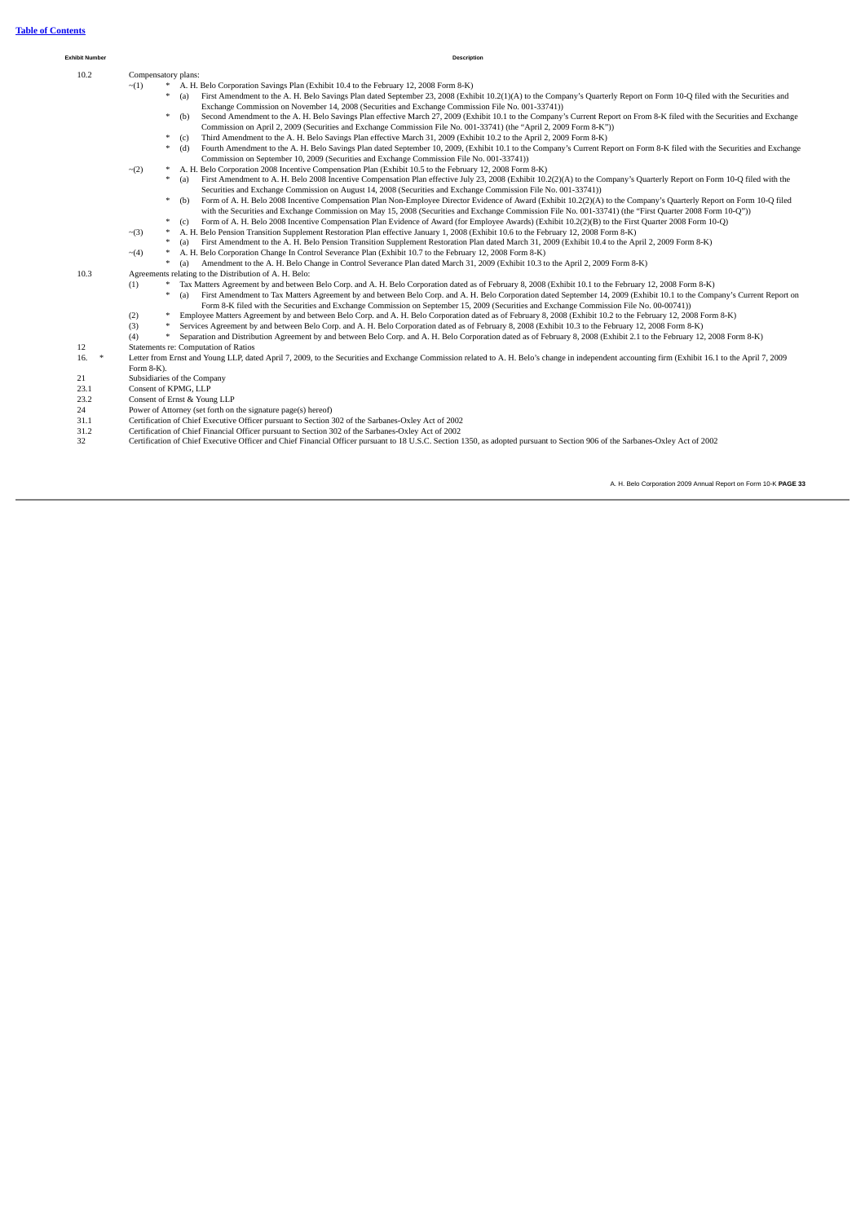## **Table of [Contents](#page-2-0)**

| <b>Exhibit Number</b> | <b>Description</b>                                                                                                                                                                               |  |  |
|-----------------------|--------------------------------------------------------------------------------------------------------------------------------------------------------------------------------------------------|--|--|
| 10.2                  | Compensatory plans:                                                                                                                                                                              |  |  |
|                       | A. H. Belo Corporation Savings Plan (Exhibit 10.4 to the February 12, 2008 Form 8-K)<br>$\sim$ (1)<br>*                                                                                          |  |  |
|                       | First Amendment to the A. H. Belo Savings Plan dated September 23, 2008 (Exhibit 10.2(1)(A) to the Company's Quarterly Report on Form 10-Q filed with the Securities and<br>$\ast$<br>(a)        |  |  |
|                       | Exchange Commission on November 14, 2008 (Securities and Exchange Commission File No. 001-33741))                                                                                                |  |  |
|                       | Second Amendment to the A. H. Belo Savings Plan effective March 27, 2009 (Exhibit 10.1 to the Company's Current Report on From 8-K filed with the Securities and Exchange<br>$*$<br>(b)          |  |  |
|                       | Commission on April 2, 2009 (Securities and Exchange Commission File No. 001-33741) (the "April 2, 2009 Form 8-K"))                                                                              |  |  |
|                       | Third Amendment to the A. H. Belo Savings Plan effective March 31, 2009 (Exhibit 10.2 to the April 2, 2009 Form 8-K)<br>$\ast$<br>(c)                                                            |  |  |
|                       | Fourth Amendment to the A. H. Belo Savings Plan dated September 10, 2009, (Exhibit 10.1 to the Company's Current Report on Form 8-K filed with the Securities and Exchange<br>$*$<br>(d)         |  |  |
|                       | Commission on September 10, 2009 (Securities and Exchange Commission File No. 001-33741))                                                                                                        |  |  |
|                       | A. H. Belo Corporation 2008 Incentive Compensation Plan (Exhibit 10.5 to the February 12, 2008 Form 8-K)<br>$\sim$ (2)                                                                           |  |  |
|                       | First Amendment to A. H. Belo 2008 Incentive Compensation Plan effective July 23, 2008 (Exhibit 10.2(2)(A) to the Company's Quarterly Report on Form 10-Q filed with the<br>$\ast$<br>(a)        |  |  |
|                       | Securities and Exchange Commission on August 14, 2008 (Securities and Exchange Commission File No. 001-33741))                                                                                   |  |  |
|                       | Form of A. H. Belo 2008 Incentive Compensation Plan Non-Employee Director Evidence of Award (Exhibit 10.2(2)(A) to the Company's Quarterly Report on Form 10-Q filed<br>$\ast$<br>(b)            |  |  |
|                       | with the Securities and Exchange Commission on May 15, 2008 (Securities and Exchange Commission File No. 001-33741) (the "First Quarter 2008 Form 10-Q"))                                        |  |  |
|                       | Form of A. H. Belo 2008 Incentive Compensation Plan Evidence of Award (for Employee Awards) (Exhibit 10.2(2)(B) to the First Quarter 2008 Form 10-Q)<br>$\ast$<br>(c)                            |  |  |
|                       | A. H. Belo Pension Transition Supplement Restoration Plan effective January 1, 2008 (Exhibit 10.6 to the February 12, 2008 Form 8-K)<br>$\sim$ (3)                                               |  |  |
|                       | First Amendment to the A. H. Belo Pension Transition Supplement Restoration Plan dated March 31, 2009 (Exhibit 10.4 to the April 2, 2009 Form 8-K)<br>*<br>(a)                                   |  |  |
|                       | A. H. Belo Corporation Change In Control Severance Plan (Exhibit 10.7 to the February 12, 2008 Form 8-K)<br>$\sim$ (4)                                                                           |  |  |
|                       | Amendment to the A. H. Belo Change in Control Severance Plan dated March 31, 2009 (Exhibit 10.3 to the April 2, 2009 Form 8-K)<br>$\ast$<br>(a)                                                  |  |  |
| 10.3                  | Agreements relating to the Distribution of A. H. Belo:                                                                                                                                           |  |  |
|                       | Tax Matters Agreement by and between Belo Corp. and A. H. Belo Corporation dated as of February 8, 2008 (Exhibit 10.1 to the February 12, 2008 Form 8-K)<br>(1)                                  |  |  |
|                       | First Amendment to Tax Matters Agreement by and between Belo Corp. and A. H. Belo Corporation dated September 14, 2009 (Exhibit 10.1 to the Company's Current Report on<br>$\ast$<br>(a)         |  |  |
|                       | Form 8-K filed with the Securities and Exchange Commission on September 15, 2009 (Securities and Exchange Commission File No. 00-00741))                                                         |  |  |
|                       | Employee Matters Agreement by and between Belo Corp. and A. H. Belo Corporation dated as of February 8, 2008 (Exhibit 10.2 to the February 12, 2008 Form 8-K)<br>(2)<br>$\ast$<br>$\ast$         |  |  |
|                       | Services Agreement by and between Belo Corp. and A. H. Belo Corporation dated as of February 8, 2008 (Exhibit 10.3 to the February 12, 2008 Form 8-K)<br>(3)<br>$\ast$                           |  |  |
|                       | Separation and Distribution Agreement by and between Belo Corp. and A. H. Belo Corporation dated as of February 8, 2008 (Exhibit 2.1 to the February 12, 2008 Form 8-K)<br>(4)                   |  |  |
| 12<br>16.<br>$\ast$   | Statements re: Computation of Ratios                                                                                                                                                             |  |  |
|                       | Letter from Ernst and Young LLP, dated April 7, 2009, to the Securities and Exchange Commission related to A. H. Belo's change in independent accounting firm (Exhibit 16.1 to the April 7, 2009 |  |  |
| 21                    | Form $8-K$ ).<br>Subsidiaries of the Company                                                                                                                                                     |  |  |
| 23.1                  | Consent of KPMG, LLP                                                                                                                                                                             |  |  |
| 23.2                  | Consent of Ernst & Young LLP                                                                                                                                                                     |  |  |
| 24                    | Power of Attorney (set forth on the signature page(s) hereof)                                                                                                                                    |  |  |
| 31.1                  | Certification of Chief Executive Officer pursuant to Section 302 of the Sarbanes-Oxley Act of 2002                                                                                               |  |  |
| 31.2                  | Certification of Chief Financial Officer pursuant to Section 302 of the Sarbanes-Oxley Act of 2002                                                                                               |  |  |
| 32                    | Certification of Chief Executive Officer and Chief Financial Officer pursuant to 18 U.S.C. Section 1350, as adopted pursuant to Section 906 of the Sarbanes-Oxley Act of 2002                    |  |  |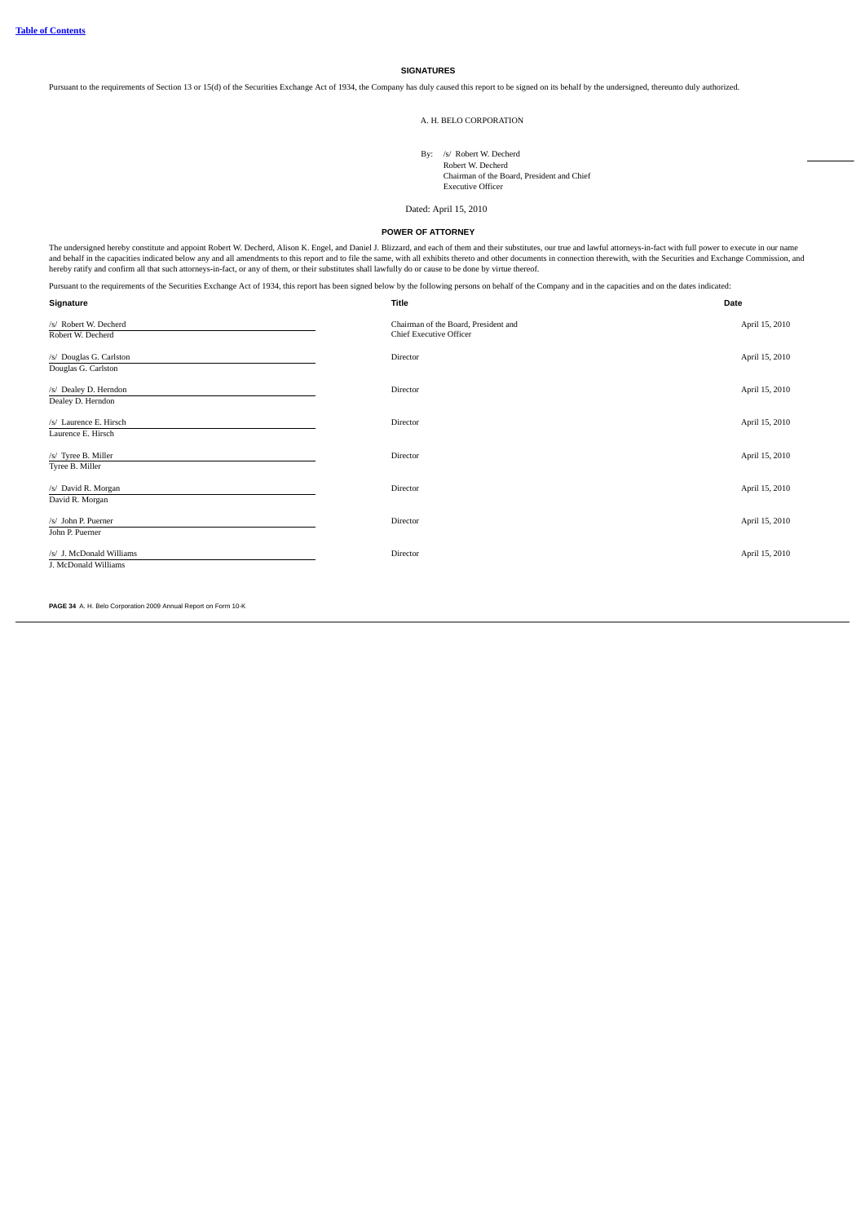**SIGNATURES**

<span id="page-34-0"></span>Pursuant to the requirements of Section 13 or 15(d) of the Securities Exchange Act of 1934, the Company has duly caused this report to be signed on its behalf by the undersigned, thereunto duly authorized.

A. H. BELO CORPORATION

By: /s/ Robert W. Decherd

Robert W. Decherd

Chairman of the Board, President and Chief Executive Officer

Dated: April 15, 2010

## **POWER OF ATTORNEY**

The undersigned hereby constitute and appoint Robert W. Decherd, Alison K. Engel, and Daniel J. Blizzard, and each of them and their substitutes, our true and lawful attorneys-in-fact with full power to execute in our name

Pursuant to the requirements of the Securities Exchange Act of 1934, this report has been signed below by the following persons on behalf of the Company and in the capacities and on the dates indicated:

| Signature                                        | <b>Title</b>                                                    | Date           |
|--------------------------------------------------|-----------------------------------------------------------------|----------------|
| /s/ Robert W. Decherd<br>Robert W. Decherd       | Chairman of the Board, President and<br>Chief Executive Officer | April 15, 2010 |
| /s/ Douglas G. Carlston<br>Douglas G. Carlston   | Director                                                        | April 15, 2010 |
| /s/ Dealey D. Herndon<br>Dealey D. Herndon       | Director                                                        | April 15, 2010 |
| /s/ Laurence E. Hirsch<br>Laurence E. Hirsch     | Director                                                        | April 15, 2010 |
| /s/ Tyree B. Miller<br>Tyree B. Miller           | Director                                                        | April 15, 2010 |
| /s/ David R. Morgan<br>David R. Morgan           | Director                                                        | April 15, 2010 |
| /s/ John P. Puerner<br>John P. Puerner           | Director                                                        | April 15, 2010 |
| /s/ J. McDonald Williams<br>J. McDonald Williams | Director                                                        | April 15, 2010 |

**PAGE 34** A. H. Belo Corporation 2009 Annual Report on Form 10-K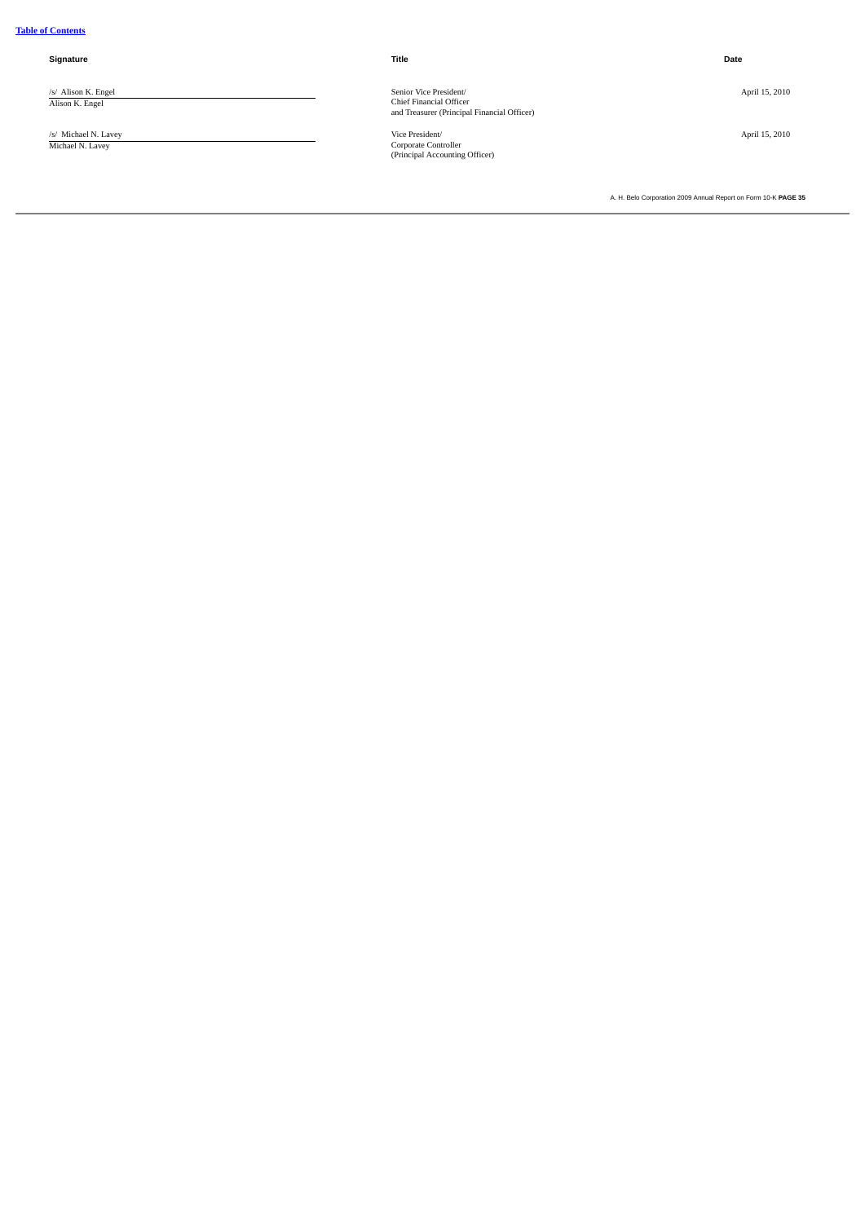# **Table of [Contents](#page-2-0)**

#### **Signature Title Date**

/s/ Alison K. Engel Alison K. Engel

/s/ Michael N. Lavey Michael N. Lavey

Senior Vice President/ Chief Financial Officer and Treasurer (Principal Financial Officer)

Vice President/ Corporate Controller (Principal Accounting Officer)

April 15, 2010

April 15, 2010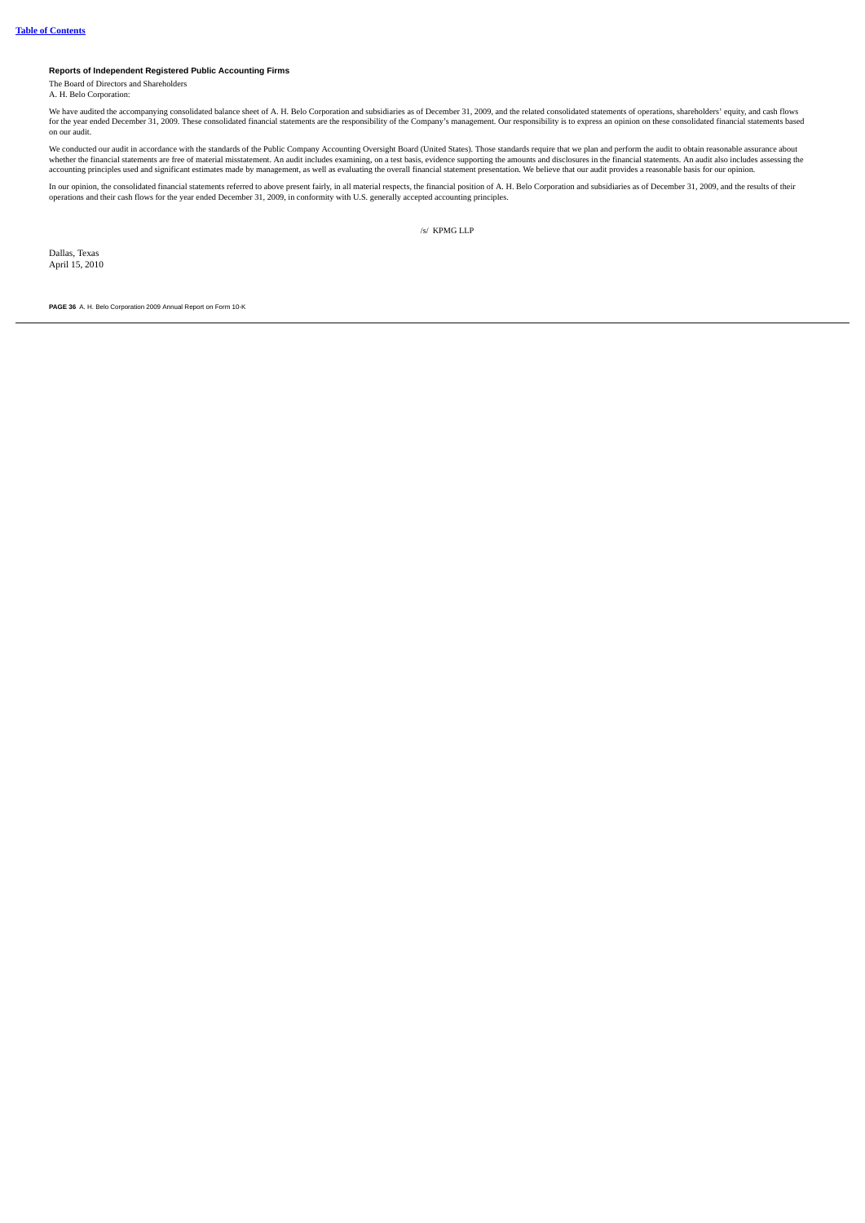### **Reports of Independent Registered Public Accounting Firms**

The Board of Directors and Shareholders A. H. Belo Corporation:

We have audited the accompanying consolidated balance sheet of A. H. Belo Corporation and subsidiaries as of December 31, 2009, and the related consolidated statements of operations, shareholders' equity, and cash flows<br>fo on our audit.

We conducted our audit in accordance with the standards of the Public Company Accounting Oversight Board (United States). Those standards require that we plan and perform the audit to obtain reasonable assurance about whether the financial statements are free of material misstatement. An audit includes examining, on a test basis, evidence supporting the amounts and disclosures in the financial statements. An audit also includes assessin

In our opinion, the consolidated financial statements referred to above present fairly, in all material respects, the financial position of A. H. Belo Corporation and subsidiaries as of December 31, 2009, and the results o operations and their cash flows for the year ended December 31, 2009, in conformity with U.S. generally accepted accounting principles.

/s/ KPMG LLP

Dallas, Texas April 15, 2010

**PAGE 36** A. H. Belo Corporation 2009 Annual Report on Form 10-K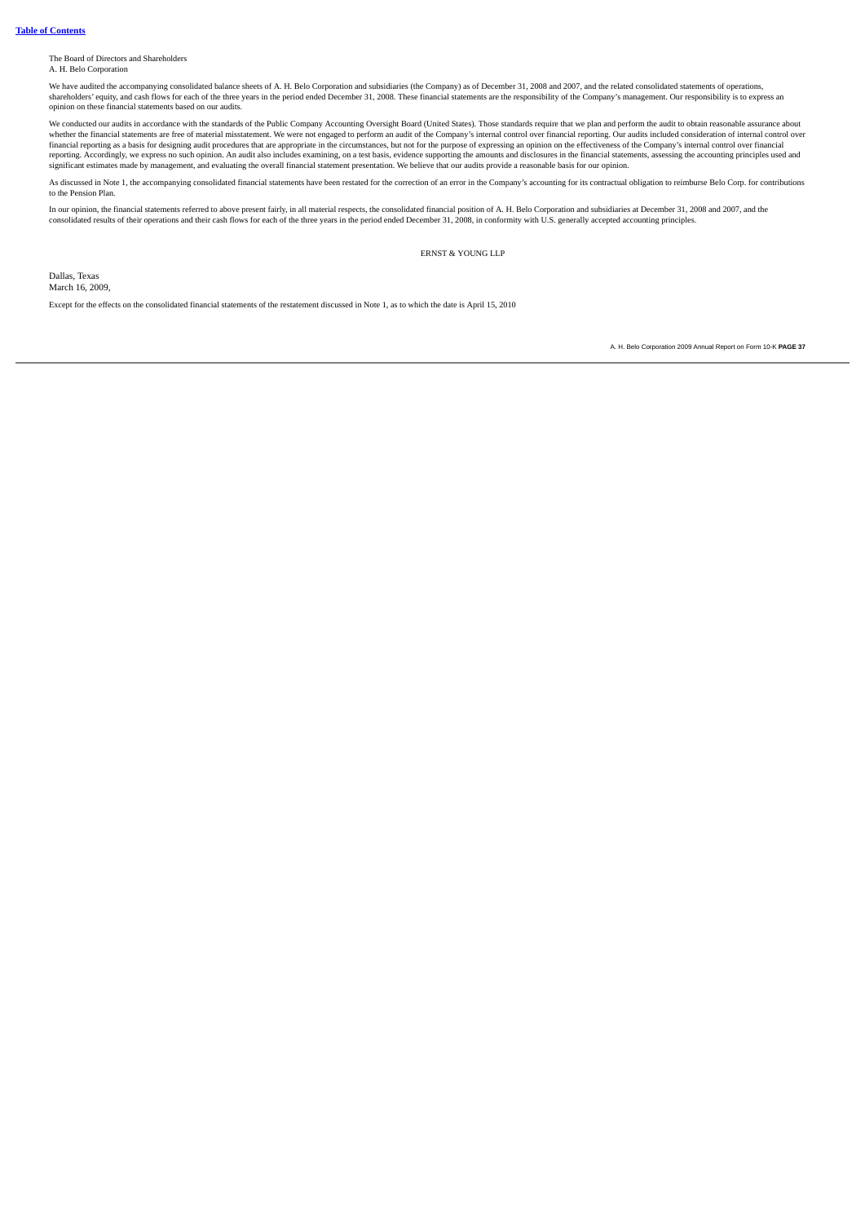The Board of Directors and Shareholders A. H. Belo Corporation

We have audited the accompanying consolidated balance sheets of A. H. Belo Corporation and subsidiaries (the Company) as of December 31, 2008 and 2007, and the related consolidated statements of operations, shareholders' equity, and cash flows for each of the three years in the period ended December 31, 2008. These financial statements are the responsibility of the Company's management. Our responsibility is to express an opinion on these financial statements based on our audits.

We conducted our audits in accordance with the standards of the Public Company Accounting Oversight Board (United States). Those standards require that we plan and perform the audit to obtain reasonable assurance about No consider the financial statements are free of material misstatement. We were not engaged to perform an audit of the Company's internal control over financial reporting. Our audits included consideration of internal cont financial reporting as a basis for designing audit procedures that are appropriate in the circumstances, but not for the purpose of expressing an opinion on the effectiveness of the Company's internal control over financia significant estimates made by management, and evaluating the overall financial statement presentation. We believe that our audits provide a reasonable basis for our opinion.

As discussed in Note 1, the accompanying consolidated financial statements have been restated for the correction of an error in the Company's accounting for its contractual obligation to reimburse Belo Corp. for contributi to the Pension Plan.

In our opinion, the financial statements referred to above present fairly, in all material respects, the consolidated financial position of A. H. Belo Corporation and subsidiaries at December 31, 2008 and 2007, and the consolidated results of their operations and their cash flows for each of the three years in the period ended December 31, 2008, in conformity with U.S. generally accepted accounting principles.

ERNST & YOUNG LLP

Dallas, Texas March 16, 2009,

Except for the effects on the consolidated financial statements of the restatement discussed in Note 1, as to which the date is April 15, 2010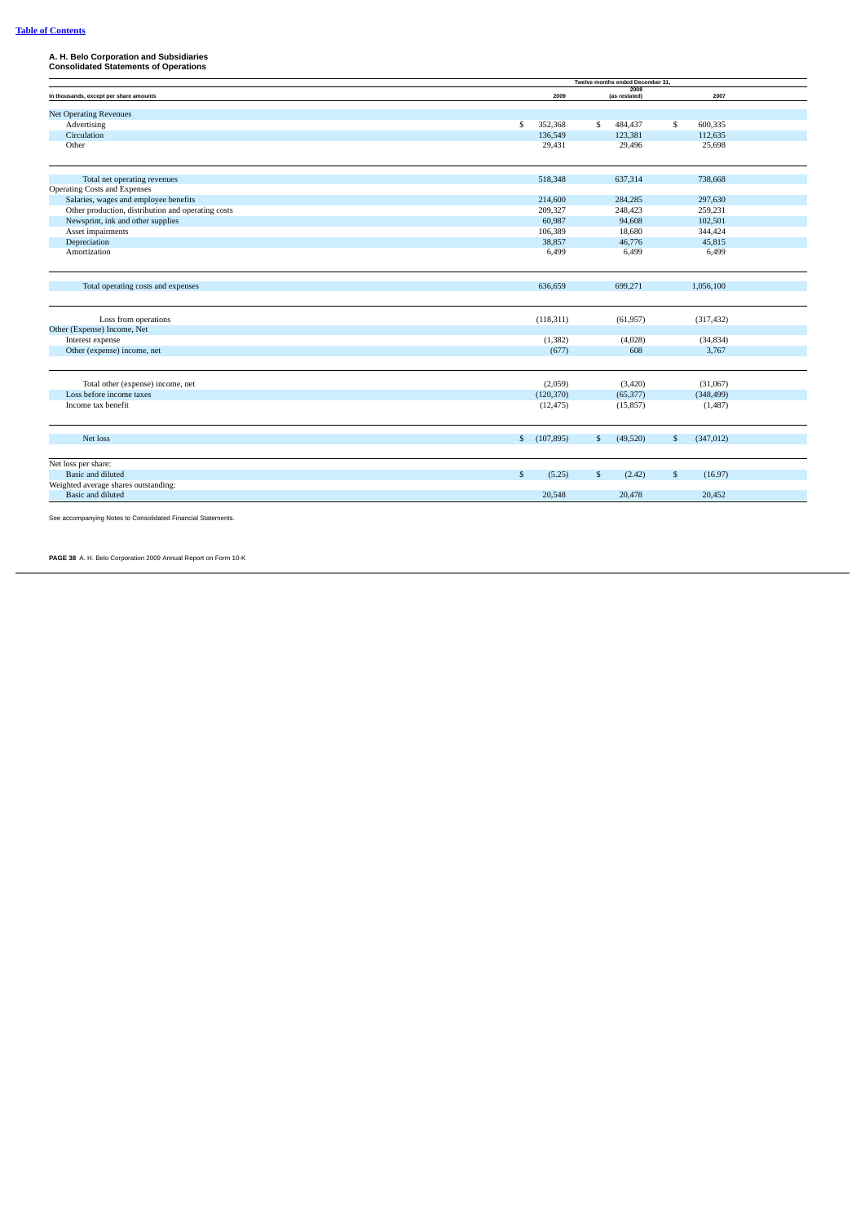# **A. H. Belo Corporation and Subsidiaries Consolidated Statements of Operations**

| Twelve months ended December 31,                   |    |            |              |           |                               |            |  |  |
|----------------------------------------------------|----|------------|--------------|-----------|-------------------------------|------------|--|--|
| In thousands, except per share amounts             |    | 2009       |              |           | 2008<br>2007<br>(as restated) |            |  |  |
| <b>Net Operating Revenues</b>                      |    |            |              |           |                               |            |  |  |
| Advertising                                        | \$ | 352,368    | s.           | 484,437   | \$                            | 600,335    |  |  |
| Circulation                                        |    | 136,549    |              | 123,381   |                               | 112,635    |  |  |
| Other                                              |    | 29,431     |              | 29,496    |                               | 25,698     |  |  |
| Total net operating revenues                       |    | 518,348    |              | 637,314   |                               | 738,668    |  |  |
| <b>Operating Costs and Expenses</b>                |    |            |              |           |                               |            |  |  |
| Salaries, wages and employee benefits              |    | 214,600    |              | 284,285   |                               | 297,630    |  |  |
| Other production, distribution and operating costs |    | 209,327    |              | 248,423   |                               | 259,231    |  |  |
| Newsprint, ink and other supplies                  |    | 60,987     |              | 94,608    |                               | 102,501    |  |  |
| Asset impairments                                  |    | 106,389    |              | 18,680    |                               | 344,424    |  |  |
| Depreciation                                       |    | 38,857     |              | 46,776    |                               | 45,815     |  |  |
| Amortization                                       |    | 6,499      |              | 6,499     |                               | 6,499      |  |  |
| Total operating costs and expenses                 |    | 636,659    |              | 699,271   |                               | 1,056,100  |  |  |
| Loss from operations                               |    | (118, 311) |              | (61, 957) |                               | (317, 432) |  |  |
| Other (Expense) Income, Net                        |    |            |              |           |                               |            |  |  |
| Interest expense                                   |    | (1, 382)   |              | (4,028)   |                               | (34, 834)  |  |  |
| Other (expense) income, net                        |    | (677)      |              | 608       |                               | 3,767      |  |  |
| Total other (expense) income, net                  |    | (2,059)    |              | (3, 420)  |                               | (31,067)   |  |  |
| Loss before income taxes                           |    | (120, 370) |              | (65, 377) |                               | (348, 499) |  |  |
| Income tax benefit                                 |    | (12, 475)  |              | (15, 857) |                               | (1,487)    |  |  |
| Net loss                                           | \$ | (107, 895) | $\mathbb{S}$ | (49,520)  | \$                            | (347, 012) |  |  |
| Net loss per share:                                |    |            |              |           |                               |            |  |  |
| <b>Basic and diluted</b>                           | \$ | (5.25)     | \$           | (2.42)    | \$                            | (16.97)    |  |  |
| Weighted average shares outstanding:               |    |            |              |           |                               |            |  |  |
| <b>Basic and diluted</b>                           |    | 20,548     |              | 20,478    |                               | 20,452     |  |  |

See accompanying Notes to Consolidated Financial Statements.

**PAGE 38** A. H. Belo Corporation 2009 Annual Report on Form 10-K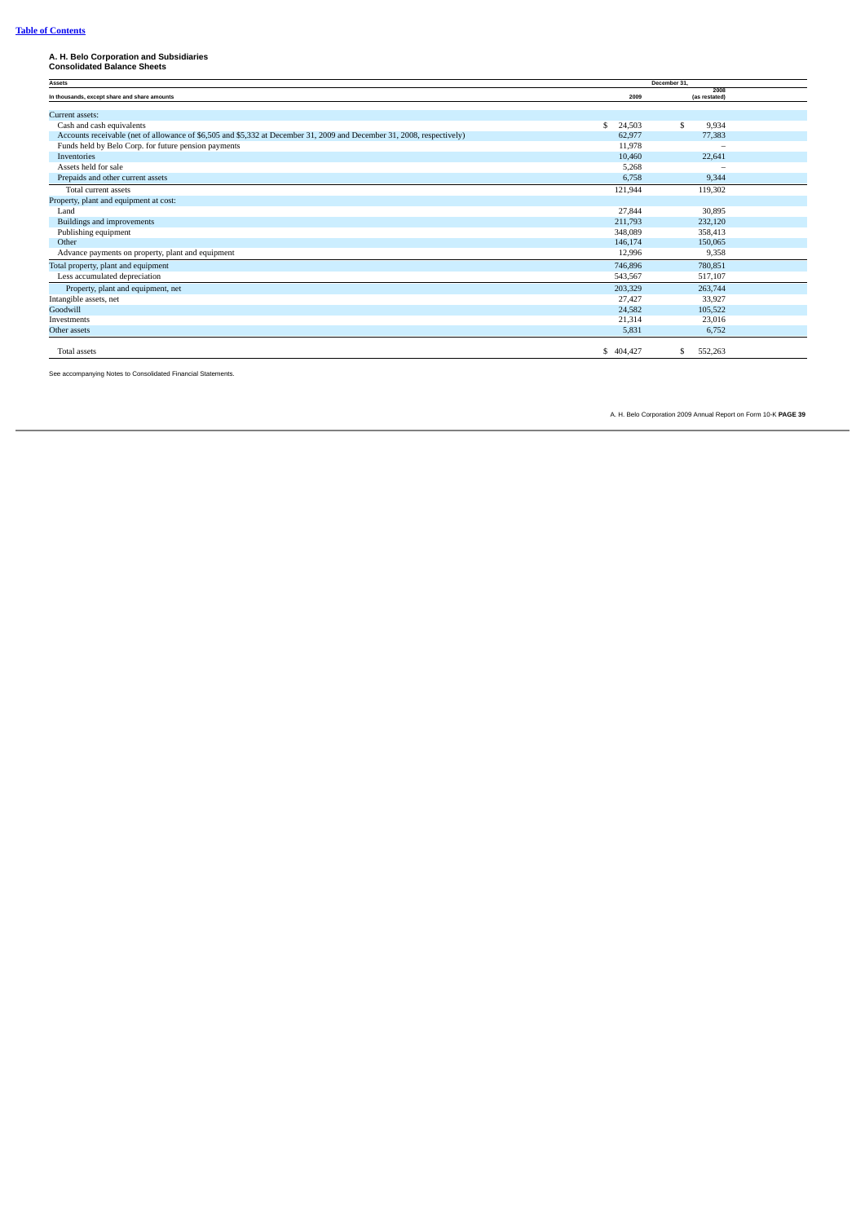# **A. H. Belo Corporation and Subsidiaries Consolidated Balance Sheets**

| Assets                                                                                                                 |           | December 31,          |  |
|------------------------------------------------------------------------------------------------------------------------|-----------|-----------------------|--|
| In thousands, except share and share amounts                                                                           | 2009      | 2008<br>(as restated) |  |
| Current assets:                                                                                                        |           |                       |  |
| Cash and cash equivalents                                                                                              | 24,503    | \$<br>9,934           |  |
| Accounts receivable (net of allowance of \$6,505 and \$5,332 at December 31, 2009 and December 31, 2008, respectively) | 62,977    | 77,383                |  |
| Funds held by Belo Corp. for future pension payments                                                                   | 11,978    |                       |  |
| Inventories                                                                                                            | 10,460    | 22,641                |  |
| Assets held for sale                                                                                                   | 5,268     |                       |  |
| Prepaids and other current assets                                                                                      | 6,758     | 9,344                 |  |
| Total current assets                                                                                                   | 121,944   | 119,302               |  |
| Property, plant and equipment at cost:                                                                                 |           |                       |  |
| Land                                                                                                                   | 27,844    | 30,895                |  |
| Buildings and improvements                                                                                             | 211,793   | 232,120               |  |
| Publishing equipment                                                                                                   | 348,089   | 358,413               |  |
| Other                                                                                                                  | 146,174   | 150,065               |  |
| Advance payments on property, plant and equipment                                                                      | 12,996    | 9,358                 |  |
| Total property, plant and equipment                                                                                    | 746,896   | 780,851               |  |
| Less accumulated depreciation                                                                                          | 543,567   | 517,107               |  |
| Property, plant and equipment, net                                                                                     | 203,329   | 263,744               |  |
| Intangible assets, net                                                                                                 | 27,427    | 33,927                |  |
| Goodwill                                                                                                               | 24,582    | 105,522               |  |
| Investments                                                                                                            | 21,314    | 23,016                |  |
| Other assets                                                                                                           | 5,831     | 6,752                 |  |
| Total assets                                                                                                           | \$404,427 | 552,263<br>\$         |  |

See accompanying Notes to Consolidated Financial Statements.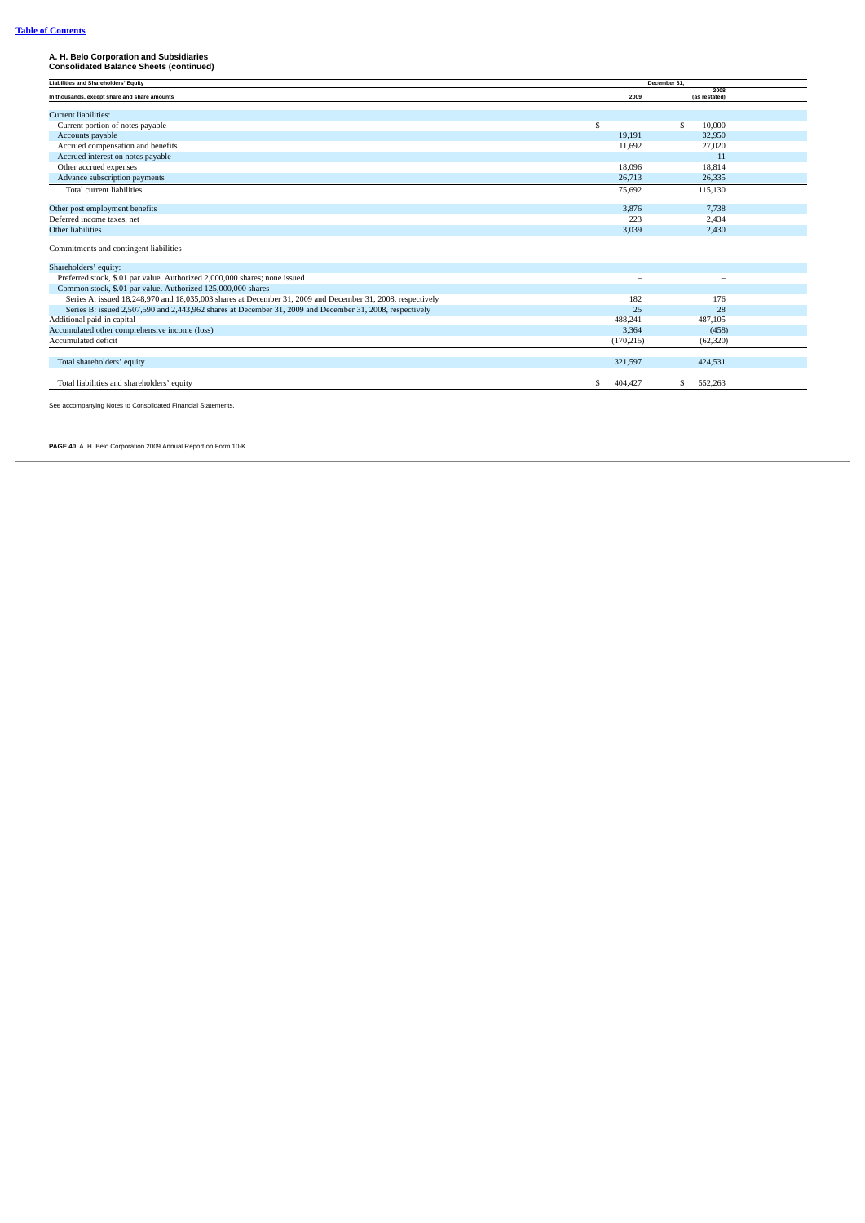# **Table of [Contents](#page-2-0)**

# **A. H. Belo Corporation and Subsidiaries Consolidated Balance Sheets (continued)**

| <b>Liabilities and Shareholders' Equity</b><br>December 31.                                                |                               |                          |     |           |  |
|------------------------------------------------------------------------------------------------------------|-------------------------------|--------------------------|-----|-----------|--|
| In thousands, except share and share amounts                                                               | 2008<br>2009<br>(as restated) |                          |     |           |  |
| <b>Current liabilities:</b>                                                                                |                               |                          |     |           |  |
| Current portion of notes payable                                                                           | Ŝ.                            | $\overline{\phantom{0}}$ | \$. | 10,000    |  |
| Accounts payable                                                                                           |                               | 19,191                   |     | 32,950    |  |
| Accrued compensation and benefits                                                                          |                               | 11,692                   |     | 27,020    |  |
| Accrued interest on notes payable                                                                          |                               |                          |     | 11        |  |
| Other accrued expenses                                                                                     |                               | 18.096                   |     | 18,814    |  |
| Advance subscription payments                                                                              |                               | 26,713                   |     | 26,335    |  |
| Total current liabilities                                                                                  |                               | 75,692                   |     | 115,130   |  |
| Other post employment benefits                                                                             |                               | 3,876                    |     | 7,738     |  |
| Deferred income taxes, net                                                                                 |                               | 223                      |     | 2,434     |  |
| <b>Other liabilities</b>                                                                                   |                               | 3.039                    |     | 2.430     |  |
| Commitments and contingent liabilities                                                                     |                               |                          |     |           |  |
| Shareholders' equity:                                                                                      |                               |                          |     |           |  |
| Preferred stock, \$.01 par value. Authorized 2,000,000 shares; none issued                                 |                               |                          |     |           |  |
| Common stock, \$.01 par value. Authorized 125,000,000 shares                                               |                               |                          |     |           |  |
| Series A: issued 18,248,970 and 18,035,003 shares at December 31, 2009 and December 31, 2008, respectively |                               | 182                      |     | 176       |  |
| Series B: issued 2,507,590 and 2,443,962 shares at December 31, 2009 and December 31, 2008, respectively   |                               | 25                       |     | 28        |  |
| Additional paid-in capital                                                                                 |                               | 488,241                  |     | 487,105   |  |
| Accumulated other comprehensive income (loss)                                                              |                               | 3,364                    |     | (458)     |  |
| <b>Accumulated deficit</b>                                                                                 |                               | (170, 215)               |     | (62, 320) |  |
| Total shareholders' equity                                                                                 |                               | 321,597                  |     | 424,531   |  |
| Total liabilities and shareholders' equity                                                                 |                               | 404.427                  | s   | 552,263   |  |

See accompanying Notes to Consolidated Financial Statements.

**PAGE 40** A. H. Belo Corporation 2009 Annual Report on Form 10-K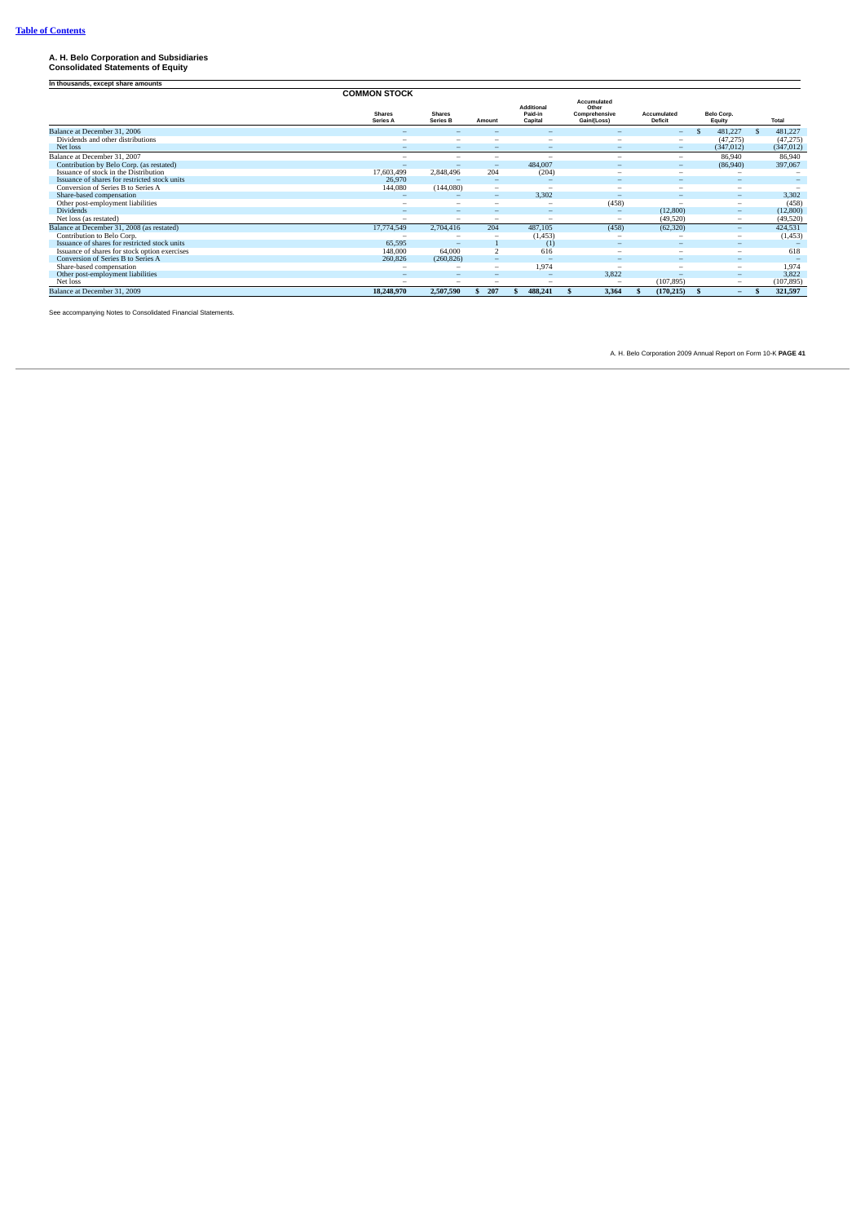# **Table of [Contents](#page-2-0)**

# **A. H. Belo Corporation and Subsidiaries Consolidated Statements of Equity**

| In thousands, except share amounts            |                                  |                                                                                                                                                                                                                     |                          |                                         |                                                             |                          |                          |              |
|-----------------------------------------------|----------------------------------|---------------------------------------------------------------------------------------------------------------------------------------------------------------------------------------------------------------------|--------------------------|-----------------------------------------|-------------------------------------------------------------|--------------------------|--------------------------|--------------|
|                                               | <b>COMMON STOCK</b>              |                                                                                                                                                                                                                     |                          |                                         |                                                             |                          |                          |              |
|                                               | <b>Shares</b><br><b>Series A</b> | <b>Shares</b><br>Series B                                                                                                                                                                                           | Amount                   | <b>Additional</b><br>Paid-in<br>Capital | <b>Accumulated</b><br>Other<br>Comprehensive<br>Gain/(Loss) | Accumulated<br>Deficit   | Belo Corp.<br>Equity     | <b>Total</b> |
| Balance at December 31, 2006                  |                                  |                                                                                                                                                                                                                     |                          |                                         |                                                             | $-$                      | 481,227                  | 481,227      |
| Dividends and other distributions             | -                                | -                                                                                                                                                                                                                   | $\overline{\phantom{a}}$ | -                                       | -                                                           | $\overline{\phantom{0}}$ | (47, 275)                | (47, 275)    |
| Net loss                                      | $\qquad \qquad =$                | $\hspace{0.1cm} \hspace{0.1cm} \hspace{0.1cm} \hspace{0.1cm} \hspace{0.1cm} \hspace{0.1cm} \hspace{0.1cm} \hspace{0.1cm} \hspace{0.1cm} \hspace{0.1cm} \hspace{0.1cm} \hspace{0.1cm} \hspace{0.1cm} \hspace{0.1cm}$ | -                        | $\overline{\phantom{a}}$                | $\overline{\phantom{0}}$                                    | $-$                      | (347, 012)               | (347, 012)   |
| Balance at December 31, 2007                  | ۰                                | $\overline{\phantom{a}}$                                                                                                                                                                                            | ۰                        | -                                       | $\overline{\phantom{m}}$                                    | -                        | 86,940                   | 86,940       |
| Contribution by Belo Corp. (as restated)      | $\qquad \qquad =$                | -                                                                                                                                                                                                                   | $\qquad \qquad =$        | 484,007                                 | $\overline{\phantom{0}}$                                    | $-$                      | (86,940)                 | 397,067      |
| Issuance of stock in the Distribution         | 17,603,499                       | 2,848,496                                                                                                                                                                                                           | 204                      | (204)                                   | -                                                           | -                        | -                        |              |
| Issuance of shares for restricted stock units | 26,970                           | ۰                                                                                                                                                                                                                   | $\qquad \qquad -$        | $\overline{\phantom{m}}$                | -                                                           | -                        | $-$                      |              |
| Conversion of Series B to Series A            | 144,080                          | (144,080)                                                                                                                                                                                                           | $\sim$                   | <u>. .</u>                              | -                                                           | -                        | -                        |              |
| Share-based compensation                      | $\qquad \qquad -$                | $\overline{\phantom{m}}$                                                                                                                                                                                            | $\equiv$                 | 3,302                                   | $\qquad \qquad =$                                           | $-$                      | $-$                      | 3,302        |
| Other post-employment liabilities             | ۰                                | $\overline{\phantom{a}}$                                                                                                                                                                                            | $\overline{\phantom{a}}$ | -                                       | (458)                                                       | -                        | -                        | (458)        |
| Dividends                                     | -                                | -                                                                                                                                                                                                                   | ۰                        | -                                       | $\qquad \qquad =$                                           | (12,800)                 | $-$                      | (12,800)     |
| Net loss (as restated)                        | ۰                                | $\overline{\phantom{a}}$                                                                                                                                                                                            | $\overline{\phantom{m}}$ | -                                       | $\overline{\phantom{a}}$                                    | (49,520)                 | $\overline{\phantom{0}}$ | (49, 520)    |
| Balance at December 31, 2008 (as restated)    | 17,774,549                       | 2,704,416                                                                                                                                                                                                           | 204                      | 487,105                                 | (458)                                                       | (62, 320)                | $-$                      | 424,531      |
| Contribution to Belo Corp.                    | -                                | -                                                                                                                                                                                                                   | -                        | (1, 453)                                | -                                                           | ۰                        | -                        | (1, 453)     |
| Issuance of shares for restricted stock units | 65,595                           | $\equiv$                                                                                                                                                                                                            |                          | (1)                                     | $\qquad \qquad -$                                           | $-$                      | $-$                      |              |
| Issuance of shares for stock option exercises | 148,000                          | 64,000                                                                                                                                                                                                              | $\overline{2}$           | 616                                     | -                                                           | -                        | -                        | 618          |
| Conversion of Series B to Series A            | 260,826                          | (260, 826)                                                                                                                                                                                                          | $\overline{\phantom{m}}$ | $\qquad \qquad -$                       | $\overline{\phantom{a}}$                                    | $\overline{\phantom{0}}$ | $\overline{\phantom{0}}$ |              |
| Share-based compensation                      | $\overline{\phantom{a}}$         | $\overline{\phantom{a}}$                                                                                                                                                                                            | $\overline{\phantom{m}}$ | 1,974                                   | -                                                           | -                        | -                        | 1,974        |
| Other post-employment liabilities             | $\qquad \qquad =$                | $\equiv$                                                                                                                                                                                                            | $\equiv$                 | ۰                                       | 3,822                                                       | $\qquad \qquad =$        | $-$                      | 3,822        |
| Net loss                                      | $\overline{\phantom{a}}$         | $\overline{\phantom{a}}$                                                                                                                                                                                            | $\overline{\phantom{a}}$ | <u>. .</u>                              | $\overline{\phantom{a}}$                                    | (107, 895)               | $-$                      | (107, 895)   |
| Balance at December 31, 2009                  | 18,248,970                       | 2,507,590                                                                                                                                                                                                           | 207                      | 488,241                                 | 3,364                                                       | (170, 215)               | -                        | 321,597      |

See accompanying Notes to Consolidated Financial Statements.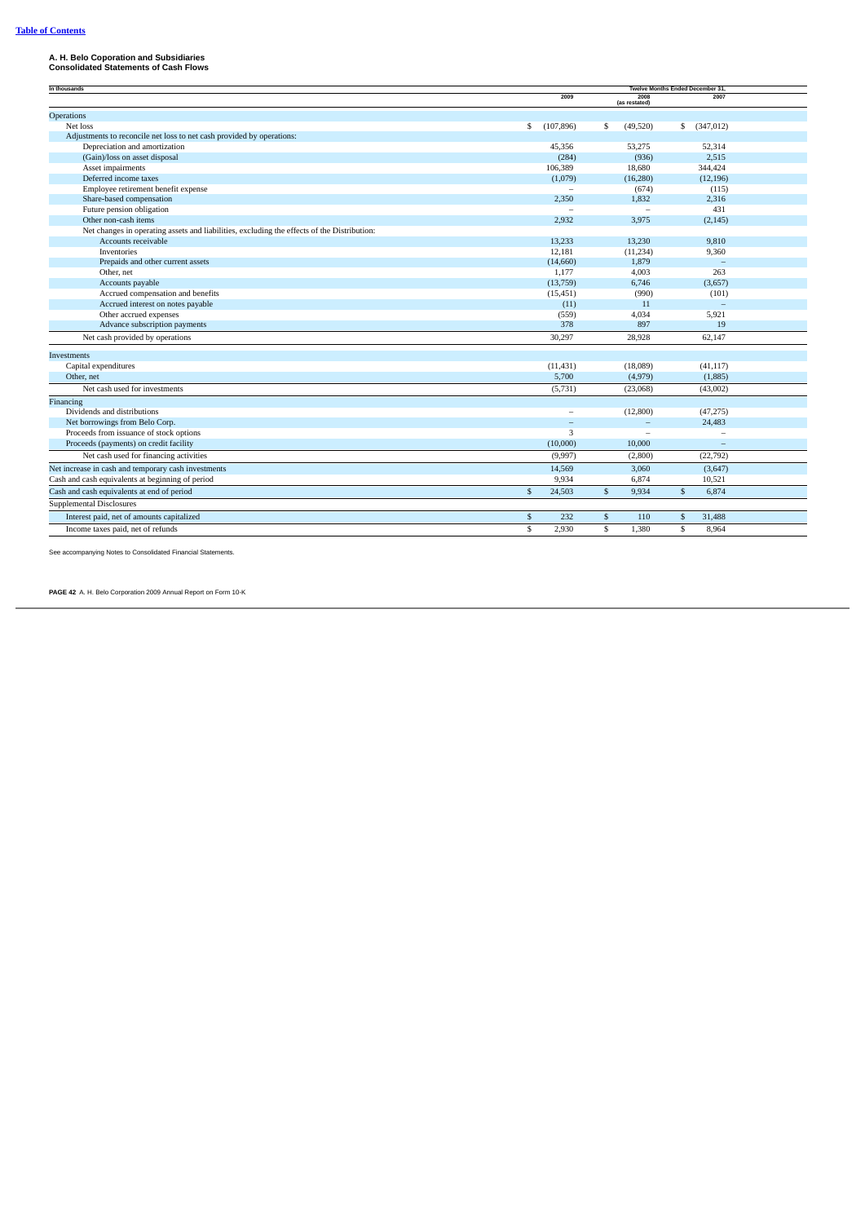# **A. H. Belo Coporation and Subsidiaries Consolidated Statements of Cash Flows**

| In thousands                                                                                | Twelve Months Ended December 31. |            |              |                       |              |                          |  |
|---------------------------------------------------------------------------------------------|----------------------------------|------------|--------------|-----------------------|--------------|--------------------------|--|
|                                                                                             |                                  | 2009       |              | 2008<br>(as restated) |              | 2007                     |  |
| <b>Operations</b>                                                                           |                                  |            |              |                       |              |                          |  |
| Net loss                                                                                    | \$                               | (107, 896) | \$           | (49,520)              |              | \$ (347,012)             |  |
| Adjustments to reconcile net loss to net cash provided by operations:                       |                                  |            |              |                       |              |                          |  |
| Depreciation and amortization                                                               |                                  | 45,356     |              | 53,275                |              | 52,314                   |  |
| (Gain)/loss on asset disposal                                                               |                                  | (284)      |              | (936)                 |              | 2,515                    |  |
| Asset impairments                                                                           |                                  | 106,389    |              | 18,680                |              | 344,424                  |  |
| Deferred income taxes                                                                       |                                  | (1,079)    |              | (16, 280)             |              | (12, 196)                |  |
| Employee retirement benefit expense                                                         |                                  |            |              | (674)                 |              | (115)                    |  |
| Share-based compensation                                                                    |                                  | 2,350      |              | 1,832                 |              | 2,316                    |  |
| Future pension obligation                                                                   |                                  |            |              |                       |              | 431                      |  |
| Other non-cash items                                                                        |                                  | 2.932      |              | 3.975                 |              | (2, 145)                 |  |
| Net changes in operating assets and liabilities, excluding the effects of the Distribution: |                                  |            |              |                       |              |                          |  |
| Accounts receivable                                                                         |                                  | 13,233     |              | 13,230                |              | 9,810                    |  |
| Inventories                                                                                 |                                  | 12,181     |              | (11, 234)             |              | 9,360                    |  |
| Prepaids and other current assets                                                           |                                  | (14,660)   |              | 1,879                 |              |                          |  |
| Other, net                                                                                  |                                  | 1,177      |              | 4,003                 |              | 263                      |  |
| Accounts payable                                                                            |                                  | (13,759)   |              | 6,746                 |              | (3,657)                  |  |
| Accrued compensation and benefits                                                           |                                  | (15, 451)  |              | (990)                 |              | (101)                    |  |
| Accrued interest on notes payable                                                           |                                  | (11)       |              | 11                    |              |                          |  |
| Other accrued expenses                                                                      |                                  | (559)      |              | 4,034                 |              | 5,921                    |  |
| Advance subscription payments                                                               |                                  | 378        |              | 897                   |              | 19                       |  |
| Net cash provided by operations                                                             |                                  | 30,297     |              | 28,928                |              | 62,147                   |  |
| <b>Investments</b>                                                                          |                                  |            |              |                       |              |                          |  |
| Capital expenditures                                                                        |                                  | (11, 431)  |              | (18,089)              |              | (41, 117)                |  |
| Other, net                                                                                  |                                  | 5,700      |              | (4,979)               |              | (1,885)                  |  |
| Net cash used for investments                                                               |                                  | (5,731)    |              | (23,068)              |              | (43,002)                 |  |
| Financing                                                                                   |                                  |            |              |                       |              |                          |  |
| Dividends and distributions                                                                 |                                  |            |              | (12,800)              |              | (47, 275)                |  |
| Net borrowings from Belo Corp.                                                              |                                  |            |              | $\equiv$              |              | 24,483                   |  |
| Proceeds from issuance of stock options                                                     |                                  | 3          |              | $\equiv$              |              | ÷                        |  |
| Proceeds (payments) on credit facility                                                      |                                  | (10,000)   |              | 10,000                |              | $\overline{\phantom{a}}$ |  |
| Net cash used for financing activities                                                      |                                  | (9,997)    |              | (2,800)               |              | (22, 792)                |  |
| Net increase in cash and temporary cash investments                                         |                                  | 14,569     |              | 3.060                 |              | (3,647)                  |  |
| Cash and cash equivalents at beginning of period                                            |                                  | 9,934      |              | 6,874                 |              | 10,521                   |  |
| Cash and cash equivalents at end of period                                                  | $\mathbf{s}$                     | 24,503     | $\mathbb{S}$ | 9.934                 | $\mathbb{S}$ | 6.874                    |  |
| <b>Supplemental Disclosures</b>                                                             |                                  |            |              |                       |              |                          |  |
| Interest paid, net of amounts capitalized                                                   | $\mathfrak{F}$                   | 232        | $\mathbb{S}$ | 110                   | $\mathbf{s}$ | 31,488                   |  |
| Income taxes paid, net of refunds                                                           | \$                               | 2,930      | \$           | 1,380                 | \$           | 8,964                    |  |

See accompanying Notes to Consolidated Financial Statements.

**PAGE 42** A. H. Belo Corporation 2009 Annual Report on Form 10-K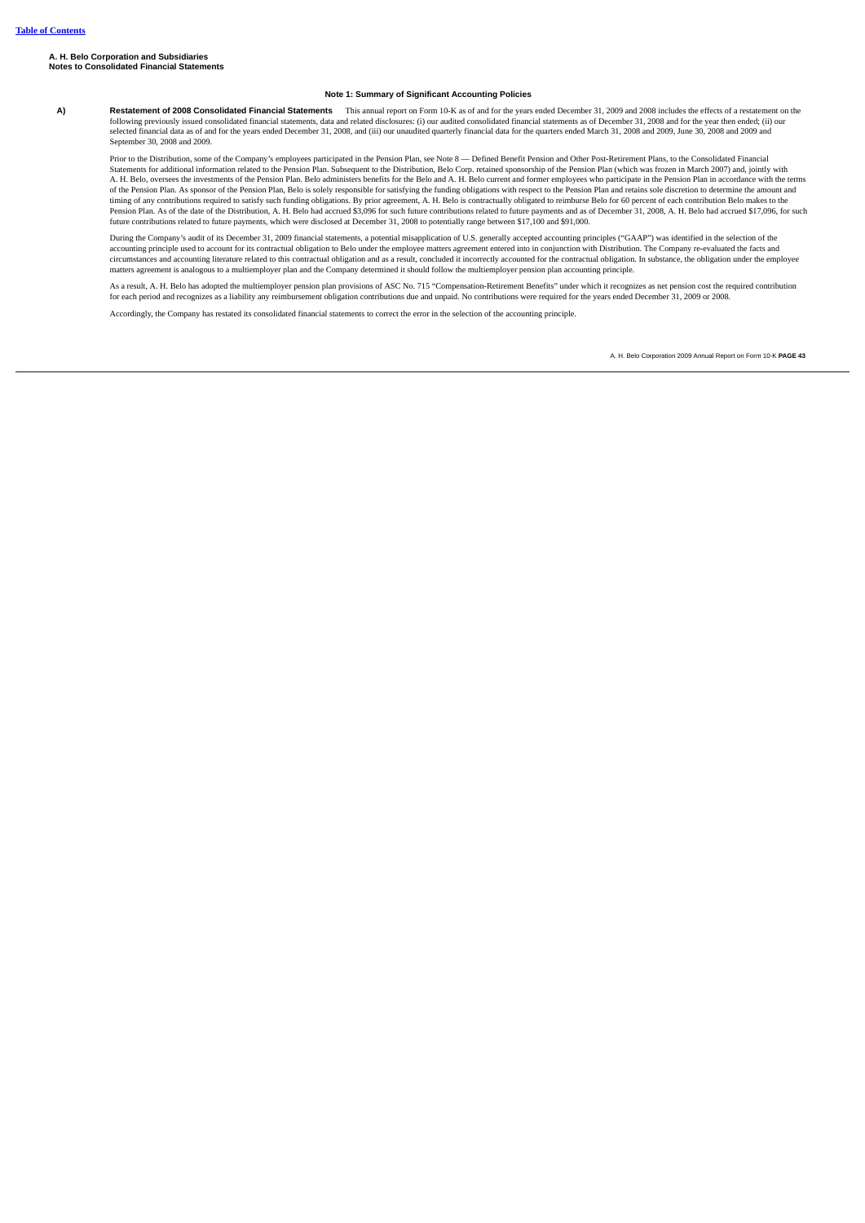# **Note 1: Summary of Significant Accounting Policies**

**A) Restatement of 2008 Consolidated Financial Statements** This annual report on Form 10-K as of and for the years ended December 31, 2009 and 2008 includes the effects of a restatement on the following previously issued consolidated financial statements, data and related disclosures: (i) our audited consolidated financial statements as of December 31, 2008 and for the year then ended; (ii) our<br>selected financia September 30, 2008 and 2009.

Prior to the Distribution, some of the Company's employees participated in the Pension Plan, see Note 8 — Defined Benefit Pension and Other Post-Retirement Plans, to the Consolidated Financial Statements for additional information related to the Pension Plan. Subsequent to the Distribution, Belo Corp. retained sponsorship of the Pension Plan (which was frozen in March 2007) and, jointly with A. H. Belo, oversees the investments of the Pension Plan. Belo administers benefits for the Belo and A. H. Belo current and former employees who participate in the Pension Plan in accordance with the terms of the Pension Plan. As sponsor of the Pension Plan, Belo is solely responsible for satisfying the funding obligations with respect to the Pension Plan and retains sole discretion to determine the amount and<br>timing of any Pension Plan. As of the date of the Distribution, A. H. Belo had accrued \$3,096 for such future contributions related to future payments and as of December 31, 2008, A. H. Belo had accrued \$17,096, for such future contributions related to future payments, which were disclosed at December 31, 2008 to potentially range between \$17,100 and \$91,000.

During the Company's audit of its December 31, 2009 financial statements, a potential misapplication of U.S. generally accepted accounting principles ("GAAP") was identified in the selection of the accounting principle used to account for its contractual obligation to Belo under the employee matters agreement entered into in conjunction with Distribution. The Company re-evaluated the facts and circumstances and accounting literature related to this contractual obligation and as a result, concluded it incorrectly accounted for the contractual obligation. In substance, the obligation under the employee<br>matters agr

As a result, A. H. Belo has adopted the multiemployer pension plan provisions of ASC No. 715 "Compensation-Retirement Benefits" under which it recognizes as net pension cost the required contribution<br>for each period and re

Accordingly, the Company has restated its consolidated financial statements to correct the error in the selection of the accounting principle.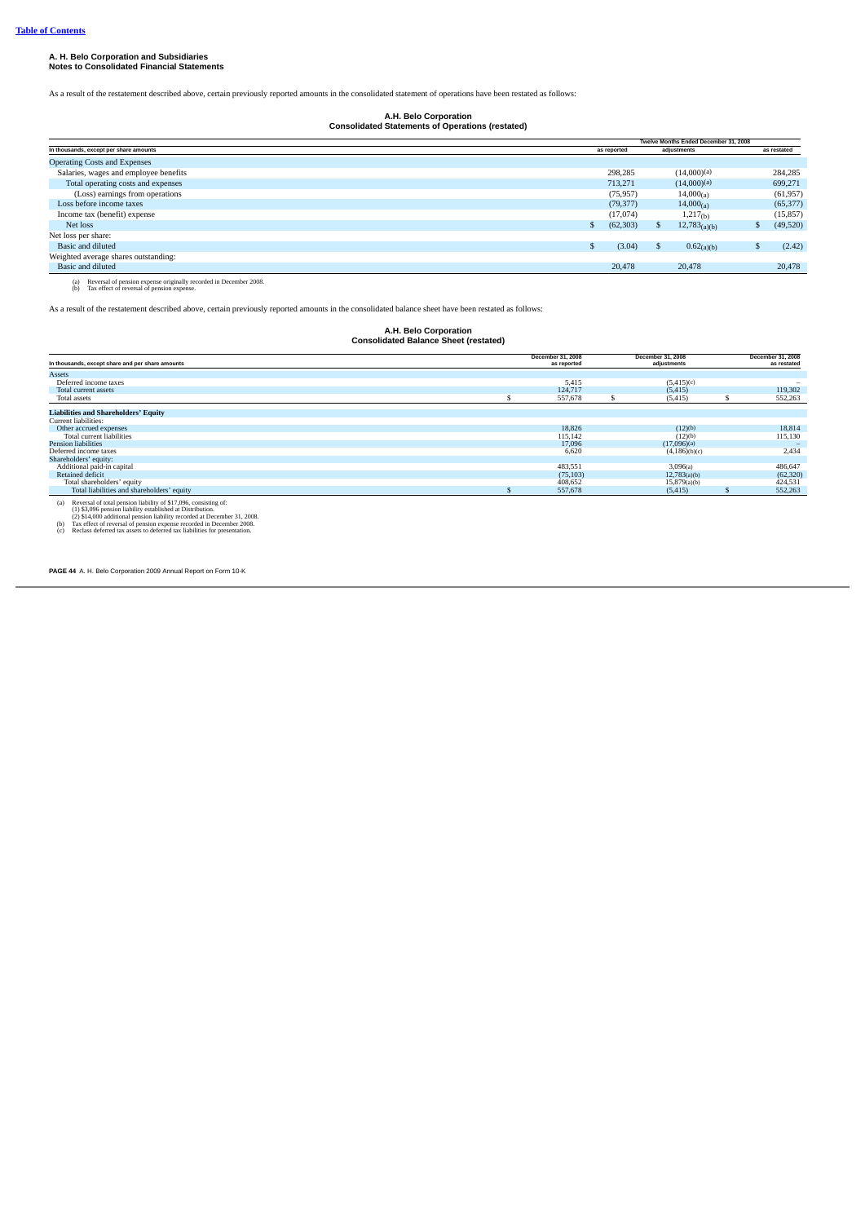As a result of the restatement described above, certain previously reported amounts in the consolidated statement of operations have been restated as follows:

# **A.H. Belo Corporation Consolidated Statements of Operations (restated)**

| Consolidated Statements of Operations (restated) |  |  |  |
|--------------------------------------------------|--|--|--|
|--------------------------------------------------|--|--|--|

|                                        |                 | Twelve Months Ended December 31, 2008 |             |        |
|----------------------------------------|-----------------|---------------------------------------|-------------|--------|
| In thousands, except per share amounts | as reported     | adjustments                           | as restated |        |
| <b>Operating Costs and Expenses</b>    |                 |                                       |             |        |
| Salaries, wages and employee benefits  | 298,285         | (14,000)(a)                           | 284,285     |        |
| Total operating costs and expenses     | 713.271         | (14,000)(a)                           | 699,271     |        |
| (Loss) earnings from operations        | (75, 957)       | $14,000_{(a)}$                        | (61, 957)   |        |
| Loss before income taxes               | (79, 377)       | $14,000_{(a)}$                        | (65, 377)   |        |
| Income tax (benefit) expense           | (17,074)        | $1,217_{(b)}$                         | (15, 857)   |        |
| Net loss                               | \$<br>(62, 303) | 12,783 <sub>(a)(b)</sub><br>ж         | (49, 520)   |        |
| Net loss per share:                    |                 |                                       |             |        |
| Basic and diluted                      | \$<br>(3.04)    | $0.62_{(a)(b)}$<br>\$                 |             | (2.42) |
| Weighted average shares outstanding:   |                 |                                       |             |        |
| Basic and diluted                      | 20,478          | 20,478                                | 20,478      |        |
| .<br>$\sim$ $\sim$ $\sim$<br>.         |                 |                                       |             |        |

(a) Reversal of pension expense originally recorded in December 2008. (b) Tax effect of reversal of pension expense.

As a result of the restatement described above, certain previously reported amounts in the consolidated balance sheet have been restated as follows:

# **A.H. Belo Corporation Consolidated Balance Sheet (restated)**

|                                                  | December 31, 2008 | <b>December 31, 2008</b> | <b>December 31, 2008</b> |
|--------------------------------------------------|-------------------|--------------------------|--------------------------|
| In thousands, except share and per share amounts | as reported       | adjustments              | as restated              |
| Assets                                           |                   |                          |                          |
| Deferred income taxes                            | 5,415             | (5,415)(c)               |                          |
| Total current assets                             | 124,717           | (5, 415)                 | 119,302                  |
| Total assets                                     | 557,678           | (5, 415)                 | 552,263                  |
| <b>Liabilities and Shareholders' Equity</b>      |                   |                          |                          |
| Current liabilities:                             |                   |                          |                          |
| Other accrued expenses                           | 18,826            | (12)(b)                  | 18,814                   |
| Total current liabilities                        | 115,142           | (12)(b)                  | 115,130                  |
| <b>Pension liabilities</b>                       | 17,096            | (17,096)(a)              |                          |
| Deferred income taxes                            | 6,620             | (4,186)(b)(c)            | 2,434                    |
| Shareholders' equity:                            |                   |                          |                          |
| Additional paid-in capital                       | 483,551           | 3,096(a)                 | 486,647                  |
| Retained deficit                                 | (75, 103)         | 12,783(a)(b)             | (62, 320)                |
| Total shareholders' equity                       | 408,652           | 15,879(a)(b)             | 424,531                  |
| Total liabilities and shareholders' equity       | 557,678           | (5, 415)                 | 552,263                  |
|                                                  |                   |                          |                          |

(a) Reversal of total pension liability of \$1.7.096, consisting of:<br>
(1) \$3,096 pension liability established at Discribution.<br>
(2) \$14,000 additional pension liability recorded at December 31, 2008.<br>
(b) Tax effect of rev

**PAGE 44** A. H. Belo Corporation 2009 Annual Report on Form 10-K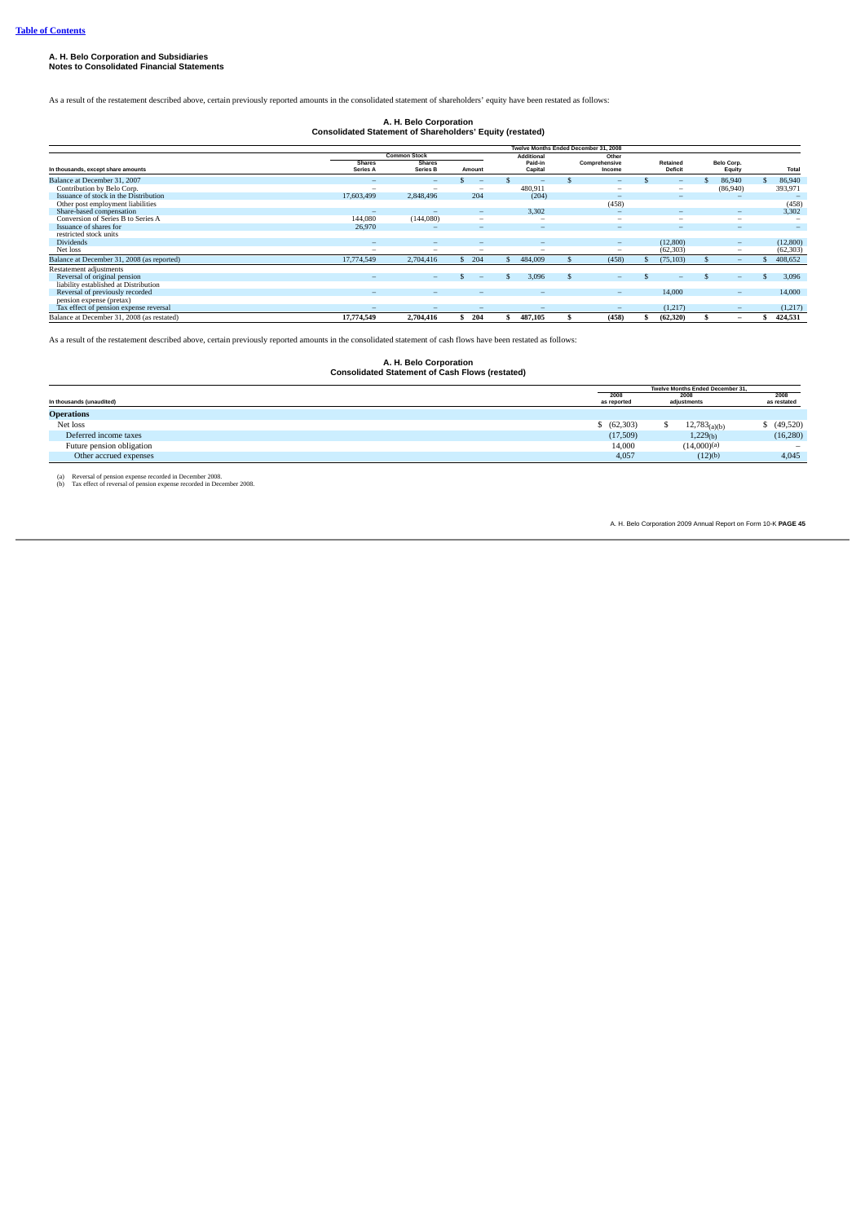As a result of the restatement described above, certain previously reported amounts in the consolidated statement of shareholders' equity have been restated as follows:

# **A. H. Belo Corporation Consolidated Statement of Shareholders' Equity (restated)**

|                                            |                           |                                  |                          |                                                                                                                                                                                                                     | Twelve Months Ended December 31, 2008 |                          |                      |           |
|--------------------------------------------|---------------------------|----------------------------------|--------------------------|---------------------------------------------------------------------------------------------------------------------------------------------------------------------------------------------------------------------|---------------------------------------|--------------------------|----------------------|-----------|
|                                            |                           | <b>Common Stock</b>              |                          | <b>Additional</b>                                                                                                                                                                                                   | Other                                 |                          |                      |           |
| In thousands, except share amounts         | <b>Shares</b><br>Series A | <b>Shares</b><br><b>Series B</b> | Amount                   | Paid-in<br>Capital                                                                                                                                                                                                  | Comprehensive<br>Income               | Retained<br>Deficit      | Belo Corp.<br>Equity | Total     |
| Balance at December 31, 2007               |                           |                                  |                          |                                                                                                                                                                                                                     | -                                     | -                        | 86,940               | 86,940    |
| Contribution by Belo Corp.                 | -                         | -                                | $\overline{\phantom{a}}$ | 480,911                                                                                                                                                                                                             | -                                     | -                        | (86,940)             | 393,971   |
| Issuance of stock in the Distribution      | 17,603,499                | 2,848,496                        | 204                      | (204)                                                                                                                                                                                                               | $-$                                   | -                        |                      |           |
| Other post employment liabilities          |                           |                                  |                          |                                                                                                                                                                                                                     | (458)                                 |                          |                      | (458)     |
| Share-based compensation                   | -                         |                                  | $\overline{\phantom{m}}$ | 3,302                                                                                                                                                                                                               | $-$                                   | -                        | $-$                  | 3,302     |
| Conversion of Series B to Series A         | 144,080                   | (144,080)                        | -                        | -                                                                                                                                                                                                                   | -                                     | -                        | -                    |           |
| Issuance of shares for                     | 26,970                    | -                                | $\overline{\phantom{a}}$ | $\hspace{0.1cm} \hspace{0.1cm} \hspace{0.1cm} \hspace{0.1cm} \hspace{0.1cm} \hspace{0.1cm} \hspace{0.1cm} \hspace{0.1cm} \hspace{0.1cm} \hspace{0.1cm} \hspace{0.1cm} \hspace{0.1cm} \hspace{0.1cm} \hspace{0.1cm}$ | $-$                                   | $\overline{\phantom{0}}$ | $-$                  |           |
| restricted stock units                     |                           |                                  |                          |                                                                                                                                                                                                                     |                                       |                          |                      |           |
| <b>Dividends</b>                           | $\overline{\phantom{0}}$  | $\overline{\phantom{a}}$         |                          | -                                                                                                                                                                                                                   | $-$                                   | (12,800)                 | -                    | (12,800)  |
| Net loss                                   | $\overline{\phantom{a}}$  | $\overline{\phantom{a}}$         | -                        | -                                                                                                                                                                                                                   | -                                     | (62, 303)                | -                    | (62, 303) |
| Balance at December 31, 2008 (as reported) | 17,774,549                | 2,704,416                        | 204                      | 484,009                                                                                                                                                                                                             | (458)                                 | (75, 103)                | $\qquad \qquad -$    | 408,652   |
| Restatement adjustments                    |                           |                                  |                          |                                                                                                                                                                                                                     |                                       |                          |                      |           |
| Reversal of original pension               |                           | $\qquad \qquad -$                | -                        | 3.096                                                                                                                                                                                                               | $-$                                   | -                        | -                    | 3,096     |
| liability established at Distribution      |                           |                                  |                          |                                                                                                                                                                                                                     |                                       |                          |                      |           |
| Reversal of previously recorded            |                           | -                                |                          | -                                                                                                                                                                                                                   | $-$                                   | 14,000                   | -                    | 14,000    |
| pension expense (pretax)                   |                           |                                  |                          |                                                                                                                                                                                                                     |                                       |                          |                      |           |
| Tax effect of pension expense reversal     | $\overline{\phantom{a}}$  | -                                | -                        | -                                                                                                                                                                                                                   | $-$                                   | (1,217)                  | -                    | (1, 217)  |
| Balance at December 31, 2008 (as restated) | 17,774,549                | 2,704,416                        | 204                      | 487,105                                                                                                                                                                                                             | (458)                                 | (62, 320)                | -                    | 424,531   |

As a result of the restatement described above, certain previously reported amounts in the consolidated statement of cash flows have been restated as follows:

# **A. H. Belo Corporation Consolidated Statement of Cash Flows (restated)**

|                           |             | Twelve Months Ended December 31. |                   |
|---------------------------|-------------|----------------------------------|-------------------|
|                           | 2008        | 2008                             | 2008              |
| In thousands (unaudited)  | as reported | adjustments                      | as restated       |
| <b>Operations</b>         |             |                                  |                   |
| Net loss                  | (62,303)    | $12,783_{(a)(b)}$                | 6(49,520)         |
| Deferred income taxes     | (17,509)    | 1,229 <sub>(b)</sub>             | (16, 280)         |
| Future pension obligation | 14,000      | (14,000)(a)                      | $\qquad \qquad -$ |
| Other accrued expenses    | 4,057       | (12)(b)                          | 4,045             |

(a) Reversal of pension expense recorded in December 2008. (b) Tax effect of reversal of pension expense recorded in December 2008.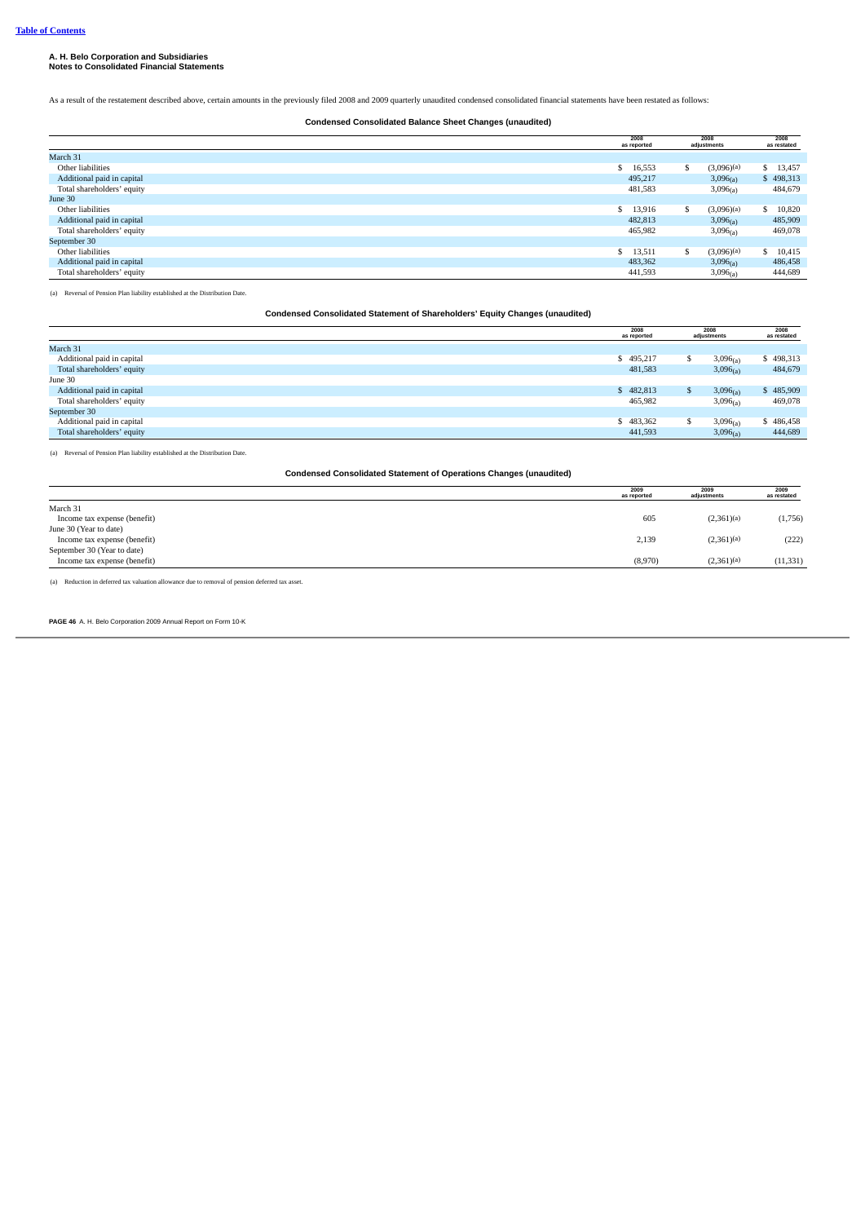As a result of the restatement described above, certain amounts in the previously filed 2008 and 2009 quarterly unaudited condensed consolidated financial statements have been restated as follows:

### **Condensed Consolidated Balance Sheet Changes (unaudited)**

|                            | 2008<br>as reported |   | 2008<br>adjustments | 2008<br>as restated |
|----------------------------|---------------------|---|---------------------|---------------------|
| March 31                   |                     |   |                     |                     |
| Other liabilities          | \$16,553            | s | (3,096)(a)          | \$13,457            |
| Additional paid in capital | 495.217             |   | 3,096(a)            | \$498,313           |
| Total shareholders' equity | 481,583             |   | $3,096_{(a)}$       | 484,679             |
| June 30                    |                     |   |                     |                     |
| Other liabilities          | \$ 13.916           | S | (3,096)(a)          | \$10,820            |
| Additional paid in capital | 482,813             |   | 3,096(a)            | 485,909             |
| Total shareholders' equity | 465,982             |   | 3,096(a)            | 469,078             |
| September 30               |                     |   |                     |                     |
| Other liabilities          | \$ 13,511           | S | (3,096)(a)          | \$10,415            |
| Additional paid in capital | 483,362             |   | 3,096(a)            | 486,458             |
| Total shareholders' equity | 441,593             |   | 3,096(a)            | 444,689             |

(a) Reversal of Pension Plan liability established at the Distribution Date.

### **Condensed Consolidated Statement of Shareholders' Equity Changes (unaudited)**

|                            | 2008<br>as reported |    | 2008<br>adjustments | 2008<br>as restated |
|----------------------------|---------------------|----|---------------------|---------------------|
| March 31                   |                     |    |                     |                     |
| Additional paid in capital | \$495,217           |    | 3,096(a)            | \$498,313           |
| Total shareholders' equity | 481,583             |    | $3,096_{(a)}$       | 484,679             |
| June 30                    |                     |    |                     |                     |
| Additional paid in capital | \$482,813           | .S | $3,096_{(a)}$       | \$485,909           |
| Total shareholders' equity | 465,982             |    | 3,096(a)            | 469,078             |
| September 30               |                     |    |                     |                     |
| Additional paid in capital | \$483,362           | S  | $3,096_{(a)}$       | \$486,458           |
| Total shareholders' equity | 441,593             |    | $3,096_{(a)}$       | 444,689             |

(a) Reversal of Pension Plan liability established at the Distribution Date.

**Condensed Consolidated Statement of Operations Changes (unaudited)**

|                              | 2009<br>as reported | 2009<br>adjustments      | 2009<br>as restated |
|------------------------------|---------------------|--------------------------|---------------------|
| March 31                     |                     |                          |                     |
| Income tax expense (benefit) | 605                 | $(2,361)$ (a)            | (1,756)             |
| June 30 (Year to date)       |                     |                          |                     |
| Income tax expense (benefit) | 2,139               | $(2,361)$ <sup>(a)</sup> | (222)               |
| September 30 (Year to date)  |                     |                          |                     |
| Income tax expense (benefit) | (8,970)             | (2,361)(a)               | (11, 331)           |
|                              |                     |                          |                     |

(a) Reduction in deferred tax valuation allowance due to removal of pension deferred tax asset.

**PAGE 46** A. H. Belo Corporation 2009 Annual Report on Form 10-K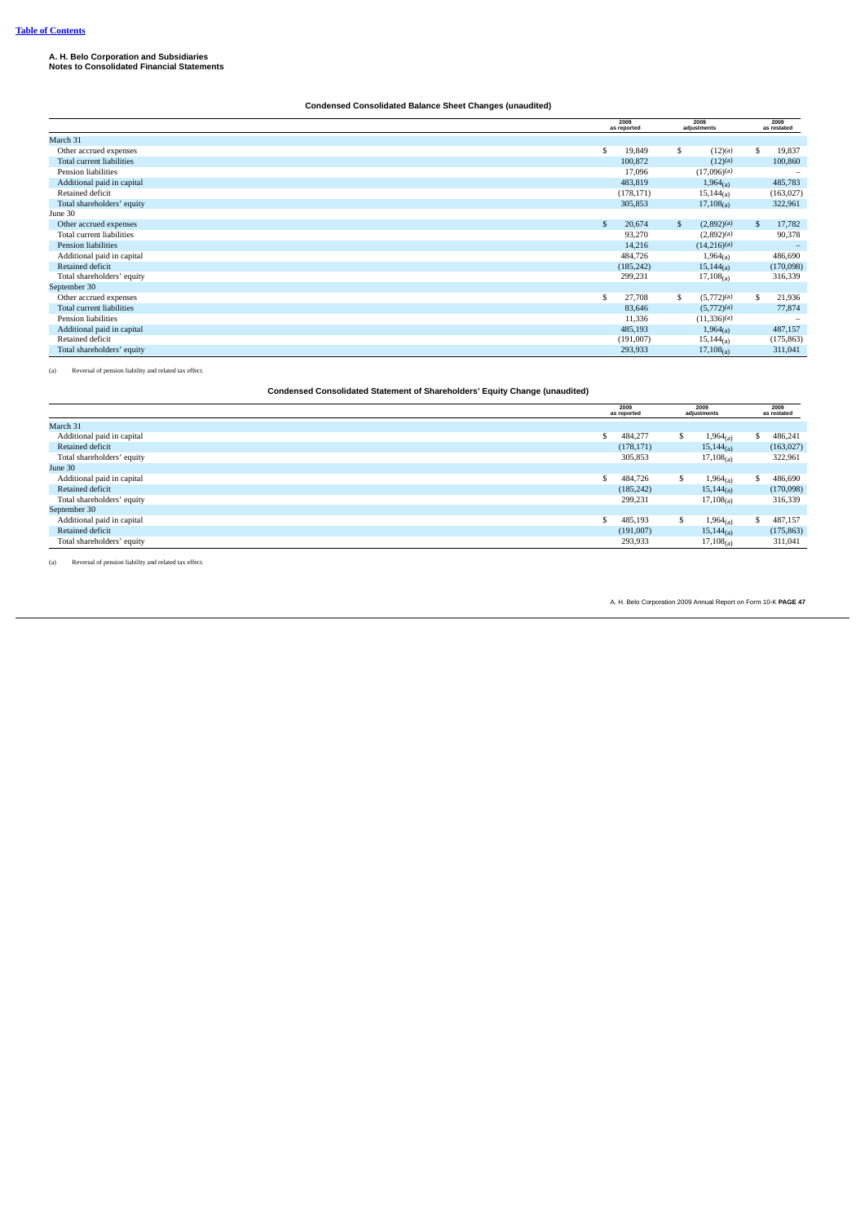## **Condensed Consolidated Balance Sheet Changes (unaudited)**

|                            | 2009<br>as reported |    | 2009<br>adjustments      | 2009<br>as restated |            |
|----------------------------|---------------------|----|--------------------------|---------------------|------------|
| March 31                   |                     |    |                          |                     |            |
| Other accrued expenses     | \$<br>19,849        | \$ | (12)(a)                  | S                   | 19,837     |
| Total current liabilities  | 100,872             |    | (12)(a)                  |                     | 100,860    |
| Pension liabilities        | 17,096              |    | (17,096)(a)              |                     |            |
| Additional paid in capital | 483,819             |    | $1,964_{(a)}$            |                     | 485,783    |
| Retained deficit           | (178, 171)          |    | $15,144_{(a)}$           |                     | (163, 027) |
| Total shareholders' equity | 305,853             |    | 17,108(a)                |                     | 322,961    |
| June 30                    |                     |    |                          |                     |            |
| Other accrued expenses     | \$<br>20,674        | \$ | $(2,892)$ (a)            | S.                  | 17,782     |
| Total current liabilities  | 93,270              |    | $(2,892)$ <sup>(a)</sup> |                     | 90,378     |
| Pension liabilities        | 14,216              |    | (14,216)(a)              |                     |            |
| Additional paid in capital | 484,726             |    | $1,964_{(a)}$            |                     | 486,690    |
| Retained deficit           | (185, 242)          |    | $15,144_{(a)}$           |                     | (170,098)  |
| Total shareholders' equity | 299,231             |    | $17,108_{(a)}$           |                     | 316,339    |
| September 30               |                     |    |                          |                     |            |
| Other accrued expenses     | \$<br>27,708        | \$ | $(5,772)$ <sup>(a)</sup> | s                   | 21,936     |
| Total current liabilities  | 83,646              |    | $(5,772)$ (a)            |                     | 77,874     |
| Pension liabilities        | 11,336              |    | (11,336)(a)              |                     |            |
| Additional paid in capital | 485,193             |    | $1,964_{(a)}$            |                     | 487,157    |
| Retained deficit           | (191,007)           |    | $15,144_{(a)}$           |                     | (175, 863) |
| Total shareholders' equity | 293,933             |    | $17,108_{(a)}$           |                     | 311,041    |

(a) Reversal of pension liability and related tax effect.

## **Condensed Consolidated Statement of Shareholders' Equity Change (unaudited)**

|                            | 2009<br>as reported |     | 2009<br>adjustments     |    | 2009<br>as restated |
|----------------------------|---------------------|-----|-------------------------|----|---------------------|
| March 31                   |                     |     |                         |    |                     |
| Additional paid in capital | 484,277             | \$. | $1,964_{(a)}$           | S. | 486,241             |
| <b>Retained deficit</b>    | (178, 171)          |     | $15,144_{(a)}$          |    | (163, 027)          |
| Total shareholders' equity | 305,853             |     | $17,108_{(a)}$          |    | 322,961             |
| June 30                    |                     |     |                         |    |                     |
| Additional paid in capital | \$<br>484,726       | S   | $1,964_{(a)}$           |    | 486,690             |
| Retained deficit           | (185, 242)          |     | $15,144_{(a)}$          |    | (170,098)           |
| Total shareholders' equity | 299,231             |     | $17,108_{(a)}$          |    | 316,339             |
| September 30               |                     |     |                         |    |                     |
| Additional paid in capital | 485,193             | \$  | $1,964_{(a)}$           | S. | 487,157             |
| Retained deficit           | (191,007)           |     | $15,144_{(a)}$          |    | (175, 863)          |
| Total shareholders' equity | 293,933             |     | $17,108$ <sub>(a)</sub> |    | 311,041             |

(a) Reversal of pension liability and related tax effect.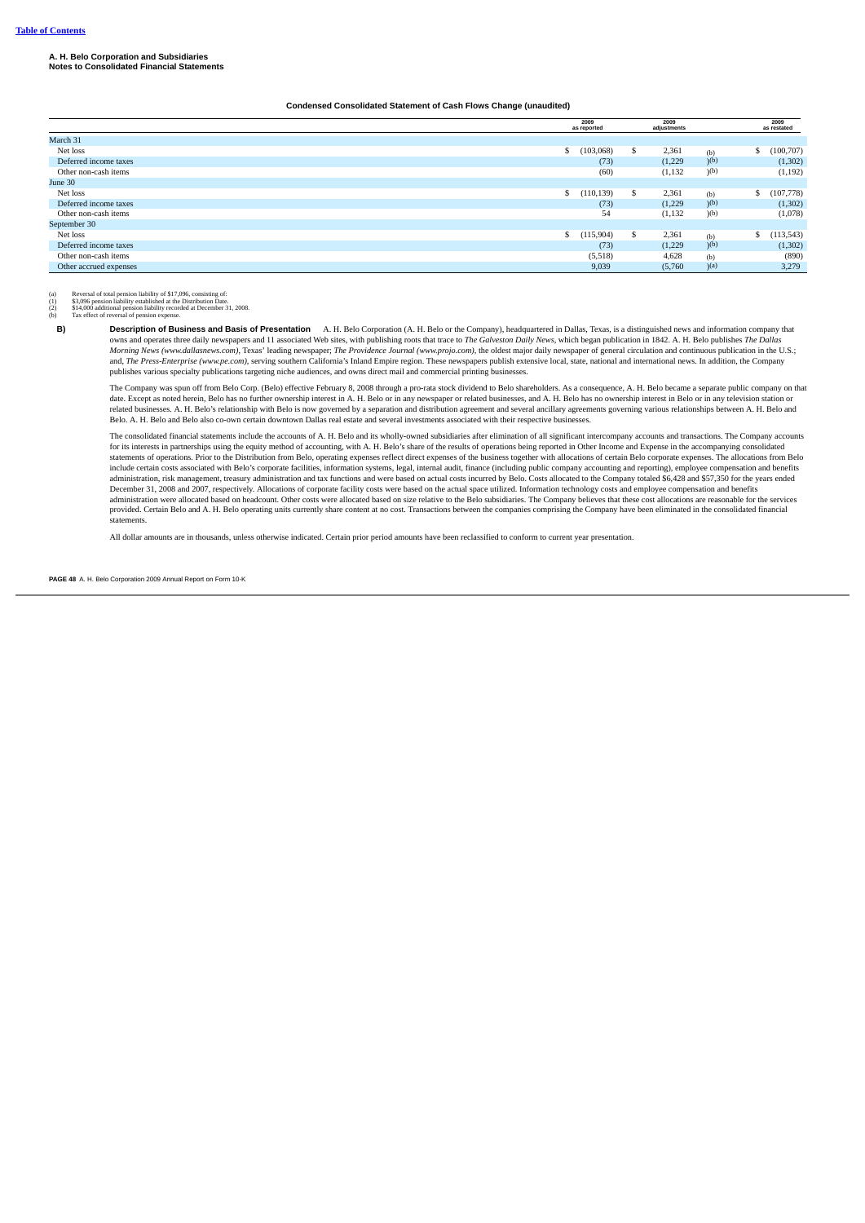### **Condensed Consolidated Statement of Cash Flows Change (unaudited)**

|                        | 2009<br>as reported |    | 2009<br>adjustments |     |    | 2009<br>as restated |
|------------------------|---------------------|----|---------------------|-----|----|---------------------|
| March 31               |                     |    |                     |     |    |                     |
| Net loss               | \$<br>(103,068)     | S  | 2,361               | (b) | ъ  | (100, 707)          |
| Deferred income taxes  | (73)                |    | (1,229)             | (b) |    | (1, 302)            |
| Other non-cash items   | (60)                |    | (1, 132)            | (b) |    | (1, 192)            |
| June 30                |                     |    |                     |     |    |                     |
| Net loss               | \$<br>(110, 139)    | -S | 2,361               | (b) | D. | (107, 778)          |
| Deferred income taxes  | (73)                |    | (1,229)             | (b) |    | (1, 302)            |
| Other non-cash items   | 54                  |    | (1, 132)            | (b) |    | (1,078)             |
| September 30           |                     |    |                     |     |    |                     |
| Net loss               | \$<br>(115,904)     | S. | 2,361               | (b) | D. | (113, 543)          |
| Deferred income taxes  | (73)                |    | (1,229)             | (b) |    | (1, 302)            |
| Other non-cash items   | (5,518)             |    | 4,628               | (b) |    | (890)               |
| Other accrued expenses | 9.039               |    | (5,760)             | (a) |    | 3,279               |

(a) Reversal of total pension liability of \$17,096, consisting of:<br>(1) \$3,096 pension liability established at the Distribution Date.<br>(2) \$14,000 additional pension liability recorded at December 31, 2008.<br>(b) Tax effect o

**B)** Description of Business and Basis of Presentation A. H. Belo Corporation (A. H. Belo or the Company), headquartered in Dallas, Texas, is a distinguished news and information company that owns and operates three daily newspapers and 11 associated Web sites, with publishing roots that trace to *The Galveston Daily News*, which began publication in 1842. A. H. Belo publishes *The Dallas Morning News (www.dallasnews.com)*, Texas' leading newspaper; *The Providence Journal (www.projo.com)*, the oldest major daily newspaper of general circulation and continuous publication in the U.S.; and, *The Press-Enterprise (www.pe.com)*, serving southern California's Inland Empire region. These newspapers publish extensive local, state, national and international news. In addition, the Company<br>publishes various spe

The Company was spun off from Belo Corp. (Belo) effective February 8, 2008 through a pro-rata stock dividend to Belo shareholders. As a consequence, A. H. Belo became a separate public company on that date. Except as noted herein, Belo has no further ownership interest in A. H. Belo or in any newspaper or related businesses, and A. H. Belo has no ownership interest in Belo or in any television station or related businesses. A. H. Belo's relationship with Belo is now governed by a separation and distribution agreement and several ancillary agreements governing various relationships between A. H. Belo and<br>Belo. A. H. Belo an

The consolidated financial statements include the accounts of A. H. Belo and its wholly-owned subsidiaries after elimination of all significant intercompany accounts and transactions. The Company accounts for its interests in partnerships using the equity method of accounting, with A. H. Belo's share of the results of operations being reported in Other Income and Expense in the accompanying consolidated<br>statements of operat include certain costs associated with Belo's corporate facilities, information systems, legal, internal audit, finance (including public company accounting and reporting), employee compensation and benefits administration, risk management, treasury administration and tax functions and were based on actual costs incurred by Belo. Costs allocated to the Company totaled \$6,428 and \$57,350 for the years ended December 31, 2008 and 2007, respectively. Allocations of corporate facility costs were based on the actual space utilized. Information technology costs and employee compensation and benefits administration were allocated based on headcount. Other costs were allocated based on size relative to the Belo subsidiaries. The Company believes that these cost allocations are reasonable for the services provided. Certain Belo and A. H. Belo operating units currently share content at no cost. Transactions between the companies comprising the Company have been eliminated in the consolidated financial statements.

All dollar amounts are in thousands, unless otherwise indicated. Certain prior period amounts have been reclassified to conform to current year presentation.

**PAGE 48** A. H. Belo Corporation 2009 Annual Report on Form 10-K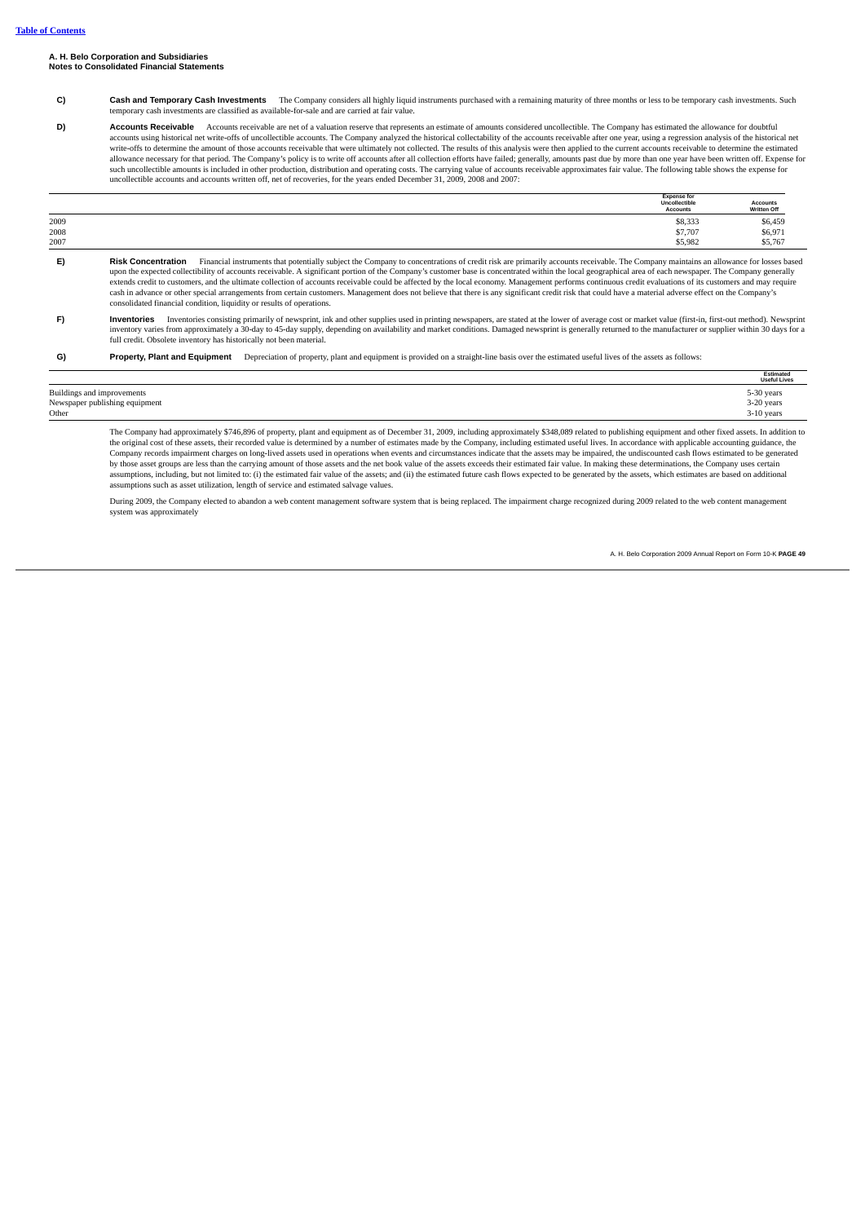| <b>Cash and Temporary Cash Investments</b>                                                     | The Company considers all highly liquid instruments purchased with a remaining maturity of three months or less to be temporary cash investments. Such |
|------------------------------------------------------------------------------------------------|--------------------------------------------------------------------------------------------------------------------------------------------------------|
| temporary cash investments are classified as available-for-sale and are carried at fair value. |                                                                                                                                                        |

**D) Accounts Receivable** Accounts receivable are net of a valuation reserve that represents an estimate of amounts considered uncollectible. The Company has estimated the allowance for doubtful accounts using historical net write-offs of uncollectible accounts. The Company analyzed the historical collectability of the accounts receivable after one year, using a regression analysis of the historical net<br>write-offs such uncollectible amounts is included in other production, distribution and operating costs. The carrying value of accounts receivable approximates fair value. The following table shows the expense for<br>uncollectible accou

|      | <b>Expense for</b><br>Uncollectible<br><b>Accounts</b> | <b>Accounts</b><br>Written Off |
|------|--------------------------------------------------------|--------------------------------|
| 2009 | \$8,333                                                | \$6,459                        |
| 2008 | \$7,707                                                | \$6,971                        |
| 2007 | \$5,982                                                | \$5,767                        |

| E) | <b>Risk Concentration</b> | Financial instruments that potentially subject the Company to concentrations of credit risk are primarily accounts receivable. The Company maintains an allowance for losses based                         |
|----|---------------------------|------------------------------------------------------------------------------------------------------------------------------------------------------------------------------------------------------------|
|    |                           | upon the expected collectibility of accounts receivable. A significant portion of the Company's customer base is concentrated within the local geographical area of each newspaper. The Company generally  |
|    |                           | extends credit to customers, and the ultimate collection of accounts receivable could be affected by the local economy. Management performs continuous credit evaluations of its customers and may require |
|    |                           | cash in advance or other special arrangements from certain customers. Management does not believe that there is any significant credit risk that could have a material adverse effect on the Company's     |
|    |                           | consolidated financial condition, liquidity or results of operations.                                                                                                                                      |
|    |                           |                                                                                                                                                                                                            |

**F) Inventories** Inventories consisting primarily of newsprint, ink and other supplies used in printing newspapers, are stated at the lower of average cost or market value (first-in, first-out method). Newsprint is premall full credit. Obsolete inventory has historically not been material.

**G) Property, Plant and Equipment** Depreciation of property, plant and equipment is provided on a straight-line basis over the estimated useful lives of the assets as follows:

|                                | <b>Estimated</b><br><b>Useful Lives</b> |
|--------------------------------|-----------------------------------------|
| Buildings and improvements     | 5-30 years                              |
| Newspaper publishing equipment | 3-20 years                              |
| Other                          | 3-10 years                              |

The Company had approximately \$746,896 of property, plant and equipment as of December 31, 2009, including approximately \$348,089 related to publishing equipment and other fixed assets. In addition to the original cost of these assets, their recorded value is determined by a number of estimates made by the Company, including estimated useful lives. In accordance with applicable accounting guidance, the<br>Company records i by those asset groups are less than the carrying amount of those assets and the net book value of the assets exceeds their estimated fair value. In making these determinations, the Company uses certain<br>assumptions, includi assumptions such as asset utilization, length of service and estimated salvage values.

During 2009, the Company elected to abandon a web content management software system that is being replaced. The impairment charge recognized during 2009 related to the web content management system was approximately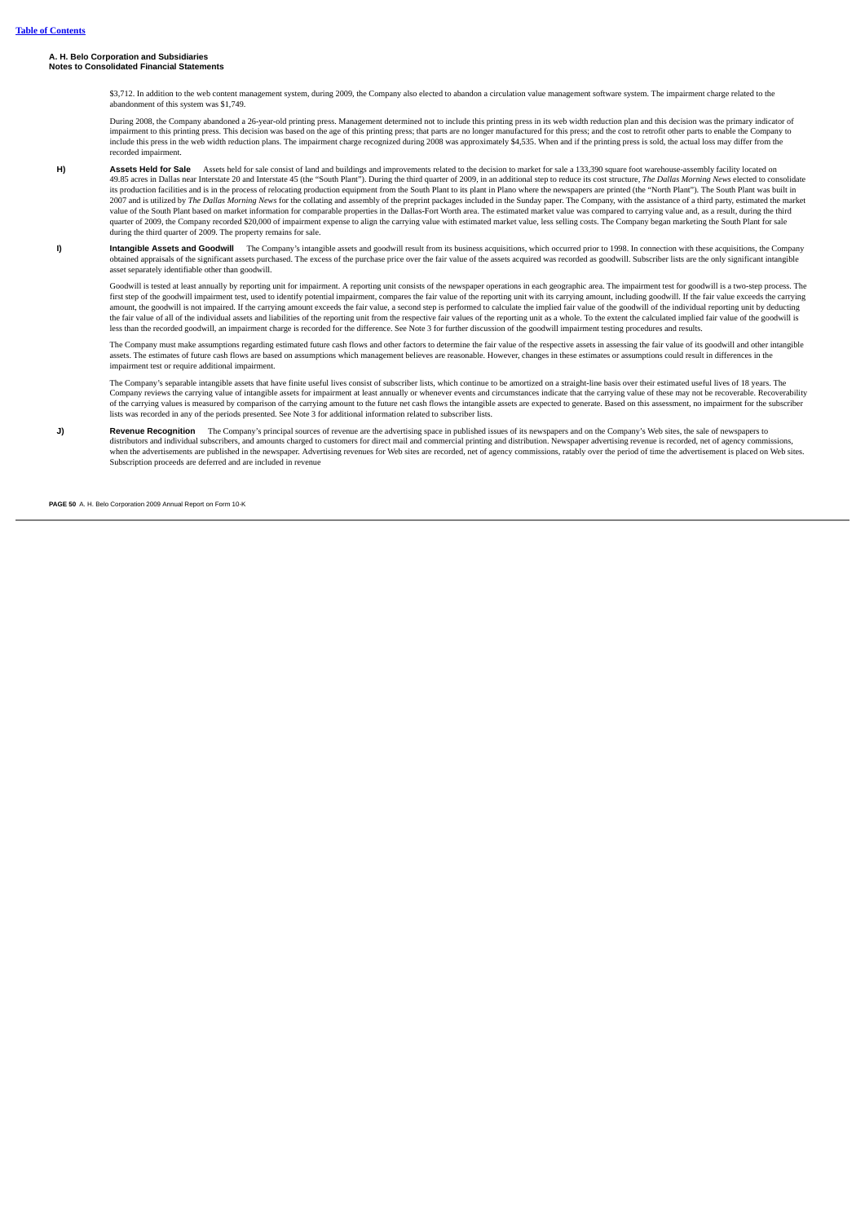\$3,712. In addition to the web content management system, during 2009, the Company also elected to abandon a circulation value management software system. The impairment charge related to the abandonment of this system was \$1,749.

During 2008, the Company abandoned a 26-year-old printing press. Management determined not to include this printing press in its web width reduction plan and this decision was the primary indicator of<br>impairment to this pr include this press in the web width reduction plans. The impairment charge recognized during 2008 was approximately \$4,535. When and if the printing press is sold, the actual loss may differ from the recorded impairment.

### H) **Assets Held for Sale** Assets held for sale consist of land and buildings and improvements related to the decision to market for sale a 133,390 square foot warehouse-assembly facility located on 49.85 acres in Dallas near Interstate 20 and Interstate 45 (the "South Plant"). During the third quarter of 2009, in an additional step to reduce its cost structure, *The Dallas Morning News* elected to consolidate its production facilities and is in the process of relocating production equipment from the South Plant to its plant in Plano where the newspapers are printed (the "North Plant"). The South Plant was built in<br>2007 and is u value of the South Plant based on market information for comparable properties in the Dallas-Fort Worth area. The estimated market value was compared to carrying value and, as a result, during the third value of 2009, the Company recorded \$20,000 of impairment expense to align the carrying value with estimated market value, less selling costs. The Company began marketing the South Plant for sale during the third quarter of 2009. The property remains for sale.

**I)** Intangible Assets and Goodwill The Company's intangible assets and goodwill result from its business acquisitions, which occurred prior to 1998. In connection with these acquisitions, the Company obtained appraisals of the significant assets purchased. The excess of the purchase price over the fair value of the assets acquired was recorded as goodwill. Subscriber lists are the only significant intangible asset separately identifiable other than goodwill.

Goodwill is tested at least annually by reporting unit for impairment. A reporting unit consists of the newspaper operations in each geographic area. The impairment test for goodwill is a two-step process. The first step of the goodwill impairment test, used to identify potential impairment, compares the fair value of the reporting unit with its carrying amount, including goodwill. If the fair value exceeds the carrying amount, the goodwill is not impaired. If the carrying amount exceeds the fair value, a second step is performed to calculate the implied fair value of the goodwill of the individual reporting unit by deducting the fair value of all of the individual assets and liabilities of the reporting unit from the respective fair values of the reporting unit as a whole. To the extent the calculated implied fair value of the goodwill is less than the recorded goodwill, an impairment charge is recorded for the difference. See Note 3 for further discussion of the goodwill impairment testing procedures and results.

The Company must make assumptions regarding estimated future cash flows and other factors to determine the fair value of the respective assets in assessing the fair value of its goodwill and other intangible<br>assets. The es impairment test or require additional impairment.

The Company's separable intangible assets that have finite useful lives consist of subscriber lists, which continue to be amortized on a straight-line basis over their estimated useful lives of 18 years. The Company reviews the carrying value of intangible assets for impairment at least annually or whenever events and circumstances indicate that the carrying value of these may not be recoverable. Recoverability<br>of the carrying lists was recorded in any of the periods presented. See Note 3 for additional information related to subscriber lists.

**J) Revenue Recognition** The Company's principal sources of revenue are the advertising space in published issues of its newspapers and on the Company's Web sites, the sale of newspapers to distributors and individual subscribers, and amounts charged to customers for direct mail and commercial printing and distribution. Newspaper advertising revenue is recorded, net of agency commissions, when the advertisements are published in the newspaper. Advertising revenues for Web sites are recorded, net of agency commissions, ratably over the period of time the advertisement is placed on Web sites. Subscription proceeds are deferred and are included in revenue

**PAGE 50** A. H. Belo Corporation 2009 Annual Report on Form 10-K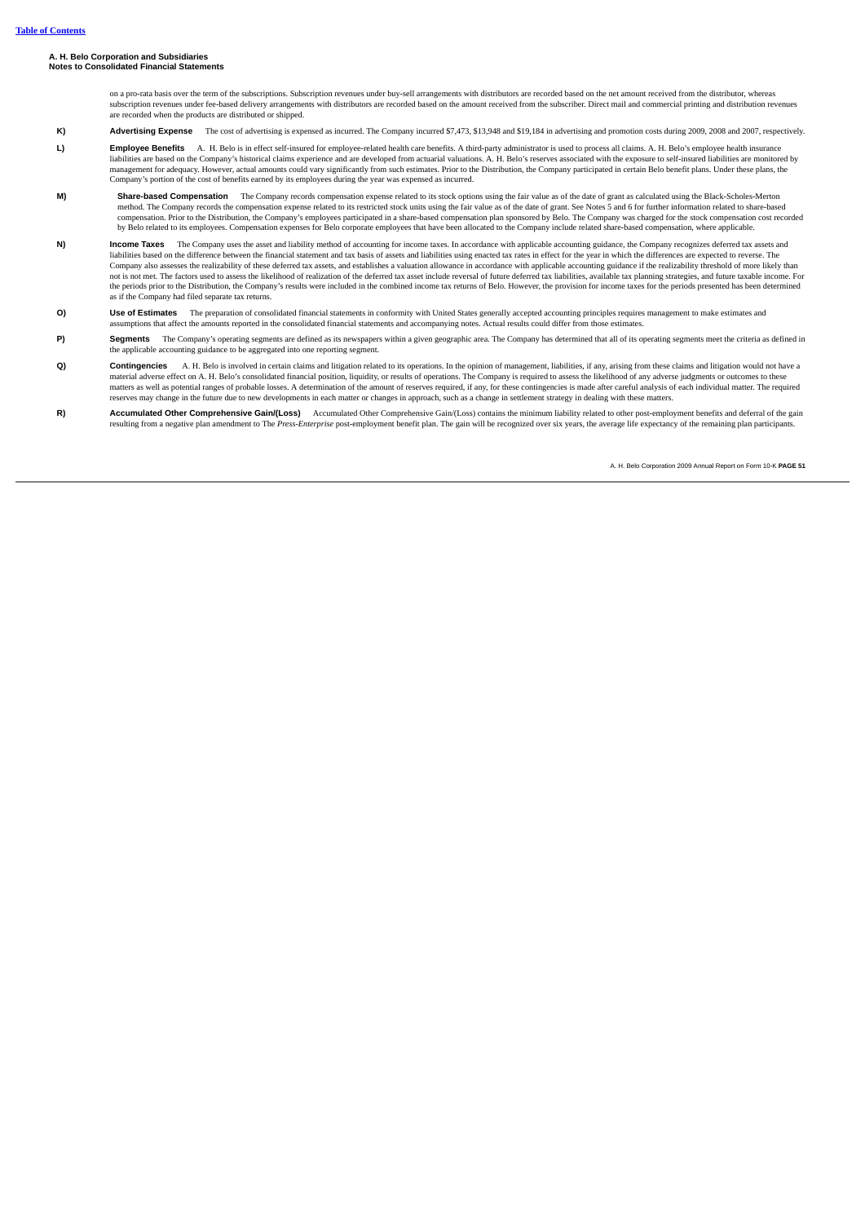on a pro-rata basis over the term of the subscriptions. Subscription revenues under buy-sell arrangements with distributors are recorded based on the net amount received from the distributor, whereas subscription revenues under fee-based delivery arrangements with distributors are recorded based on the amount received from the subscriber. Direct mail and commercial printing and distribution revenues are recorded when the products are distributed or shipped.

- **K) Advertising Expense** The cost of advertising is expensed as incurred. The Company incurred \$7,473, \$13,948 and \$19,184 in advertising and promotion costs during 2009, 2008 and 2007, respectively.
- **L)** Employee Benefits A. H. Belo is in effect self-insured for employee-related health care benefits. A third-party administrator is used to process all claims. A. H. Belo's employee health insurance<br>liabilities are based management for adequacy. However, actual amounts could vary significantly from such estimates. Prior to the Distribution, the Company participated in certain Belo benefit plans. Under these plans, the Company's portion of the cost of benefits earned by its employees during the year was expensed as incurred.
- **M)** Share-based Compensation The Company records compensation expense related to its stock options using the fair value as of the date of grant as calculated using the Black-Scholes-Merton method. The Company records the compensation expense related to its restricted stock units using the fair value as of the date of grant. See Notes 5 and 6 for further information related to share-based<br>compensation. Prior by Belo related to its employees. Compensation expenses for Belo corporate employees that have been allocated to the Company include related share-based compensation, where applicable.
- **N)** Income Taxes The Company uses the asset and liability method of accounting for income taxes. In accordance with applicable accounting guidance, the Company recognizes deferred tax assets and liabilities based on the difference between the financial statement and tax basis of assets and liabilities using enacted tax rates in effect for the year in which the differences are expected to reverse. The<br>Company also not is not met. The factors used to assess the likelihood of realization of the deferred tax asset include reversal of future deferred tax liabilities, available tax planning strategies, and future taxable income. For the periods prior to the Distribution, the Company's results were included in the combined income tax returns of Belo. However, the provision for income taxes for the periods presented has been determined as if the Company had filed separate tax returns.
- O) Use of Estimates The preparation of consolidated financial statements in conformity with United States generally accepted accounting principles requires management to make estimates and assumptions that affect the amounts reported in the consolidated financial statements and accompanying notes. Actual results could differ from those estimates.
- **P) Segments** The Company's operating segments are defined as its newspapers within a given geographic area. The Company has determined that all of its operating segments meet the criteria as defined in the applicable accounting guidance to be aggregated into one reporting segment.
- **Q) Contingencies** A. H. Belo is involved in certain claims and litigation related to its operations. In the opinion of management, liabilities, if any, arising from these claims and litigation would not have a material adverse effect on A. H. Belo's consolidated financial position, liquidity, or results of operations. The Company is required to assess the likelihood of any adverse judgments or outcomes to these matters as well as potential ranges of probable losses. A determination of the amount of reserves required, if any, for these contingencies is made after careful analysis of each individual matter. The required reserves may change in the future due to new developments in each matter or changes in approach, such as a change in settlement strategy in dealing with these matters.
- **R) Accumulated Other Comprehensive Gain/(Loss)** Accumulated Other Comprehensive Gain/(Loss) contains the minimum liability related to other post-employment benefits and deferral of the gain resulting from a negative plan amendment to The *Press*-*Enterprise* post-employment benefit plan. The gain will be recognized over six years, the average life expectancy of the remaining plan participants.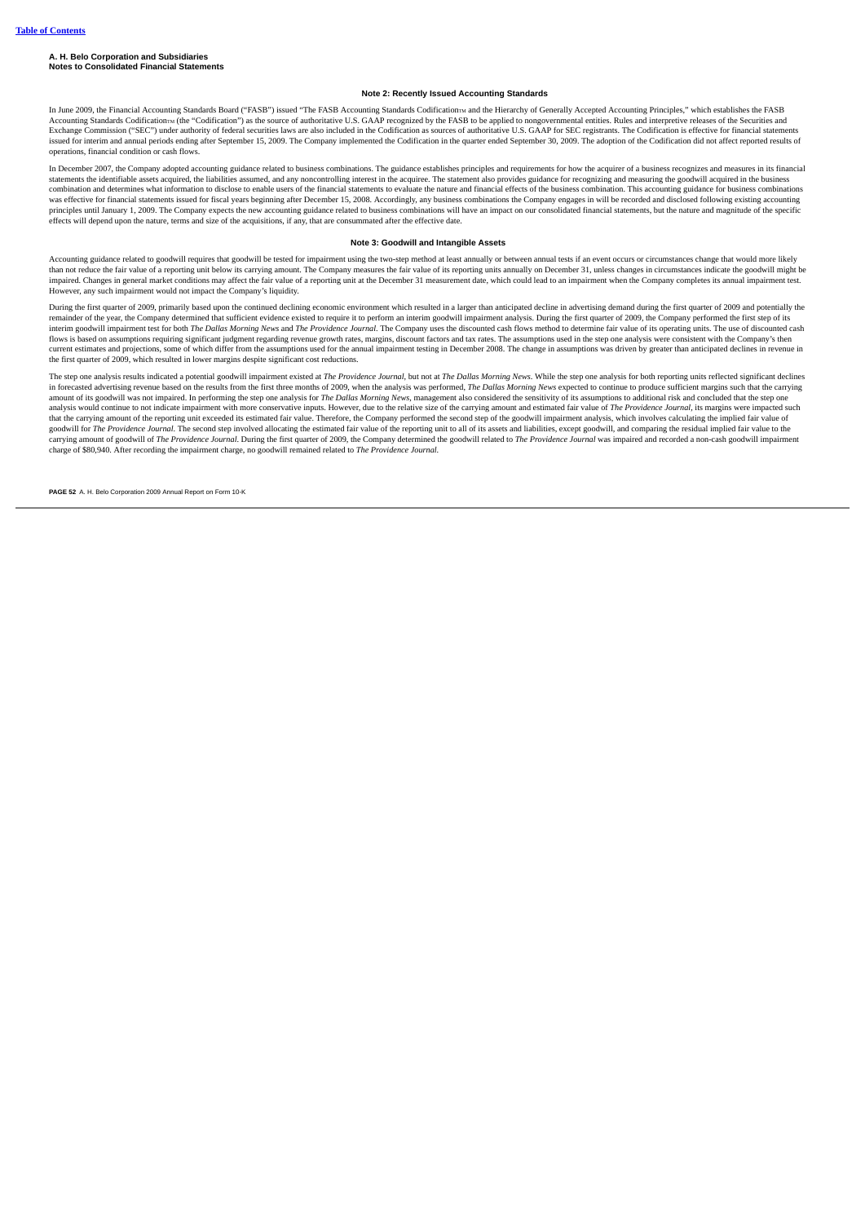#### **Note 2: Recently Issued Accounting Standards**

In June 2009, the Financial Accounting Standards Board ("FASB") issued "The FASB Accounting Standards Codification™ and the Hierarchy of Generally Accepted Accounting Principles," which establishes the FASB Accounting Standards Codification» (the "Codification") as the source of authoritative U.S. GAAP recognized by the FASB to be applied to nongovernmental entities. Rules and interpretive releases of the Securities and<br>Excha issued for interim and annual periods ending after September 15, 2009. The Company implemented the Codification in the quarter ended September 30, 2009. The adoption of the Codification did not affect reported results of operations, financial condition or cash flows.

In December 2007, the Company adopted accounting guidance related to business combinations. The guidance establishes principles and requirements for how the acquirer of a business recognizes and measures in its financial statements the identifiable assets acquired, the liabilities assumed, and any noncontrolling interest in the acquiree. The statement also provides guidance for recognizing and measuring the goodwill acquired in the busines combination and determines what information to disclose to enable users of the financial statements to evaluate the nature and financial effects of the business combination. This accounting guidance for business combinatio principles until January 1, 2009. The Company expects the new accounting guidance related to business combinations will have an impact on our consolidated financial statements, but the nature and magnitude of the specific<br>

### **Note 3: Goodwill and Intangible Assets**

Accounting guidance related to goodwill requires that goodwill be tested for impairment using the two-step method at least annually or between annual tests if an event occurs or circumstances change that would more likely<br> impaired. Changes in general market conditions may affect the fair value of a reporting unit at the December 31 measurement date, which could lead to an impairment when the Company completes its annual impairment test. However, any such impairment would not impact the Company's liquidity.

During the first quarter of 2009, primarily based upon the continued declining economic environment which resulted in a larger than anticipated decline in advertising demand during the first quarter of 2009 and potentially remainder of the year, the Company determined that sufficient evidence existed to require it to perform an interim goodwill impairment analysis. During the first stuarter of 2009, the Company performed the first step of it flows is based on assumptions requiring significant judgment regarding revenue growth rates, margins, discount factors and tax rates. The assumptions used in the step one analysis were consistent with the Company's then current estimates and projections, some of which differ from the assumptions used for the annual impairment testing in December 2008. The change in assumptions was driven by greater than anticipated declines in revenue in<br>

The step one analysis results indicated a potential goodwill impairment existed at The Providence Journal, but not at The Dallas Morning News. While the step one analysis for both reporting units reflected significant decl in forecasted advertising revenue based on the results from the first three months of 2009, when the analysis was performed, The Dallas Morning News expected to continue to produce sufficient margins such that the carrying amount of its goodwill was not impaired. In performing the step one analysis for *The Dallas Morning News,* management also considered the sensitivity of its assumptions to additional risk and concluded that the step one<br>a that the carrying amount of the reporting unit exceeded its estimated fair value. Therefore, the Company performed the second step of the goodwill impairment analysis, which involves calculating the implied fair value of<br>g carrying amount of goodwill of The Providence Journal. During the first quarter of 2009, the Company determined the goodwill related to The Providence Journal was impaired and recorded a non-cash goodwill impairment charge of \$80,940. After recording the impairment charge, no goodwill remained related to *The Providence Journal.*

**PAGE 52** A. H. Belo Corporation 2009 Annual Report on Form 10-K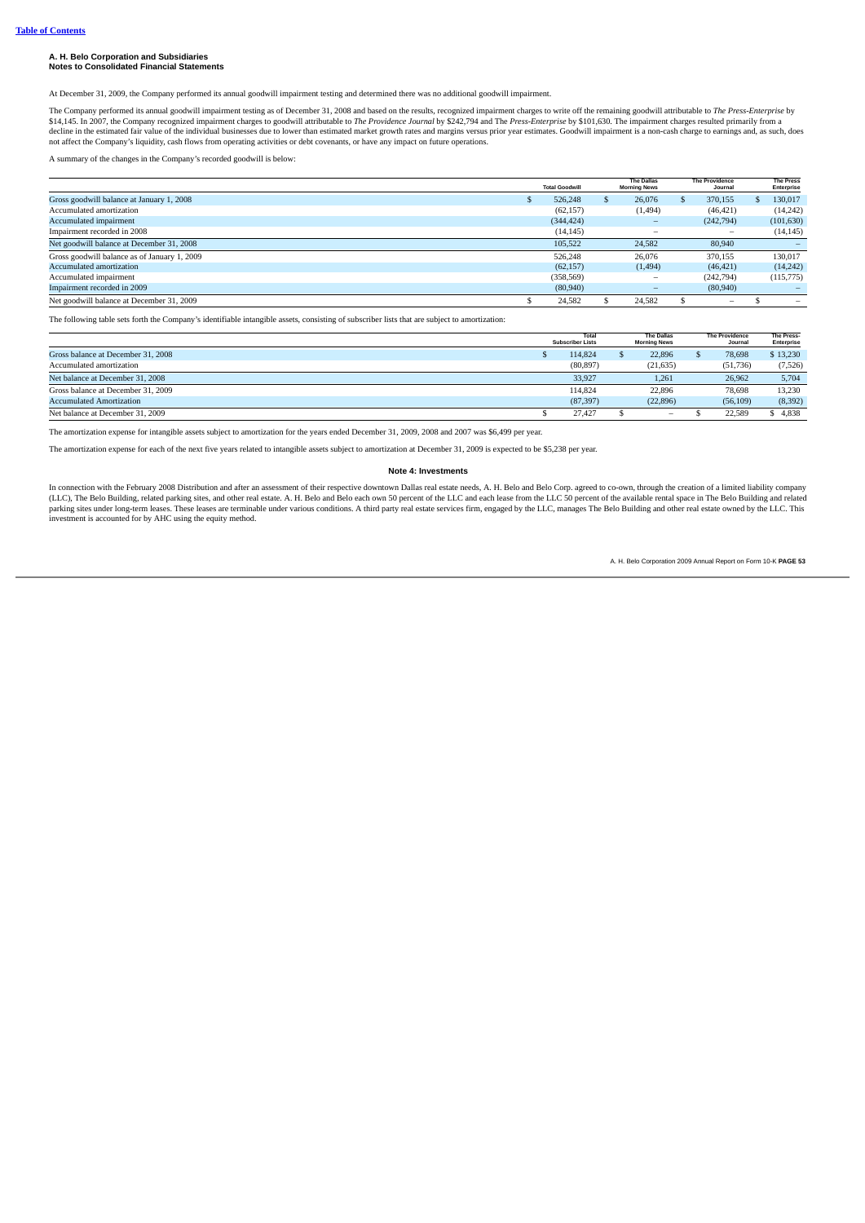At December 31, 2009, the Company performed its annual goodwill impairment testing and determined there was no additional goodwill impairment.

The Company performed its annual goodwill impairment testing as of December 31, 2008 and based on the results, recognized impairment charges to write off the remaining goodwill attributable to *The Press-Enterprise* by \$14,145. In 2007, the Company recognized impairment charges to goodwill attributable to *The Providence Journal* by \$242,794 and The *Press-Enterprise* by \$101,630. The impairment charges resulted primarily from a<br>decline not affect the Company's liquidity, cash flows from operating activities or debt covenants, or have any impact on future operations.

A summary of the changes in the Company's recorded goodwill is below:

|                                              |  | <b>Total Goodwill</b> |  |                          |                          | <b>The Dallas</b><br><b>Morning News</b> | <b>The Providence</b><br>Journal | <b>The Press</b><br>Enterprise |
|----------------------------------------------|--|-----------------------|--|--------------------------|--------------------------|------------------------------------------|----------------------------------|--------------------------------|
| Gross goodwill balance at January 1, 2008    |  | 526,248               |  | 26,076                   | 370,155                  | 130,017                                  |                                  |                                |
| Accumulated amortization                     |  | (62, 157)             |  | (1,494)                  | (46, 421)                | (14, 242)                                |                                  |                                |
| Accumulated impairment                       |  | (344, 424)            |  | $\qquad \qquad -$        | (242, 794)               | (101, 630)                               |                                  |                                |
| Impairment recorded in 2008                  |  | (14, 145)             |  | -                        | $\overline{\phantom{0}}$ | (14, 145)                                |                                  |                                |
| Net goodwill balance at December 31, 2008    |  | 105,522               |  | 24,582                   | 80,940                   |                                          |                                  |                                |
| Gross goodwill balance as of January 1, 2009 |  | 526,248               |  | 26,076                   | 370.155                  | 130,017                                  |                                  |                                |
| Accumulated amortization                     |  | (62, 157)             |  | (1, 494)                 | (46, 421)                | (14,242)                                 |                                  |                                |
| Accumulated impairment                       |  | (358, 569)            |  | $\overline{\phantom{0}}$ | (242, 794)               | (115, 775)                               |                                  |                                |
| Impairment recorded in 2009                  |  | (80, 940)             |  | $\qquad \qquad -$        | (80, 940)                |                                          |                                  |                                |
| Net goodwill balance at December 31, 2009    |  | 24.582                |  | 24,582                   | $-$                      | $\qquad \qquad$                          |                                  |                                |

The following table sets forth the Company's identifiable intangible assets, consisting of subscriber lists that are subject to amortization:

|                                    | Total<br><b>Subscriber Lists</b> | <b>The Dallas</b><br><b>Morning News</b> | <b>The Providence</b><br>Journal | The Press-<br>Enterprise |
|------------------------------------|----------------------------------|------------------------------------------|----------------------------------|--------------------------|
| Gross balance at December 31, 2008 | 114,824                          | 22.896                                   | 78,698                           | \$13,230                 |
| Accumulated amortization           | (80, 897)                        | (21, 635)                                | (51,736)                         | (7,526)                  |
| Net balance at December 31, 2008   | 33.927                           | 1.261                                    | 26.962                           | 5,704                    |
| Gross balance at December 31, 2009 | 114,824                          | 22.896                                   | 78.698                           | 13.230                   |
| <b>Accumulated Amortization</b>    | (87.397)                         | (22.896)                                 | (56, 109)                        | (8, 392)                 |
| Net balance at December 31, 2009   | 27,427                           | $\overline{\phantom{a}}$                 | 22,589                           | 4.838                    |

The amortization expense for intangible assets subject to amortization for the years ended December 31, 2009, 2008 and 2007 was \$6,499 per year.

The amortization expense for each of the next five years related to intangible assets subject to amortization at December 31, 2009 is expected to be \$5,238 per year.

### **Note 4: Investments**

In connection with the February 2008 Distribution and after an assessment of their respective downtown Dallas real estate needs, A. H. Belo and Belo Corp. agreed to co-own, through the creation of a limited liability company (LLC), The Belo Building, related parking sites, and other real estate. A. H. Belo and Belo each own 50 percent of the LLC and each lease from the LLC 50 percent of the available rental space in The Belo Building and related parking sites under long-term leases. These leases are terminable under various conditions. A third party real estate services firm, engaged by the LLC, manages The Belo Building and other real estate owned by the LLC. Thi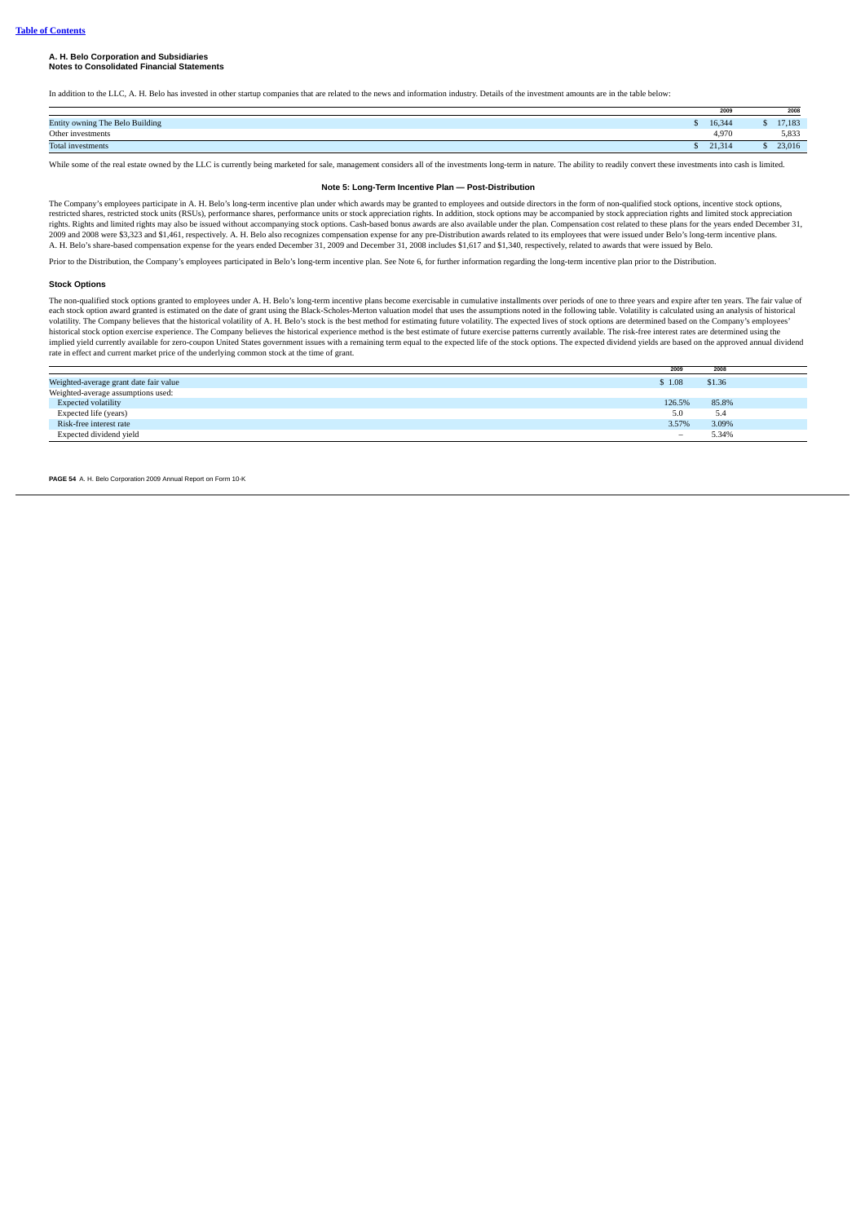In addition to the LLC, A. H. Belo has invested in other startup companies that are related to the news and information industry. Details of the investment amounts are in the table below:

|                                 | 2009   | 2008   |
|---------------------------------|--------|--------|
| Entity owning The Belo Building | 16,344 | 17,183 |
| Other investments               | 4.970  | 5,833  |
| Total investments               | 21,314 | 23,016 |

While some of the real estate owned by the LLC is currently being marketed for sale, management considers all of the investments long-term in nature. The ability to readily convert these investments into cash is limited.

### **Note 5: Long-Term Incentive Plan — Post-Distribution**

The Company's employees participate in A. H. Belo's long-term incentive plan under which awards may be granted to employees and outside directors in the form of non-qualified stock options, incentive stock options, restricted shares, restricted stock units (RSUs), performance shares, performance units or stock appreciation rights. In addition, stock options may be accompanied by stock appreciation rights and limited stock appreciatio

Prior to the Distribution, the Company's employees participated in Belo's long-term incentive plan. See Note 6, for further information regarding the long-term incentive plan prior to the Distribution.

#### **Stock Options**

The non-qualified stock options granted to employees under A. H. Belo's long-term incentive plans become exercisable in cumulative installments over periods of one to three years and expire after ten years. The fair value volatility. The Company believes that the historical volatility of A. H. Belo's stock is the best method for estimating future volatility. The expected lives of stock options are determined based on the Company's employees' historical stock option exercise experience. The Company believes the historical experience method is the best estimate of future exercise patterns currently available. The risk-free interest rates are determined using the implied yield currently available for zero-coupon United States government issues with a remaining term equal to the expected life of the stock options. The expected dividend yields are based on the approved annual dividend rate in effect and current market price of the underlying common stock at the time of grant.

|                                        | 2009                     | 2008   |  |
|----------------------------------------|--------------------------|--------|--|
| Weighted-average grant date fair value | \$1.08                   | \$1.36 |  |
| Weighted-average assumptions used:     |                          |        |  |
| Expected volatility                    | 126.5%                   | 85.8%  |  |
| Expected life (years)                  | 5.0                      | 5.4    |  |
| Risk-free interest rate                | 3.57%                    | 3.09%  |  |
| Expected dividend vield                | $\overline{\phantom{0}}$ | 5.34%  |  |

**PAGE 54** A. H. Belo Corporation 2009 Annual Report on Form 10-K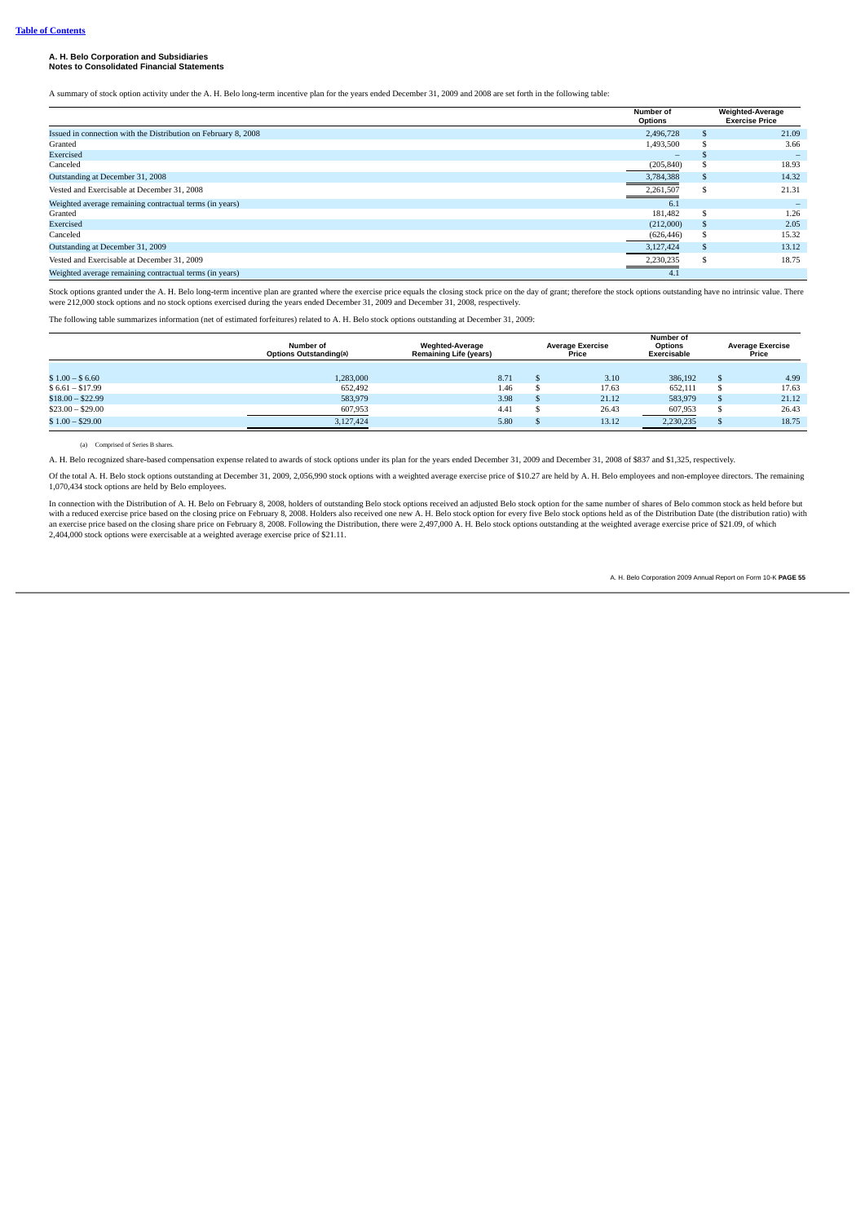A summary of stock option activity under the A. H. Belo long-term incentive plan for the years ended December 31, 2009 and 2008 are set forth in the following table:

|                                                                | Number of<br>Options                                                         | <b>Weighted-Average</b><br><b>Exercise Price</b> |       |
|----------------------------------------------------------------|------------------------------------------------------------------------------|--------------------------------------------------|-------|
| Issued in connection with the Distribution on February 8, 2008 | 2,496,728                                                                    |                                                  | 21.09 |
| Granted                                                        | 1,493,500                                                                    |                                                  | 3.66  |
| Exercised                                                      | $\hspace{0.1in} \hspace{0.1in} \hspace{0.1in} \hspace{0.1in} \hspace{0.1in}$ |                                                  |       |
| Canceled                                                       | (205, 840)                                                                   |                                                  | 18.93 |
| Outstanding at December 31, 2008                               | 3,784,388                                                                    |                                                  | 14.32 |
| Vested and Exercisable at December 31, 2008                    | 2,261,507                                                                    |                                                  | 21.31 |
| Weighted average remaining contractual terms (in years)        | 6.1                                                                          |                                                  |       |
| Granted                                                        | 181,482                                                                      |                                                  | 1.26  |
| Exercised                                                      | (212,000)                                                                    |                                                  | 2.05  |
| Canceled                                                       | (626, 446)                                                                   |                                                  | 15.32 |
| Outstanding at December 31, 2009                               | 3,127,424                                                                    |                                                  | 13.12 |
| Vested and Exercisable at December 31, 2009                    | 2,230,235                                                                    |                                                  | 18.75 |
| Weighted average remaining contractual terms (in years)        | 4.1                                                                          |                                                  |       |

Stock options granted under the A. H. Belo long-term incentive plan are granted where the exercise price equals the closing stock price on the day of grant; therefore the stock options outstanding have no intrinsic value.

The following table summarizes information (net of estimated forfeitures) related to A. H. Belo stock options outstanding at December 31, 2009:

|                   | Number of<br>Options Outstanding(a) | <b>Weghted-Average</b><br><b>Remaining Life (years)</b> |  | <b>Average Exercise</b><br>Price | Number of<br>Options<br>Exercisable | <b>Average Exercise</b><br>Price |
|-------------------|-------------------------------------|---------------------------------------------------------|--|----------------------------------|-------------------------------------|----------------------------------|
|                   |                                     |                                                         |  |                                  |                                     |                                  |
| $$1.00 - $6.60$   | 1,283,000                           | 8.71                                                    |  | 3.10                             | 386,192                             | 4.99                             |
| $$6.61 - $17.99$  | 652.492                             | 1.46                                                    |  | 17.63                            | 652.111                             | 17.63                            |
| $$18.00 - $22.99$ | 583,979                             | 3.98                                                    |  | 21.12                            | 583,979                             | 21.12                            |
| $$23.00 - $29.00$ | 607,953                             | 4.41                                                    |  | 26.43                            | 607,953                             | 26.43                            |
| $$1.00 - $29.00$  | 3,127,424                           | 5.80                                                    |  | 13.12                            | 2,230,235                           | 18.75                            |

### (a) Comprised of Series B shares.

A. H. Belo recognized share-based compensation expense related to awards of stock options under its plan for the years ended December 31, 2009 and December 31, 2008 of \$837 and \$1,325, respectively.

Of the total A. H. Belo stock options outstanding at December 31, 2009, 2,056,990 stock options with a weighted average exercise price of \$10.27 are held by A. H. Belo employees and non-employee directors. The remaining 1,070,434 stock options are held by Belo employees.

In connection with the Distribution of A. H. Belo on February 8, 2008, holders of outstanding Belo stock options received an adjusted Belo stock option for the same number of shares of Belo common stock as held before but with a reduced exercise price based on the closing price on February 8, 2008. Holders also received one new A. H. Belo stock option for every five Belo stock options held as of the Distribution Date (the distribution ratio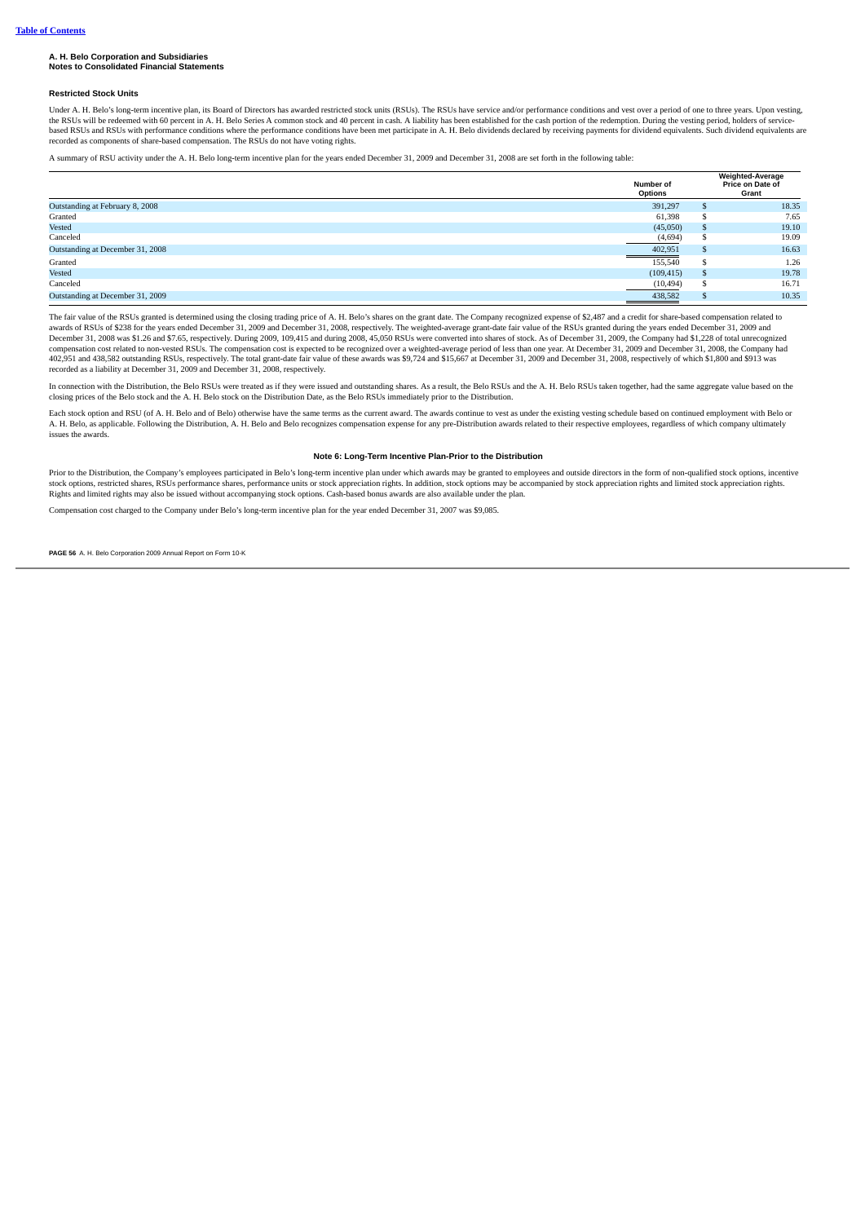### **Restricted Stock Units**

Under A. H. Belo's long-term incentive plan, its Board of Directors has awarded restricted stock units (RSUs). The RSUs have service and/or performance conditions and vest over a period of one to three years. Upon vesting, the RSUs will be redeemed with 60 percent in A. H. Belo Series A common stock and 40 percent in cash. A liability has been established for the cash portion of the redemption. During the vesting period, holders of servicebased RSUs and RSUs with performance conditions where the performance conditions have been met participate in A. H. Belo dividends declared by receiving payments for dividend equivalents. Such dividend equivalents are recorded as components of share-based compensation. The RSUs do not have voting rights.

A summary of RSU activity under the A. H. Belo long-term incentive plan for the years ended December 31, 2009 and December 31, 2008 are set forth in the following table:

|                                  | Number of<br>Options | <b>Weighted-Average</b><br>Price on Date of<br>Grant |
|----------------------------------|----------------------|------------------------------------------------------|
| Outstanding at February 8, 2008  | 391,297              | 18.35                                                |
| Granted                          | 61,398               | 7.65                                                 |
| Vested                           | (45,050)             | 19.10                                                |
| Canceled                         | (4,694)              | 19.09                                                |
| Outstanding at December 31, 2008 | 402,951              | 16.63                                                |
| Granted                          | 155,540              | 1.26                                                 |
| Vested                           | (109, 415)           | 19.78                                                |
| Canceled                         | (10, 494)            | 16.71                                                |
| Outstanding at December 31, 2009 | 438,582              | 10.35                                                |
|                                  |                      |                                                      |

The fair value of the RSUs granted is determined using the closing trading price of A. H. Belo's shares on the grant date. The Company recognized expense of \$2,487 and a credit for share-based compensation related to awards of RSUs of \$238 for the years ended December 31, 2009 and December 31, 2008, respectively. The weighted-average grant-date fair value of the RSUs granted during the years ended December 31, 2009 was \$1.26 and \$7.65, compensation cost related to non-vested RSUs. The compensation cost is expected to be recognized over a weighted-average period of less than one year. At December 31, 2009 and December 31, 2008 and Secember 31, 2008, respe recorded as a liability at December 31, 2009 and December 31, 2008, respectively.

In connection with the Distribution, the Belo RSUs were treated as if they were issued and outstanding shares. As a result, the Belo RSUs and the A. H. Belo RSUs taken together, had the same aggregate value based on the closing prices of the Belo stock and the A. H. Belo stock on the Distribution Date, as the Belo RSUs immediately prior to the Distribution.

Each stock option and RSU (of A. H. Belo and of Belo) otherwise have the same terms as the current award. The awards continue to vest as under the existing vesting schedule based on continued employment with Belo or A. H. Belo, as applicable. Following the Distribution, A. H. Belo and Belo recognizes compensation expense for any pre-Distribution awards related to their respective employees, regardless of which company ultimately issues the awards.

### **Note 6: Long-Term Incentive Plan-Prior to the Distribution**

Prior to the Distribution, the Company's employees participated in Belo's long-term incentive plan under which awards may be granted to employees and outside directors in the form of non-qualified stock options, incentive stock options, restricted shares, RSUs performance shares, performance units or stock appreciation rights. In addition, stock options may be accompanied by stock appreciation rights and limited stock appreciation rights.<br>R

Compensation cost charged to the Company under Belo's long-term incentive plan for the year ended December 31, 2007 was \$9,085.

**PAGE 56** A. H. Belo Corporation 2009 Annual Report on Form 10-K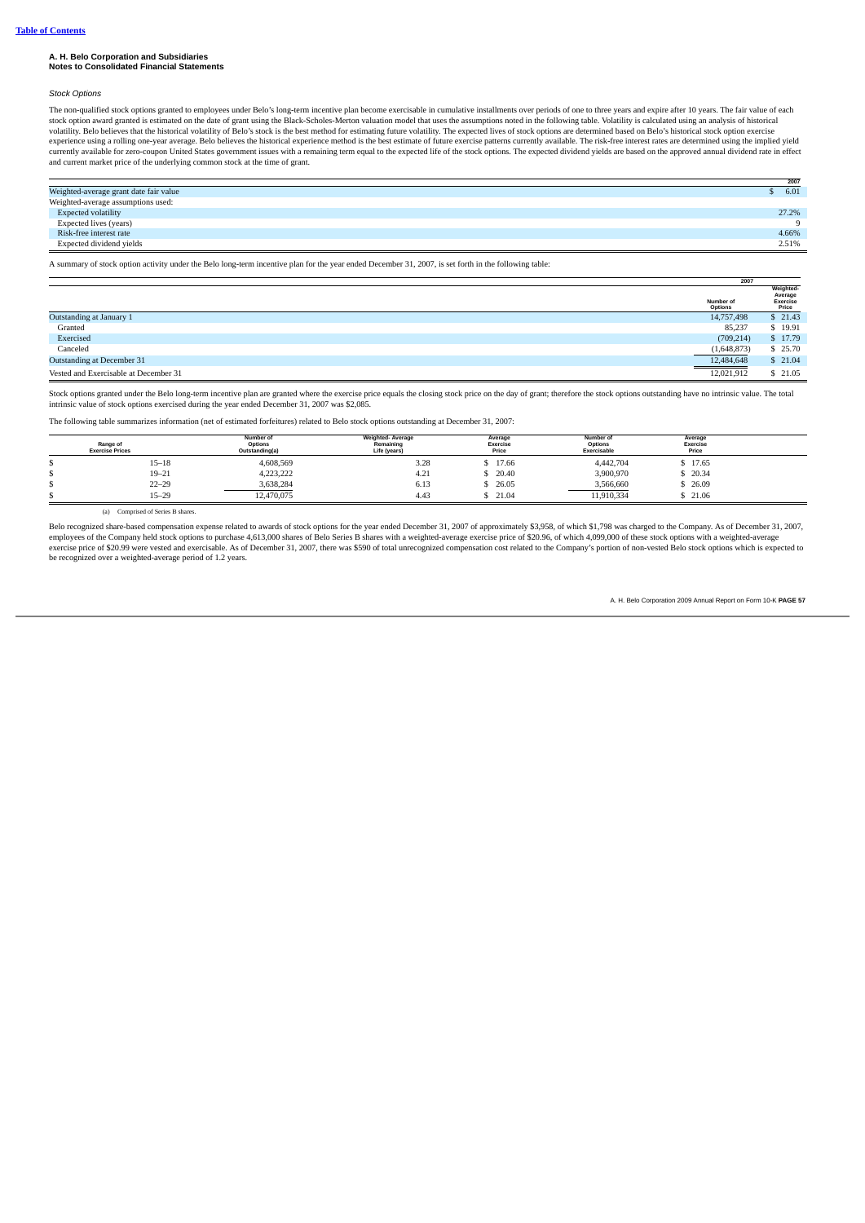#### *Stock Options*

The non-qualified stock options granted to employees under Belo's long-term incentive plan become exercisable in cumulative installments over periods of one to three years and expire after 10 years. The fair value of each experience using a rolling one-year average. Belo believes the historical experience method is the best estimate of future exercise patterns currently available. The risk-free interest rates are determined using the implie and current market price of the underlying common stock at the time of grant.

|                                        | 2007     |
|----------------------------------------|----------|
| Weighted-average grant date fair value | 6.01     |
| Weighted-average assumptions used:     |          |
| <b>Expected volatility</b>             | 27.2%    |
| Expected lives (years)                 | $\alpha$ |
| Risk-free interest rate                | 4.66%    |
| Expected dividend yields               | 2.51%    |
|                                        |          |

A summary of stock option activity under the Belo long-term incentive plan for the year ended December 31, 2007, is set forth in the following table:

|                                       | 2007                                            |                                           |
|---------------------------------------|-------------------------------------------------|-------------------------------------------|
|                                       | Number of<br>Options                            | Weighted-<br>Average<br>Exercise<br>Price |
| Outstanding at January 1              | 14,757,498                                      | \$21.43                                   |
| Granted                               | 85,237                                          | \$19.91                                   |
| Exercised                             | (709, 214)                                      | \$17.79                                   |
| Canceled                              | (1,648,873)                                     | \$25.70                                   |
| Outstanding at December 31            | 12,484,648<br>and the control of the control of | \$21.04                                   |
| Vested and Exercisable at December 31 | 12,021,912                                      | \$21.05                                   |

Stock options granted under the Belo long-term incentive plan are granted where the exercise price equals the closing stock price on the day of grant; therefore the stock options outstanding have no intrinsic value. The to intrinsic value of stock options exercised during the year ended December 31, 2007 was \$2,085.

The following table summarizes information (net of estimated forfeitures) related to Belo stock options outstanding at December 31, 2007:

| Range of<br><b>Exercise Prices</b> | Number of<br>Options<br>Outstanding(a) | Weighted-Average<br>Remaining<br>Life (years) | Average<br>Exercise<br>Price | Number of<br>Options<br>Exercisable | Average<br>Exercise<br>Price |  |
|------------------------------------|----------------------------------------|-----------------------------------------------|------------------------------|-------------------------------------|------------------------------|--|
| $15 - 18$                          | 4,608,569                              | 3.28                                          | 17.66                        | 4.442.704                           | 17.65                        |  |
| $19 - 21$                          | 4,223,222                              | 4.21                                          | 20.40                        | 3,900,970                           | 520.34                       |  |
| $22 - 29$                          | 3,638,284                              | 6.13                                          | 26.05                        | 3,566,660                           | 26.09                        |  |
| $15 - 29$                          | 12,470,075                             | 4.43                                          | 21.04                        | 11,910,334                          | 21.06                        |  |

(a) Comprised of Series B shares.

Belo recognized share-based compensation expense related to awards of stock options for the year ended December 31, 2007 of approximately \$3,958, of which \$1,798 was charged to the Company. As of December 31, 2007, employees of the Company held stock options to purchase 4,613,000 shares of Belo Series B shares with a weighted-average exercise price of \$20.96, of which 4,099,000 of these stock options with a weighted-average<br>exercise be recognized over a weighted-average period of 1.2 years.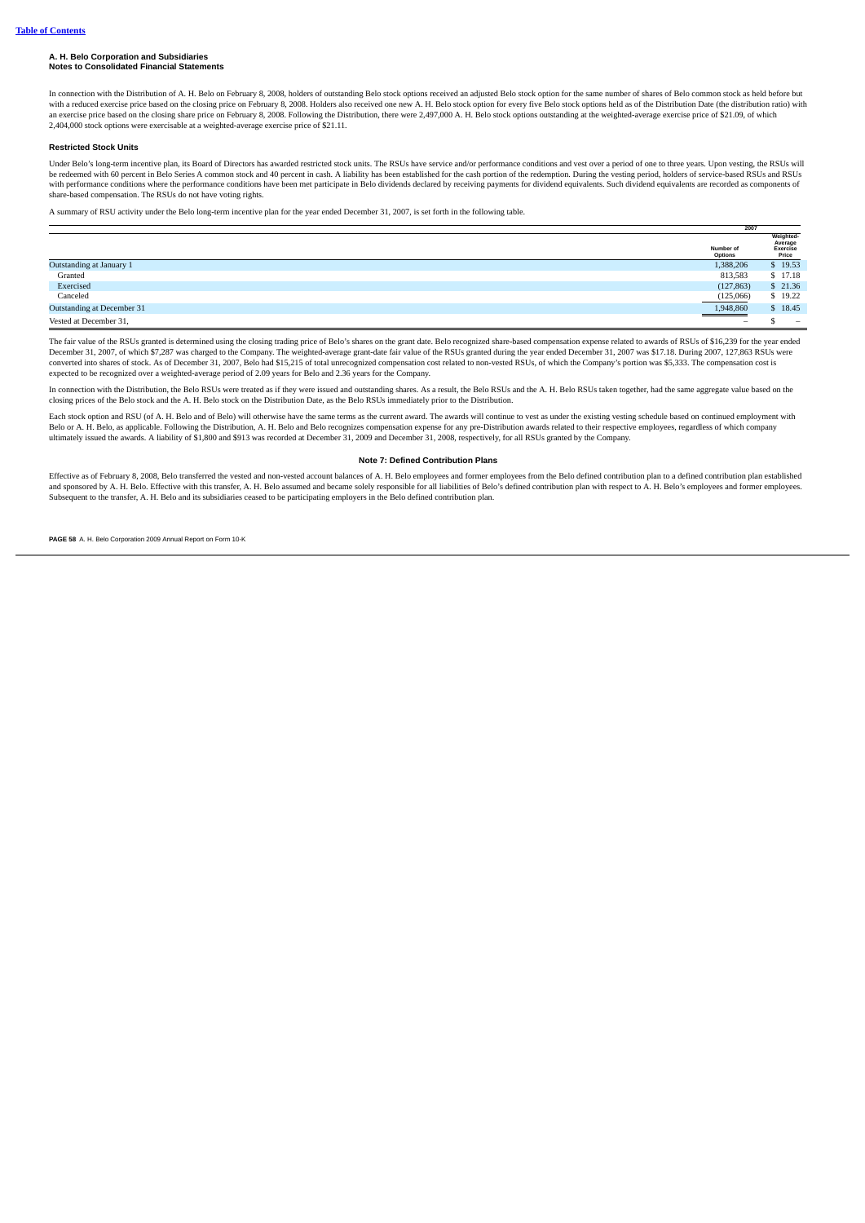In connection with the Distribution of A. H. Belo on February 8, 2008, holders of outstanding Belo stock options received an adjusted Belo stock option for the same number of shares of Belo common stock as held before but with a reduced exercise price based on the closing price on February 8, 2008. Holders also received one new A. H. Belo stock option for every five Belo stock options held as of the Distribution Date (the distribution ratio an exercise price based on the closing share price on February 8, 2008. Following the Distribution, there were 2,497,000 A. H. Belo stock options outstanding at the weighted-average exercise price of \$21.09, of which 2,404,000 stock options were exercisable at a weighted-average exercise price of \$21.11.

### **Restricted Stock Units**

Under Belo's long-term incentive plan, its Board of Directors has awarded restricted stock units. The RSUs have service and/or performance conditions and vest over a period of one to three years. Upon vesting, the RSUs wil be redeemed with 60 percent in Belo Series A common stock and 40 percent in cash. A liability has been established for the cash portion of the redemption. During the vesting period, holders of service-based RSUs and RSUs<br>w share-based compensation. The RSUs do not have voting rights.

A summary of RSU activity under the Belo long-term incentive plan for the year ended December 31, 2007, is set forth in the following table.

|                            | 2007                                                         |                                           |
|----------------------------|--------------------------------------------------------------|-------------------------------------------|
|                            | Number of<br>Options                                         | Weighted-<br>Average<br>Exercise<br>Price |
| Outstanding at January 1   | 1,388,206                                                    | \$19.53                                   |
| Granted                    | 813,583                                                      | \$17.18                                   |
| Exercised                  | (127, 863)                                                   | \$21.36                                   |
| Canceled                   | (125,066)                                                    | \$19.22                                   |
| Outstanding at December 31 | 1,948,860<br>the contract of the contract of the contract of | \$18.45                                   |
| Vested at December 31,     | $\overline{\phantom{0}}$                                     | $\overline{\phantom{a}}$                  |

The fair value of the RSUs granted is determined using the closing trading price of Belo's shares on the grant date. Belo recognized share-based compensation expense related to awards of RSUs of \$16,239 for the year ended December 31, 2007, of which \$7,287 was charged to the Company. The weighted-average grant-date fair value of the RSUs granted during the year ended December 31, 2007 was \$17.18. During 2007, 127,863 RSUs were converted into shares of stock. As of December 31, 2007, Belo had \$15,215 of total unrecognized compensation cost related to non-vested RSUs, of which the Company's portion was \$5,333. The compensation cost is expected to be recognized over a weighted-average period of 2.09 years for Belo and 2.36 years for the Company.

In connection with the Distribution, the Belo RSUs were treated as if they were issued and outstanding shares. As a result, the Belo RSUs and the A. H. Belo RSUs taken together, had the same aggregate value based on the cl

Each stock option and RSU (of A. H. Belo and of Belo) will otherwise have the same terms as the current award. The awards will continue to vest as under the existing vesting schedule based on continued employment with Belo or A. H. Belo, as applicable. Following the Distribution, A. H. Belo and Belo recognizes compensation expense for any pre-Distribution awards related to their respective employees, regardless of which company ultimately issued the awards. A liability of \$1,800 and \$913 was recorded at December 31, 2009 and December 31, 2008, respectively, for all RSUs granted by the Company.

### **Note 7: Defined Contribution Plans**

Effective as of February 8, 2008, Belo transferred the vested and non-vested account balances of A. H. Belo employees and former employees from the Belo defined contribution plan to a defined contribution plan established and sponsored by A. H. Belo. Effective with this transfer, A. H. Belo assumed and became solely responsible for all liabilities of Belo's defined contribution plan with respect to A. H. Belo's employees and former employee

**PAGE 58** A. H. Belo Corporation 2009 Annual Report on Form 10-K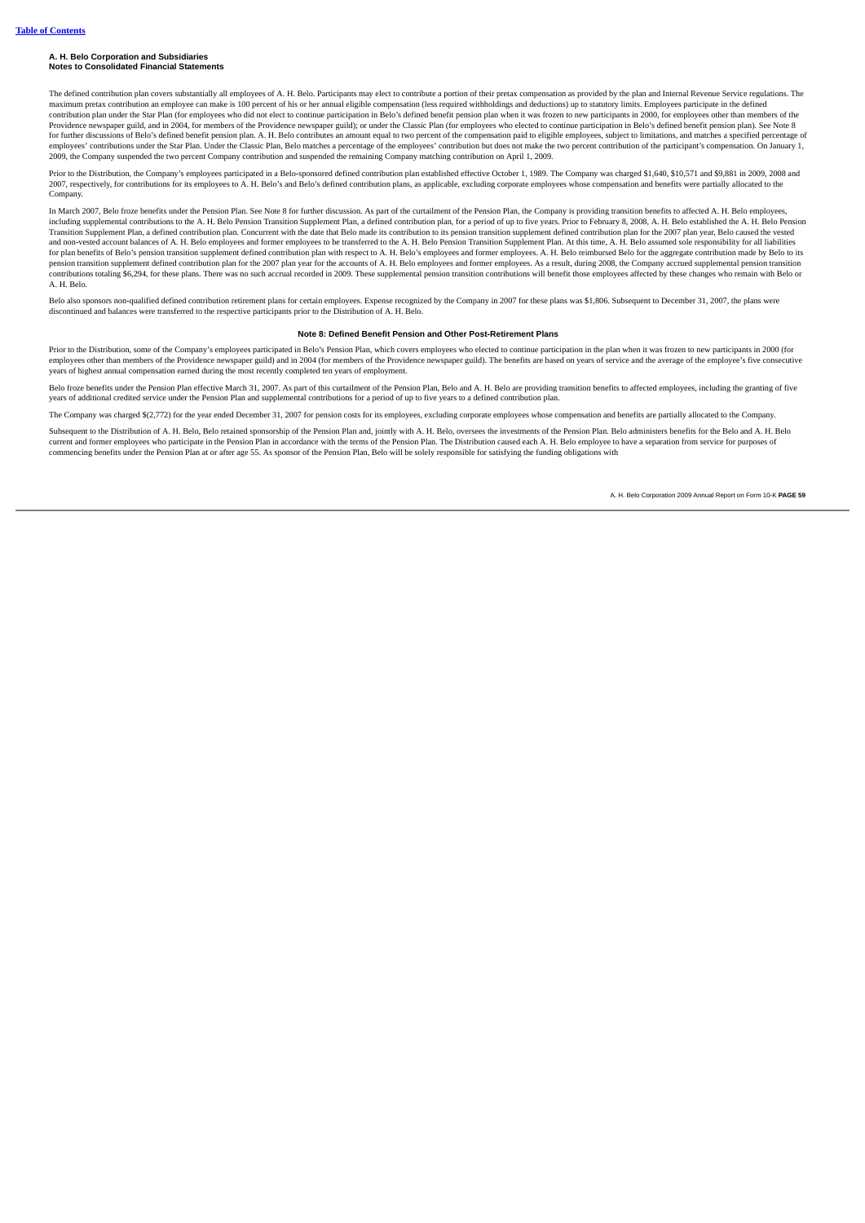The defined contribution plan covers substantially all employees of A. H. Belo. Participants may elect to contribute a portion of their pretax compensation as provided by the plan and Internal Revenue Service regulations. maximum pretax contribution an employee can make is 100 percent of his or her annual eligible compensation (less required withholdings and deductions) up to statutory limits. Employees participate in the defined<br>contributi Providence newspaper guild, and in 2004, for members of the Providence newspaper guild); or under the Classic Plan (for employees who elected to continue participation in Belo's defined benefit pension plan). See Note 8<br>fo employees' contributions under the Star Plan. Under the Classic Plan, Belo matches a percentage of the employees' contribution but does not make the two percent contribution of the participant's compensation. On January 1, 2009, the Company suspended the two percent Company contribution and suspended the remaining Company matching contribution on April 1, 2009.

Prior to the Distribution, the Company's employees participated in a Belo-sponsored defined contribution plan established effective October 1, 1989. The Company was charged \$1,640, \$10,571 and \$9,881 in 2009, 2008 and<br>2007 **Company** 

In March 2007, Belo froze benefits under the Pension Plan. See Note 8 for further discussion. As part of the curtailment of the Pension Plan, the Company is providing transition benefits to affected A. H. Belo employees, including supplemental contributions to the A. H. Belo Pension Transition Supplement Plan, a defined contribution plan, for a period of up to five years. Prior to February 8, 2008, A. H. Belo established the A. H. Belo Pen Transition Supplement Plan, a defined contribution plan. Concurrent with the date that Belo made its contribution to its pension transition supplement defined contribution plan for the 2007 plan year, Belo caused the vested and non-vested account balances of A. H. Belo employees and former employees to be transferred to the A. H. Belo Pension Transition Supplement Plan. At this time, A. H. Belo assumed sole responsibility for all liabilities for plan benefits of Belo's pension transition supplement defined contribution plan with respect to A. H. Belo's employees and former employees. A. H. Belo reimbursed Belo for the aggregate contribution made by Belo to its pension transition supplement defined contribution plan for the 2007 plan year for the accounts of A. H. Belo employees and former employees. As a result, during 2008, the Company accrued supplemental pension transition<br>co A. H. Belo.

Belo also sponsors non-qualified defined contribution retirement plans for certain employees. Expense recognized by the Company in 2007 for these plans was \$1,806. Subsequent to December 31, 2007, the plans were discontinued and balances were transferred to the respective participants prior to the Distribution of A. H. Belo.

#### **Note 8: Defined Benefit Pension and Other Post-Retirement Plans**

Prior to the Distribution, some of the Company's employees participated in Belo's Pension Plan, which covers employees who elected to continue participation in the plan when it was frozen to new participants in 2000 (for employees other than members of the Providence newspaper guild) and in 2004 (for members of the Providence newspaper guild). The benefits are based on years of service and the average of the employee's five consecutive<br>yea

Belo froze benefits under the Pension Plan effective March 31, 2007. As part of this curtailment of the Pension Plan, Belo and A. H. Belo are providing transition benefits to affected employees, including the granting of f years of additional credited service under the Pension Plan and supplemental contributions for a period of up to five years to a defined contribution plan.

Company was charged \$(2,772) for the year ended December 31, 2007 for pension costs for its employees, excluding corporate employees whose compensation and benefits are partially allocated to the Company.

Subsequent to the Distribution of A. H. Belo, Belo retained sponsorship of the Pension Plan and, jointly with A. H. Belo, oversees the investments of the Pension Plan. Belo administers benefits for the Belo and A. H. Belo current and former employees who participate in the Pension Plan in accordance with the terms of the Pension Plan. The Distribution caused each A. H. Belo employee to have a separation from service for purposes of<br>commenci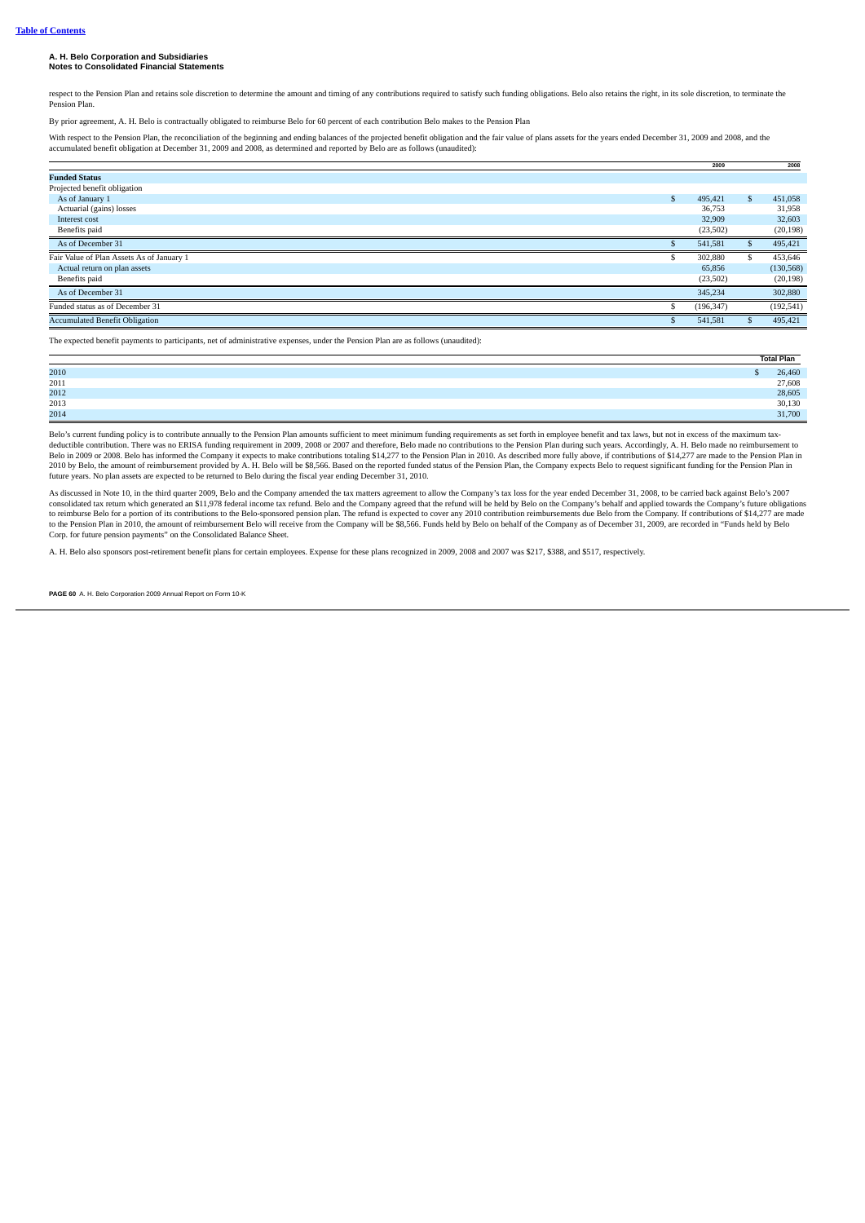respect to the Pension Plan and retains sole discretion to determine the amount and timing of any contributions required to satisfy such funding obligations. Belo also retains the right, in its sole discretion, to terminat Pension Plan.

By prior agreement, A. H. Belo is contractually obligated to reimburse Belo for 60 percent of each contribution Belo makes to the Pension Plan

With respect to the Pension Plan, the reconciliation of the beginning and ending balances of the projected benefit obligation and the fair value of plans assets for the years ended December 31, 2009 and 2008, and the accumulated benefit obligation at December 31, 2009 and 2008, as determined and reported by Belo are as follows (unaudited):

|                                           |     | 2009       | 2008          |
|-------------------------------------------|-----|------------|---------------|
| <b>Funded Status</b>                      |     |            |               |
| Projected benefit obligation              |     |            |               |
| As of January 1                           | \$. | 495,421    | \$<br>451,058 |
| Actuarial (gains) losses                  |     | 36,753     | 31,958        |
| Interest cost                             |     | 32,909     | 32,603        |
| Benefits paid                             |     | (23,502)   | (20, 198)     |
| As of December 31                         |     | 541,581    | 495,421       |
| Fair Value of Plan Assets As of January 1 |     | 302,880    | 453,646       |
| Actual return on plan assets              |     | 65,856     | (130, 568)    |
| Benefits paid                             |     | (23,502)   | (20, 198)     |
| As of December 31                         |     | 345,234    | 302,880       |
| Funded status as of December 31           |     | (196, 347) | (192, 541)    |
| <b>Accumulated Benefit Obligation</b>     |     | 541,581    | 495,421       |
|                                           |     |            |               |

The expected benefit payments to participants, net of administrative expenses, under the Pension Plan are as follows (unaudited):

|              | <b>Total Plan</b> |
|--------------|-------------------|
| 2010         | 26,460            |
| 2011<br>2012 | 27,608            |
|              | 28,605            |
| 2013         | 30,130            |
| 2014         | 31,700            |

Belo's current funding policy is to contribute annually to the Pension Plan amounts sufficient to meet minimum funding requirements as set forth in employee benefit and tax laws, but not in excess of the maximum tax-<br>deduc Belo in 2009 or 2008. Belo has informed the Company it expects to make contributions totaling \$14,277 to the Pension Plan in 2010. As described more fully above, if contributions of \$14,277 are made to the Pension Plan in<br> future years. No plan assets are expected to be returned to Belo during the fiscal year ending December 31, 2010.

As discussed in Note 10, in the third quarter 2009, Belo and the Company amended the tax matters agreement to allow the Company's tax loss for the year ended December 31, 2008, to be carried back against Belo's 2007 consolidated tax return which generated an \$11,978 federal income tax refund. Belo and the Company areed that the refund will be held by Belo on the Company's behalf and applied towards the Company's future obligations<br>to to the Pension Plan in 2010, the amount of reimbursement Belo will receive from the Company will be \$8,566. Funds held by Belo on behalf of the Company as of December 31, 2009, are recorded in "Funds held by Belo<br>Corp. for

A. H. Belo also sponsors post-retirement benefit plans for certain employees. Expense for these plans recognized in 2009, 2008 and 2007 was \$217, \$388, and \$517, respectively.

**PAGE 60** A. H. Belo Corporation 2009 Annual Report on Form 10-K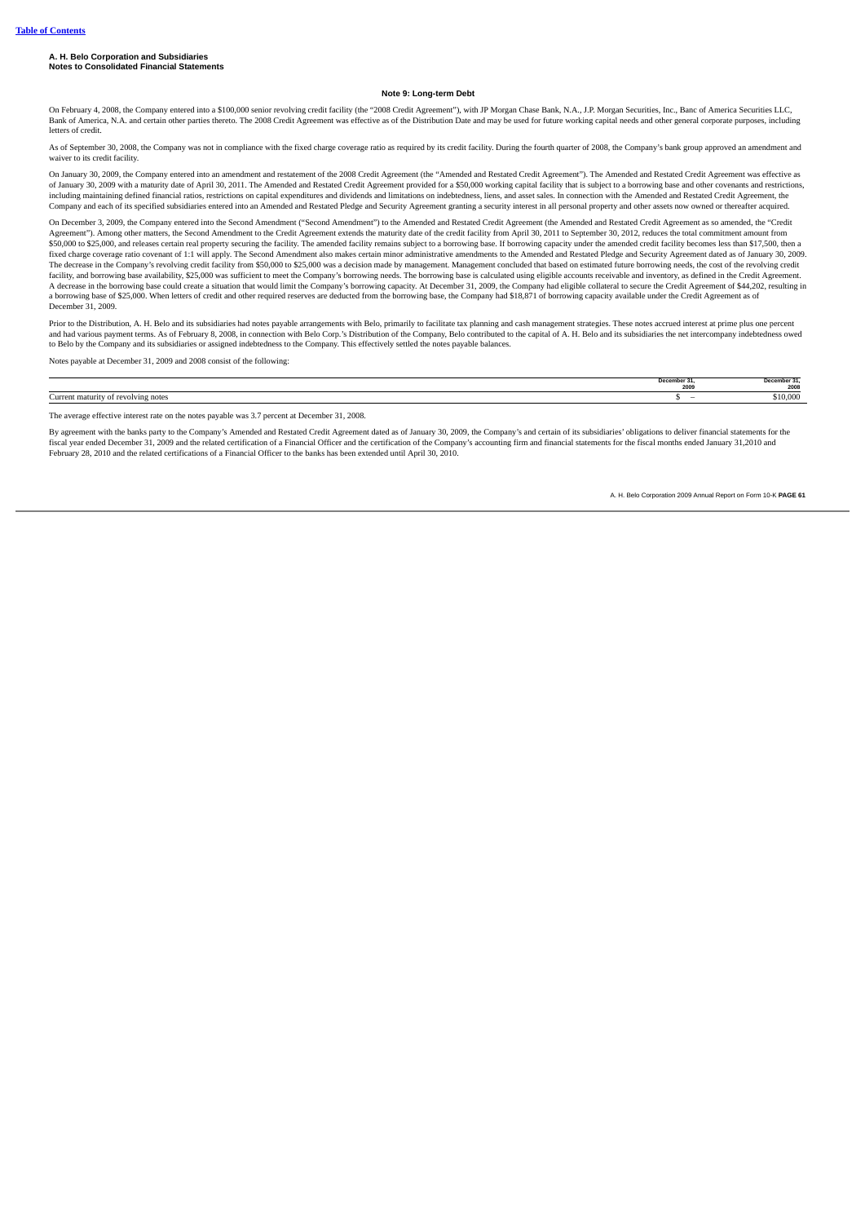#### **Note 9: Long-term Debt**

On February 4, 2008, the Company entered into a \$100,000 senior revolving credit facility (the "2008 Credit Agreement"), with JP Morgan Chase Bank, N.A., J.P. Morgan Securities, Inc., Banc of America Securities LLC, Bank of America, N.A. and certain other parties thereto. The 2008 Credit Agreement was effective as of the Distribution Date and may be used for future working capital needs and other general corporate purposes, including letters of credit.

As of September 30, 2008, the Company was not in compliance with the fixed charge coverage ratio as required by its credit facility. During the fourth quarter of 2008, the Company's bank group approved an amendment and waiver to its credit facility.

On January 30, 2009, the Company entered into an amendment and restatement of the 2008 Credit Agreement (the "Amended and Restated Credit Agreement"). The Amended and Restated Credit Agreement was effective as of January 30, 2009 with a maturity date of April 30, 2011. The Amended and Restated Credit Agreement provided for a \$50,000 working capital facility that is subject to a borrowing base and other covenants and restrictions Company and each of its specified subsidiaries entered into an Amended and Restated Pledge and Security Agreement granting a security interest in all personal property and other assets now owned or thereafter acquired.

On December 3, 2009, the Company entered into the Second Amendment ("Second Amendment") to the Amended and Restated Credit Agreement (the Amended and Restated Credit Agreement as so amended, the "Credit" Agreement"). Among other matters, the Second Amendment to the Credit Agreement extends the maturity date of the credit facility from April 30, 2011 to September 30, 2012, reduces the total commitment amount from \$50,000 to \$25,000, and releases certain real property securing the facility. The amended facility remains subject to a borrowing base. If borrowing capacity under the amended credit facility becomes less than \$17,500, the fixed charge coverage ratio covenant of 1:1 will apply. The Second Amendment also makes certain minor administrative amendments to the Amended and Restated Pledge and Security Agreement dated as of January 30, 2009. The decrease in the Company's revolving credit facility from \$50,000 to \$25,000 was a decision made by management. Management concluded that based on estimated future borrowing needs, the cost of the revolving credit credi facility, and borrowing base availability, \$25,000 was sufficient to meet the Company's borrowing needs. The borrowing base is calculated using eligible accounts receivable and inventory, as defined in the Credit Agreement. A decrease in the borrowing base could create a situation that would limit the Company's borrowing capacity. At December 31, 2009, the Company had eligible collateral to secure the Credit Agreement of \$44,202, resulting in a borrowing base of \$25,000. When letters of credit and other required reserves are deducted from the borrowing base, the Company had \$18,871 of borrowing capacity available under the Credit Agreement as of<br>December 31, 20

Prior to the Distribution, A. H. Belo and its subsidiaries had notes payable arrangements with Belo, primarily to facilitate tax planning and cash management strategies. These notes accrued interest at prime plus one perce to Belo by the Company and its subsidiaries or assigned indebtedness to the Company. This effectively settled the notes payable balances.

Notes payable at December 31, 2009 and 2008 consist of the following:

|                                     | .<br>™empe.<br>.<br>     | <b>Production</b> |
|-------------------------------------|--------------------------|-------------------|
|                                     | 2009                     | 2008              |
| Current maturity of revolving notes | $\overline{\phantom{a}}$ | \$10,000          |

The average effective interest rate on the notes payable was 3.7 percent at December 31, 2008.

By agreement with the banks party to the Company's Amended and Restated Credit Agreement dated as of January 30, 2009, the Company's and certain of its subsidiaries' obligations to deliver financial statements for the fiscal year ended December 31, 2009 and the related certification of a Financial Officer and the certification of the Company's accounting firm and financial statements for the fiscal months ended January 31,2010 and<br>Febru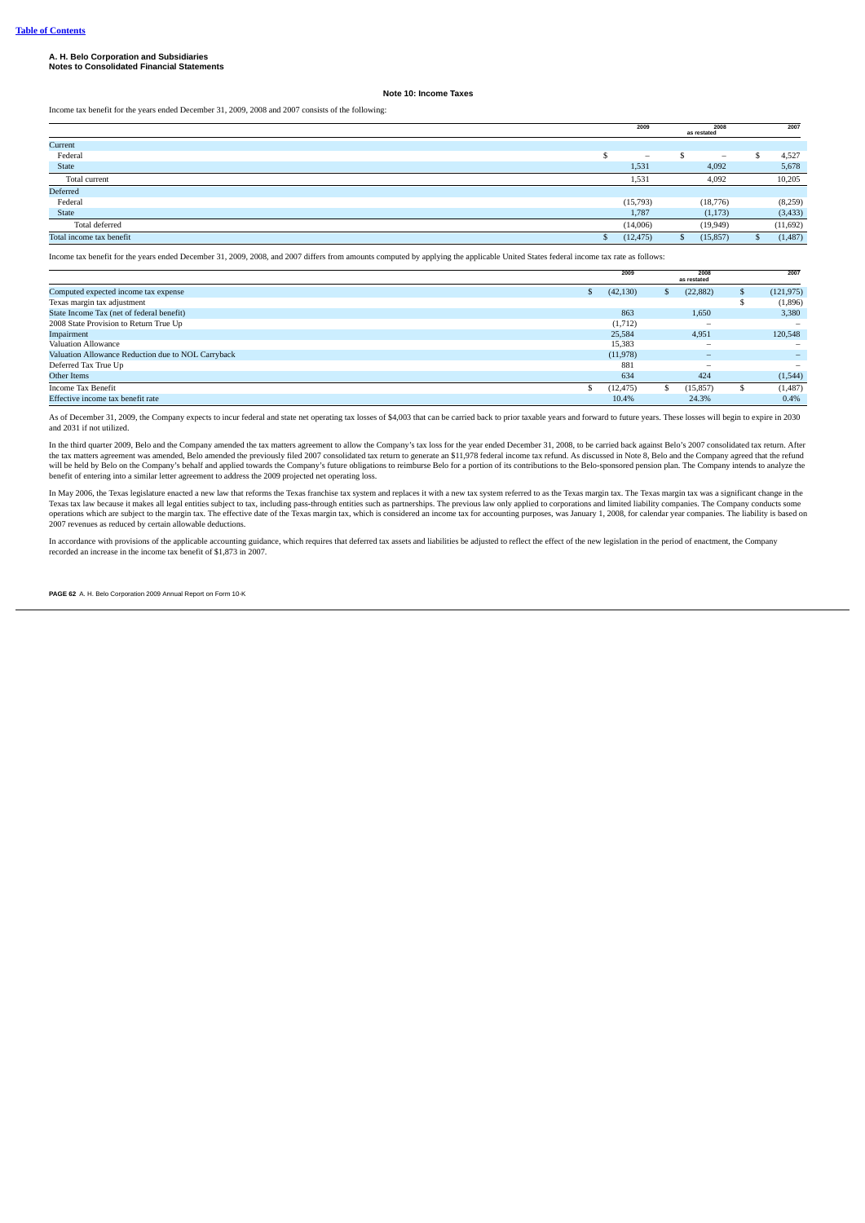### **Note 10: Income Taxes**

Income tax benefit for the years ended December 31, 2009, 2008 and 2007 consists of the following:

|                          | 2009                     | 2008<br>as restated      | 2007      |
|--------------------------|--------------------------|--------------------------|-----------|
| Current                  |                          |                          |           |
| Federal                  | $\overline{\phantom{a}}$ | $\overline{\phantom{a}}$ | 4,527     |
| State                    | 1,531                    | 4,092                    | 5,678     |
| Total current            | 1,531                    | 4,092                    | 10,205    |
| Deferred                 |                          |                          |           |
| Federal                  | (15,793)                 | (18, 776)                | (8,259)   |
| State                    | 1,787                    | (1, 173)                 | (3, 433)  |
| Total deferred           | (14,006)                 | (19, 949)                | (11, 692) |
| Total income tax benefit | (12, 475)                | (15, 857)                | (1, 487)  |
|                          |                          |                          |           |

Income tax benefit for the years ended December 31, 2009, 2008, and 2007 differs from amounts computed by applying the applicable United States federal income tax rate as follows:

|                                                    |   | 2009      | 2008<br>as restated      | 2007            |
|----------------------------------------------------|---|-----------|--------------------------|-----------------|
| Computed expected income tax expense               | ъ | (42, 130) | (22, 882)                | (121, 975)      |
| Texas margin tax adjustment                        |   |           |                          | (1,896)         |
| State Income Tax (net of federal benefit)          |   | 863       | 1,650                    | 3,380           |
| 2008 State Provision to Return True Up             |   | (1,712)   | -                        |                 |
| Impairment                                         |   | 25,584    | 4,951                    | 120,548         |
| Valuation Allowance                                |   | 15,383    | -                        | $\qquad \qquad$ |
| Valuation Allowance Reduction due to NOL Carryback |   | (11,978)  |                          |                 |
| Deferred Tax True Up                               |   | 881       | $\overline{\phantom{a}}$ | $\qquad \qquad$ |
| Other Items                                        |   | 634       | 424                      | (1, 544)        |
| Income Tax Benefit                                 |   | (12, 475) | (15, 857)                | (1,487)         |
| Effective income tax benefit rate                  |   | 10.4%     | 24.3%                    | 0.4%            |

As of December 31, 2009, the Company expects to incur federal and state net operating tax losses of \$4,003 that can be carried back to prior taxable years and forward to future years. These losses will begin to expire in 2 and 2031 if not utilized.

In the third quarter 2009, Belo and the Company amended the tax matters agreement to allow the Company's tax loss for the year ended December 31, 2008, to be carried back against Belo's 2007 consolidated tax return. After the tax matters agreement was amended, Belo amended the previously filed 2007 consolidated tax return to generate an \$11,978 federal income tax refund. As discussed in Note 8, Belo and the Company agreed that the refund<br>wi benefit of entering into a similar letter agreement to address the 2009 projected net operating loss.

In May 2006, the Texas legislature enacted a new law that reforms the Texas franchise tax system and replaces it with a new tax system referred to as the Texas margin tax. The Texas margin tax was a significant change in t Texas tax law because it makes all legal entities subject to tax, including pass-through entities such as partnerships. The previous law only applied to corporations and limited liability companies. The Company conducts so

In accordance with provisions of the applicable accounting guidance, which requires that deferred tax assets and liabilities be adjusted to reflect the effect of the new legislation in the period of enactment, the Company<br>

**PAGE 62** A. H. Belo Corporation 2009 Annual Report on Form 10-K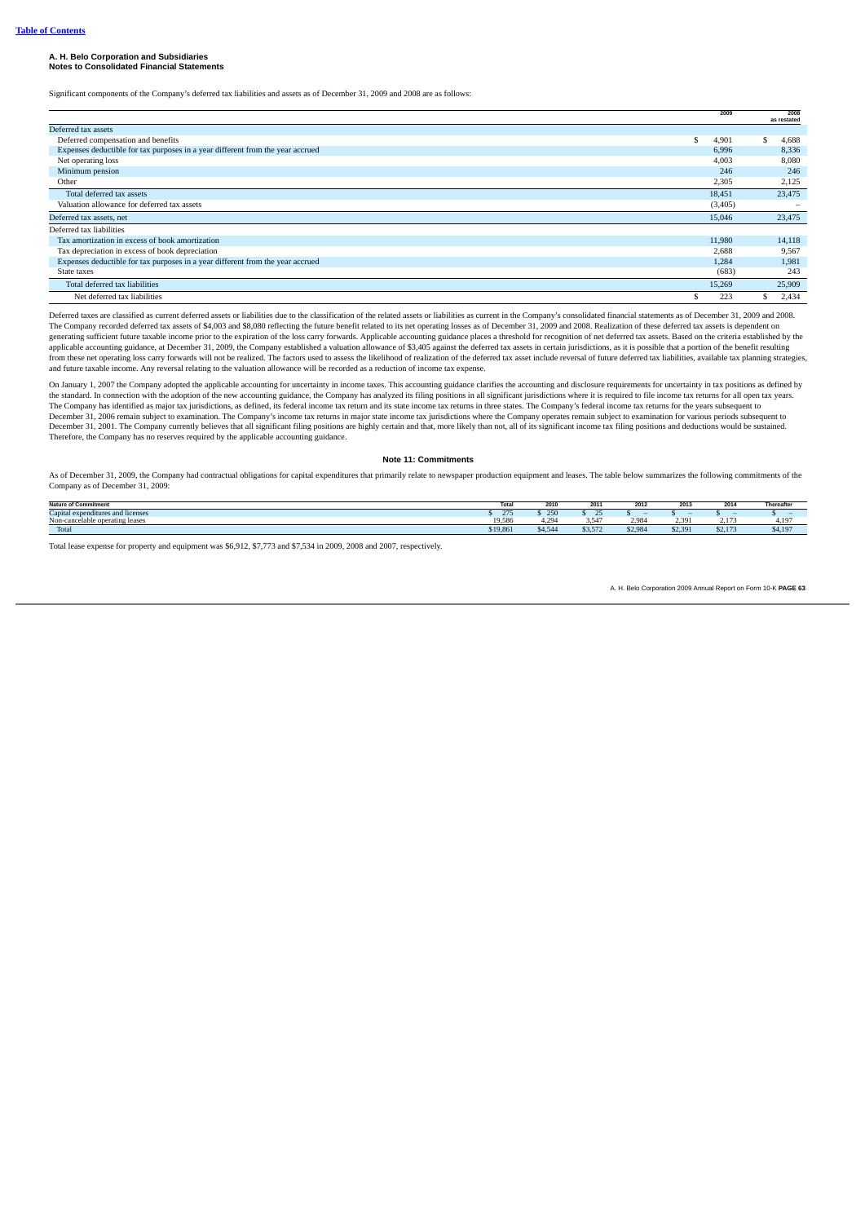Significant components of the Company's deferred tax liabilities and assets as of December 31, 2009 and 2008 are as follows:

|                                                                                | 2009        | 2008<br>as restated |
|--------------------------------------------------------------------------------|-------------|---------------------|
| Deferred tax assets                                                            |             |                     |
| Deferred compensation and benefits                                             | \$<br>4,901 | \$<br>4,688         |
| Expenses deductible for tax purposes in a year different from the year accrued | 6,996       | 8,336               |
| Net operating loss                                                             | 4,003       | 8,080               |
| Minimum pension                                                                | 246         | 246                 |
| Other                                                                          | 2,305       | 2,125               |
| Total deferred tax assets                                                      | 18,451      | 23,475              |
| Valuation allowance for deferred tax assets                                    | (3,405)     |                     |
| Deferred tax assets, net                                                       | 15,046      | 23,475              |
| Deferred tax liabilities                                                       |             |                     |
| Tax amortization in excess of book amortization                                | 11,980      | 14,118              |
| Tax depreciation in excess of book depreciation                                | 2,688       | 9,567               |
| Expenses deductible for tax purposes in a year different from the year accrued | 1,284       | 1,981               |
| State taxes                                                                    | (683)       | 243                 |
| Total deferred tax liabilities                                                 | 15,269      | 25,909              |
| Net deferred tax liabilities                                                   | 223         | 2,434<br>S          |

Deferred taxes are classified as current deferred assets or liabilities due to the classification of the related assets or liabilities as current in the Company's consolidated financial statements as of December 31, 2009 a generating sufficient future taxable income prior to the expiration of the loss carry forwards. Applicable accounting guidance places a threshold for recognition of net deferred tax assets. Based on the criteria establishe from these net operating loss carry forwards will not be realized. The factors used to assess the likelihood of realization of the deferred tax asset include reversal of future deferred tax liabilities, available tax plann and future taxable income. Any reversal relating to the valuation allowance will be recorded as a reduction of income tax expense.

On January 1, 2007 the Company adopted the applicable accounting for uncertainty in income taxes. This accounting guidance clarifies the accounting and disclosure requirements for uncertainty in tax positions as defined by the standard. In connection with the adoption of the new accounting guidance, the Company has analyzed its filing positions in all significant jurisdictions where it is required to file income tax returns for all open tax December 31, 2006 remain subject to examination. The Company's income tax returns in major state income tax jurisdictions where the Company operates remain subject to examination for various periods subsequent to December 31, 2001. The Company currently believes that all significant filing positions are highly certain and that, more likely than not, all of its significant income tax filing positions and deductions would be sustaine

### **Note 11: Commitments**

As of December 31, 2009, the Company had contractual obligations for capital expenditures that primarily relate to newspaper production equipment and leases. The table below summarizes the following commitments of the Company as of December 31, 2009:

| <b>Nature of Commitment</b>         | ---<br>Total    | 201                      | 2011              | 2012            | $\overline{\phantom{a}}$<br>ZUI | 201/                    | Thereafter |
|-------------------------------------|-----------------|--------------------------|-------------------|-----------------|---------------------------------|-------------------------|------------|
| expenditures and licenses<br>сариаг | $n =$<br>$\sim$ | $- - -$<br>. .           | $ -$<br>$\sim$    |                 |                                 | -                       |            |
| Non-cancelable operating leases     | 10.59<br>12.300 | $-$<br>$\cdots$<br>+.∠.י | $-47$<br>-3.34    | 0.98<br>---     | 220<br><b>4.JJ</b>              | $\sim$<br>2.11          | 4.197      |
| Total                               | \$19,861        |                          | $mn - m$<br>3.5/2 | \$2.98<br>94,30 | mn<br>.<br>04,03                | $\overline{a}$<br>32,17 | \$4,197    |

Total lease expense for property and equipment was \$6,912, \$7,773 and \$7,534 in 2009, 2008 and 2007, respectively.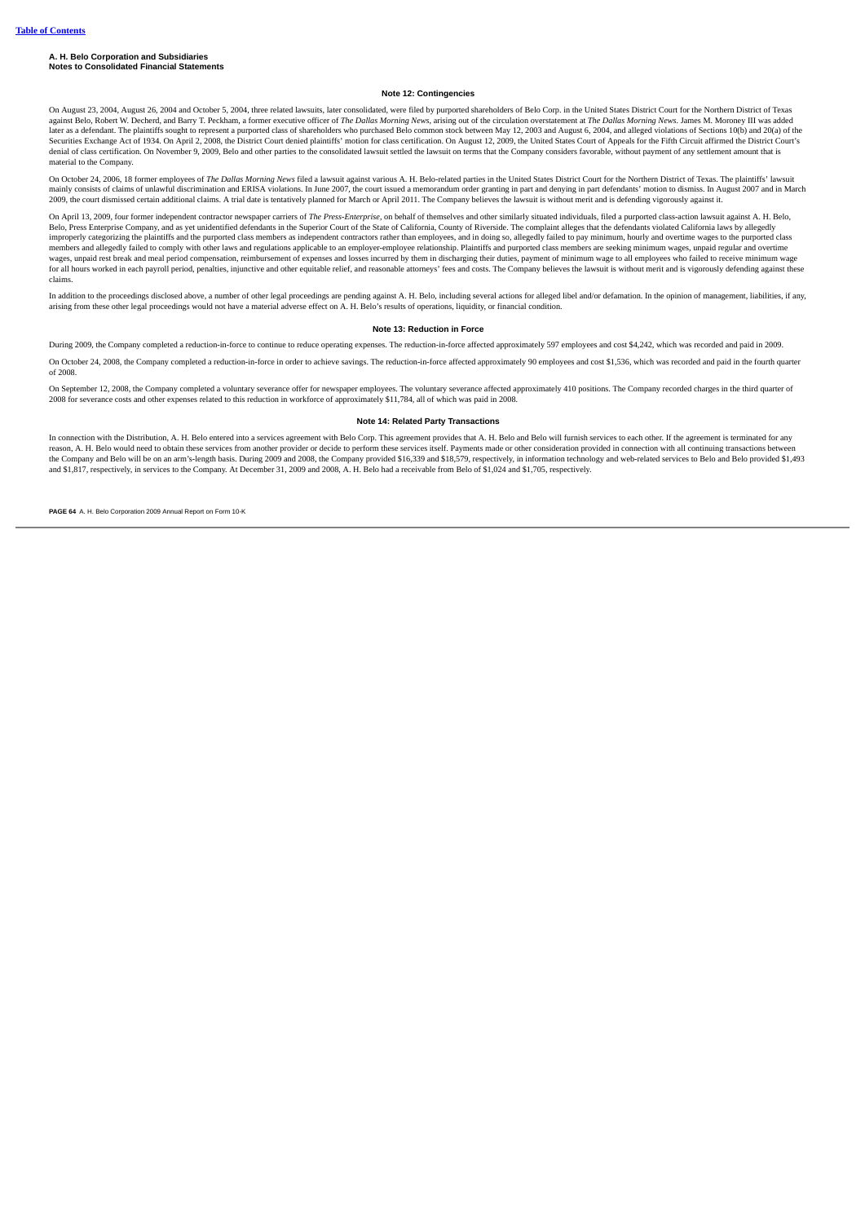#### **Note 12: Contingencies**

On August 23, 2004, August 26, 2004 and October 5, 2004, three related lawsuits, later consolidated, were filed by purported shareholders of Belo Corp. in the United States District Court for the Northern District of Texas against Belo, Robert W. Decherd, and Barry T. Peckham, a former executive officer of The Dallas Morning News, arising out of the circulation overstatement at The Dallas Morning News. James M. Moroney III was added later as a defendant. The plaintiffs sought to represent a purported class of shareholders who purchased Belo common stock between May 12, 2003 and August 6, 2004, and alleged violations of Sections 10(b) and 20(a) of the Securities Exchange Act of 1934. On April 2, 2008, the District Court denied plaintiffs' motion for class certification. On August 12, 2009, the United States Court of Appeals for the Fifth Circuit affirmed the District Co denial of class certification. On November 9, 2009, Belo and other parties to the consolidated lawsuit settled the lawsuit on terms that the Company considers favorable, without payment of any settlement amount that is material to the Company.

On October 24, 2006, 18 former employees of The Dallas Morning News filed a lawsuit against various A. H. Belo-related parties in the United States District Court for the Northern District of Texas. The plaintiffs' lawsuit mainly consists of claims of unlawful discrimination and ERISA violations. In June 2007, the court issued a memorandum order granting in part and denying in part defendants' motion to dismiss. In August 2007 and in March<br>2

On April 13, 2009, four former independent contractor newspaper carriers of The Press-Enterprise, on behalf of themselves and other similarly situated individuals, filed a purported class-action lawsuit against A. H. Belo, Belo, Press Enterprise Company, and as yet unidentified defendants in the Superior Court of the State of California, County of Riverside. The complaint alleges that the defendants violated California laws by allegedly improperly categorizing the plaintiffs and the purported class members as independent contractors rather than employees, and in doing so, allegedly failed to pay minimum, hourly and overtime wages to the purported class members and allegedly failed to comply with other laws and regulations applicable to an employer-employee relationship. Plaintiffs and purported class members are seeking minimum wages, unpaid regular and overtime wages, unpaid rest break and meal period compensation, reimbursement of expenses and losses incurred by them in discharging their duties, payment of minimum wage to all employees who failed to receive minimum wage for all hours worked in each payroll period, penalties, injunctive and other equitable relief, and reasonable attorneys' fees and costs. The Company believes the lawsuit is without merit and is vigorously defending against claim

In addition to the proceedings disclosed above, a number of other legal proceedings are pending against A. H. Belo, including several actions for alleged libel and/or defamation. In the opinion of management, liabilities,

#### **Note 13: Reduction in Force**

During 2009, the Company completed a reduction-in-force to continue to reduce operating expenses. The reduction-in-force affected approximately 597 employees and cost \$4,242, which was recorded and paid in 2009.

On October 24, 2008, the Company completed a reduction-in-force in order to achieve savings. The reduction-in-force affected approximately 90 employees and cost \$1,536, which was recorded and paid in the fourth quarter of 2008.

On September 12, 2008, the Company completed a voluntary severance offer for newspaper employees. The voluntary severance affected approximately 410 positions. The Company recorded charges in the third quarter of 2008 for severance costs and other expenses related to this reduction in workforce of approximately \$11,784, all of which was paid in 2008.

#### **Note 14: Related Party Transactions**

In connection with the Distribution, A. H. Belo entered into a services agreement with Belo Corp. This agreement provides that A. H. Belo and Belo will furnish services to each other. If the agreement is terminated for any reason, A. H. Belo would need to obtain these services from another provider or decide to perform these services itself. Payments made or other consideration provided in connection with all continuing transactions between the Company and Belo will be on an arm's-length basis. During 2009 and 2008, the Company provided \$16,339 and \$18,579, respectively, in information technology and web-related services to Belo and Belo provided \$1,493 and \$1,817, respectively, in services to the Company. At December 31, 2009 and 2008, A. H. Belo had a receivable from Belo of \$1,024 and \$1,705, respectively.

**PAGE 64** A. H. Belo Corporation 2009 Annual Report on Form 10-K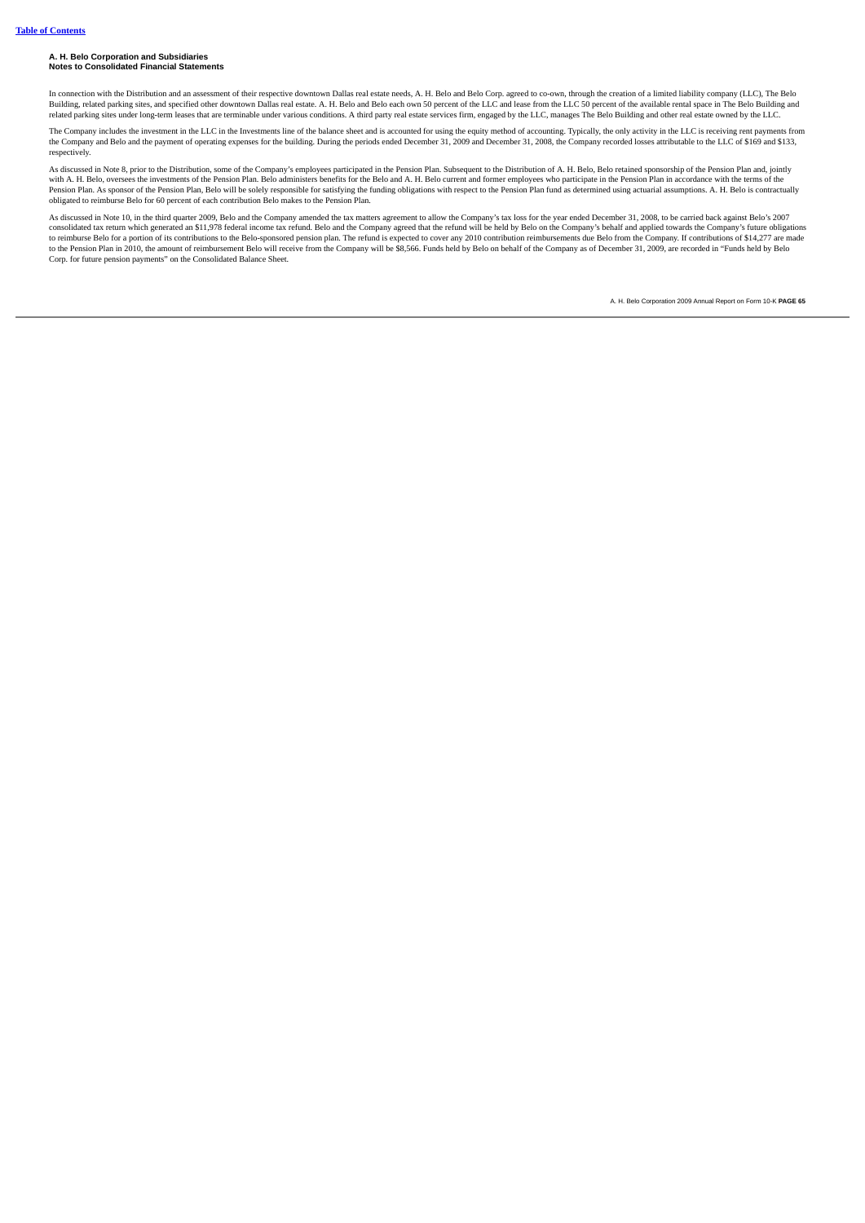In connection with the Distribution and an assessment of their respective downtown Dallas real estate needs, A. H. Belo and Belo Corp. agreed to co-own, through the creation of a limited liability company (LLC), The Belo Building, related parking sites, and specified other downtown Dallas real estate. A. H. Belo and Belo each own 50 percent of the LLC and lease from the LLC 50 percent of the available rental space in The Belo Building and related parking sites under long-term leases that are terminable under various conditions. A third party real estate services firm, engaged by the LLC, manages The Belo Building and other real estate owned by the LLC.

The Company includes the investment in the LLC in the Investments line of the balance sheet and is accounted for using the equity method of accounting. Typically, the only activity in the LLC is receiving rent payments fro the Company and Belo and the payment of operating expenses for the building. During the periods ended December 31, 2009 and December 31, 2008, the Company recorded losses attributable to the LLC of \$169 and \$133, respectively.

As discussed in Note 8, prior to the Distribution, some of the Company's employees participated in the Pension Plan. Subsequent to the Distribution of A. H. Belo, Belo retained sponsorship of the Pension Plan and, jointly with A. H. Belo, oversees the investments of the Pension Plan. Belo administers benefits for the Belo and A. H. Belo current and former employees who participate in the Pension Plan in accordance with the terms of the Pension Plan. As sponsor of the Pension Plan, Belo will be solely responsible for satisfying the funding obligations with respect to the Pension Plan fund as determined using actuarial assumptions. A. H. Belo is contractua

As discussed in Note 10, in the third quarter 2009, Belo and the Company amended the tax matters agreement to allow the Company's tax loss for the year ended December 31, 2008, to be carried back against Belo's 2007 consolidated tax return which generated an \$11,978 federal income tax refund. Belo and the Company areed that the refund will be held by Belo on the Company's behalf and applied towards the Company's future obligations<br>to to the Pension Plan in 2010, the amount of reimbursement Belo will receive from the Company will be \$8,566. Funds held by Belo on behalf of the Company as of December 31, 2009, are recorded in "Funds held by Belo Corp. for future pension payments" on the Consolidated Balance Sheet.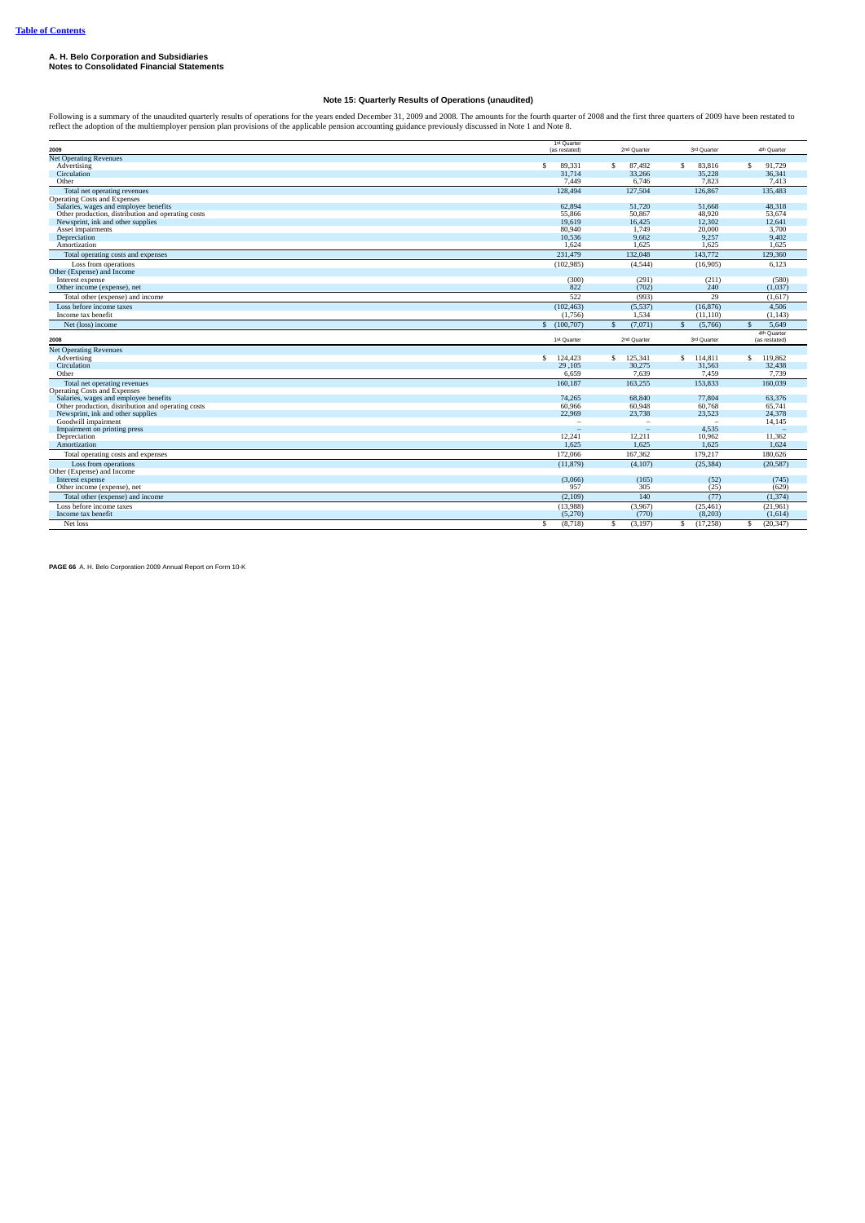### **Note 15: Quarterly Results of Operations (unaudited)**

Following is a summary of the unaudited quarterly results of operations for the years ended December 31, 2009 and 2008. The amounts for the fourth quarter of 2008 and the first three quarters of 2009 have been restated to<br>

| 2009                                               | 1st Quarter<br>(as restated) | 2nd Quarter              | 3rd Quarter               | 4th Quarter           |
|----------------------------------------------------|------------------------------|--------------------------|---------------------------|-----------------------|
| <b>Net Operating Revenues</b>                      |                              |                          |                           |                       |
| Advertising                                        | 89,331<br>s.                 | \$.<br>87,492            | 83,816<br>S.              | 91,729<br>\$.         |
| Circulation                                        | 31,714                       | 33,266                   | 35,228                    | 36,341                |
| Other                                              | 7,449                        | 6,746                    | 7,823                     | 7,413                 |
| Total net operating revenues                       | 128,494                      | 127.504                  | 126,867                   | 135,483               |
| <b>Operating Costs and Expenses</b>                |                              |                          |                           |                       |
| Salaries, wages and employee benefits              | 62,894                       | 51,720                   | 51,668                    | 48,318                |
| Other production, distribution and operating costs | 55,866                       | 50,867                   | 48,920                    | 53.674                |
| Newsprint, ink and other supplies                  | 19,619                       | 16.425                   | 12,302                    | 12.641                |
| Asset impairments                                  | 80,940                       | 1,749                    | 20,000                    | 3,700                 |
| Depreciation                                       | 10,536                       | 9,662                    | 9,257                     | 9,402                 |
| Amortization                                       | 1.624                        | 1.625                    | 1.625                     | 1.625                 |
| Total operating costs and expenses                 | 231,479                      | 132,048                  | 143,772                   | 129,360               |
| Loss from operations                               | (102, 985)                   | (4,544)                  | (16, 905)                 | 6.123                 |
| Other (Expense) and Income                         |                              |                          |                           |                       |
| Interest expense                                   | (300)                        | (291)                    | (211)                     | (580)                 |
| Other income (expense), net                        | 822                          | (702)                    | 240                       | (1,037)               |
| Total other (expense) and income                   | 522                          | (993)                    | 29                        | (1,617)               |
| Loss before income taxes                           | (102, 463)                   | (5,537)                  | (16, 876)                 | 4,506                 |
| Income tax benefit                                 | (1,756)                      | 1,534                    | (11, 110)                 | (1, 143)              |
| Net (loss) income                                  | \$(100,707)                  | $\mathbf{s}$<br>(7,071)  | $\mathbf{s}$<br>(5,766)   | 5.649<br>$\mathbf{s}$ |
|                                                    |                              |                          |                           | 4th Quarter           |
| 2008                                               | 1st Quarter                  | 2 <sup>nd</sup> Quarter  | 3rd Quarter               | (as restated)         |
| <b>Net Operating Revenues</b>                      |                              |                          |                           |                       |
| Advertising                                        | 124,423<br>S.                | 125,341<br>S.            | \$114,811                 | 119,862<br>\$.        |
| Circulation                                        | 29,105                       | 30,275                   | 31,563                    | 32,438                |
| Other                                              | 6,659                        | 7,639                    | 7,459                     | 7,739                 |
| Total net operating revenues                       | 160,187                      | 163,255                  | 153,833                   | 160,039               |
| <b>Operating Costs and Expenses</b>                |                              |                          |                           |                       |
| Salaries, wages and employee benefits              | 74,265                       | 68,840                   | 77,804                    | 63,376                |
| Other production, distribution and operating costs | 60,966                       | 60,948                   | 60,768                    | 65,741                |
| Newsprint, ink and other supplies                  | 22,969                       | 23,738                   | 23,523                    | 24,378                |
| Goodwill impairment                                | ÷                            | $\overline{\phantom{a}}$ |                           | 14,145                |
| Impairment on printing press                       |                              |                          | 4,535                     |                       |
| Depreciation                                       | 12,241                       | 12,211                   | 10.962                    | 11.362                |
| Amortization                                       | 1,625                        | 1,625                    | 1,625                     | 1,624                 |
| Total operating costs and expenses                 | 172,066                      | 167,362                  | 179,217                   | 180,626               |
| Loss from operations                               | (11, 879)                    | (4, 107)                 | (25, 384)                 | (20, 587)             |
| Other (Expense) and Income                         |                              |                          |                           |                       |
| Interest expense                                   | (3,066)                      | (165)                    | (52)                      | (745)                 |
| Other income (expense), net                        | 957                          | 305                      | (25)                      | (629)                 |
| Total other (expense) and income                   | (2, 109)                     | 140                      | (77)                      | (1, 374)              |
| Loss before income taxes                           | (13,988)                     | (3,967)                  | (25, 461)                 | (21,961)              |
| Income tax benefit                                 | (5,270)<br>(8,718)           | (770)<br>(3, 197)        | (8,203)<br>\$<br>(17,258) | (1,614)<br>(20, 347)  |

**PAGE 66** A. H. Belo Corporation 2009 Annual Report on Form 10-K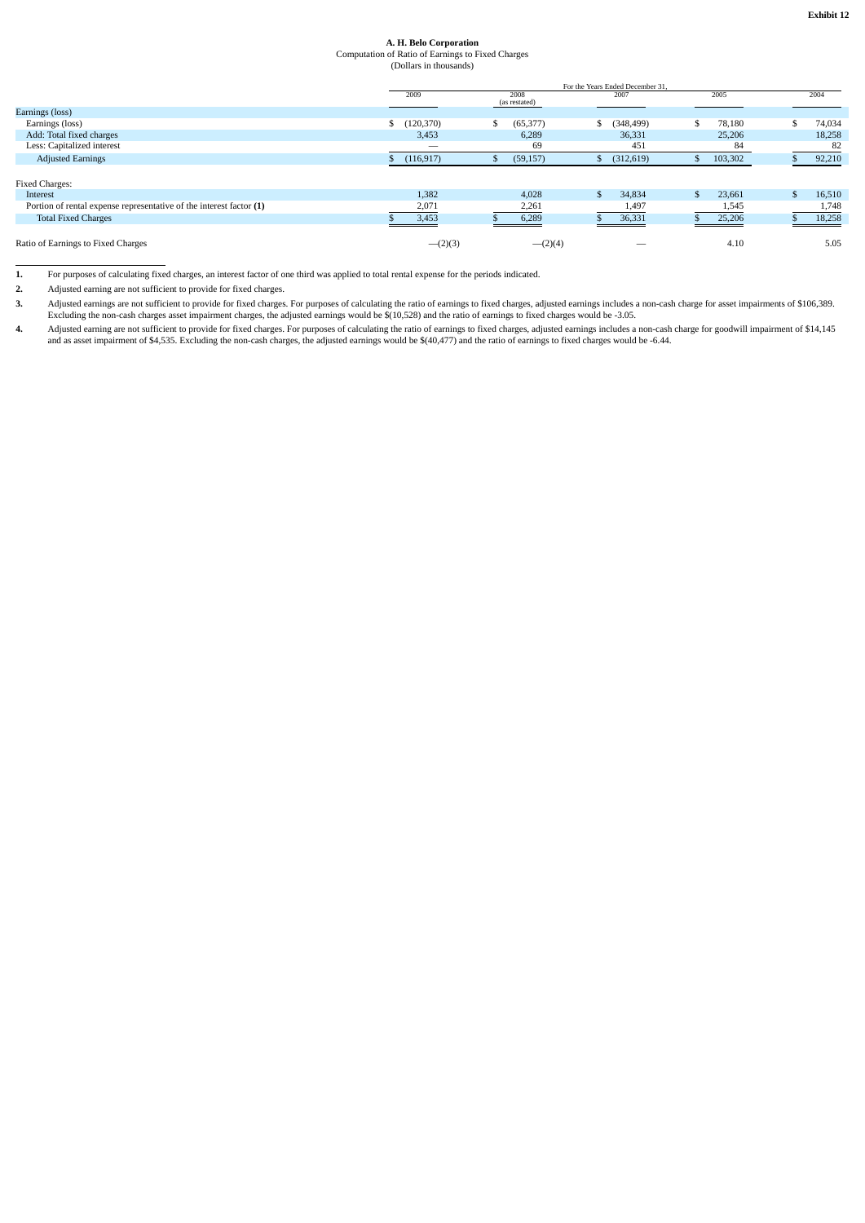# **A. H. Belo Corporation** Computation of Ratio of Earnings to Fixed Charges (Dollars in thousands)

|                                                                     |            | For the Years Ended December 31, |           |                          |     |         |  |        |  |  |
|---------------------------------------------------------------------|------------|----------------------------------|-----------|--------------------------|-----|---------|--|--------|--|--|
|                                                                     | 2009       | 2008<br>(as restated)            |           | 2007                     |     | 2005    |  | 2004   |  |  |
| Earnings (loss)                                                     |            |                                  |           |                          |     |         |  |        |  |  |
| Earnings (loss)                                                     | (120, 370) |                                  | (65, 377) | (348, 499)               | J.  | 78,180  |  | 74,034 |  |  |
| Add: Total fixed charges                                            | 3,453      |                                  | 6,289     | 36,331                   |     | 25,206  |  | 18,258 |  |  |
| Less: Capitalized interest                                          |            |                                  | 69        | 451                      |     | 84      |  | 82     |  |  |
| <b>Adjusted Earnings</b>                                            | (116, 917) |                                  | (59, 157) | (312, 619)               |     | 103,302 |  | 92,210 |  |  |
| Fixed Charges:                                                      |            |                                  |           |                          |     |         |  |        |  |  |
| Interest                                                            | 1,382      |                                  | 4,028     | 34,834                   | \$. | 23,661  |  | 16,510 |  |  |
| Portion of rental expense representative of the interest factor (1) | 2,071      |                                  | 2,261     | 1,497                    |     | 1,545   |  | 1,748  |  |  |
| <b>Total Fixed Charges</b>                                          | 3,453      |                                  | 6,289     | 36,331                   |     | 25,206  |  | 18,258 |  |  |
| Ratio of Earnings to Fixed Charges                                  |            | $-(2)(3)$                        | $-(2)(4)$ | $\overline{\phantom{a}}$ |     | 4.10    |  | 5.05   |  |  |

**1.** For purposes of calculating fixed charges, an interest factor of one third was applied to total rental expense for the periods indicated.

**2.** Adjusted earning are not sufficient to provide for fixed charges.

3. Adjusted earnings are not sufficient to provide for fixed charges. For purposes of calculating the ratio of earnings to fixed charges, adjusted earnings includes a non-cash charge for asset impairments of \$106,389.<br>Excl

**4.** Adjusted earning are not sufficient to provide for fixed charges. For purposes of calculating the ratio of earnings to fixed charges, adjusted earnings includes a non-cash charge for goodwill impairment of \$14,145 and as asset impairment of \$4,535. Excluding the non-cash charges, the adjusted earnings would be \$(40,477) and the ratio of earnings to fixed charges would be -6.44.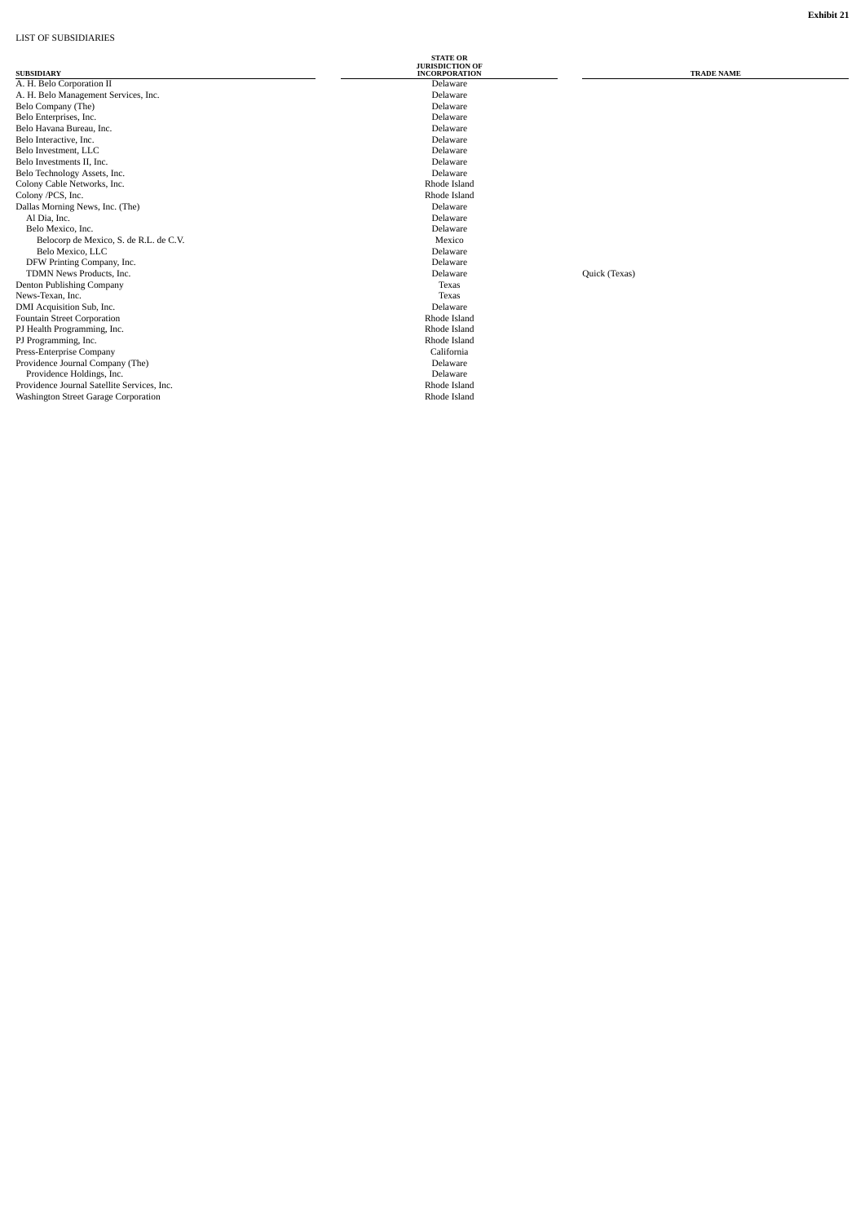**S U B S I D IA RY** A. H. Belo Corporation II<br>A. H. Belo Management Services, Inc. c. Del Belo Company (The) Belo Enterprises, Inc. c. Del and the contract of the contract of the contract of the contract of the contract of the contract of the contract of the contract of the contract of the contract of the contract of the contract of the contract of the Belo Havana Bureau, Inc.<br>Belo Interactive, Inc. c. Del and the contract of the contract of the contract of the contract of the contract of the contract of the contract of the contract of the contract of the contract of the contract of the contract of the contract of the c. Del and the contract of the contract of the contract of the contract of the contract of the contract of the contract of the contract of the contract of the contract of the contract of the contract of the contract of the Belo Investment, LLC Belo Investments II, Inc c. Del and the contract of the contract of the contract of the contract of the contract of the contract of the contract of the contract of the contract of the contract of the contract of the contract of the contract of the Belo Technology Assets, Inc<br>Colony Cable Networks, Inc. c. Del c. Rhome and the contract of the contract of the contract of the contract of the contract of the contract of the contract of the contract of the contract of the contract of the contract of the contract of the contract of t Colony /PCS, Inc. c. The contract of the contract of the contract of the contract of the contract of the contract of the contract of the contract of the contract of the contract of the contract of the contract of the contract of the contrac Dallas Morning News, Inc. (The) Al Dia, Inc. c. Del and the contract of the contract of the contract of the contract of the contract of the contract of the contract of the contract of the contract of the contract of the contract of the contract of the contract of the Belo Mexico, Inc c. Del and the contract of the contract of the contract of the contract of the contract of the contract of the contract of the contract of the contract of the contract of the contract of the contract of the contract of the Belocorp de Mexico, S. de R.L. de 0 Belo Mexico, LLC<br>DFW Printing Company, Inc.<br>TDMN News Products, Inc. c. Del c. Del Denton Publishing Company News-Texan, Inc. Text<br>DMI Acquisition Sub, Inc. The compact of the compact of the compact of the compact of the compact of the compa<br>DMI Acquisition Sub, Inc. c. Del se estableceu de la proponent de la proponent de la proponent de la proponent de la proponent de la pro Fountain Street Corporation PJ Health Programming, Inc. c. Rhome and the contract of the contract of the contract of the contract of the contract of the contract of the contract of the contract of the contract of the contract of the contract of the contract of the contract of t PJ Programming, Inc. c. The contract of the contract of the contract of the contract of the contract of the contract of the contract of the contract of the contract of the contract of the contract of the contract of the contract of the contrac Press-Enterprise Company<br>Providence Journal Company (The) Providence Holdings, Inc c. Del Providence Journal Satellite Services, Inc<br>Washington Street Garage Corporation c. Rho

STATE OR<br>JURISDICTION OF<br>INCORPORATION Delaware<br>Delaware Delaware elaware elaware elaware Delaware elaware elaware h o d e I s l a n d h o d e I s l a n d Delaware elaware elaware C.V. Mex e x ic o Delaware elaware elaware Te x a s Texas<br>elaware Rhode Island h o d e I s l a n d hode Island<br>California Delaware elaware Rhode Island<br>Rhode Island

**TRADE NAME** 

Quick (Texas)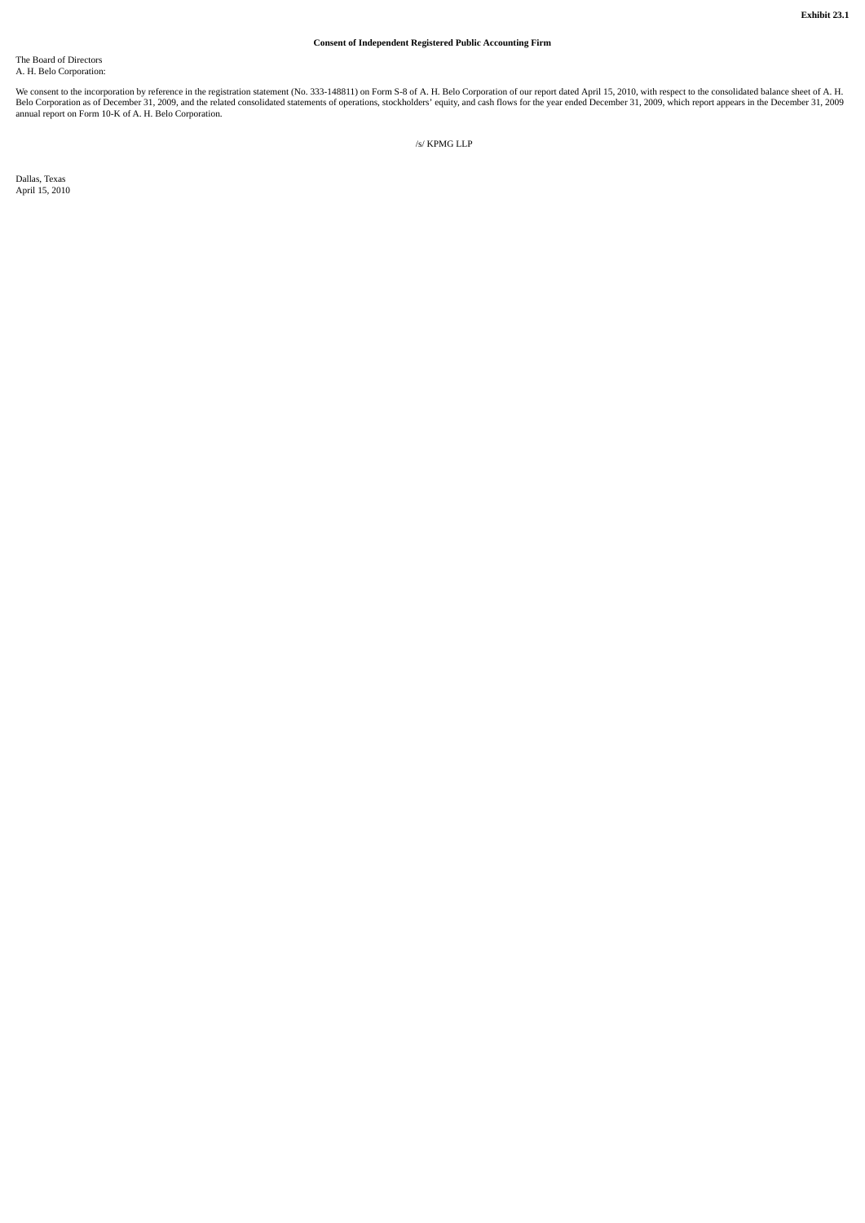### **Consent of Independent Registered Public Accounting Firm**

# The Board of Directors A. H. Belo Corporation:

We consent to the incorporation by reference in the registration statement (No. 333-148811) on Form S-8 of A. H. Belo Corporation of our report dated April 15, 2010, with respect to the consolidated balance sheet of A. H.<br>

Dallas, Texas April 15, 2010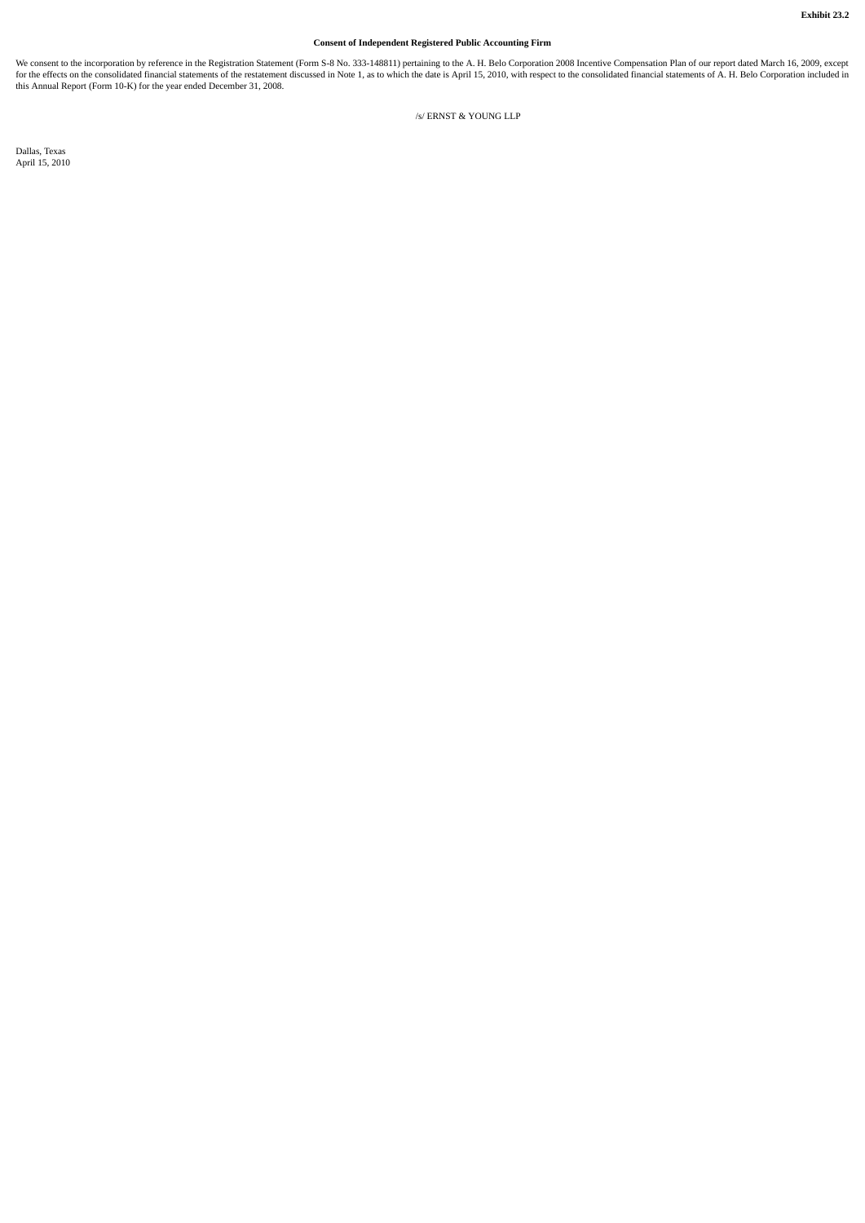### **Consent of Independent Registered Public Accounting Firm**

We consent to the incorporation by reference in the Registration Statement (Form S-8 No. 333-148811) pertaining to the A. H. Belo Corporation 2008 Incentive Compensation Plan of our report dated March 16, 2009, except for

/s/ ERNST & YOUNG LLP

Dallas, Texas April 15, 2010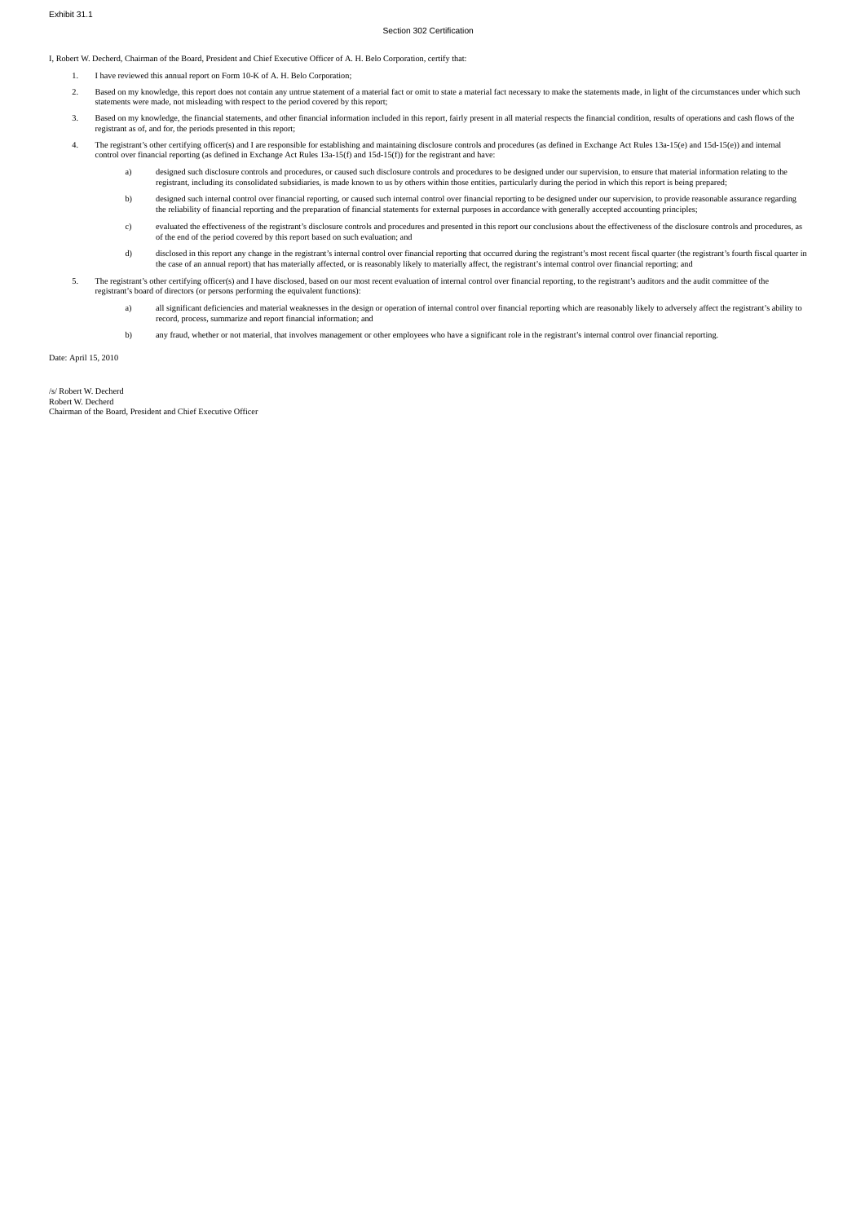I, Robert W. Decherd, Chairman of the Board, President and Chief Executive Officer of A. H. Belo Corporation, certify that:

- 1. I have reviewed this annual report on Form 10-K of A. H. Belo Corporation;
- 2. Based on my knowledge, this report does not contain any untrue statement of a material fact or omit to state a material fact necessary to make the statements made, in light of the circumstances under which such statements were made, not misleading with respect to the period covered by this report;
- 3. Based on my knowledge, the financial statements, and other financial information included in this report, fairly present in all material respects the financial condition, results of operations and cash flows of the registrant as of, and for, the periods presented in this report;
- 4. The registrant's other certifying officer(s) and I are responsible for establishing and maintaining disclosure controls and procedures (as defined in Exchange Act Rules 13a-15(e) and 15d-15(e)) and internal control over
	- a) designed such disclosure controls and procedures, or caused such disclosure controls and procedures to be designed under our supervision, to ensure that material information relating to the registrant, including its consolidated subsidiaries, is made known to us by others within those entities, particularly during the period in which this report is being prepared;
	- b) designed such internal control over financial reporting, or caused such internal control over financial reporting to be designed under our supervision, to provide reasonable assurance regarding the reliability of financial reporting and the preparation of financial statements for external purposes in accordance with generally accepted accounting principles;
	- c) evaluated the effectiveness of the registrant's disclosure controls and procedures and presented in this report our conclusions about the effectiveness of the disclosure controls and procedures, as<br>of the end of the per
	- d) disclosed in this report any change in the registrant's internal control over financial reporting that occurred during the registrant's most recent fiscal quarter (the registrant's fourth fiscal quarter in<br>the case of a
- 5. The registrant's other certifying officer(s) and I have disclosed, based on our most recent evaluation of internal control over financial reporting, to the registrant's auditors and the audit committee of the registrant's board of directors (or persons performing the equivalent functions):
	- a) all significant deficiencies and material weaknesses in the design or operation of internal control over financial reporting which are reasonably likely to adversely affect the registrant's ability to record, process, summarize and report financial information; and
	- b) any fraud, whether or not material, that involves management or other employees who have a significant role in the registrant's internal control over financial reporting.

Date: April 15, 2010

/s/ Robert W. Decherd Robert W. Decherd Chairman of the Board, President and Chief Executive Officer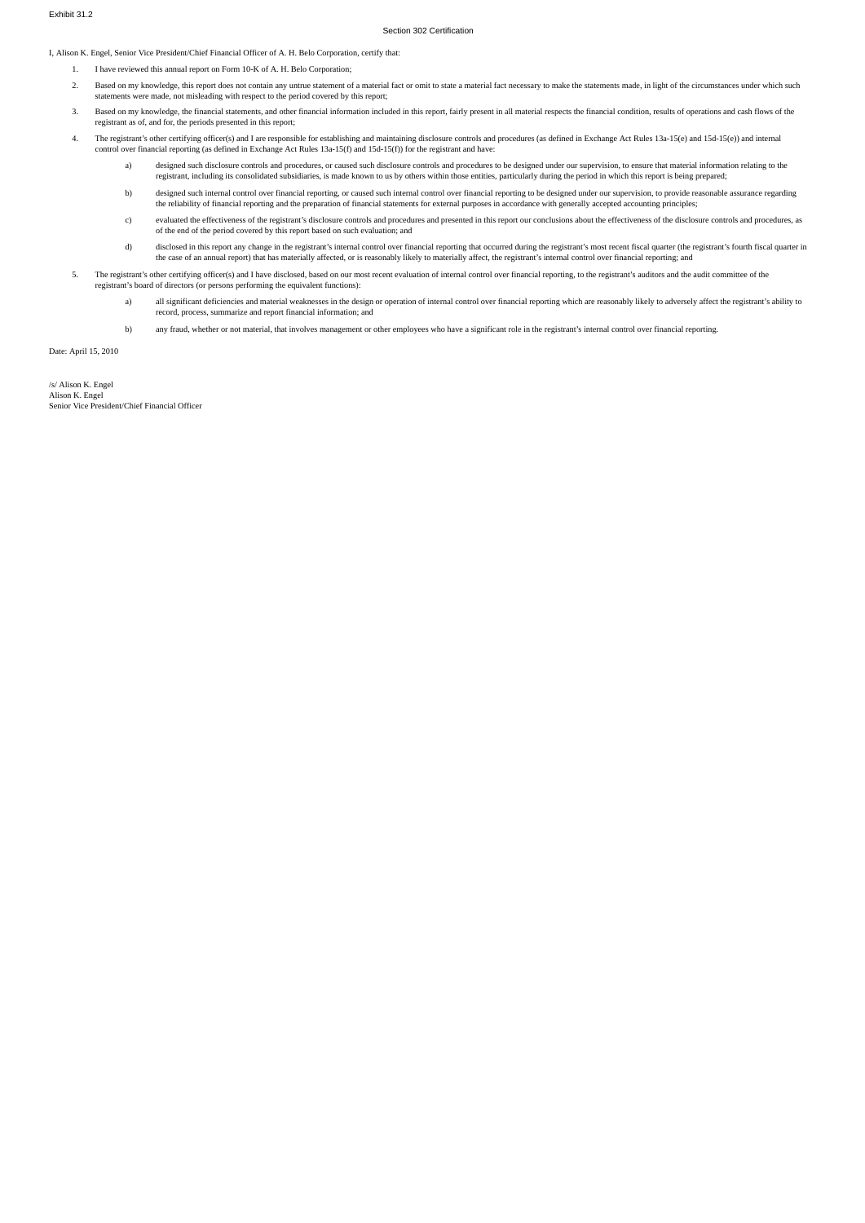## Section 302 Certification

I, Alison K. Engel, Senior Vice President/Chief Financial Officer of A. H. Belo Corporation, certify that:

- 1. I have reviewed this annual report on Form 10-K of A. H. Belo Corporation;
- 2. Based on my knowledge, this report does not contain any untrue statement of a material fact or omit to state a material fact necessary to make the statements made, in light of the circumstances under which such statements were made, not misleading with respect to the period covered by this report;
- 3. Based on my knowledge, the financial statements, and other financial information included in this report, fairly present in all material respects the financial condition, results of operations and cash flows of the registrant as of, and for, the periods presented in this report;
- 4. The registrant's other certifying officer(s) and I are responsible for establishing and maintaining disclosure controls and procedures (as defined in Exchange Act Rules 13a-15(e) and 15d-15(e)) and internal control over financial reporting (as defined in Exchange Act Rules 13a-15(f) and 15d-15(f)) for the registrant and have:
	- a) designed such disclosure controls and procedures, or caused such disclosure controls and procedures to be designed under our supervision, to ensure that material information relating to the<br>registrant, including its con
	- b) designed such internal control over financial reporting, or caused such internal control over financial reporting to be designed under our supervision, to provide reasonable assurance regarding<br>the reliability of financ
	- c) evaluated the effectiveness of the registrant's disclosure controls and procedures and presented in this report our conclusions about the effectiveness of the disclosure controls and procedures, as of the end of the period covered by this report based on such evaluation; and
	- d) disclosed in this report any change in the registrant's internal control over financial reporting that occurred during the registrant's most recent fiscal quarter (the registrant's fourth fiscal quarter in<br>the case of a
- 5. The registrant's other certifying officer(s) and I have disclosed, based on our most recent evaluation of internal control over financial reporting, to the registrant's auditors and the audit committee of the registrant's board of directors (or persons performing the equivalent functions):
	- a) all significant deficiencies and material weaknesses in the design or operation of internal control over financial reporting which are reasonably likely to adversely affect the registrant's ability to record, process, summarize and report financial information; and
	- b) any fraud, whether or not material, that involves management or other employees who have a significant role in the registrant's internal control over financial reporting.

Date: April 15, 2010

/s/ Alison K. Engel Alison K. Engel Senior Vice President/Chief Financial Officer